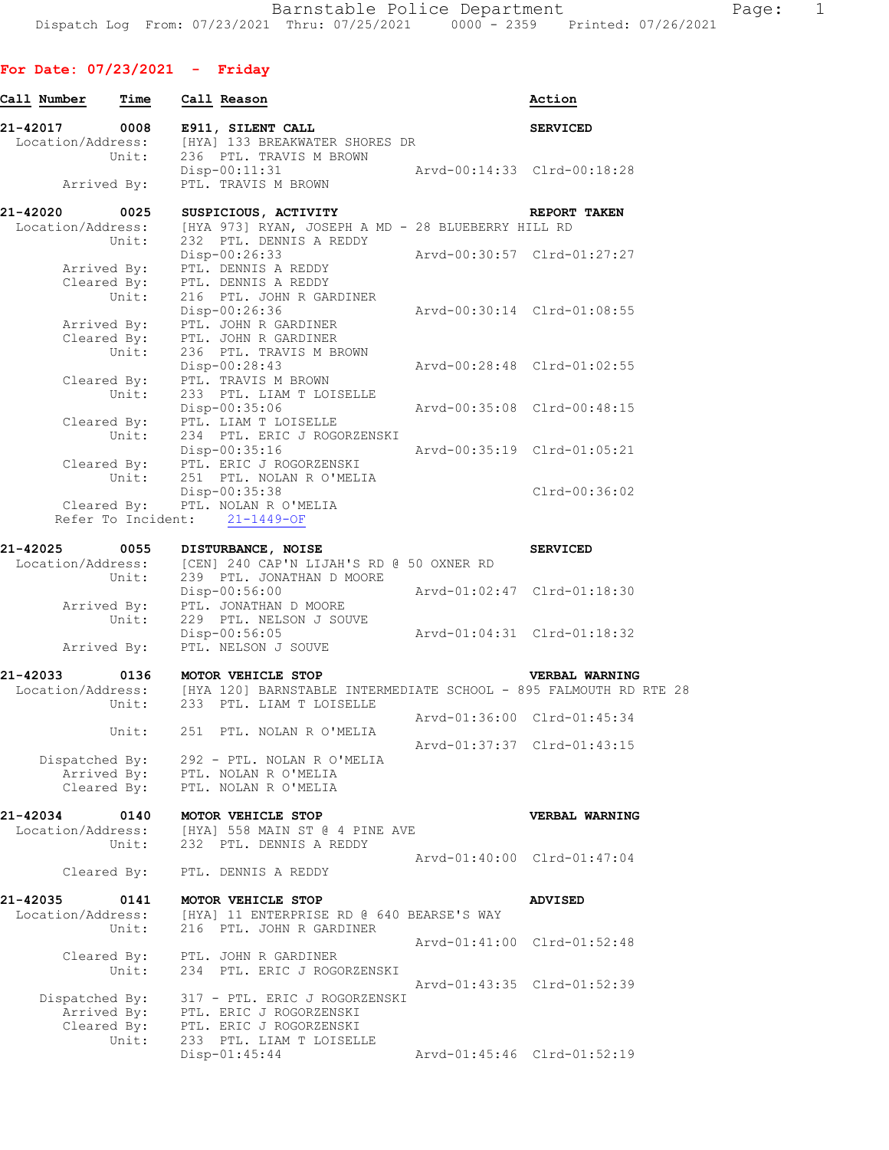# **For Date: 07/23/2021 - Friday**

| Call Number                      | Time                 | Call Reason                                                                                                     |                             | Action                      |
|----------------------------------|----------------------|-----------------------------------------------------------------------------------------------------------------|-----------------------------|-----------------------------|
| 21-42017 0008                    |                      | E911, SILENT CALL                                                                                               |                             | <b>SERVICED</b>             |
| Location/Address:                |                      | [HYA] 133 BREAKWATER SHORES DR                                                                                  |                             |                             |
|                                  | Unit:                | 236 PTL. TRAVIS M BROWN                                                                                         |                             |                             |
|                                  |                      | Disp-00:11:31<br>Rrvd-00:14:33<br>Clrd-00:18:28                                                                 |                             |                             |
|                                  | Arrived By:          | PTL. TRAVIS M BROWN                                                                                             |                             |                             |
| 21-42020                         | 0025                 | SUSPICIOUS, ACTIVITY                                                                                            |                             | REPORT TAKEN                |
| Location/Address:                |                      | [HYA 973] RYAN, JOSEPH A MD - 28 BLUEBERRY HILL RD                                                              |                             |                             |
|                                  | Unit:                | 232 PTL. DENNIS A REDDY                                                                                         |                             |                             |
|                                  |                      | Disp-00:26:33                                                                                                   |                             | Arvd-00:30:57 Clrd-01:27:27 |
|                                  |                      | Arrived By: PTL. DENNIS A REDDY<br>Cleared By: PTL. DENNIS A REDDY                                              |                             |                             |
|                                  | Unit:                | 216 PTL. JOHN R GARDINER                                                                                        |                             |                             |
|                                  |                      | Disp-00:26:36                                                                                                   |                             | Arvd-00:30:14 Clrd-01:08:55 |
|                                  |                      | Arrived By: PTL. JOHN R GARDINER                                                                                |                             |                             |
|                                  |                      | Cleared By: PTL. JOHN R GARDINER<br>Unit: 236 PTL. TRAVIS M B                                                   |                             |                             |
|                                  |                      | 236 PTL. TRAVIS M BROWN                                                                                         |                             |                             |
|                                  |                      | Disp-00:28:43                                                                                                   |                             | Arvd-00:28:48 Clrd-01:02:55 |
|                                  | Cleared By:<br>Unit: | PTL. TRAVIS M BROWN                                                                                             |                             |                             |
|                                  |                      | 233 PTL. LIAM T LOISELLE<br>Disp-00:35:06                                                                       | Arvd-00:35:08 Clrd-00:48:15 |                             |
|                                  |                      | Cleared By: PTL. LIAM T LOISELLE                                                                                |                             |                             |
|                                  | Unit:                | 234 PTL. ERIC J ROGORZENSKI                                                                                     |                             |                             |
|                                  |                      | Disp-00:35:16                                                                                                   | Arvd-00:35:19 Clrd-01:05:21 |                             |
|                                  |                      | Cleared By: PTL. ERIC J ROGORZENSKI                                                                             |                             |                             |
|                                  | Unit:                | 251 PTL. NOLAN R O'MELIA                                                                                        |                             |                             |
|                                  |                      | Disp-00:35:38                                                                                                   |                             | Clrd-00:36:02               |
|                                  |                      | Cleared By: PTL. NOLAN R O'MELIA<br>Refer To Incident: 21-1449-OF                                               |                             |                             |
|                                  |                      |                                                                                                                 |                             |                             |
| 21-42025 0055 DISTURBANCE, NOISE |                      |                                                                                                                 |                             | <b>SERVICED</b>             |
|                                  |                      | Location/Address: [CEN] 240 CAP'N LIJAH'S RD @ 50 OXNER RD<br>Unit: 239 PTL. JONATHAN D MOORE                   |                             |                             |
|                                  | Unit:                | 239 PTL. JONATHAN D MOORE                                                                                       |                             |                             |
|                                  |                      | Disp-00:56:00<br>Arrived By: PTL. JONATHAN D MOORE                                                              | Arvd-01:02:47 Clrd-01:18:30 |                             |
|                                  | Unit:                | 229 PTL. NELSON J SOUVE                                                                                         |                             |                             |
|                                  |                      | Disp-00:56:05                                                                                                   |                             | Arvd-01:04:31 Clrd-01:18:32 |
|                                  | Arrived By:          | PTL. NELSON J SOUVE                                                                                             |                             |                             |
|                                  |                      |                                                                                                                 |                             |                             |
| 21-42033                         | 0136                 | MOTOR VEHICLE STOP                                                                                              |                             | VERBAL WARNING              |
|                                  | Unit:                | Location/Address: [HYA 120] BARNSTABLE INTERMEDIATE SCHOOL - 895 FALMOUTH RD RTE 28<br>233 PTL. LIAM T LOISELLE |                             |                             |
|                                  |                      |                                                                                                                 |                             | Arvd-01:36:00 Clrd-01:45:34 |
|                                  |                      | Unit: 251 PTL. NOLAN R O'MELIA                                                                                  |                             |                             |
|                                  |                      |                                                                                                                 |                             | Arvd-01:37:37 Clrd-01:43:15 |
| Dispatched By:                   |                      | 292 - PTL. NOLAN R O'MELIA                                                                                      |                             |                             |
|                                  |                      | Arrived By: PTL. NOLAN R O'MELIA<br>Cleared By: PTL. NOLAN R O'MELIA                                            |                             |                             |
|                                  |                      |                                                                                                                 |                             |                             |
| 21-42034                         | 0140                 | MOTOR VEHICLE STOP                                                                                              |                             | VERBAL WARNING              |
| Location/Address:                |                      | [HYA] 558 MAIN ST @ 4 PINE AVE                                                                                  |                             |                             |
|                                  | Unit:                | 232 PTL. DENNIS A REDDY                                                                                         |                             |                             |
|                                  |                      |                                                                                                                 | Arvd-01:40:00 Clrd-01:47:04 |                             |
|                                  |                      | Cleared By: PTL. DENNIS A REDDY                                                                                 |                             |                             |
| 21-42035                         | 0141                 | MOTOR VEHICLE STOP                                                                                              |                             | <b>ADVISED</b>              |
| Location/Address:                |                      | [HYA] 11 ENTERPRISE RD @ 640 BEARSE'S WAY                                                                       |                             |                             |
|                                  | Unit:                | 216 PTL. JOHN R GARDINER                                                                                        |                             |                             |
|                                  |                      |                                                                                                                 |                             | Arvd-01:41:00 Clrd-01:52:48 |
|                                  | Cleared By:          | ed By: PTL. JOHN R GARDINER<br>Unit: 234 PTL. ERIC J ROGORZENSKI                                                |                             |                             |
|                                  |                      |                                                                                                                 |                             |                             |
|                                  |                      |                                                                                                                 |                             | Arvd-01:43:35 Clrd-01:52:39 |
| Dispatched By:                   | Arrived By:          | 317 - PTL. ERIC J ROGORZENSKI<br>PTL. ERIC J ROGORZENSKI                                                        |                             |                             |
|                                  | Cleared By:          | PTL. ERIC J ROGORZENSKI                                                                                         |                             |                             |
|                                  | Unit:                | 233 PTL. LIAM T LOISELLE                                                                                        |                             |                             |
|                                  |                      | Disp-01:45:44                                                                                                   |                             | Arvd-01:45:46 Clrd-01:52:19 |
|                                  |                      |                                                                                                                 |                             |                             |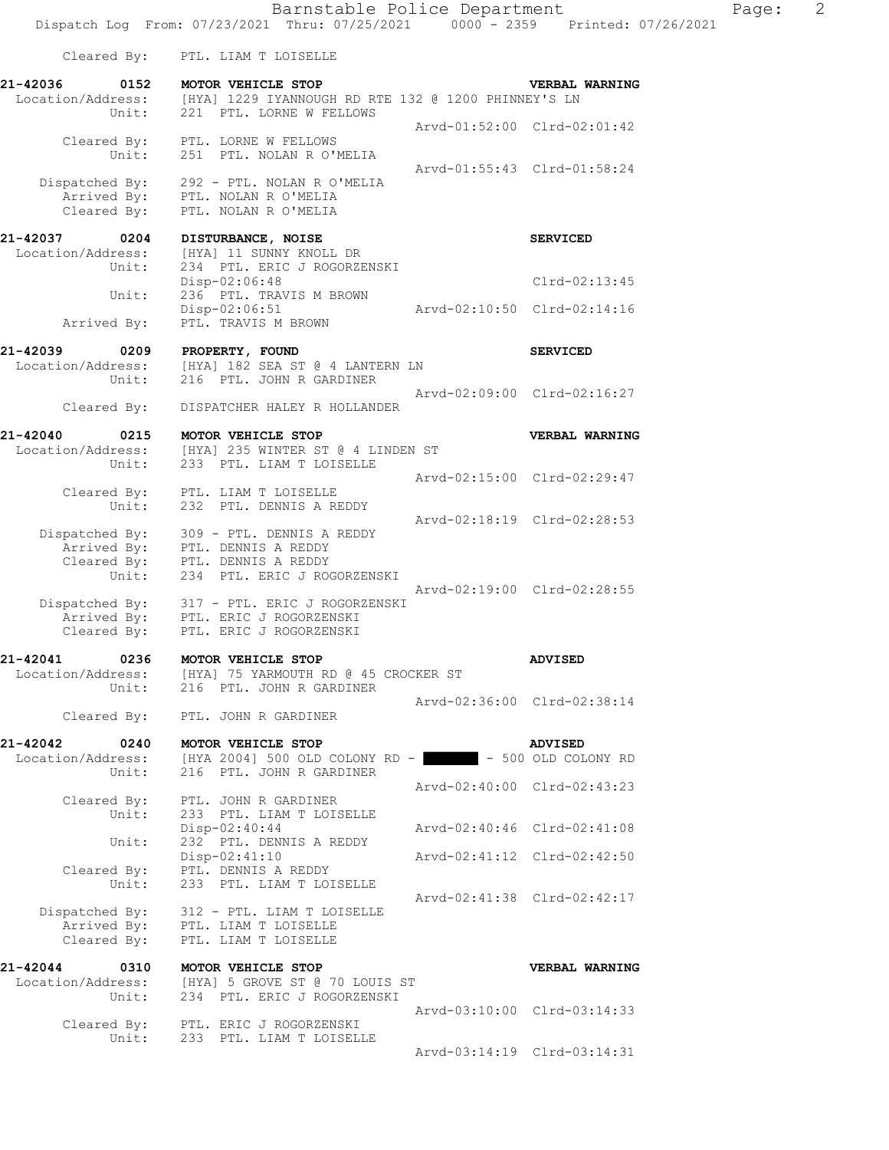Location/Address: [HYA] 1229 IYANNOUGH RD RTE 132 @ 1200 PHINNEY'S LN Unit: 221 PTL. LORNE W FELLOWS Arvd-01:52:00 Clrd-02:01:42 Cleared By: PTL. LORNE W FELLOWS Unit: 251 PTL. NOLAN R O'MELIA Arvd-01:55:43 Clrd-01:58:24 Dispatched By: 292 - PTL. NOLAN R O'MELIA Arrived By: PTL. NOLAN R O'MELIA Cleared By: PTL. NOLAN R O'MELIA

**21-42037 0204 DISTURBANCE, NOISE CONSERVICED SERVICED**<br>
Location/Address: [HYA] 11 SUNNY KNOLL DR [HYA] 11 SUNNY KNOLL DR Unit: 234 PTL. ERIC J ROGORZENSKI Disp-02:06:48 Clrd-02:13:45 Unit: 236 PTL. TRAVIS M BROWN Disp-02:06:51 Arvd-02:10:50 Clrd-02:14:16<br>Arrived By: PTL. TRAVIS M BROWN PTL. TRAVIS M BROWN

**21-42039 0209 PROPERTY, FOUND SERVICED**<br>
Location/Address: [HYA] 182 SEA ST @ 4 LANTERN LN<br>
Unit: 216 PTL. JOHN R GARDINER [HYA] 182 SEA ST @ 4 LANTERN LN 216 PTL. JOHN R GARDINER Arvd-02:09:00 Clrd-02:16:27

Cleared By: DISPATCHER HALEY R HOLLANDER

**21-42040 0215 MOTOR VEHICLE STOP VERBAL WARNING**  Location/Address: [HYA] 235 WINTER ST @ 4 LINDEN ST Unit: 233 PTL. LIAM T LOISELLE Arvd-02:15:00 Clrd-02:29:47 Cleared By: PTL. LIAM T LOISELLE

 Unit: 232 PTL. DENNIS A REDDY Arvd-02:18:19 Clrd-02:28:53 Dispatched By: 309 - PTL. DENNIS A REDDY Arrived By: PTL. DENNIS A REDDY Cleared By: PTL. DENNIS A REDDY Unit: 234 PTL. ERIC J ROGORZENSKI Arvd-02:19:00 Clrd-02:28:55 Dispatched By: 317 - PTL. ERIC J ROGORZENSKI

 Arrived By: PTL. ERIC J ROGORZENSKI Cleared By: PTL. ERIC J ROGORZENSKI

### **21-42041 0236 MOTOR VEHICLE STOP ADVISED**  Location/Address: [HYA] 75 YARMOUTH RD @ 45 CROCKER ST

 Unit: 216 PTL. JOHN R GARDINER Arvd-02:36:00 Clrd-02:38:14 Cleared By: PTL. JOHN R GARDINER

**21-42042 0240 MOTOR VEHICLE STOP ADVISED**  Location/Address: [HYA 2004] 500 OLD COLONY RD - - - 500 OLD COLONY RD Unit: 216 PTL. JOHN R GARDINER Arvd-02:40:00 Clrd-02:43:23 Cleared By: PTL. JOHN R GARDINER Unit: 233 PTL. LIAM T LOISELLE<br>Disp-02:40:44 Disp-02:40:44 Arvd-02:40:46 Clrd-02:41:08 Unit: 232 PTL. DENNIS A REDDY<br>Disp-02:41:10 Disp-02:41:10 Arvd-02:41:12 Clrd-02:42:50 Cleared By: PTL. DENNIS A REDDY Unit: 233 PTL. LIAM T LOISELLE Arvd-02:41:38 Clrd-02:42:17 Dispatched By: 312 - PTL. LIAM T LOISELLE Arrived By: PTL. LIAM T LOISELLE Cleared By: PTL. LIAM T LOISELLE

**21-42044 0310 MOTOR VEHICLE STOP VERBAL WARNING**  Location/Address: [HYA] 5 GROVE ST @ 70 LOUIS ST Unit: 234 PTL. ERIC J ROGORZENSKI Arvd-03:10:00 Clrd-03:14:33 Cleared By: PTL. ERIC J ROGORZENSKI Unit: 233 PTL. LIAM T LOISELLE Arvd-03:14:19 Clrd-03:14:31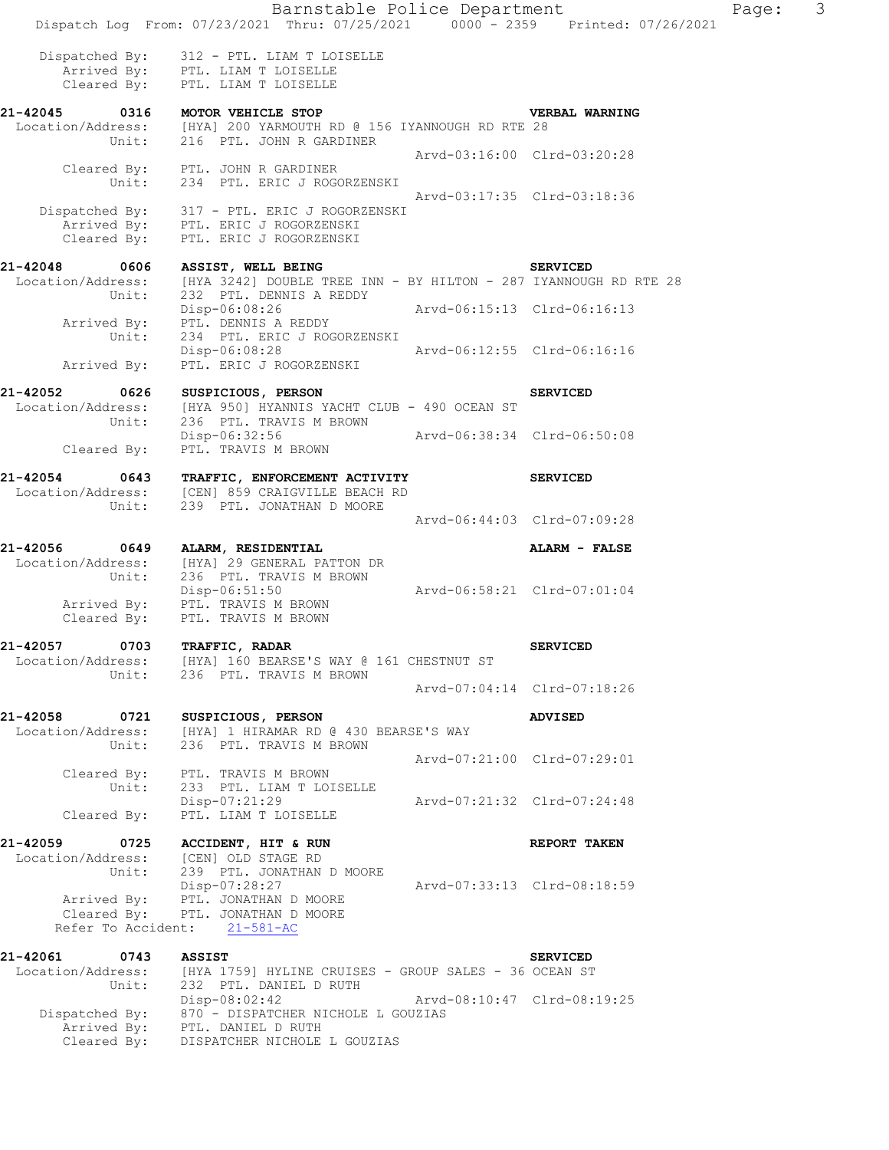Barnstable Police Department Page: 3 Dispatch Log From: 07/23/2021 Thru: 07/25/2021 0000 - 2359 Printed: 07/26/2021 Dispatched By: 312 - PTL. LIAM T LOISELLE Arrived By: PTL. LIAM T LOISELLE Cleared By: PTL. LIAM T LOISELLE **21-42045 0316 MOTOR VEHICLE STOP VERBAL WARNING**  Location/Address: [HYA] 200 YARMOUTH RD @ 156 IYANNOUGH RD RTE 28 Unit: 216 PTL. JOHN R GARDINER Arvd-03:16:00 Clrd-03:20:28 Cleared By: PTL. JOHN R GARDINER Unit: 234 PTL. ERIC J ROGORZENSKI Arvd-03:17:35 Clrd-03:18:36 Dispatched By: 317 - PTL. ERIC J ROGORZENSKI Arrived By: PTL. ERIC J ROGORZENSKI Cleared By: PTL. ERIC J ROGORZENSKI 21-42048 0606 ASSIST, WELL BEING **SERVICED** [HYA 3242] DOUBLE TREE INN - BY HILTON - 287 IYANNOUGH RD RTE 28 Location/Address: [HYA 3242] DOUBLE TREE IN<br>Unit: 232 PTL. DENNIS A REDDY Disp-06:08:26 Arvd-06:15:13 Clrd-06:16:13 Arrived By: PTL. DENNIS A REDDY Unit: 234 PTL. ERIC J ROGORZENSKI Disp-06:08:28 Arvd-06:12:55 Clrd-06:16:16 Arrived By: PTL. ERIC J ROGORZENSKI **21-42052 0626 SUSPICIOUS, PERSON SERVICED**  Location/Address: [HYA 950] HYANNIS YACHT CLUB - 490 OCEAN ST<br>Unit: 236 PTL. TRAVIS M BROWN 236 PTL. TRAVIS M BROWN Disp-06:32:56 Arvd-06:38:34 Clrd-06:50:08 Cleared By: PTL. TRAVIS M BROWN **21-42054 0643 TRAFFIC, ENFORCEMENT ACTIVITY SERVICED**  Location/Address: [CEN] 859 CRAIGVILLE BEACH RD Unit: 239 PTL. JONATHAN D MOORE Arvd-06:44:03 Clrd-07:09:28 **21-42056 0649 ALARM, RESIDENTIAL ALARM - FALSE**  Location/Address: [HYA] 29 GENERAL PATTON DR Unit: 236 PTL. TRAVIS M BROWN Disp-06:51:50 Arvd-06:58:21 Clrd-07:01:04 Arrived By: PTL. TRAVIS M BROWN Cleared By: PTL. TRAVIS M BROWN **21-42057 0703 TRAFFIC, RADAR SERVICED**  Location/Address: [HYA] 160 BEARSE'S WAY @ 161 CHESTNUT ST 236 PTL. TRAVIS M BROWN Arvd-07:04:14 Clrd-07:18:26 **21-42058 0721 SUSPICIOUS, PERSON ADVISED**  Location/Address: [HYA] 1 HIRAMAR RD @ 430 BEARSE'S WAY Unit: 236 PTL. TRAVIS M BROWN Arvd-07:21:00 Clrd-07:29:01 Cleared By: PTL. TRAVIS M BROWN Unit: 233 PTL. LIAM T LOISELLE Disp-07:21:29 Arvd-07:21:32 Clrd-07:24:48 Cleared By: PTL. LIAM T LOISELLE **21-42059 0725 ACCIDENT, HIT & RUN REPORT TAKEN**  Location/Address: [CEN] OLD STAGE RD Unit: 239 PTL. JONATHAN D MOORE Disp-07:28:27 Arvd-07:33:13 Clrd-08:18:59 Arrived By: PTL. JONATHAN D MOORE Cleared By: PTL. JONATHAN D MOORE Refer To Accident: 21-581-AC **21-42061 0743 ASSIST SERVICED**  Location/Address: [HYA 1759] HYLINE CRUISES - GROUP SALES - 36 OCEAN ST Unit: 232 PTL. DANIEL D RUTH Disp-08:02:42 Arvd-08:10:47 Clrd-08:19:25 Dispatched By: 870 - DISPATCHER NICHOLE L GOUZIAS Arrived By: PTL. DANIEL D RUTH

Cleared By: DISPATCHER NICHOLE L GOUZIAS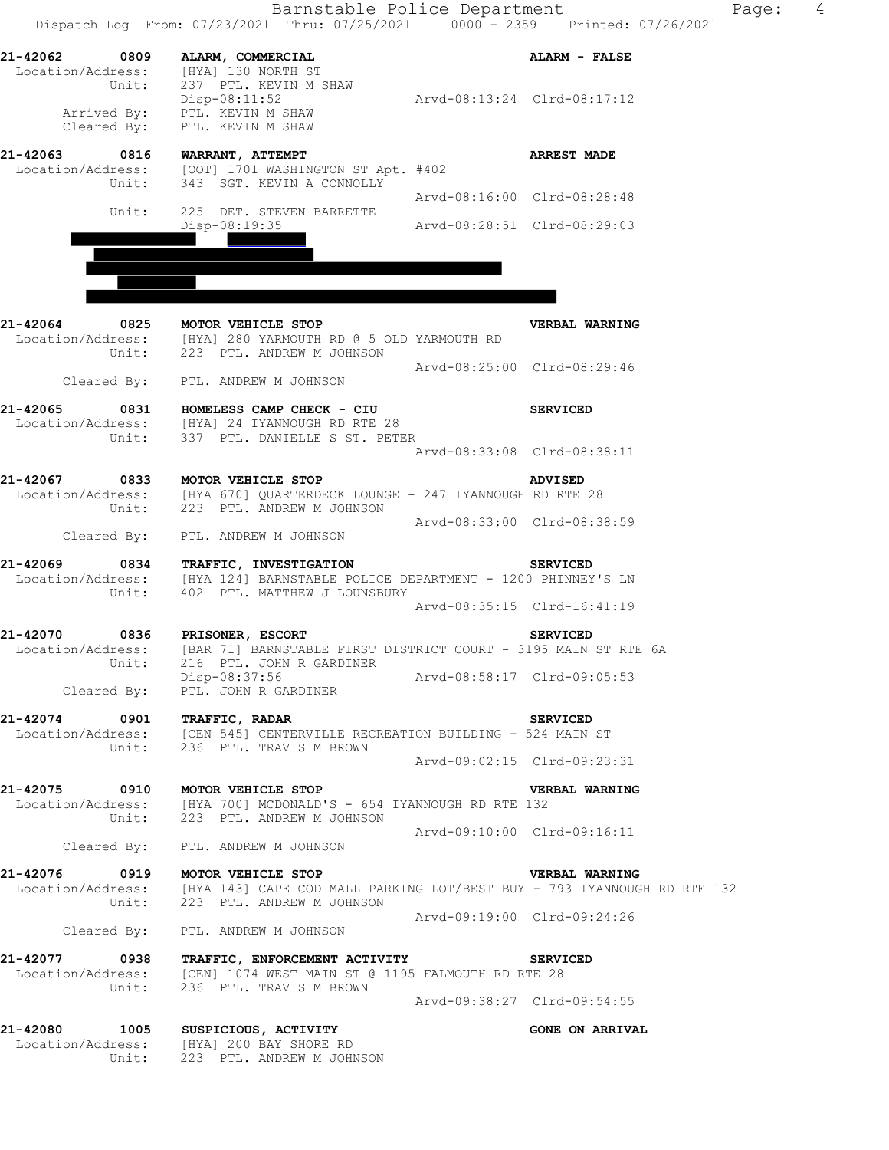|                                  | Barnstable Police Department<br>Dispatch Log From: 07/23/2021 Thru: 07/25/2021 0000 - 2359 Printed: 07/26/2021                                                                     |                             | Page:                                          | $\overline{4}$ |
|----------------------------------|------------------------------------------------------------------------------------------------------------------------------------------------------------------------------------|-----------------------------|------------------------------------------------|----------------|
|                                  | 21-42062 0809 ALARM, COMMERCIAL<br>Location/Address: [HYA] 130 NORTH ST<br>Unit: 237 PTL. KEVIN M SHAW                                                                             | Arvd-08:13:24 Clrd-08:17:12 | ALARM - FALSE                                  |                |
|                                  | Disp-08:11:52<br>Arrived By: PTL. KEVIN M SHAW<br>Cleared By: PTL. KEVIN M SHAW                                                                                                    |                             |                                                |                |
| 21-42063 0816 WARRANT, ATTEMPT   | Location/Address: [OOT] 1701 WASHINGTON ST Apt. #402<br>Unit: 343 SGT. KEVIN A CONNOLLY                                                                                            |                             | <b>ARREST MADE</b>                             |                |
| Unit:                            | 225 DET. STEVEN BARRETTE                                                                                                                                                           |                             | Arvd-08:16:00 Clrd-08:28:48                    |                |
|                                  | Disp-08:19:35                                                                                                                                                                      | Arvd-08:28:51 Clrd-08:29:03 |                                                |                |
| 21-42064                         | 21-42064 0825 MOTOR VEHICLE STOP<br>Location/Address: [HYA] 280 YARMOUTH RD @ 5 OLD YARMOUTH RD<br>Unit: 223 PTL. ANDREW M JOHNSON                                                 |                             | VERBAL WARNING                                 |                |
|                                  | Cleared By: PTL. ANDREW M JOHNSON                                                                                                                                                  |                             | Arvd-08:25:00 Clrd-08:29:46                    |                |
|                                  | 21-42065 0831 HOMELESS CAMP CHECK - CIU<br>Location/Address: [HYA] 24 IYANNOUGH RD RTE 28<br>Unit: 337 PTL. DANIELLE S ST. PETER                                                   |                             | <b>SERVICED</b><br>Arvd-08:33:08 Clrd-08:38:11 |                |
|                                  | 21-42067 0833 MOTOR VEHICLE STOP<br>Location/Address: [HYA 670] QUARTERDECK LOUNGE - 247 IYANNOUGH RD RTE 28<br>Unit: 223 PTL. ANDREW M JOHNSON                                    |                             | <b>ADVISED</b>                                 |                |
|                                  | Cleared By: PTL. ANDREW M JOHNSON                                                                                                                                                  | Arvd-08:33:00 Clrd-08:38:59 |                                                |                |
|                                  | 21-42069 0834 TRAFFIC, INVESTIGATION<br>Location/Address: [HYA 124] BARNSTABLE POLICE DEPARTMENT - 1200 PHINNEY'S LN<br>Unit: 402 PTL. MATTHEW J LOUNSBURY                         |                             | <b>SERVICED</b>                                |                |
|                                  |                                                                                                                                                                                    |                             | Arvd-08:35:15 Clrd-16:41:19                    |                |
| 21-42070<br>Unit:                | 0836 PRISONER, ESCORT<br>Location/Address: [BAR 71] BARNSTABLE FIRST DISTRICT COURT - 3195 MAIN ST RTE 6A<br>216 PTL. JOHN R GARDINER<br>Disp-08:37:56 Arvd-08:58:17 Clrd-09:05:53 |                             | <b>SERVICED</b>                                |                |
|                                  | Cleared By: PTL. JOHN R GARDINER                                                                                                                                                   |                             |                                                |                |
| 21-42074 0901 TRAFFIC, RADAR     | Location/Address: [CEN 545] CENTERVILLE RECREATION BUILDING - 524 MAIN ST<br>Unit: 236 PTL. TRAVIS M BROWN                                                                         |                             | <b>SERVICED</b><br>Arvd-09:02:15 Clrd-09:23:31 |                |
| 21-42075 0910 MOTOR VEHICLE STOP |                                                                                                                                                                                    |                             |                                                |                |
|                                  | Location/Address: [HYA 700] MCDONALD'S - 654 IYANNOUGH RD RTE 132<br>Unit: 223 PTL. ANDREW M JOHNSON                                                                               |                             | VERBAL WARNING                                 |                |
|                                  | Cleared By: PTL. ANDREW M JOHNSON                                                                                                                                                  | Arvd-09:10:00 Clrd-09:16:11 |                                                |                |
| 21-42076 0919 MOTOR VEHICLE STOP | Location/Address: [HYA 143] CAPE COD MALL PARKING LOT/BEST BUY - 793 IYANNOUGH RD RTE 132<br>Unit: 223 PTL. ANDREW M JOHNSON                                                       |                             | VERBAL WARNING<br>Arvd-09:19:00 Clrd-09:24:26  |                |
|                                  | Cleared By: PTL. ANDREW M JOHNSON                                                                                                                                                  |                             |                                                |                |
|                                  | 21-42077 0938 TRAFFIC, ENFORCEMENT ACTIVITY<br>Location/Address: [CEN] 1074 WEST MAIN ST @ 1195 FALMOUTH RD RTE 28<br>Unit: 236 PTL. TRAVIS M BROWN                                |                             | <b>SERVICED</b>                                |                |
|                                  |                                                                                                                                                                                    |                             | Arvd-09:38:27 Clrd-09:54:55                    |                |
| 21-42080                         | 1005 SUSPICIOUS, ACTIVITY<br>Location/Address: [HYA] 200 BAY SHORE RD<br>Unit: 223 PTL. ANDREW M JOHNSON                                                                           |                             | <b>GONE ON ARRIVAL</b>                         |                |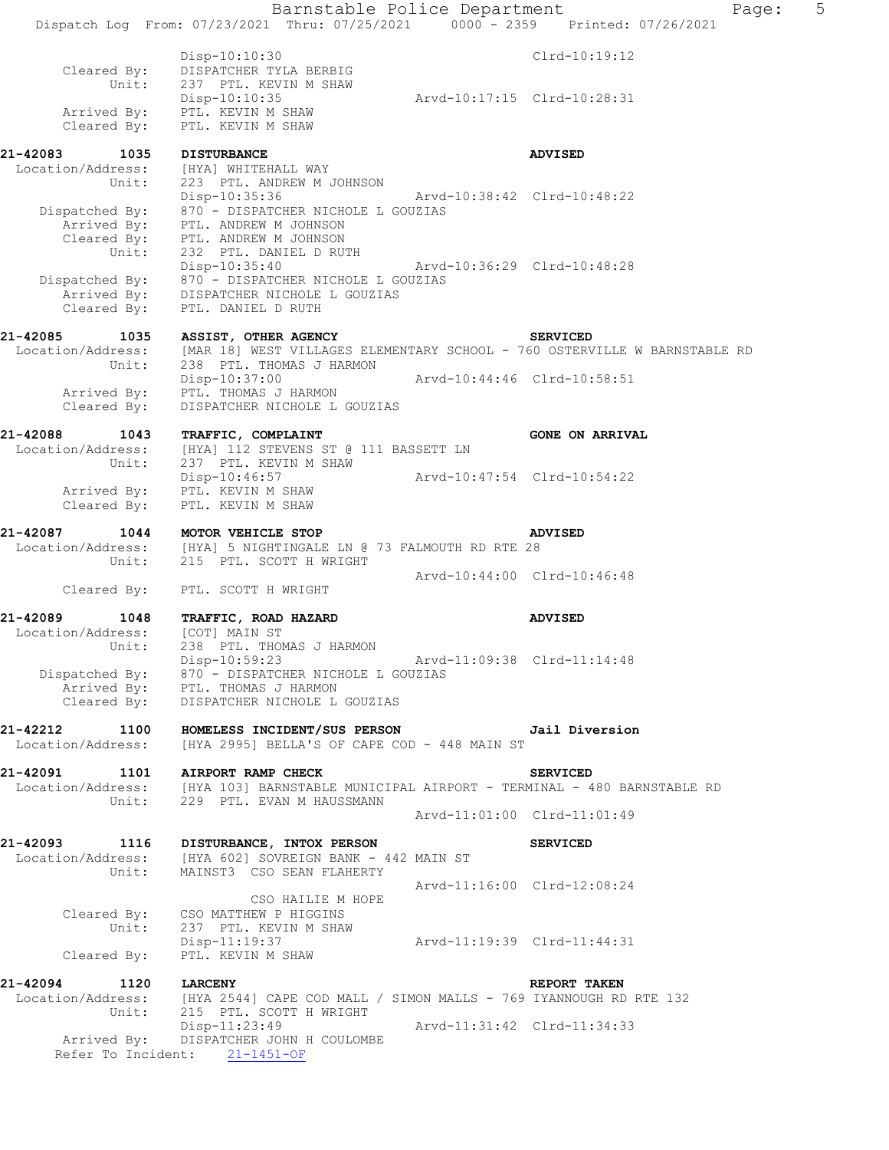|                                                | Barnstable Police Department<br>Dispatch Log From: 07/23/2021 Thru: 07/25/2021 0000 - 2359 Printed: 07/26/2021                                                           |                             |                             | Page: | 5 |
|------------------------------------------------|--------------------------------------------------------------------------------------------------------------------------------------------------------------------------|-----------------------------|-----------------------------|-------|---|
|                                                |                                                                                                                                                                          |                             |                             |       |   |
| Cleared By:<br>Unit:                           | Disp-10:10:30<br>DISPATCHER TYLA BERBIG<br>237 PTL. KEVIN M SHAW                                                                                                         |                             | $C1rd-10:19:12$             |       |   |
| Cleared By:                                    | Disp-10:10:35<br>Arrived By: PTL. KEVIN M SHAW<br>PTL. KEVIN M SHAW                                                                                                      | Arvd-10:17:15 Clrd-10:28:31 |                             |       |   |
|                                                |                                                                                                                                                                          |                             |                             |       |   |
| 21-42083<br>1035<br>Location/Address:<br>Unit: | <b>DISTURBANCE</b><br>[HYA] WHITEHALL WAY<br>223 PTL. ANDREW M JOHNSON                                                                                                   |                             | <b>ADVISED</b>              |       |   |
| Unit:                                          | Disp-10:35:36<br>Dispatched By: $870 -$ DISPATCHER NICHOLE L GOUZIAS<br>Arrived By: PTL. ANDREW M JOHNSON<br>Cleared By: PTL. ANDREW M JOHNSON<br>232 PTL. DANIEL D RUTH | Arvd-10:38:42 Clrd-10:48:22 |                             |       |   |
| Cleared By:                                    | Disp-10:35:40<br>Dispatched By: 870 - DISPATCHER NICHOLE L GOUZIAS<br>Arrived By: DISPATCHER NICHOLE L GOUZIAS<br>PTL. DANIEL D RUTH                                     | Arvd-10:36:29 Clrd-10:48:28 |                             |       |   |
| 21-42085<br>1035                               | ASSIST, OTHER AGENCY                                                                                                                                                     |                             | <b>SERVICED</b>             |       |   |
| Location/Address:<br>Unit:                     | [MAR 18] WEST VILLAGES ELEMENTARY SCHOOL - 760 OSTERVILLE W BARNSTABLE RD<br>238 PTL. THOMAS J HARMON                                                                    |                             |                             |       |   |
| Arrived By:<br>Cleared By:                     | Disp-10:37:00<br>PTL. THOMAS J HARMON<br>DISPATCHER NICHOLE L GOUZIAS                                                                                                    | Arvd-10:44:46 Clrd-10:58:51 |                             |       |   |
| 21-42088<br>1043                               | TRAFFIC, COMPLAINT                                                                                                                                                       |                             | <b>GONE ON ARRIVAL</b>      |       |   |
| Location/Address:<br>Unit:                     | [HYA] 112 STEVENS ST @ 111 BASSETT LN<br>237 PTL. KEVIN M SHAW                                                                                                           |                             |                             |       |   |
| Cleared By:                                    | Disp-10:46:57<br>Arrived By: PTL. KEVIN M SHAW<br>PTL. KEVIN M SHAW                                                                                                      | Arvd-10:47:54 Clrd-10:54:22 |                             |       |   |
|                                                |                                                                                                                                                                          |                             |                             |       |   |
| 21-42087<br>1044<br>Unit:                      | MOTOR VEHICLE STOP<br>Location/Address: [HYA] 5 NIGHTINGALE LN @ 73 FALMOUTH RD RTE 28<br>215 PTL. SCOTT H WRIGHT                                                        |                             | <b>ADVISED</b>              |       |   |
| Cleared By:                                    | PTL. SCOTT H WRIGHT                                                                                                                                                      | Arvd-10:44:00 Clrd-10:46:48 |                             |       |   |
|                                                |                                                                                                                                                                          |                             |                             |       |   |
| 21-42089<br>1048<br>Location/Address:<br>Unit: | TRAFFIC, ROAD HAZARD<br>[COT] MAIN ST<br>238 PTL. THOMAS J HARMON<br>Disp-10:59:23                                                                                       | Arvd-11:09:38 Clrd-11:14:48 | <b>ADVISED</b>              |       |   |
| Cleared By:                                    | Dispatched By: 870 - DISPATCHER NICHOLE L GOUZIAS<br>Arrived By: PTL. THOMAS J HARMON<br>DISPATCHER NICHOLE L GOUZIAS                                                    |                             |                             |       |   |
| 21-42212 1100<br>Location/Address:             | HOMELESS INCIDENT/SUS PERSON TERMINE Jail Diversion<br>[HYA 2995] BELLA'S OF CAPE COD - 448 MAIN ST                                                                      |                             |                             |       |   |
| 21-42091                                       | 1101 AIRPORT RAMP CHECK                                                                                                                                                  |                             | <b>SERVICED</b>             |       |   |
|                                                | Location/Address: [HYA 103] BARNSTABLE MUNICIPAL AIRPORT - TERMINAL - 480 BARNSTABLE RD                                                                                  |                             |                             |       |   |
| Unit:                                          | 229 PTL. EVAN M HAUSSMANN                                                                                                                                                | Arvd-11:01:00 Clrd-11:01:49 |                             |       |   |
| 21-42093<br>Unit:                              | 1116 DISTURBANCE, INTOX PERSON<br>Location/Address: [HYA 602] SOVREIGN BANK - 442 MAIN ST<br>MAINST3 CSO SEAN FLAHERTY                                                   |                             | <b>SERVICED</b>             |       |   |
|                                                |                                                                                                                                                                          |                             | Arvd-11:16:00 Clrd-12:08:24 |       |   |
| Unit:                                          | CSO HAILIE M HOPE<br>Cleared By: CSO MATTHEW P HIGGINS<br>237 PTL. KEVIN M SHAW                                                                                          |                             |                             |       |   |
| Cleared By:                                    | Disp-11:19:37<br>PTL. KEVIN M SHAW                                                                                                                                       | Arvd-11:19:39 Clrd-11:44:31 |                             |       |   |
| 21-42094<br>1120                               | <b>LARCENY</b>                                                                                                                                                           |                             | <b>REPORT TAKEN</b>         |       |   |
| Unit:                                          | Location/Address: [HYA 2544] CAPE COD MALL / SIMON MALLS - 769 IYANNOUGH RD RTE 132<br>215 PTL. SCOTT H WRIGHT                                                           |                             |                             |       |   |
|                                                | Disp-11:23:49<br>Arrived By: DISPATCHER JOHN H COULOMBE<br>Refer To Incident: 21-1451-OF                                                                                 | Arvd-11:31:42 Clrd-11:34:33 |                             |       |   |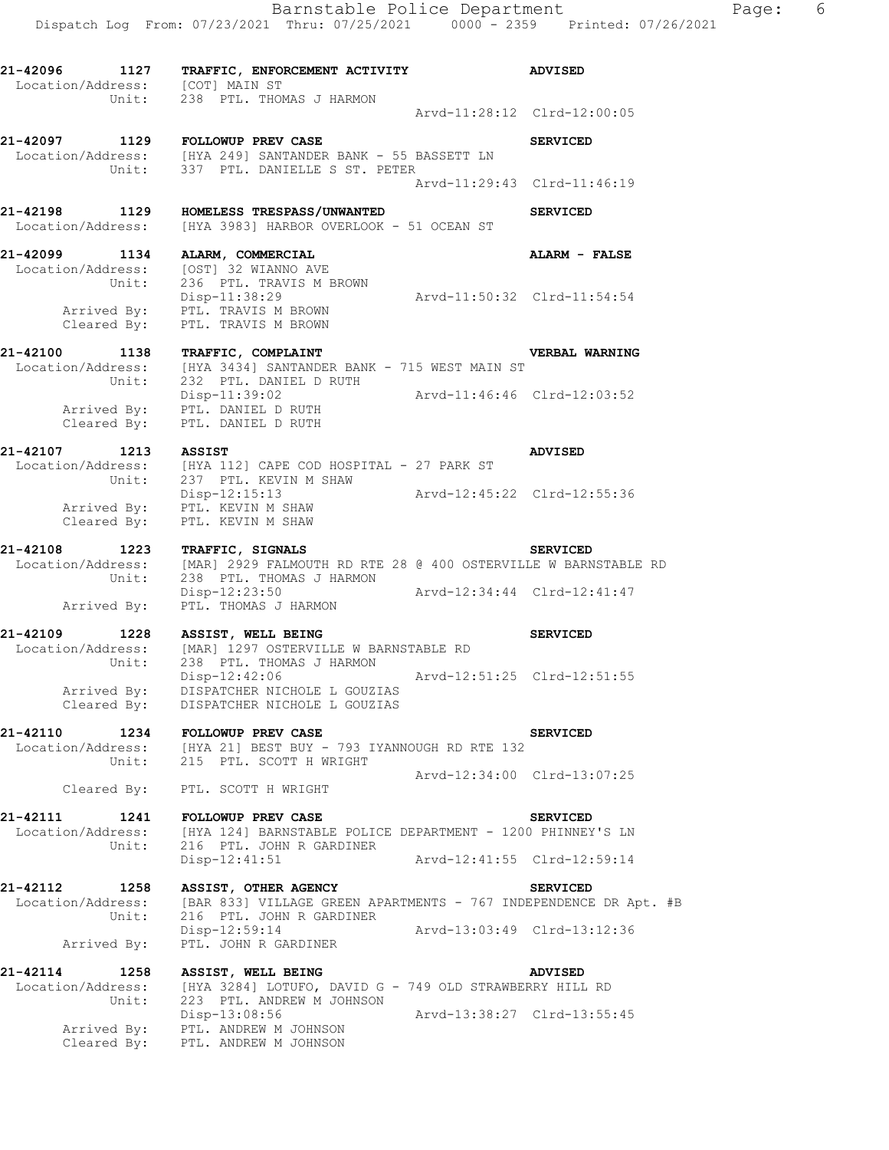Dispatch Log From: 07/23/2021 Thru: 07/25/2021 0000 - 2359 Printed: 07/26/2021 **21-42096 1127 TRAFFIC, ENFORCEMENT ACTIVITY ADVISED**  Location/Address: [COT] MAIN ST Unit: 238 PTL. THOMAS J HARMON Arvd-11:28:12 Clrd-12:00:05 21-42097 1129 FOLLOWUP PREV CASE **SERVICED** Location/Address: [HYA 249] SANTANDER BANK - 55 BASSETT LN Unit: 337 PTL. DANIELLE S ST. PETER Arvd-11:29:43 Clrd-11:46:19 **21-42198 1129 HOMELESS TRESPASS/UNWANTED SERVICED**  Location/Address: [HYA 3983] HARBOR OVERLOOK - 51 OCEAN ST **21-42099 1134 ALARM, COMMERCIAL ALARM - FALSE**  Location/Address: [OST] 32 WIANNO AVE Unit: 236 PTL. TRAVIS M BROWN Disp-11:38:29 Arvd-11:50:32 Clrd-11:54:54 Arrived By: PTL. TRAVIS M BROWN Cleared By: PTL. TRAVIS M BROWN **21-42100 1138 TRAFFIC, COMPLAINT VERBAL WARNING**  Location/Address: [HYA 3434] SANTANDER BANK - 715 WEST MAIN ST Unit: 232 PTL. DANIEL D RUTH Disp-11:39:02 Arvd-11:46:46 Clrd-12:03:52 Arrived By: PTL. DANIEL D RUTH Cleared By: PTL. DANIEL D RUTH **21-42107 1213 ASSIST ADVISED**  Location/Address: [HYA 112] CAPE COD HOSPITAL - 27 PARK ST Unit: 237 PTL. KEVIN M SHAW Disp-12:15:13 Arvd-12:45:22 Clrd-12:55:36 Arrived By: PTL. KEVIN M SHAW Cleared By: PTL. KEVIN M SHAW **21-42108 1223 TRAFFIC, SIGNALS SERVICED**  Location/Address: [MAR] 2929 FALMOUTH RD RTE 28 @ 400 OSTERVILLE W BARNSTABLE RD Unit: 238 PTL. THOMAS J HARMON Disp-12:23:50 Arvd-12:34:44 Clrd-12:41:47 Arrived By: PTL. THOMAS J HARMON **21-42109 1228 ASSIST, WELL BEING SERVICED**  Location/Address: [MAR] 1297 OSTERVILLE W BARNSTABLE RD Unit: 238 PTL. THOMAS J HARMON Disp-12:42:06 Arvd-12:51:25 Clrd-12:51:55 Arrived By: DISPATCHER NICHOLE L GOUZIAS Cleared By: DISPATCHER NICHOLE L GOUZIAS **21-42110 1234 FOLLOWUP PREV CASE SERVICED**  Location/Address: [HYA 21] BEST BUY - 793 IYANNOUGH RD RTE 132 Unit: 215 PTL. SCOTT H WRIGHT Arvd-12:34:00 Clrd-13:07:25 Cleared By: PTL. SCOTT H WRIGHT **21-42111 1241 FOLLOWUP PREV CASE SERVICED**  Location/Address: [HYA 124] BARNSTABLE POLICE DEPARTMENT - 1200 PHINNEY'S LN Unit: 216 PTL. JOHN R GARDINER Disp-12:41:51 Arvd-12:41:55 Clrd-12:59:14 **21-42112 1258 ASSIST, OTHER AGENCY SERVICED**  Location/Address: [BAR 833] VILLAGE GREEN APARTMENTS - 767 INDEPENDENCE DR Apt. #B Unit: 216 PTL. JOHN R GARDINER Disp-12:59:14 Arvd-13:03:49 Clrd-13:12:36 Arrived By: PTL. JOHN R GARDINER **21-42114 1258 ASSIST, WELL BEING ADVISED**  Location/Address: [HYA 3284] LOTUFO, DAVID G - 749 OLD STRAWBERRY HILL RD Unit: 223 PTL. ANDREW M JOHNSON

Disp-13:08:56 Arvd-13:38:27 Clrd-13:55:45

 Arrived By: PTL. ANDREW M JOHNSON Cleared By: PTL. ANDREW M JOHNSON

Barnstable Police Department Fage: 6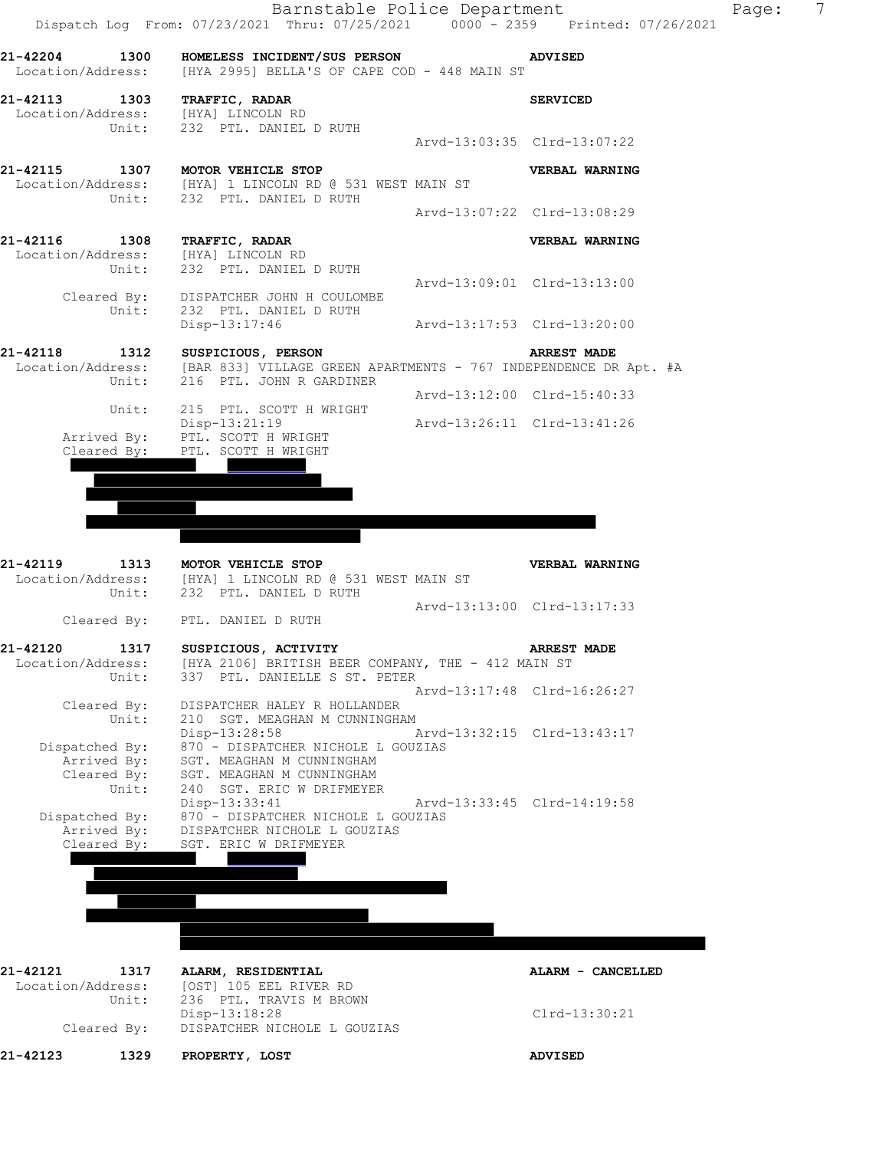

Disp-13:18:28 Clrd-13:30:21

Cleared By: DISPATCHER NICHOLE L GOUZIAS

**21-42123 1329 PROPERTY, LOST ADVISED**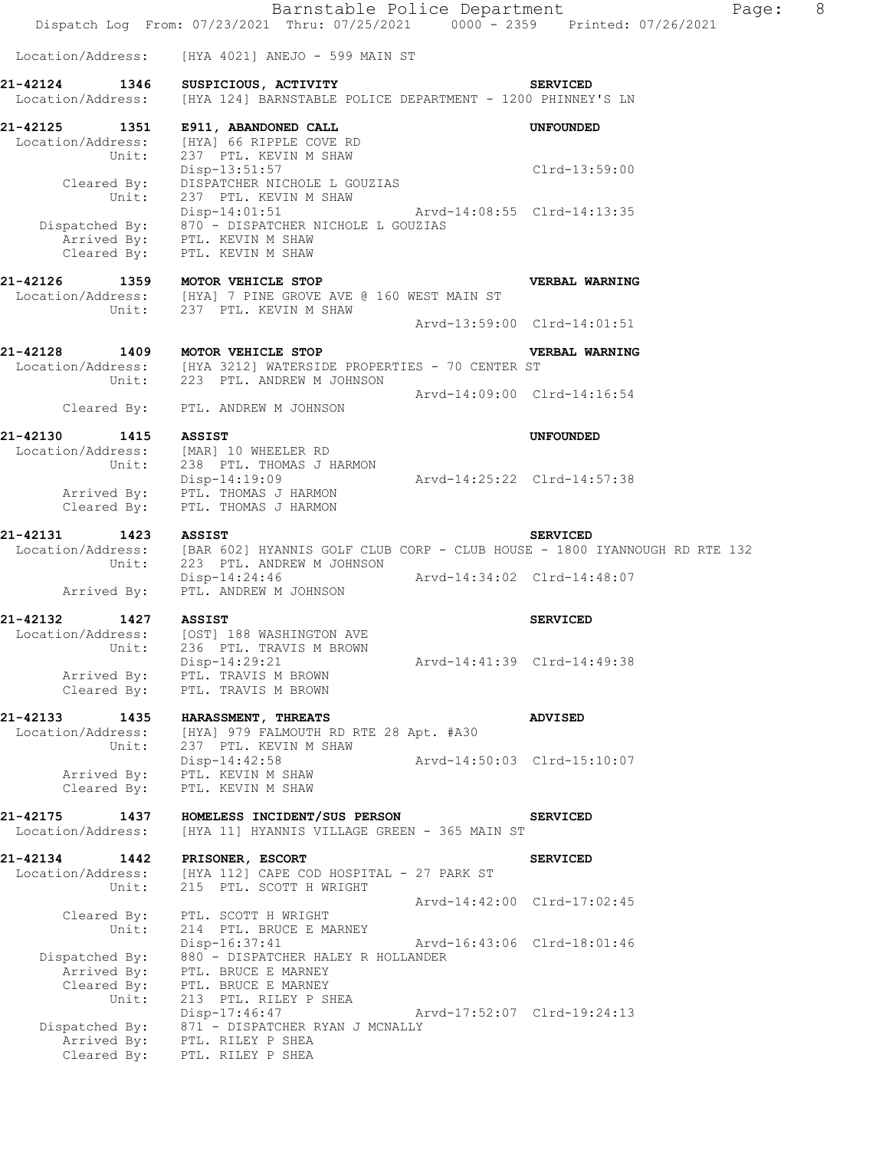|                                                | Barnstable Police Department<br>Dispatch Log From: 07/23/2021 Thru: 07/25/2021 0000 - 2359 Printed: 07/26/2021                                       |                             | Page:                       | 8 |
|------------------------------------------------|------------------------------------------------------------------------------------------------------------------------------------------------------|-----------------------------|-----------------------------|---|
| Location/Address:                              | [HYA 4021] ANEJO - 599 MAIN ST                                                                                                                       |                             |                             |   |
| 21-42124 1346<br>Location/Address:             | SUSPICIOUS, ACTIVITY<br>[HYA 124] BARNSTABLE POLICE DEPARTMENT - 1200 PHINNEY'S LN                                                                   |                             | <b>SERVICED</b>             |   |
| Location/Address:<br>Unit:                     | 21-42125 1351 E911, ABANDONED CALL<br>[HYA] 66 RIPPLE COVE RD<br>237 PTL. KEVIN M SHAW                                                               |                             | <b>UNFOUNDED</b>            |   |
| Cleared By:<br>Unit:                           | Disp-13:51:57<br>DISPATCHER NICHOLE L GOUZIAS<br>237 PTL. KEVIN M SHAW                                                                               |                             | Clrd-13:59:00               |   |
| Cleared By:                                    | Disp-14:01:51 Arvd-14:08:55 Clrd-14:13:35<br>Dispatched By: 870 - DISPATCHER NICHOLE L GOUZIAS<br>Arrived By: PTL. KEVIN M SHAW<br>PTL. KEVIN M SHAW |                             |                             |   |
|                                                | 21-42126 1359 MOTOR VEHICLE STOP<br>Location/Address: [HYA] 7 PINE GROVE AVE @ 160 WEST MAIN ST<br>Unit: 237 PTL. KEVIN M SHAW                       |                             | VERBAL WARNING              |   |
|                                                |                                                                                                                                                      |                             | Arvd-13:59:00 Clrd-14:01:51 |   |
|                                                | 21-42128 1409 MOTOR VEHICLE STOP<br>Location/Address: [HYA 3212] WATERSIDE PROPERTIES - 70 CENTER ST<br>Unit: 223 PTL. ANDREW M JOHNSON              |                             | VERBAL WARNING              |   |
| Cleared By:                                    | PTL. ANDREW M JOHNSON                                                                                                                                |                             | Arvd-14:09:00 Clrd-14:16:54 |   |
| 21-42130<br>1415 ASSIST                        |                                                                                                                                                      |                             | UNFOUNDED                   |   |
| Cleared By:                                    | Location/Address: [MAR] 10 WHEELER RD<br>Unit: 238 PTL. THOMAS J HARMON<br>Disp-14:19:09<br>Arrived By: PTL. THOMAS J HARMON<br>PTL. THOMAS J HARMON | Arvd-14:25:22 Clrd-14:57:38 |                             |   |
| 21-42131<br>1423 ASSIST                        |                                                                                                                                                      |                             | <b>SERVICED</b>             |   |
|                                                | Location/Address: [BAR 602] HYANNIS GOLF CLUB CORP - CLUB HOUSE - 1800 IYANNOUGH RD RTE 132<br>Unit: 223 PTL. ANDREW M JOHNSON                       |                             |                             |   |
| Arrived By:                                    | Disp-14:24:46 Arvd-14:34:02 Clrd-14:48:07<br>PTL. ANDREW M JOHNSON                                                                                   |                             |                             |   |
| 21-42132<br>1427                               | <b>ASSIST</b>                                                                                                                                        |                             | <b>SERVICED</b>             |   |
| Location/Address:<br>Unit:<br>Arrived By:      | [OST] 188 WASHINGTON AVE<br>236 PTL. TRAVIS M BROWN<br>Disp-14:29:21<br>PTL. TRAVIS M BROWN                                                          |                             | Arvd-14:41:39 Clrd-14:49:38 |   |
| Cleared By:                                    | PTL. TRAVIS M BROWN                                                                                                                                  |                             |                             |   |
| 21-42133<br>1435<br>Location/Address:<br>Unit: | HARASSMENT, THREATS<br>[HYA] 979 FALMOUTH RD RTE 28 Apt. #A30<br>237 PTL. KEVIN M SHAW                                                               |                             | <b>ADVISED</b>              |   |
| Arrived By:<br>Cleared By:                     | Disp-14:42:58<br>PTL. KEVIN M SHAW<br>PTL. KEVIN M SHAW                                                                                              |                             | Arvd-14:50:03 Clrd-15:10:07 |   |
| 21-42175<br>1437<br>Location/Address:          | HOMELESS INCIDENT/SUS PERSON<br>[HYA 11] HYANNIS VILLAGE GREEN - 365 MAIN ST                                                                         |                             | <b>SERVICED</b>             |   |
| 21-42134<br>1442<br>Location/Address:<br>Unit: | PRISONER, ESCORT<br>[HYA 112] CAPE COD HOSPITAL - 27 PARK ST<br>215 PTL. SCOTT H WRIGHT                                                              |                             | <b>SERVICED</b>             |   |
| Cleared By:<br>Unit:                           | PTL. SCOTT H WRIGHT<br>214 PTL. BRUCE E MARNEY                                                                                                       |                             | Arvd-14:42:00 Clrd-17:02:45 |   |
| Dispatched By:                                 | Disp-16:37:41<br>880 - DISPATCHER HALEY R HOLLANDER                                                                                                  |                             | Arvd-16:43:06 Clrd-18:01:46 |   |
| Arrived By:<br>Cleared By:<br>Unit:            | PTL. BRUCE E MARNEY<br>PTL. BRUCE E MARNEY<br>213 PTL. RILEY P SHEA                                                                                  |                             |                             |   |
| Dispatched By:<br>Arrived By:<br>Cleared By:   | Disp-17:46:47<br>871 - DISPATCHER RYAN J MCNALLY<br>PTL. RILEY P SHEA<br>PTL. RILEY P SHEA                                                           | Arvd-17:52:07 Clrd-19:24:13 |                             |   |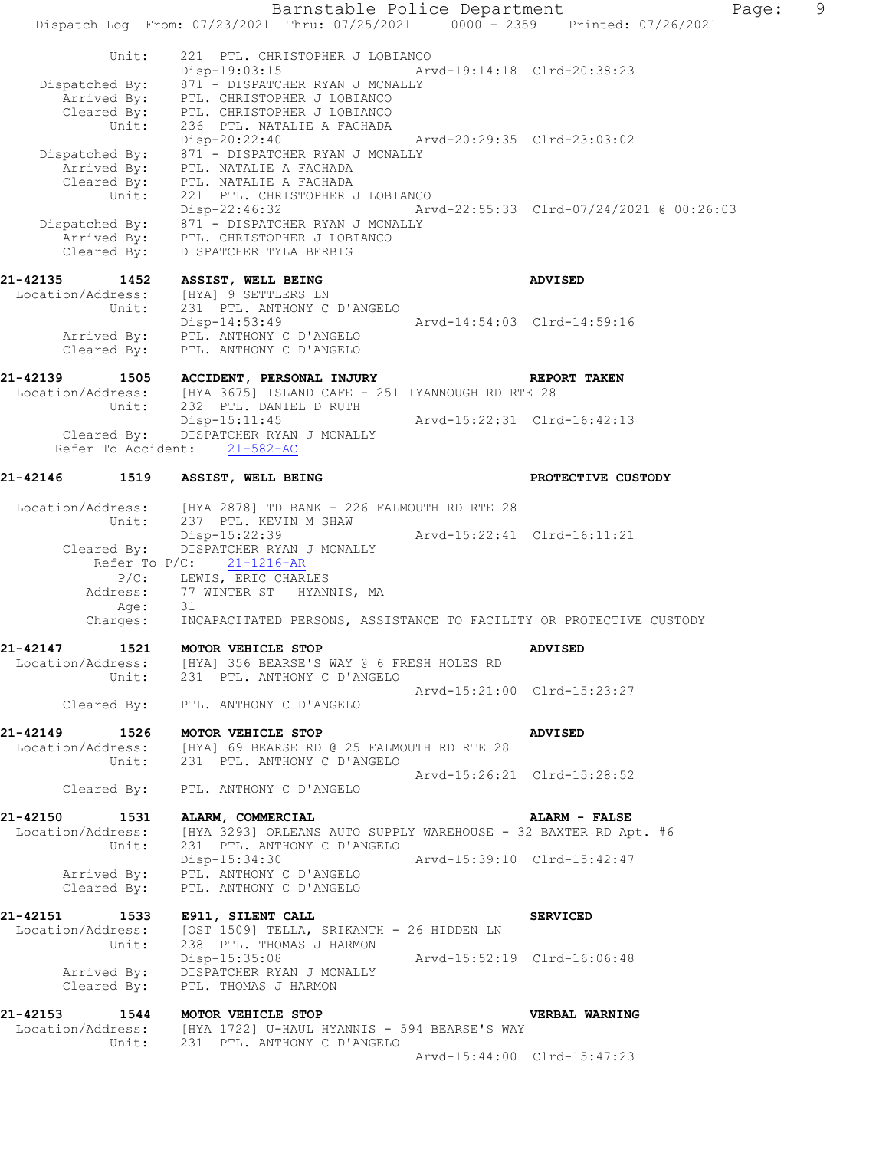Barnstable Police Department Fage: 9 Dispatch Log From: 07/23/2021 Thru: 07/25/2021 0000 - 2359 Printed: 07/26/2021 Unit: 221 PTL. CHRISTOPHER J LOBIANCO Disp-19:03:15 Arvd-19:14:18 Clrd-20:38:23 Dispatched By: 871 - DISPATCHER RYAN J MCNALLY Arrived By: PTL. CHRISTOPHER J LOBIANCO Cleared By: PTL. CHRISTOPHER J LOBIANCO Unit: 236 PTL. NATALIE A FACHADA Disp-20:22:40 Arvd-20:29:35 Clrd-23:03:02 Dispatched By: 871 - DISPATCHER RYAN J MCNALLY Arrived By: PTL. NATALIE A FACHADA Cleared By: PTL. NATALIE A FACHADA Unit: 221 PTL. CHRISTOPHER J LOBIANCO Disp-22:46:32 Arvd-22:55:33 Clrd-07/24/2021 @ 00:26:03 Dispatched By: 871 - DISPATCHER RYAN J MCNALLY Arrived By: PTL. CHRISTOPHER J LOBIANCO Cleared By: DISPATCHER TYLA BERBIG **21-42135 1452 ASSIST, WELL BEING ADVISED**  Location/Address: [HYA] 9 SETTLERS LN Unit: 231 PTL. ANTHONY C D'ANGELO Disp-14:53:49 Arvd-14:54:03 Clrd-14:59:16 Arrived By: PTL. ANTHONY C D'ANGELO Cleared By: PTL. ANTHONY C D'ANGELO **21-42139 1505 ACCIDENT, PERSONAL INJURY REPORT TAKEN**  Location/Address: [HYA 3675] ISLAND CAFE - 251 IYANNOUGH RD RTE 28<br>Unit: 232 PTL. DANIEL D RUTH 232 PTL. DANIEL D RUTH Disp-15:11:45 Arvd-15:22:31 Clrd-16:42:13 Cleared By: DISPATCHER RYAN J MCNALLY Refer To Accident: 21-582-AC 21-42146 1519 ASSIST, WELL BEING **PROTECTIVE CUSTODY** Location/Address: [HYA 2878] TD BANK - 226 FALMOUTH RD RTE 28 Unit: 237 PTL. KEVIN M SHAW Disp-15:22:39 Arvd-15:22:41 Clrd-16:11:21 Cleared By: DISPATCHER RYAN J MCNALLY Refer To  $P/C$ :  $21-1216-R$  P/C: LEWIS, ERIC CHARLES Address: 77 WINTER ST HYANNIS, MA Age: 31 Charges: INCAPACITATED PERSONS, ASSISTANCE TO FACILITY OR PROTECTIVE CUSTODY **21-42147 1521 MOTOR VEHICLE STOP ADVISED**  Location/Address: [HYA] 356 BEARSE'S WAY @ 6 FRESH HOLES RD Unit: 231 PTL. ANTHONY C D'ANGELO Arvd-15:21:00 Clrd-15:23:27 Cleared By: PTL. ANTHONY C D'ANGELO **21-42149 1526 MOTOR VEHICLE STOP ADVISED**  Location/Address: [HYA] 69 BEARSE RD @ 25 FALMOUTH RD RTE 28 Unit: 231 PTL. ANTHONY C D'ANGELO Arvd-15:26:21 Clrd-15:28:52 Cleared By: PTL. ANTHONY C D'ANGELO **21-42150 1531 ALARM, COMMERCIAL ALARM - FALSE**  Location/Address: [HYA 3293] ORLEANS AUTO SUPPLY WAREHOUSE - 32 BAXTER RD Apt. #6 Unit: 231 PTL. ANTHONY C D'ANGELO<br>Disp-15:34:30 Disp-15:34:30 Arvd-15:39:10 Clrd-15:42:47 Arrived By: PTL. ANTHONY C D'ANGELO Cleared By: PTL. ANTHONY C D'ANGELO **21-42151 1533 E911, SILENT CALL SERVICED**  Location/Address: [OST 1509] TELLA, SRIKANTH - 26 HIDDEN LN Unit: 238 PTL. THOMAS J HARMON Disp-15:35:08 Arvd-15:52:19 Clrd-16:06:48 Arrived By: DISPATCHER RYAN J MCNALLY Cleared By: PTL. THOMAS J HARMON **21-42153 1544 MOTOR VEHICLE STOP VERBAL WARNING**  Location/Address: [HYA 1722] U-HAUL HYANNIS - 594 BEARSE'S WAY Unit: 231 PTL. ANTHONY C D'ANGELO Arvd-15:44:00 Clrd-15:47:23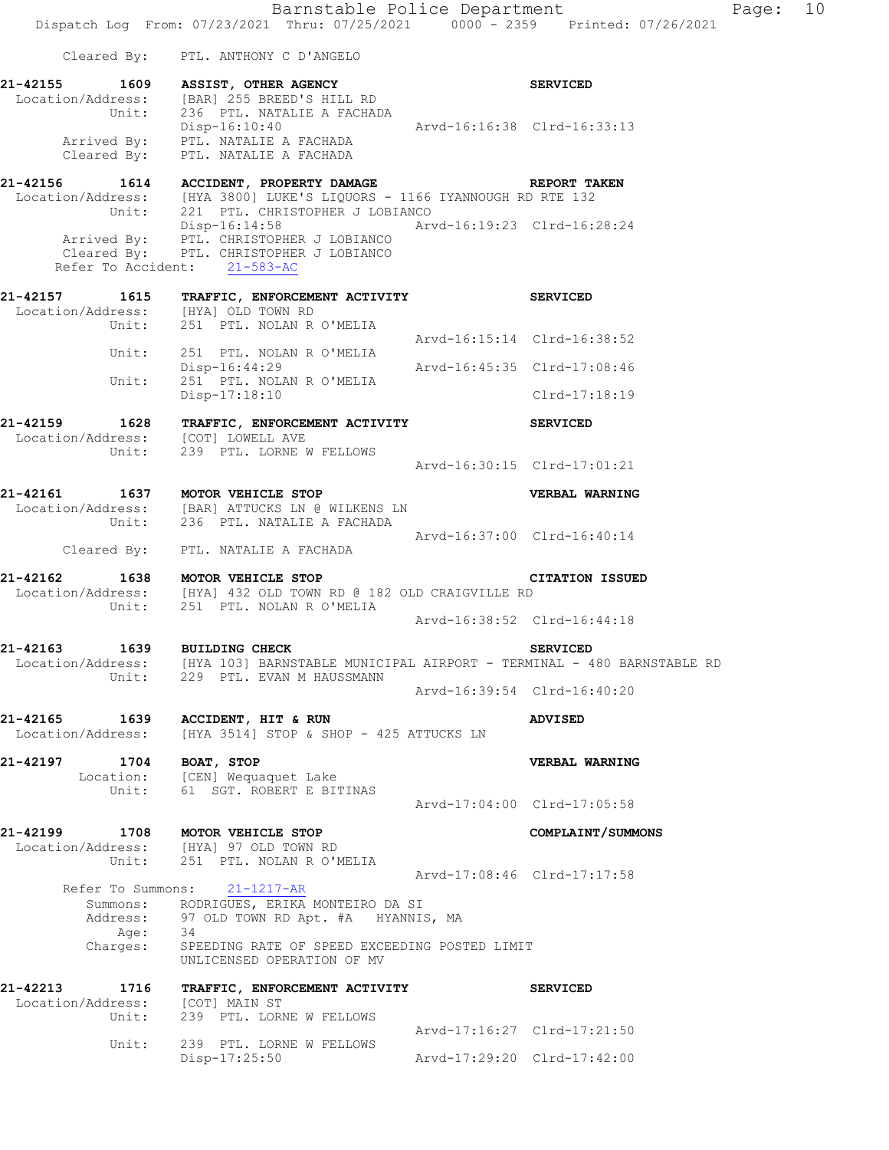Barnstable Police Department Fage: 10 Dispatch Log From: 07/23/2021 Thru: 07/25/2021 0000 - 2359 Printed: 07/26/2021 Cleared By: PTL. ANTHONY C D'ANGELO **21-42155 1609 ASSIST, OTHER AGENCY SERVICED**  Location/Address: [BAR] 255 BREED'S HILL RD Unit: 236 PTL. NATALIE A FACHADA Disp-16:10:40 Arvd-16:16:38 Clrd-16:33:13 Arrived By: PTL. NATALIE A FACHADA Cleared By: PTL. NATALIE A FACHADA **21-42156 1614 ACCIDENT, PROPERTY DAMAGE REPORT TAKEN**  Location/Address: [HYA 3800] LUKE'S LIQUORS - 1166 IYANNOUGH RD RTE 132 Unit: 221 PTL. CHRISTOPHER J LOBIANCO Disp-16:14:58 Arvd-16:19:23 Clrd-16:28:24 Arrived By: PTL. CHRISTOPHER J LOBIANCO Cleared By: PTL. CHRISTOPHER J LOBIANCO Refer To Accident: 21-583-AC **21-42157 1615 TRAFFIC, ENFORCEMENT ACTIVITY SERVICED**  Location/Address: [HYA] OLD TOWN RD Unit: 251 PTL. NOLAN R O'MELIA Arvd-16:15:14 Clrd-16:38:52<br>Unit: 251 PTL. NOLAN R O'MELIA 251 PTL. NOLAN R O'MELIA Disp-16:44:29 Arvd-16:45:35 Clrd-17:08:46 251 PTL. NOLAN R O'MELIA Unit: 251 PTL. NOLAN R O'MELIA<br>Disp-17:18:10 Clrd-17:18:19 **21-42159 1628 TRAFFIC, ENFORCEMENT ACTIVITY SERVICED**  Location/Address: [COT] LOWELL AVE Unit: 239 PTL. LORNE W FELLOWS Arvd-16:30:15 Clrd-17:01:21 **21-42161 1637 MOTOR VEHICLE STOP VERBAL WARNING**  Location/Address: [BAR] ATTUCKS LN @ WILKENS LN Unit: 236 PTL. NATALIE A FACHADA Arvd-16:37:00 Clrd-16:40:14 Cleared By: PTL. NATALIE A FACHADA **21-42162 1638 MOTOR VEHICLE STOP CITATION ISSUED**  Location/Address: [HYA] 432 OLD TOWN RD @ 182 OLD CRAIGVILLE RD Unit: 251 PTL. NOLAN R O'MELIA Arvd-16:38:52 Clrd-16:44:18 **21-42163 1639 BUILDING CHECK SERVICED**  Location/Address: [HYA 103] BARNSTABLE MUNICIPAL AIRPORT - TERMINAL - 480 BARNSTABLE RD Unit: 229 PTL. EVAN M HAUSSMANN Arvd-16:39:54 Clrd-16:40:20 **21-42165 1639 ACCIDENT, HIT & RUN ADVISED**  Location/Address: [HYA 3514] STOP & SHOP - 425 ATTUCKS LN **21-42197 1704 BOAT, STOP VERBAL WARNING**  Location: [CEN] Wequaquet Lake Unit: 61 SGT. ROBERT E BITINAS Arvd-17:04:00 Clrd-17:05:58 **21-42199 1708 MOTOR VEHICLE STOP COMPLAINT/SUMMONS**  Location/Address: [HYA] 97 OLD TOWN RD Unit: 251 PTL. NOLAN R O'MELIA Arvd-17:08:46 Clrd-17:17:58 Refer To Summons: 21-1217-AR Summons: RODRIGUES, ERIKA MONTEIRO DA SI Address: 97 OLD TOWN RD Apt. #A HYANNIS, MA Age: 34 Charges: SPEEDING RATE OF SPEED EXCEEDING POSTED LIMIT UNLICENSED OPERATION OF MV **21-42213 1716 TRAFFIC, ENFORCEMENT ACTIVITY SERVICED**  Location/Address: [COT] MAIN ST Unit: 239 PTL. LORNE W FELLOWS Arvd-17:16:27 Clrd-17:21:50 Unit: 239 PTL. LORNE W FELLOWS

Disp-17:25:50 Arvd-17:29:20 Clrd-17:42:00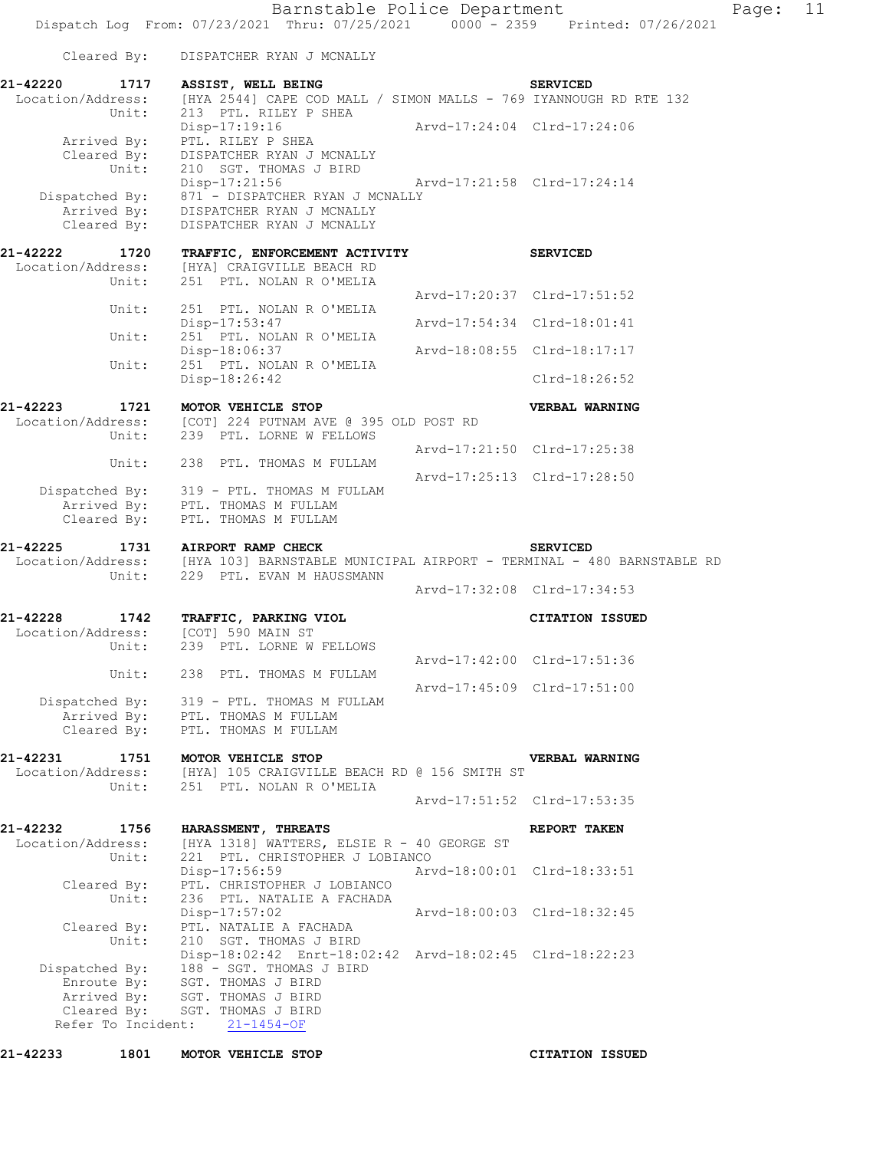Barnstable Police Department Page: 11 Dispatch Log From: 07/23/2021 Thru: 07/25/2021 0000 - 2359 Printed: 07/26/2021 Cleared By: DISPATCHER RYAN J MCNALLY **21-42220 1717 ASSIST, WELL BEING SERVICED**  Location/Address: [HYA 2544] CAPE COD MALL / SIMON MALLS - 769 IYANNOUGH RD RTE 132 Unit: 213 PTL. RILEY P SHEA Disp-17:19:16 Arvd-17:24:04 Clrd-17:24:06 Arrived By: PTL. RILEY P SHEA Cleared By: DISPATCHER RYAN J MCNALLY Unit:  $210$  SGT. THOMAS J BIRD<br>Disp-17:21:56 Disp-17:21:56 Arvd-17:21:58 Clrd-17:24:14 Dispatched By: 871 - DISPATCHER RYAN J MCNALLY Arrived By: DISPATCHER RYAN J MCNALLY Cleared By: DISPATCHER RYAN J MCNALLY **21-42222 1720 TRAFFIC, ENFORCEMENT ACTIVITY SERVICED**  Location/Address: [HYA] CRAIGVILLE BEACH RD Unit: 251 PTL. NOLAN R O'MELIA Arvd-17:20:37 Clrd-17:51:52 Unit: 251 PTL. NOLAN R O'MELIA<br>Disp-17:53:47 Disp-17:53:47 Arvd-17:54:34 Clrd-18:01:41 Unit: 251 PTL. NOLAN R O'MELIA Disp-18:06:37 Arvd-18:08:55 Clrd-18:17:17 Unit: 251 PTL. NOLAN R O'MELIA Disp-18:26:42 Clrd-18:26:52 **21-42223 1721 MOTOR VEHICLE STOP VERBAL WARNING**  Location/Address: [COT] 224 PUTNAM AVE @ 395 OLD POST RD Unit: 239 PTL. LORNE W FELLOWS Arvd-17:21:50 Clrd-17:25:38 Unit: 238 PTL. THOMAS M FULLAM Arvd-17:25:13 Clrd-17:28:50 Dispatched By: 319 - PTL. THOMAS M FULLAM Arrived By: PTL. THOMAS M FULLAM Cleared By: PTL. THOMAS M FULLAM **21-42225 1731 AIRPORT RAMP CHECK SERVICED**  Location/Address: [HYA 103] BARNSTABLE MUNICIPAL AIRPORT - TERMINAL - 480 BARNSTABLE RD Unit: 229 PTL. EVAN M HAUSSMANN Arvd-17:32:08 Clrd-17:34:53 **21-42228 1742 TRAFFIC, PARKING VIOL CITATION ISSUED**  Location/Address: [COT] 590 MAIN ST Unit: 239 PTL. LORNE W FELLOWS Arvd-17:42:00 Clrd-17:51:36 Unit: 238 PTL. THOMAS M FULLAM Arvd-17:45:09 Clrd-17:51:00 Dispatched By: 319 - PTL. THOMAS M FULLAM Arrived By: PTL. THOMAS M FULLAM Cleared By: PTL. THOMAS M FULLAM **21-42231 1751 MOTOR VEHICLE STOP VERBAL WARNING**  Location/Address: [HYA] 105 CRAIGVILLE BEACH RD @ 156 SMITH ST Unit: 251 PTL. NOLAN R O'MELIA Arvd-17:51:52 Clrd-17:53:35 **21-42232 1756 HARASSMENT, THREATS REPORT TAKEN**  Location/Address: [HYA 1318] WATTERS, ELSIE R - 40 GEORGE ST Unit: 221 PTL. CHRISTOPHER J LOBIANCO Disp-17:56:59 Arvd-18:00:01 Clrd-18:33:51 Cleared By: PTL. CHRISTOPHER J LOBIANCO Unit: 236 PTL. NATALIE A FACHADA

 Disp-17:57:02 Arvd-18:00:03 Clrd-18:32:45 Cleared By: PTL. NATALIE A FACHADA Unit: 210 SGT. THOMAS J BIRD Disp-18:02:42 Enrt-18:02:42 Arvd-18:02:45 Clrd-18:22:23 Dispatched By: 188 - SGT. THOMAS J BIRD Enroute By: SGT. THOMAS J BIRD Arrived By: SGT. THOMAS J BIRD Cleared By: SGT. THOMAS J BIRD Refer To Incident: 21-1454-OF

**21-42233 1801 MOTOR VEHICLE STOP CITATION ISSUED**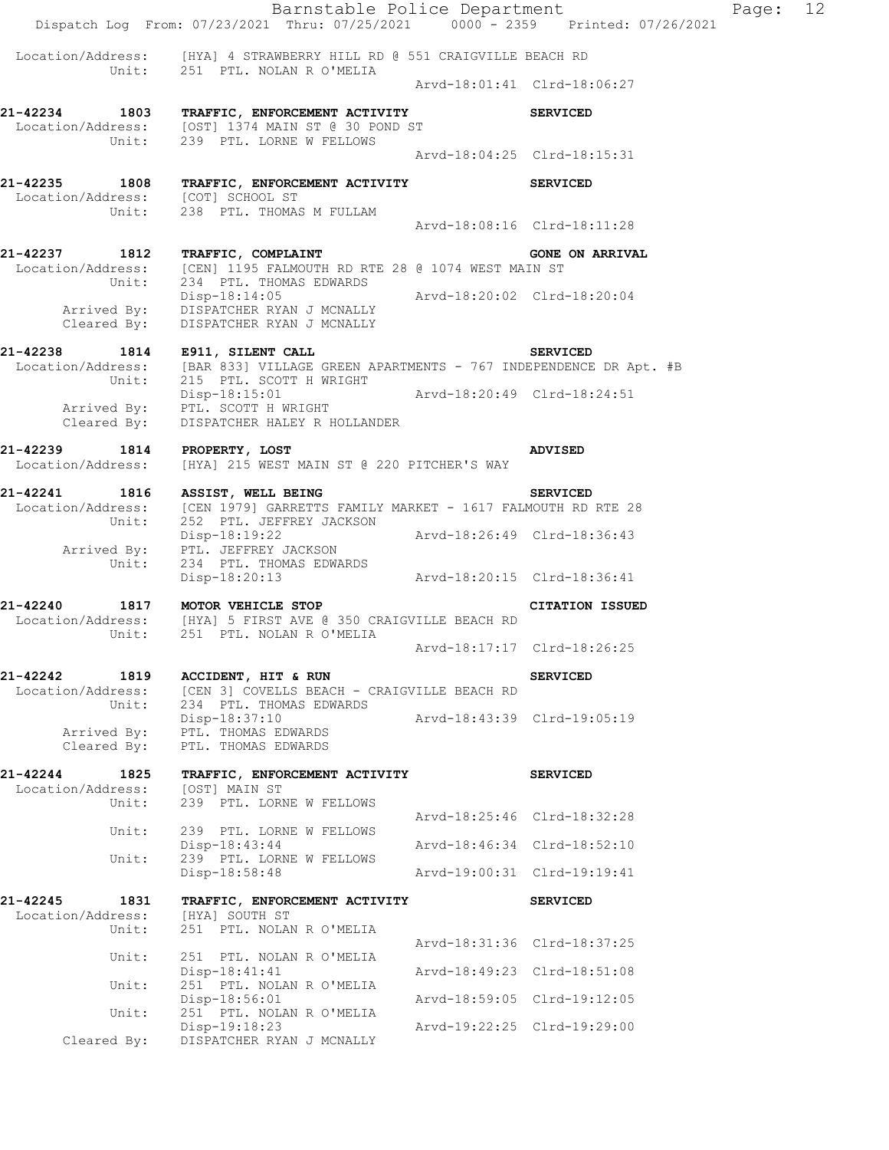|                                                | Dispatch Log From: 07/23/2021 Thru: 07/25/2021 0000 - 2359 Printed: 07/26/2021                                                                         |                             | Barnstable Police Department | Page: 12 |  |
|------------------------------------------------|--------------------------------------------------------------------------------------------------------------------------------------------------------|-----------------------------|------------------------------|----------|--|
|                                                | Location/Address: [HYA] 4 STRAWBERRY HILL RD @ 551 CRAIGVILLE BEACH RD                                                                                 |                             |                              |          |  |
|                                                | Unit: 251 PTL. NOLAN R O'MELIA                                                                                                                         |                             | Arvd-18:01:41 Clrd-18:06:27  |          |  |
|                                                | 21-42234 1803 TRAFFIC, ENFORCEMENT ACTIVITY<br>Location/Address: [OST] 1374 MAIN ST @ 30 POND ST<br>Unit: 239 PTL. LORNE W FELLOWS                     |                             | <b>SERVICED</b>              |          |  |
|                                                |                                                                                                                                                        |                             | Arvd-18:04:25 Clrd-18:15:31  |          |  |
| Location/Address: [COT] SCHOOL ST              | 21-42235 1808 TRAFFIC, ENFORCEMENT ACTIVITY SERVICED                                                                                                   |                             |                              |          |  |
|                                                | Unit: 238 PTL. THOMAS M FULLAM                                                                                                                         |                             | Arvd-18:08:16 Clrd-18:11:28  |          |  |
|                                                | 21-42237 1812 TRAFFIC, COMPLAINT<br>Location/Address: [CEN] 1195 FALMOUTH RD RTE 28 @ 1074 WEST MAIN ST<br>Unit: 234 PTL. THOMAS EDWARDS               |                             | <b>GONE ON ARRIVAL</b>       |          |  |
|                                                | ${\small \begin{tabular}{l} Disp-18:14:05 \\ Arrived By: & DISPATCHER RYAN J MCNALLY \\ \end{tabular}}$<br>Cleared By: DISPATCHER RYAN J MCNALLY       |                             |                              |          |  |
|                                                | 21-42238 1814 E911, SILENT CALL<br>Location/Address: [BAR 833] VILLAGE GREEN APARTMENTS - 767 INDEPENDENCE DR Apt. #B<br>Unit: 215 PTL. SCOTT H WRIGHT |                             | <b>SERVICED</b>              |          |  |
|                                                | Disp-18:15:01    Arvd-18:20:49    Clrd-18:24:51<br>Disp-18:15:01<br>Arrived By: PTL. SCOTT H WRIGHT<br>Cleared By: DISPATCHER HALEY R HOLLANDER        |                             |                              |          |  |
| 21-42239 1814 PROPERTY, LOST                   |                                                                                                                                                        |                             | ADVISED                      |          |  |
|                                                | Location/Address: [HYA] 215 WEST MAIN ST @ 220 PITCHER'S WAY                                                                                           |                             |                              |          |  |
|                                                | 21-42241 1816 ASSIST, WELL BEING<br>Location/Address: [CEN 1979] GARRETTS FAMILY MARKET - 1617 FALMOUTH RD RTE 28<br>Unit: 252 PTL. JEFFREY JACKSON    |                             | <b>SERVICED</b>              |          |  |
|                                                | Disp-18:19:22<br>Arrived By: PTL. JEFFREY JACKSON<br>Unit: 234 PTL. THOMAS EDWARDS                                                                     | Arvd-18:26:49 Clrd-18:36:43 |                              |          |  |
|                                                | Disp-18:20:13 Arvd-18:20:15 Clrd-18:36:41                                                                                                              |                             |                              |          |  |
|                                                | 21-42240 1817 MOTOR VEHICLE STOP<br>Location/Address: [HYA] 5 FIRST AVE @ 350 CRAIGVILLE BEACH RD<br>Unit: 251 PTL. NOLAN R O'MELIA                    |                             | <b>CITATION ISSUED</b>       |          |  |
|                                                |                                                                                                                                                        |                             | Arvd-18:17:17 Clrd-18:26:25  |          |  |
| Location/Address:<br>Unit:                     | 21-42242 1819 ACCIDENT, HIT & RUN<br>[CEN 3] COVELLS BEACH - CRAIGVILLE BEACH RD<br>234 PTL. THOMAS EDWARDS                                            |                             | <b>SERVICED</b>              |          |  |
| Arrived By:<br>Cleared By:                     | Disp-18:37:10<br>PTL. THOMAS EDWARDS<br>PTL. THOMAS EDWARDS                                                                                            |                             |                              |          |  |
| 21-42244 1825                                  | TRAFFIC, ENFORCEMENT ACTIVITY                                                                                                                          |                             | <b>SERVICED</b>              |          |  |
| Location/Address:<br>Unit:                     | [OST] MAIN ST<br>239 PTL. LORNE W FELLOWS                                                                                                              |                             |                              |          |  |
| Unit:                                          | 239 PTL. LORNE W FELLOWS                                                                                                                               |                             | Arvd-18:25:46 Clrd-18:32:28  |          |  |
| Unit:                                          | Disp-18:43:44<br>239 PTL. LORNE W FELLOWS                                                                                                              |                             | Arvd-18:46:34 Clrd-18:52:10  |          |  |
|                                                | Disp-18:58:48                                                                                                                                          | Arvd-19:00:31 Clrd-19:19:41 |                              |          |  |
| 21-42245<br>1831<br>Location/Address:<br>Unit: | TRAFFIC, ENFORCEMENT ACTIVITY<br>[HYA] SOUTH ST<br>251 PTL. NOLAN R O'MELIA                                                                            |                             | <b>SERVICED</b>              |          |  |
| Unit:                                          | 251 PTL. NOLAN R O'MELIA                                                                                                                               |                             | Arvd-18:31:36 Clrd-18:37:25  |          |  |
|                                                | Disp-18:41:41                                                                                                                                          |                             | Arvd-18:49:23 Clrd-18:51:08  |          |  |
| Unit:                                          | 251 PTL. NOLAN R O'MELIA<br>Disp-18:56:01                                                                                                              |                             | Arvd-18:59:05 Clrd-19:12:05  |          |  |
| Unit:                                          | 251 PTL. NOLAN R O'MELIA<br>Disp-19:18:23                                                                                                              |                             | Arvd-19:22:25 Clrd-19:29:00  |          |  |
| Cleared By:                                    | DISPATCHER RYAN J MCNALLY                                                                                                                              |                             |                              |          |  |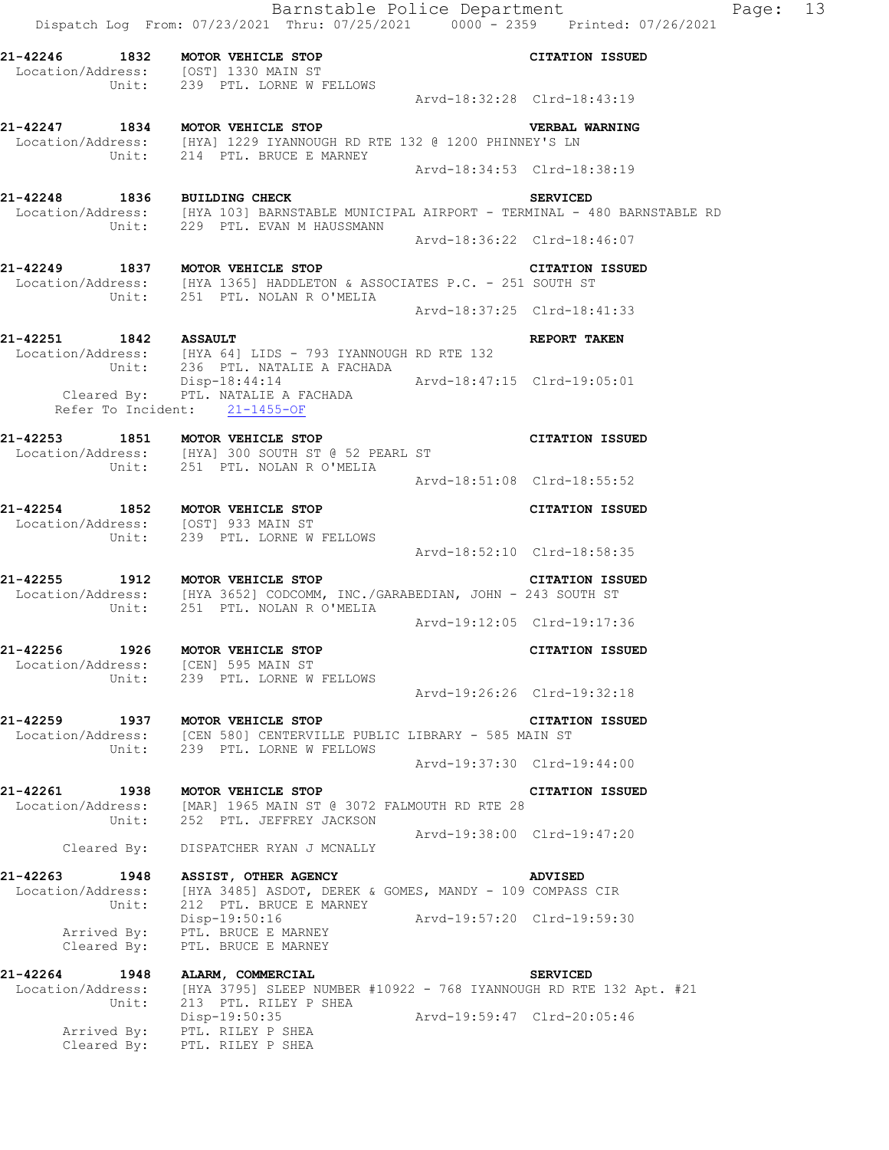Barnstable Police Department Fage: 13 Dispatch Log From: 07/23/2021 Thru: 07/25/2021 0000 - 2359 Printed: 07/26/2021 **21-42246 1832 MOTOR VEHICLE STOP CITATION ISSUED**  Location/Address: [OST] 1330 MAIN ST Unit: 239 PTL. LORNE W FELLOWS Arvd-18:32:28 Clrd-18:43:19 **21-42247 1834 MOTOR VEHICLE STOP VERBAL WARNING**  Location/Address: [HYA] 1229 IYANNOUGH RD RTE 132 @ 1200 PHINNEY'S LN Unit: 214 PTL. BRUCE E MARNEY Arvd-18:34:53 Clrd-18:38:19 **21-42248 1836 BUILDING CHECK SERVICED**  [HYA 103] BARNSTABLE MUNICIPAL AIRPORT - TERMINAL - 480 BARNSTABLE RD Unit: 229 PTL. EVAN M HAUSSMANN Arvd-18:36:22 Clrd-18:46:07 **21-42249 1837 MOTOR VEHICLE STOP CITATION ISSUED**  Location/Address: [HYA 1365] HADDLETON & ASSOCIATES P.C. - 251 SOUTH ST Unit: 251 PTL. NOLAN R O'MELIA Arvd-18:37:25 Clrd-18:41:33 **21-42251 1842 ASSAULT REPORT TAKEN**  Location/Address: [HYA 64] LIDS - 793 IYANNOUGH RD RTE 132 Unit: 236 PTL. NATALIE A FACHADA Disp-18:44:14 Arvd-18:47:15 Clrd-19:05:01 Cleared By: PTL. NATALIE A FACHADA Refer To Incident: 21-1455-OF **21-42253 1851 MOTOR VEHICLE STOP CITATION ISSUED**  Location/Address: [HYA] 300 SOUTH ST @ 52 PEARL ST Unit: 251 PTL. NOLAN R O'MELIA Arvd-18:51:08 Clrd-18:55:52 **21-42254 1852 MOTOR VEHICLE STOP CITATION ISSUED**  Location/Address: [OST] 933 MAIN ST Unit: 239 PTL. LORNE W FELLOWS Arvd-18:52:10 Clrd-18:58:35 **21-42255 1912 MOTOR VEHICLE STOP CITATION ISSUED**  Location/Address: [HYA 3652] CODCOMM, INC./GARABEDIAN, JOHN - 243 SOUTH ST Unit: 251 PTL. NOLAN R O'MELIA Arvd-19:12:05 Clrd-19:17:36 **21-42256 1926 MOTOR VEHICLE STOP CITATION ISSUED**  Location/Address: [CEN] 595 MAIN ST Unit: 239 PTL. LORNE W FELLOWS Arvd-19:26:26 Clrd-19:32:18 **21-42259 1937 MOTOR VEHICLE STOP CITATION ISSUED**  Location/Address: [CEN 580] CENTERVILLE PUBLIC LIBRARY - 585 MAIN ST Unit: 239 PTL. LORNE W FELLOWS Arvd-19:37:30 Clrd-19:44:00 **21-42261 1938 MOTOR VEHICLE STOP CITATION ISSUED**  Location/Address: [MAR] 1965 MAIN ST @ 3072 FALMOUTH RD RTE 28 Unit: 252 PTL. JEFFREY JACKSON Arvd-19:38:00 Clrd-19:47:20 Cleared By: DISPATCHER RYAN J MCNALLY **21-42263 1948 ASSIST, OTHER AGENCY ADVISED**  Location/Address: [HYA 3485] ASDOT, DEREK & GOMES, MANDY - 109 COMPASS CIR Unit: 212 PTL. BRUCE E MARNEY Disp-19:50:16 Arvd-19:57:20 Clrd-19:59:30 Arrived By: PTL. BRUCE E MARNEY Cleared By: PTL. BRUCE E MARNEY **21-42264 1948 ALARM, COMMERCIAL SERVICED**  Location/Address: [HYA 3795] SLEEP NUMBER #10922 - 768 IYANNOUGH RD RTE 132 Apt. #21 Unit: 213 PTL. RILEY P SHEA Disp-19:50:35 Arvd-19:59:47 Clrd-20:05:46 Arrived By: PTL. RILEY P SHEA

Cleared By: PTL. RILEY P SHEA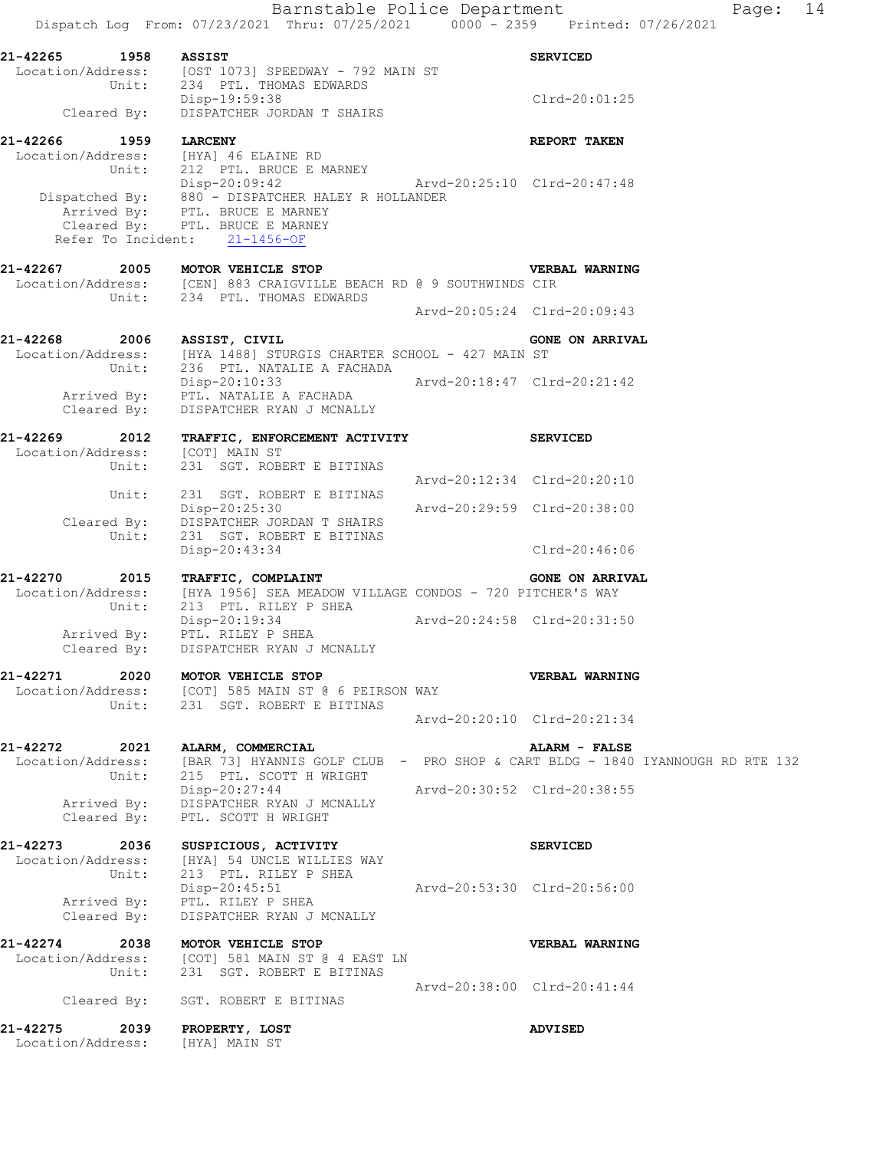Location/Address: [OST 1073] SPEEDWAY - 792 MAIN ST Unit: 234 PTL. THOMAS EDWARDS Disp-19:59:38 Clrd-20:01:25 Cleared By: DISPATCHER JORDAN T SHAIRS **21-42266 1959 LARCENY REPORT TAKEN**  Location/Address: [HYA] 46 ELAINE RD Unit: 212 PTL. BRUCE E MARNEY Disp-20:09:42 Arvd-20:25:10 Clrd-20:47:48 Dispatched By: 880 - DISPATCHER HALEY R HOLLANDER Arrived By: PTL. BRUCE E MARNEY Cleared By: PTL. BRUCE E MARNEY

**21-42267 2005 MOTOR VEHICLE STOP VERBAL WARNING**  Location/Address: [CEN] 883 CRAIGVILLE BEACH RD @ 9 SOUTHWINDS CIR Unit: 234 PTL. THOMAS EDWARDS Arvd-20:05:24 Clrd-20:09:43

Refer To Incident: 21-1456-OF

21-42268 2006 ASSIST, CIVIL **CONE ON ARRIVAL** Location/Address: [HYA 1488] STURGIS CHARTER SCHOOL - 427 MAIN ST Unit: 236 PTL. NATALIE A FACHADA Disp-20:10:33 Arvd-20:18:47 Clrd-20:21:42 Arrived By: PTL. NATALIE A FACHADA Cleared By: DISPATCHER RYAN J MCNALLY

**21-42269 2012 TRAFFIC, ENFORCEMENT ACTIVITY SERVICED**  Location/Address: [COT] MAIN ST Unit: 231 SGT. ROBERT E BITINAS Arvd-20:12:34 Clrd-20:20:10 Unit: 231 SGT. ROBERT E BITINAS Disp-20:25:30 Arvd-20:29:59 Clrd-20:38:00 Cleared By: DISPATCHER JORDAN T SHAIRS Unit: 231 SGT. ROBERT E BITINAS Disp-20:43:34 Clrd-20:46:06

21-42270 2015 TRAFFIC, COMPLAINT **And Algebra** GONE ON ARRIVAL Location/Address: [HYA 1956] SEA MEADOW VILLAGE CONDOS - 720 PITCHER'S WAY Unit: 213 PTL. RILEY P SHEA Disp-20:19:34 Arvd-20:24:58 Clrd-20:31:50 Arrived By: PTL. RILEY P SHEA Cleared By: DISPATCHER RYAN J MCNALLY

**21-42271 2020 MOTOR VEHICLE STOP VERBAL WARNING**  Location/Address: [COT] 585 MAIN ST @ 6 PEIRSON WAY Unit: 231 SGT. ROBERT E BITINAS Arvd-20:20:10 Clrd-20:21:34

**21-42272 2021 ALARM, COMMERCIAL ALARM - FALSE**  Location/Address: [BAR 73] HYANNIS GOLF CLUB - PRO SHOP & CART BLDG - 1840 IYANNOUGH RD RTE 132 Unit: 215 PTL. SCOTT H WRIGHT Disp-20:27:44 Arvd-20:30:52 Clrd-20:38:55 Arrived By: DISPATCHER RYAN J MCNALLY Cleared By: PTL. SCOTT H WRIGHT

**21-42273 2036 SUSPICIOUS, ACTIVITY SERVICED**  Location/Address: [HYA] 54 UNCLE WILLIES WAY Unit: 213 PTL. RILEY P SHEA Disp-20:45:51 Arvd-20:53:30 Clrd-20:56:00 Arrived By: PTL. RILEY P SHEA Cleared By: DISPATCHER RYAN J MCNALLY

**21-42274 2038 MOTOR VEHICLE STOP VERBAL WARNING**  Location/Address: [COT] 581 MAIN ST @ 4 EAST LN Unit: 231 SGT. ROBERT E BITINAS Arvd-20:38:00 Clrd-20:41:44 Cleared By: SGT. ROBERT E BITINAS

**21-42275 2039 PROPERTY, LOST ADVISED**  Location/Address: [HYA] MAIN ST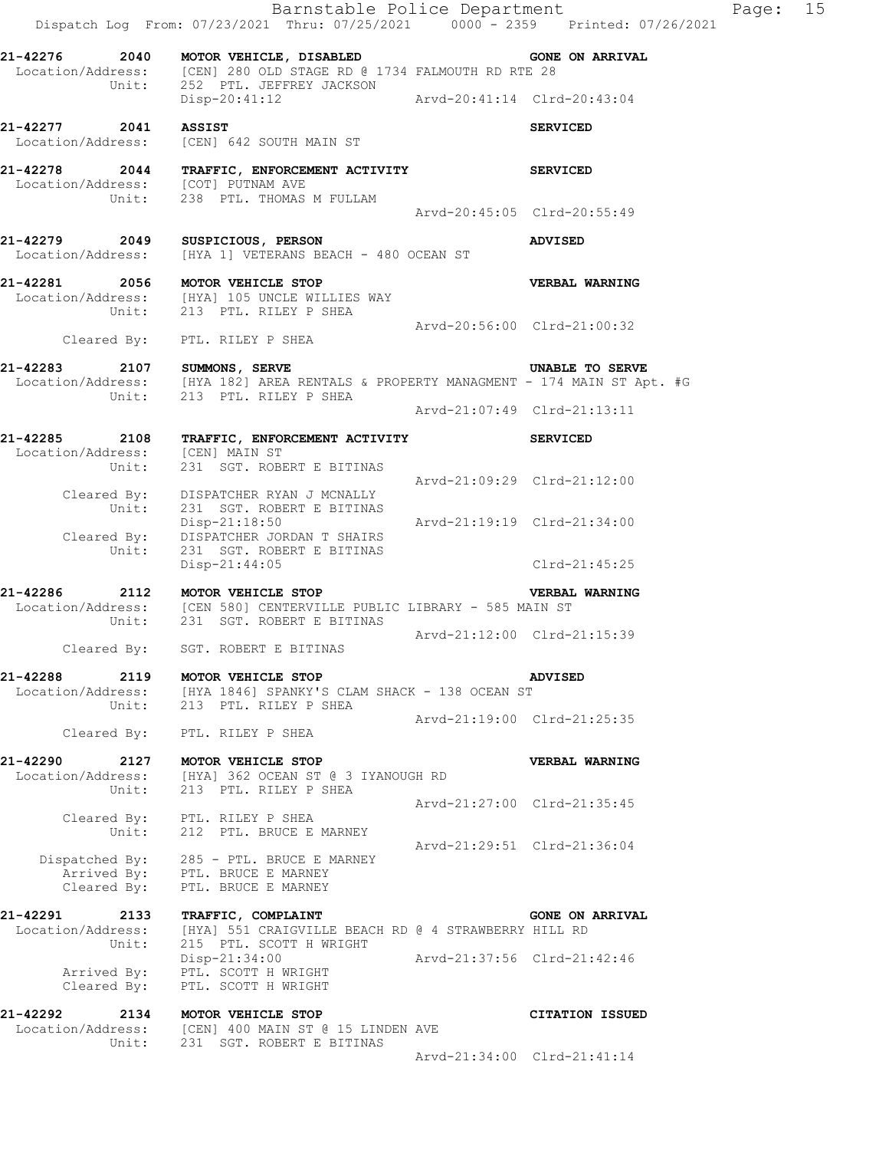Barnstable Police Department Fage: 15 Dispatch Log From: 07/23/2021 Thru: 07/25/2021 0000 - 2359 Printed: 07/26/2021 **21-42276 2040 MOTOR VEHICLE, DISABLED GONE ON ARRIVAL**  Location/Address: [CEN] 280 OLD STAGE RD @ 1734 FALMOUTH RD RTE 28 Unit: 252 PTL. JEFFREY JACKSON Disp-20:41:12 Arvd-20:41:14 Clrd-20:43:04 **21-42277 2041 ASSIST SERVICED**  Location/Address: [CEN] 642 SOUTH MAIN ST **21-42278 2044 TRAFFIC, ENFORCEMENT ACTIVITY SERVICED**  Location/Address: [COT] PUTNAM AVE Unit: 238 PTL. THOMAS M FULLAM Arvd-20:45:05 Clrd-20:55:49 **21-42279 2049 SUSPICIOUS, PERSON ADVISED**  Location/Address: [HYA 1] VETERANS BEACH - 480 OCEAN ST **21-42281 2056 MOTOR VEHICLE STOP VERBAL WARNING**  Location/Address: [HYA] 105 UNCLE WILLIES WAY Unit: 213 PTL. RILEY P SHEA Arvd-20:56:00 Clrd-21:00:32 Cleared By: PTL. RILEY P SHEA **21-42283 2107 SUMMONS, SERVE UNABLE TO SERVE**  [HYA 182] AREA RENTALS & PROPERTY MANAGMENT - 174 MAIN ST Apt. #G Location/Address: [HYA 182] AREA RENTALS &<br>Unit: 213 PTL. RILEY P SHEA Arvd-21:07:49 Clrd-21:13:11 **21-42285 2108 TRAFFIC, ENFORCEMENT ACTIVITY SERVICED**  Location/Address: [CEN] MAIN ST Unit: 231 SGT. ROBERT E BITINAS Arvd-21:09:29 Clrd-21:12:00 Cleared By: DISPATCHER RYAN J MCNALLY Unit: 231 SGT. ROBERT E BITINAS Disp-21:18:50 Arvd-21:19:19 Clrd-21:34:00<br>Cleared By: DISPATCHER JORDAN T SHAIRS<br>Unit: 231 SGT. ROBERT E BITINAS DISPATCHER JORDAN T SHAIRS 231 SGT. ROBERT E BITINAS Disp-21:44:05 Clrd-21:45:25 **21-42286 2112 MOTOR VEHICLE STOP VERBAL WARNING**  Location/Address: [CEN 580] CENTERVILLE PUBLIC LIBRARY - 585 MAIN ST Unit: 231 SGT. ROBERT E BITINAS Arvd-21:12:00 Clrd-21:15:39 Cleared By: SGT. ROBERT E BITINAS **21-42288 2119 MOTOR VEHICLE STOP ADVISED**  Location/Address: [HYA 1846] SPANKY'S CLAM SHACK - 138 OCEAN ST Unit: 213 PTL. RILEY P SHEA Arvd-21:19:00 Clrd-21:25:35 Cleared By: PTL. RILEY P SHEA **21-42290 2127 MOTOR VEHICLE STOP VERBAL WARNING**  Location/Address: [HYA] 362 OCEAN ST @ 3 IYANOUGH RD Unit: 213 PTL. RILEY P SHEA Arvd-21:27:00 Clrd-21:35:45 Cleared By: PTL. RILEY P SHEA Unit: 212 PTL. BRUCE E MARNEY Arvd-21:29:51 Clrd-21:36:04 Dispatched By: 285 - PTL. BRUCE E MARNEY Arrived By: PTL. BRUCE E MARNEY Cleared By: PTL. BRUCE E MARNEY **21-42291 2133 TRAFFIC, COMPLAINT GONE ON ARRIVAL**  Location/Address: [HYA] 551 CRAIGVILLE BEACH RD @ 4 STRAWBERRY HILL RD Unit: 215 PTL. SCOTT H WRIGHT Disp-21:34:00 Arvd-21:37:56 Clrd-21:42:46 Arrived By: PTL. SCOTT H WRIGHT Cleared By: PTL. SCOTT H WRIGHT **21-42292 2134 MOTOR VEHICLE STOP CITATION ISSUED**  Location/Address: [CEN] 400 MAIN ST @ 15 LINDEN AVE Unit: 231 SGT. ROBERT E BITINAS

Arvd-21:34:00 Clrd-21:41:14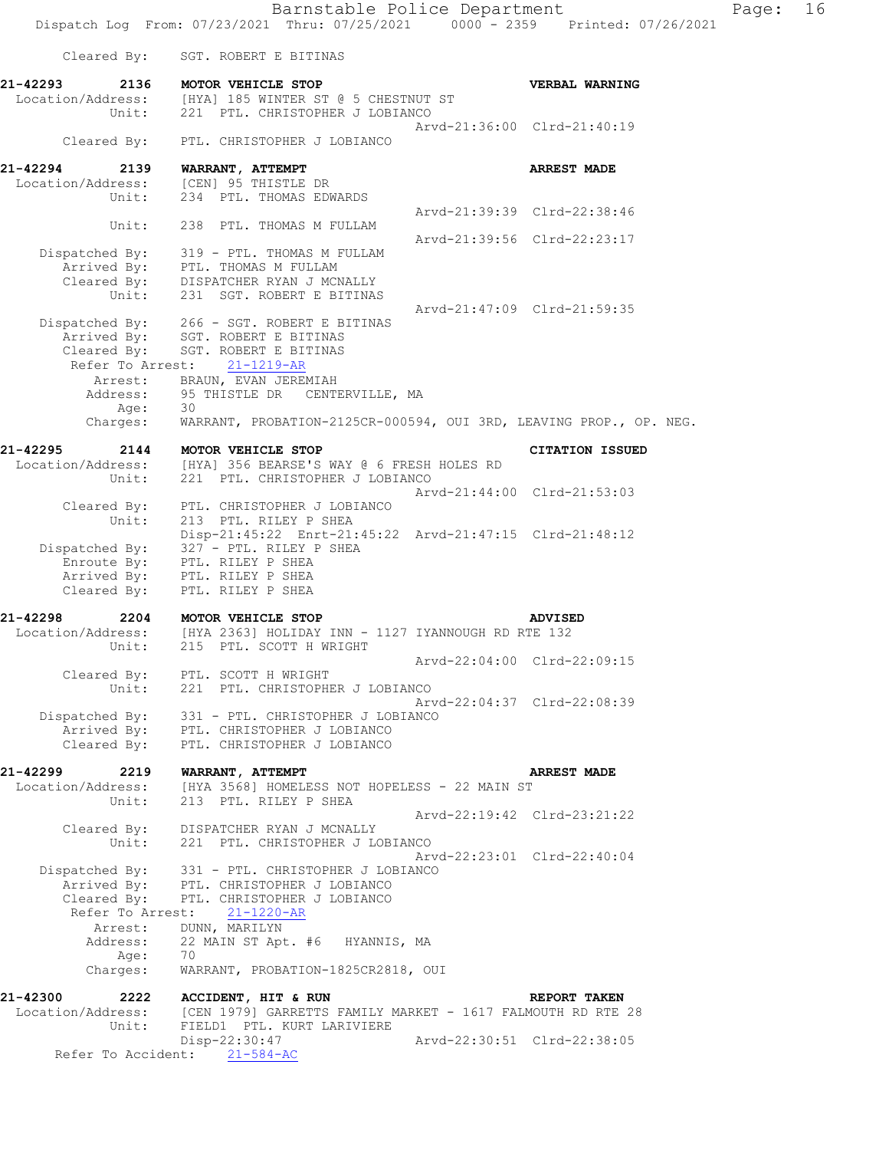**21-42293 2136 MOTOR VEHICLE STOP VERBAL WARNING**  Location/Address: [HYA] 185 WINTER ST @ 5 CHESTNUT ST Unit: 221 PTL. CHRISTOPHER J LOBIANCO Arvd-21:36:00 Clrd-21:40:19 Cleared By: PTL. CHRISTOPHER J LOBIANCO **21-42294 2139 WARRANT, ATTEMPT ARREST MADE**  Location/Address:<br>Unit: 234 PTL. THOMAS EDWARDS Arvd-21:39:39 Clrd-22:38:46 Unit: 238 PTL. THOMAS M FULLAM Arvd-21:39:56 Clrd-22:23:17 Dispatched By: 319 - PTL. THOMAS M FULLAM Arrived By: PTL. THOMAS M FULLAM Cleared By: DISPATCHER RYAN J MCNALLY Unit: 231 SGT. ROBERT E BITINAS Arvd-21:47:09 Clrd-21:59:35 Dispatched By: 266 - SGT. ROBERT E BITINAS Arrived By: SGT. ROBERT E BITINAS Cleared By: SGT. ROBERT E BITINAS Refer To Arrest: 21-1219-AR Arrest: BRAUN, EVAN JEREMIAH Address: 95 THISTLE DR CENTERVILLE, MA Age: 30 Age: 30<br>Charges: WARRANT, PROBATION-2125CR-000594, OUI 3RD, LEAVING PROP., OP. NEG. **21-42295 2144 MOTOR VEHICLE STOP CITATION ISSUED**  Location/Address: [HYA] 356 BEARSE'S WAY @ 6 FRESH HOLES RD Unit: 221 PTL. CHRISTOPHER J LOBIANCO Arvd-21:44:00 Clrd-21:53:03 Cleared By: PTL. CHRISTOPHER J LOBIANCO Unit: 213 PTL. RILEY P SHEA Disp-21:45:22 Enrt-21:45:22 Arvd-21:47:15 Clrd-21:48:12 Dispatched By: 327 - PTL. RILEY P SHEA Enroute By: PTL. RILEY P SHEA Arrived By: PTL. RILEY P SHEA Cleared By: PTL. RILEY P SHEA **21-42298 2204 MOTOR VEHICLE STOP ADVISED**  Location/Address: [HYA 2363] HOLIDAY INN - 1127 IYANNOUGH RD RTE 132 Unit: 215 PTL. SCOTT H WRIGHT Arvd-22:04:00 Clrd-22:09:15 Cleared By: PTL. SCOTT H WRIGHT Unit: 221 PTL. CHRISTOPHER J LOBIANCO Arvd-22:04:37 Clrd-22:08:39 Dispatched By: 331 - PTL. CHRISTOPHER J LOBIANCO Arrived By: PTL. CHRISTOPHER J LOBIANCO Cleared By: PTL. CHRISTOPHER J LOBIANCO **21-42299 2219 WARRANT, ATTEMPT ARREST MADE**  Location/Address: [HYA 3568] HOMELESS NOT HOPELESS - 22 MAIN ST Unit: 213 PTL. RILEY P SHEA Arvd-22:19:42 Clrd-23:21:22 Cleared By: DISPATCHER RYAN J MCNALLY Unit: 221 PTL. CHRISTOPHER J LOBIANCO Arvd-22:23:01 Clrd-22:40:04 Dispatched By: 331 - PTL. CHRISTOPHER J LOBIANCO Arrived By: PTL. CHRISTOPHER J LOBIANCO Cleared By: PTL. CHRISTOPHER J LOBIANCO Refer To Arrest: 21-1220-AR Arrest: DUNN, MARILYN Address: 22 MAIN ST Apt. #6 HYANNIS, MA<br>Age: 70 Age: Charges: WARRANT, PROBATION-1825CR2818, OUI **21-42300 2222 ACCIDENT, HIT & RUN REPORT TAKEN** 

[CEN 1979] GARRETTS FAMILY MARKET - 1617 FALMOUTH RD RTE 28 Unit: FIELD1 PTL. KURT LARIVIERE Disp-22:30:47 Arvd-22:30:51 Clrd-22:38:05 Refer To Accident: 21-584-AC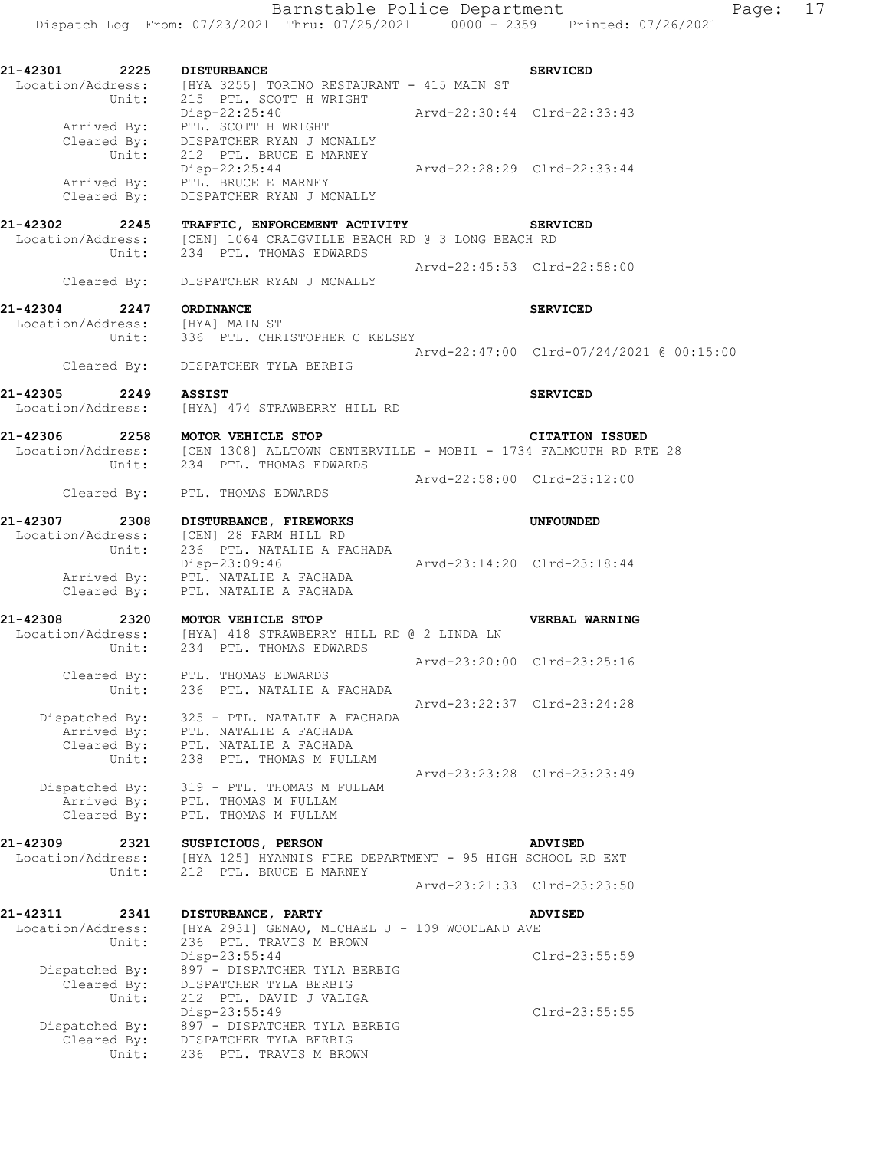**21-42301 2225 DISTURBANCE SERVICED**  Location/Address: [HYA 3255] TORINO RESTAURANT - 415 MAIN ST Unit: 215 PTL. SCOTT H WRIGHT Disp-22:25:40 Arvd-22:30:44 Clrd-22:33:43 Arrived By: PTL. SCOTT H WRIGHT Cleared By: DISPATCHER RYAN J MCNALLY Unit: 212 PTL. BRUCE E MARNEY Disp-22:25:44 Arvd-22:28:29 Clrd-22:33:44 Arrived By: PTL. BRUCE E MARNEY Cleared By: DISPATCHER RYAN J MCNALLY **21-42302 2245 TRAFFIC, ENFORCEMENT ACTIVITY SERVICED**  Location/Address: [CEN] 1064 CRAIGVILLE BEACH RD @ 3 LONG BEACH RD Unit: 234 PTL. THOMAS EDWARDS Arvd-22:45:53 Clrd-22:58:00 Cleared By: DISPATCHER RYAN J MCNALLY **21-42304 2247 ORDINANCE SERVICED**  Location/Address: [HYA] MAIN ST Unit: 336 PTL. CHRISTOPHER C KELSEY Arvd-22:47:00 Clrd-07/24/2021 @ 00:15:00 Cleared By: DISPATCHER TYLA BERBIG **21-42305 2249 ASSIST SERVICED**  Location/Address: [HYA] 474 STRAWBERRY HILL RD **21-42306 2258 MOTOR VEHICLE STOP CITATION ISSUED**  Location/Address: [CEN 1308] ALLTOWN CENTERVILLE - MOBIL - 1734 FALMOUTH RD RTE 28 Unit: 234 PTL. THOMAS EDWARDS Arvd-22:58:00 Clrd-23:12:00 Cleared By: PTL. THOMAS EDWARDS **21-42307 2308 DISTURBANCE, FIREWORKS UNFOUNDED**  Location/Address: [CEN] 28 FARM HILL RD Unit: 236 PTL. NATALIE A FACHADA Disp-23:09:46 Arvd-23:14:20 Clrd-23:18:44 Arrived By: PTL. NATALIE A FACHADA Cleared By: PTL. NATALIE A FACHADA **21-42308 2320 MOTOR VEHICLE STOP VERBAL WARNING**  Location/Address: [HYA] 418 STRAWBERRY HILL RD @ 2 LINDA LN Unit: 234 PTL. THOMAS EDWARDS Arvd-23:20:00 Clrd-23:25:16 Cleared By: PTL. THOMAS EDWARDS Unit: 236 PTL. NATALIE A FACHADA Arvd-23:22:37 Clrd-23:24:28 Dispatched By: 325 - PTL. NATALIE A FACHADA Arrived By: PTL. NATALIE A FACHADA Cleared By: PTL. NATALIE A FACHADA Unit: 238 PTL. THOMAS M FULLAM Arvd-23:23:28 Clrd-23:23:49 Dispatched By: 319 - PTL. THOMAS M FULLAM Arrived By: PTL. THOMAS M FULLAM Cleared By: PTL. THOMAS M FULLAM **21-42309 2321 SUSPICIOUS, PERSON ADVISED**  [HYA 125] HYANNIS FIRE DEPARTMENT - 95 HIGH SCHOOL RD EXT Unit: 212 PTL. BRUCE E MARNEY Arvd-23:21:33 Clrd-23:23:50 **21-42311 2341 DISTURBANCE, PARTY ADVISED**  Location/Address: [HYA 2931] GENAO, MICHAEL J - 109 WOODLAND AVE Unit: 236 PTL. TRAVIS M BROWN Disp-23:55:44 Clrd-23:55:59 Dispatched By: 897 - DISPATCHER TYLA BERBIG Cleared By: DISPATCHER TYLA BERBIG Unit: 212 PTL. DAVID J VALIGA Disp-23:55:49 Clrd-23:55:55 Dispatched By: 897 - DISPATCHER TYLA BERBIG Cleared By: DISPATCHER TYLA BERBIG Unit: 236 PTL. TRAVIS M BROWN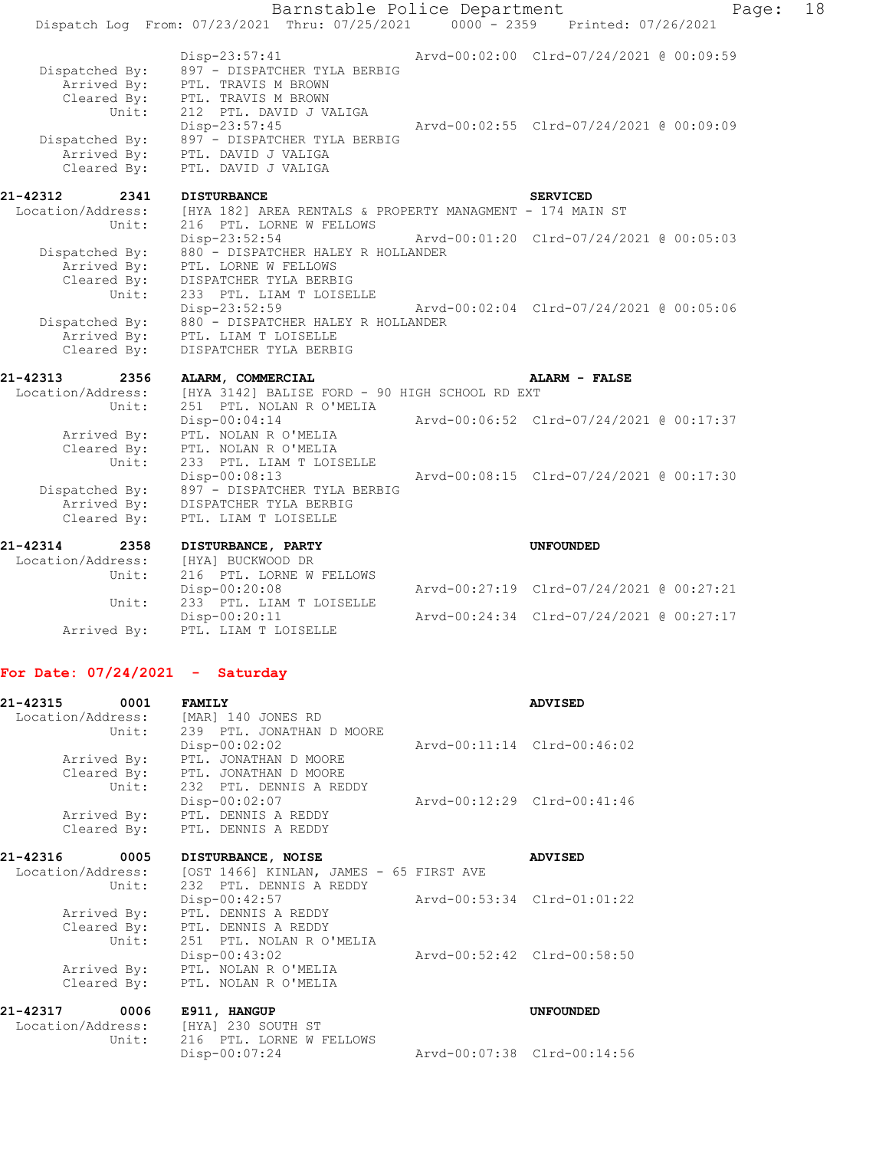|                                              | Barnstable Police Department                                                          |                                          | Page: | 18 |
|----------------------------------------------|---------------------------------------------------------------------------------------|------------------------------------------|-------|----|
|                                              | Dispatch Log From: 07/23/2021 Thru: 07/25/2021                                        | 0000 - 2359 Printed: 07/26/2021          |       |    |
| Dispatched By:<br>Arrived By:                | Disp-23:57:41<br>897 - DISPATCHER TYLA BERBIG<br>PTL. TRAVIS M BROWN                  | Arvd-00:02:00 Clrd-07/24/2021 @ 00:09:59 |       |    |
| Cleared By:<br>Unit:                         | PTL. TRAVIS M BROWN<br>212 PTL. DAVID J VALIGA                                        |                                          |       |    |
| Dispatched By:<br>Arrived By:                | Disp-23:57:45<br>897 - DISPATCHER TYLA BERBIG<br>PTL. DAVID J VALIGA                  | Arvd-00:02:55 Clrd-07/24/2021 @ 00:09:09 |       |    |
| Cleared By:                                  | PTL. DAVID J VALIGA                                                                   |                                          |       |    |
| 21-42312<br>2341                             | <b>DISTURBANCE</b>                                                                    | <b>SERVICED</b>                          |       |    |
| Location/Address:<br>Unit:                   | [HYA 182] AREA RENTALS & PROPERTY MANAGMENT - 174 MAIN ST<br>216 PTL. LORNE W FELLOWS |                                          |       |    |
| Dispatched By:                               | Disp-23:52:54<br>880 - DISPATCHER HALEY R HOLLANDER                                   | Arvd-00:01:20 Clrd-07/24/2021 @ 00:05:03 |       |    |
| Arrived By:<br>Cleared By:<br>Unit:          | PTL. LORNE W FELLOWS<br>DISPATCHER TYLA BERBIG                                        |                                          |       |    |
|                                              | 233 PTL. LIAM T LOISELLE<br>$Disp-23:52:59$                                           | Arvd-00:02:04 Clrd-07/24/2021 @ 00:05:06 |       |    |
| Dispatched By:<br>Arrived By:<br>Cleared By: | 880 - DISPATCHER HALEY R HOLLANDER<br>PTL. LIAM T LOISELLE<br>DISPATCHER TYLA BERBIG  |                                          |       |    |
| 21-42313<br>2356                             | ALARM, COMMERCIAL                                                                     | ALARM - FALSE                            |       |    |
| Location/Address:<br>Unit:                   | [HYA 3142] BALISE FORD - 90 HIGH SCHOOL RD EXT<br>251 PTL. NOLAN R O'MELIA            |                                          |       |    |
| Arrived By:                                  | $Disp-00:04:14$<br>PTL. NOLAN R O'MELIA                                               | Arvd-00:06:52 Clrd-07/24/2021 @ 00:17:37 |       |    |
| Cleared By:<br>Unit:                         | PTL. NOLAN R O'MELIA                                                                  |                                          |       |    |
|                                              | 233 PTL. LIAM T LOISELLE<br>Disp-00:08:13                                             | Arvd-00:08:15 Clrd-07/24/2021 @ 00:17:30 |       |    |
| Dispatched By:<br>Arrived By:                | 897 - DISPATCHER TYLA BERBIG<br>DISPATCHER TYLA BERBIG                                |                                          |       |    |
| Cleared By:                                  | PTL. LIAM T LOISELLE                                                                  |                                          |       |    |
| 21-42314<br>2358                             | DISTURBANCE, PARTY                                                                    | <b>UNFOUNDED</b>                         |       |    |
| Location/Address:<br>Unit:                   | [HYA] BUCKWOOD DR<br>216 PTL. LORNE W FELLOWS                                         |                                          |       |    |
| Unit:                                        | Disp-00:20:08<br>233 PTL. LIAM T LOISELLE                                             | Arvd-00:27:19 Clrd-07/24/2021 @ 00:27:21 |       |    |

Disp-00:20:11 Arvd-00:24:34 Clrd-07/24/2021 @ 00:27:17

## **For Date: 07/24/2021 - Saturday**

Arrived By: PTL. LIAM T LOISELLE

| 21-42315 0001 |             | <b>FAMILY</b>                                                           |                             | <b>ADVISED</b>   |
|---------------|-------------|-------------------------------------------------------------------------|-----------------------------|------------------|
|               |             | Location/Address: [MAR] 140 JONES RD<br>Unit: 239 PTL. JONATHAN D MOORE |                             |                  |
|               |             | Disp-00:02:02                                                           | Arvd-00:11:14 Clrd-00:46:02 |                  |
|               | Arrived By: | PTL. JONATHAN D MOORE                                                   |                             |                  |
|               |             | Cleared By: PTL. JONATHAN D MOORE                                       |                             |                  |
|               |             | Unit: 232 PTL. DENNIS A REDDY                                           |                             |                  |
|               |             | Disp-00:02:07                                                           | Arvd-00:12:29 Clrd-00:41:46 |                  |
|               |             | Arrived By: PTL. DENNIS A REDDY                                         |                             |                  |
|               |             | Cleared By: PTL. DENNIS A REDDY                                         |                             |                  |
| 21-42316      |             | 0005 DISTURBANCE, NOISE                                                 |                             | <b>ADVISED</b>   |
|               |             | Location/Address: [OST 1466] KINLAN, JAMES - 65 FIRST AVE               |                             |                  |
|               | Unit:       | 232 PTL. DENNIS A REDDY                                                 |                             |                  |
|               |             | $Disp-00:42:57$                                                         | Arvd-00:53:34 Clrd-01:01:22 |                  |
|               |             | Arrived By: PTL. DENNIS A REDDY                                         |                             |                  |
|               |             | Cleared By: PTL. DENNIS A REDDY                                         |                             |                  |
|               |             | Unit: 251 PTL. NOLAN R O'MELIA                                          |                             |                  |
|               |             | $Disp-00:43:02$                                                         | Arvd-00:52:42 Clrd-00:58:50 |                  |
|               |             | Arrived By: PTL. NOLAN R O'MELIA                                        |                             |                  |
|               |             | Cleared By: PTL. NOLAN R O'MELIA                                        |                             |                  |
|               |             | 21-42317 0006 E911, HANGUP                                              |                             | <b>UNFOUNDED</b> |
|               |             | Location/Address: [HYA] 230 SOUTH ST                                    |                             |                  |
|               | Unit:       | 216 PTL. LORNE W FELLOWS                                                |                             |                  |

Disp-00:07:24 Arvd-00:07:38 Clrd-00:14:56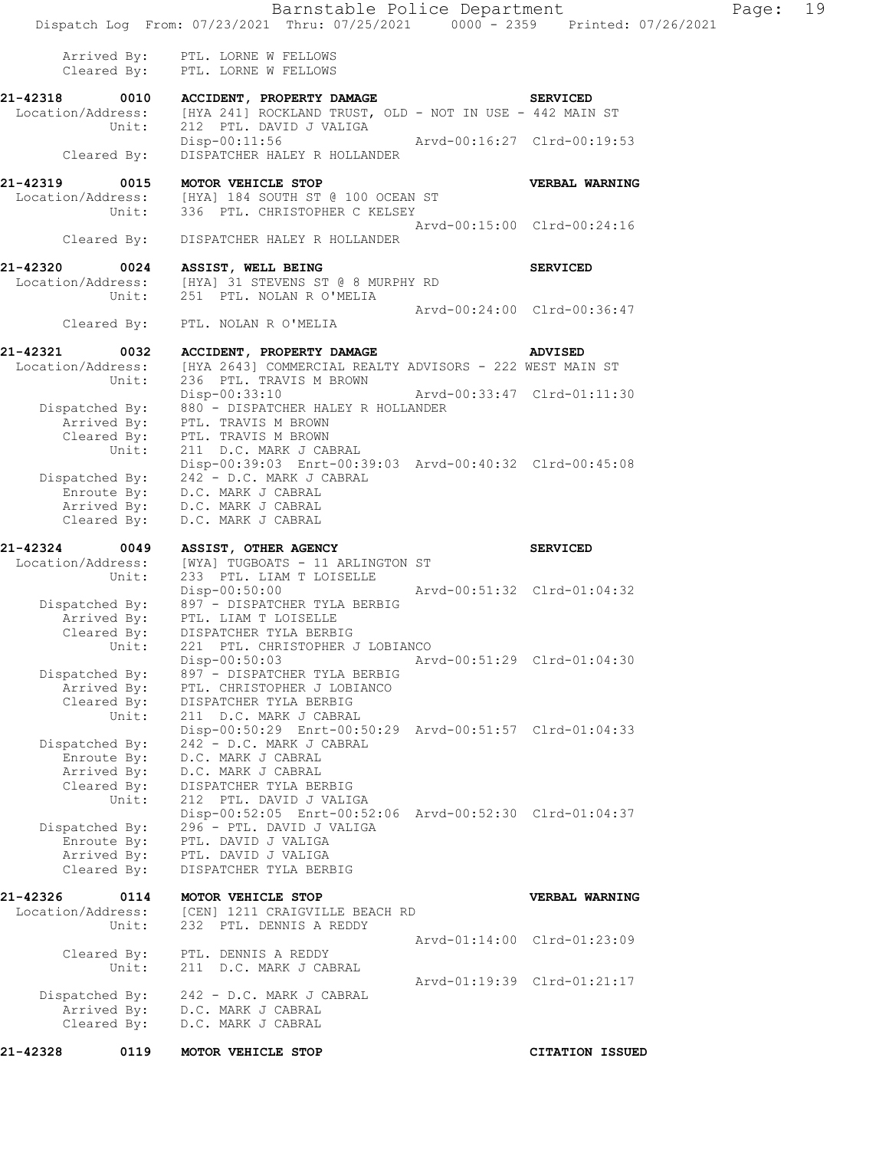|                               |                            | Barnstable Police Department                                                                                |                             |                             | Page: 19 |  |
|-------------------------------|----------------------------|-------------------------------------------------------------------------------------------------------------|-----------------------------|-----------------------------|----------|--|
|                               |                            | Dispatch Log From: 07/23/2021 Thru: 07/25/2021 0000 - 2359 Printed: 07/26/2021                              |                             |                             |          |  |
|                               |                            | Arrived By: PTL. LORNE W FELLOWS<br>Cleared By: PTL. LORNE W FELLOWS                                        |                             |                             |          |  |
| 21-42318                      | 0010                       | <b>ACCIDENT, PROPERTY DAMAGE</b>                                                                            |                             | <b>SERVICED</b>             |          |  |
|                               |                            | Location/Address: [HYA 241] ROCKLAND TRUST, OLD - NOT IN USE - 442 MAIN ST<br>Unit: 212 PTL. DAVID J VALIGA |                             |                             |          |  |
|                               |                            | 212 PTL. DAVID J VALIGA<br>Disp-00:11:56 Arvd-00:16:27 Clrd-00:19:53                                        |                             |                             |          |  |
|                               | Cleared By:                | DISPATCHER HALEY R HOLLANDER                                                                                |                             |                             |          |  |
| 21-42319                      | 0015                       | MOTOR VEHICLE STOP                                                                                          |                             | <b>VERBAL WARNING</b>       |          |  |
|                               |                            | Location/Address: [HYA] 184 SOUTH ST @ 100 OCEAN ST                                                         |                             |                             |          |  |
|                               |                            | Unit: 336 PTL. CHRISTOPHER C KELSEY                                                                         |                             | Arvd-00:15:00 Clrd-00:24:16 |          |  |
|                               | Cleared By:                | DISPATCHER HALEY R HOLLANDER                                                                                |                             |                             |          |  |
| 21-42320 0024                 |                            | ASSIST, WELL BEING                                                                                          |                             | <b>SERVICED</b>             |          |  |
|                               |                            | Location/Address: [HYA] 31 STEVENS ST @ 8 MURPHY RD                                                         |                             |                             |          |  |
|                               | Unit:                      | 251 PTL. NOLAN R O'MELIA                                                                                    |                             | Arvd-00:24:00 Clrd-00:36:47 |          |  |
|                               | Cleared By:                | PTL. NOLAN R O'MELIA                                                                                        |                             |                             |          |  |
| 21-42321                      |                            | 0032 ACCIDENT, PROPERTY DAMAGE ADVISED                                                                      |                             |                             |          |  |
| Location/Address:             |                            | [HYA 2643] COMMERCIAL REALTY ADVISORS - 222 WEST MAIN ST                                                    |                             |                             |          |  |
|                               | Unit:                      | 236 PTL. TRAVIS M BROWN                                                                                     |                             |                             |          |  |
|                               |                            | Disp-00:33:10<br>Dispatched By: 880 - DISPATCHER HALEY R HOLLANDER                                          | Arvd-00:33:47 Clrd-01:11:30 |                             |          |  |
|                               |                            | Arrived By: PTL. TRAVIS M BROWN                                                                             |                             |                             |          |  |
|                               |                            | Cleared By: PTL. TRAVIS M BROWN                                                                             |                             |                             |          |  |
|                               | Unit:                      | 211 D.C. MARK J CABRAL<br>Disp-00:39:03 Enrt-00:39:03 Arvd-00:40:32 Clrd-00:45:08                           |                             |                             |          |  |
| Dispatched By:                |                            | 242 - D.C. MARK J CABRAL                                                                                    |                             |                             |          |  |
|                               | Arrived By:                | Enroute By: D.C. MARK J CABRAL                                                                              |                             |                             |          |  |
|                               | Cleared By:                | D.C. MARK J CABRAL<br>D.C. MARK J CABRAL                                                                    |                             |                             |          |  |
| 21-42324                      | 0049                       | <b>ASSIST, OTHER AGENCY</b>                                                                                 |                             | <b>SERVICED</b>             |          |  |
|                               |                            | Location/Address: [WYA] TUGBOATS - 11 ARLINGTON ST                                                          |                             |                             |          |  |
|                               | Unit:                      | 233 PTL. LIAM T LOISELLE                                                                                    |                             |                             |          |  |
|                               |                            | Disp-00:50:00<br>Dispatched By: 897 - DISPATCHER TYLA BERBIG                                                | Arvd-00:51:32 Clrd-01:04:32 |                             |          |  |
|                               | Arrived By:                | PTL. LIAM T LOISELLE                                                                                        |                             |                             |          |  |
|                               |                            | Cleared By: DISPATCHER TYLA BERBIG                                                                          |                             |                             |          |  |
|                               | Unit:                      | 221 PTL. CHRISTOPHER J LOBIANCO<br>Disp-00:50:03                                                            |                             | Arvd-00:51:29 Clrd-01:04:30 |          |  |
| Dispatched By:                |                            | 897 - DISPATCHER TYLA BERBIG                                                                                |                             |                             |          |  |
|                               | Arrived By:                | PTL. CHRISTOPHER J LOBIANCO                                                                                 |                             |                             |          |  |
|                               | Cleared By:<br>Unit:       | DISPATCHER TYLA BERBIG<br>211 D.C. MARK J CABRAL                                                            |                             |                             |          |  |
|                               |                            | Disp-00:50:29 Enrt-00:50:29 Arvd-00:51:57 Clrd-01:04:33                                                     |                             |                             |          |  |
| Dispatched By:                | Enroute By:                | 242 - D.C. MARK J CABRAL<br>D.C. MARK J CABRAL                                                              |                             |                             |          |  |
|                               | Arrived By:                | D.C. MARK J CABRAL                                                                                          |                             |                             |          |  |
|                               | Cleared By:                | DISPATCHER TYLA BERBIG                                                                                      |                             |                             |          |  |
|                               | Unit:                      | 212 PTL. DAVID J VALIGA<br>Disp-00:52:05 Enrt-00:52:06 Arvd-00:52:30 Clrd-01:04:37                          |                             |                             |          |  |
| Dispatched By:                |                            | 296 - PTL. DAVID J VALIGA                                                                                   |                             |                             |          |  |
|                               | Enroute By:                | PTL. DAVID J VALIGA                                                                                         |                             |                             |          |  |
|                               | Arrived By:<br>Cleared By: | PTL. DAVID J VALIGA<br>DISPATCHER TYLA BERBIG                                                               |                             |                             |          |  |
|                               |                            |                                                                                                             |                             |                             |          |  |
| 21-42326<br>Location/Address: | 0114                       | MOTOR VEHICLE STOP<br>[CEN] 1211 CRAIGVILLE BEACH RD                                                        |                             | VERBAL WARNING              |          |  |
|                               | Unit:                      | 232 PTL. DENNIS A REDDY                                                                                     |                             |                             |          |  |
|                               |                            |                                                                                                             |                             | Arvd-01:14:00 Clrd-01:23:09 |          |  |
|                               | Cleared By:<br>Unit:       | PTL. DENNIS A REDDY<br>211 D.C. MARK J CABRAL                                                               |                             |                             |          |  |
|                               |                            |                                                                                                             |                             | Arvd-01:19:39 Clrd-01:21:17 |          |  |
| Dispatched By:                |                            | 242 - D.C. MARK J CABRAL                                                                                    |                             |                             |          |  |
|                               | Arrived By:<br>Cleared By: | D.C. MARK J CABRAL<br>D.C. MARK J CABRAL                                                                    |                             |                             |          |  |
|                               |                            |                                                                                                             |                             |                             |          |  |
| 21-42328                      | 0119                       | MOTOR VEHICLE STOP                                                                                          |                             | <b>CITATION ISSUED</b>      |          |  |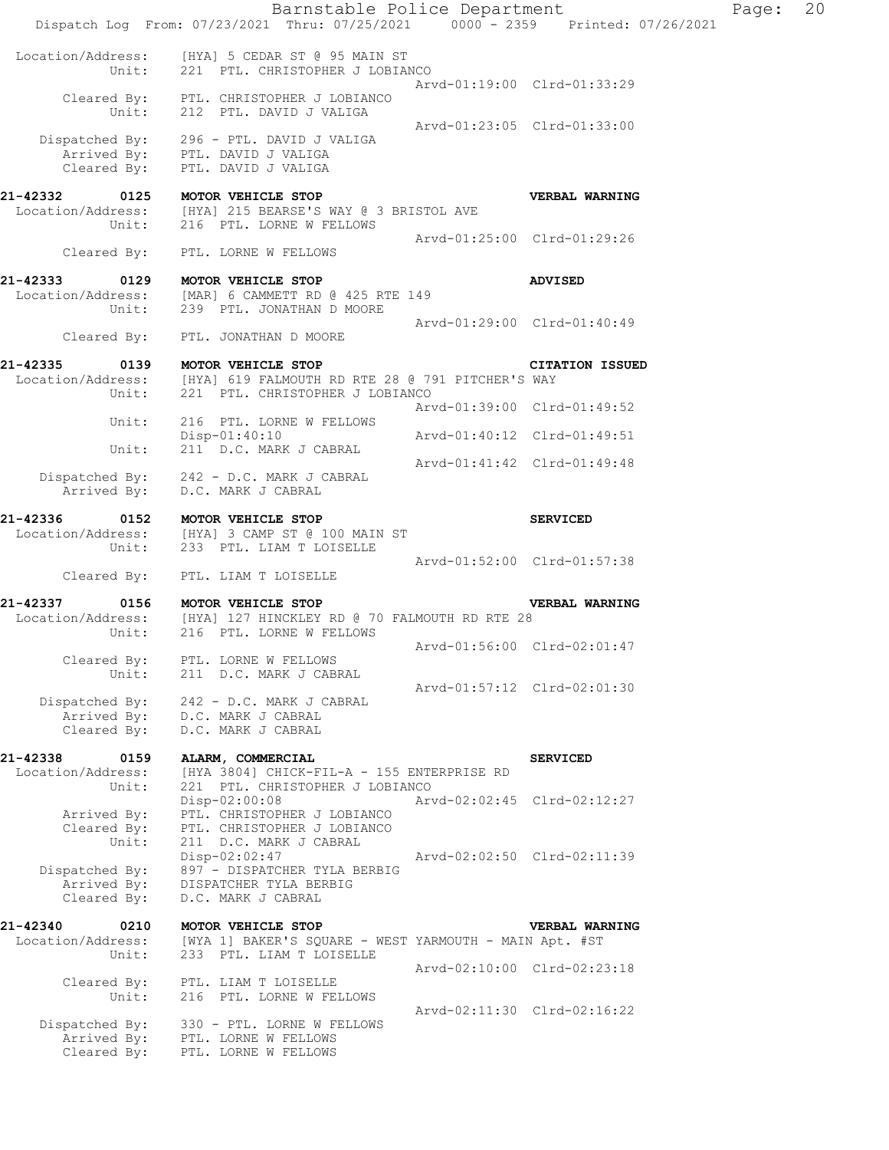|                                                | Barnstable Police Department<br>Dispatch Log From: 07/23/2021 Thru: 07/25/2021 0000 - 2359 Printed: 07/26/2021    |                             |                             | Page: | 20 |
|------------------------------------------------|-------------------------------------------------------------------------------------------------------------------|-----------------------------|-----------------------------|-------|----|
| Location/Address:<br>Unit:                     | [HYA] 5 CEDAR ST @ 95 MAIN ST<br>221 PTL. CHRISTOPHER J LOBIANCO                                                  |                             | Arvd-01:19:00 Clrd-01:33:29 |       |    |
| Unit:                                          | Cleared By: PTL. CHRISTOPHER J LOBIANCO<br>212 PTL. DAVID J VALIGA                                                |                             |                             |       |    |
|                                                | Dispatched By: 296 - PTL. DAVID J VALIGA<br>Arrived By: PTL. DAVID J VALIGA<br>Cleared By: PTL. DAVID J VALIGA    | Arvd-01:23:05 Clrd-01:33:00 |                             |       |    |
| 21-42332 0125 MOTOR VEHICLE STOP<br>Unit:      | Location/Address: [HYA] 215 BEARSE'S WAY @ 3 BRISTOL AVE<br>216 PTL. LORNE W FELLOWS                              |                             | VERBAL WARNING              |       |    |
| Cleared By:                                    | PTL. LORNE W FELLOWS                                                                                              | Arvd-01:25:00 Clrd-01:29:26 |                             |       |    |
| 21-42333<br>0129<br>Unit:                      | MOTOR VEHICLE STOP<br>Location/Address: [MAR] 6 CAMMETT RD @ 425 RTE 149<br>239 PTL. JONATHAN D MOORE             |                             | <b>ADVISED</b>              |       |    |
| Cleared By:                                    | PTL. JONATHAN D MOORE                                                                                             | Arvd-01:29:00 Clrd-01:40:49 |                             |       |    |
| 21-42335<br>0139<br>Location/Address:<br>Unit: | MOTOR VEHICLE STOP<br>[HYA] 619 FALMOUTH RD RTE 28 @ 791 PITCHER'S WAY<br>221 PTL. CHRISTOPHER J LOBIANCO         |                             | CITATION ISSUED             |       |    |
| Unit:                                          | 216 PTL. LORNE W FELLOWS                                                                                          | Arvd-01:39:00 Clrd-01:49:52 |                             |       |    |
| Unit:                                          | Disp-01:40:10<br>211 D.C. MARK J CABRAL                                                                           | Arvd-01:40:12 Clrd-01:49:51 |                             |       |    |
|                                                | Dispatched By: 242 - D.C. MARK J CABRAL                                                                           | Arvd-01:41:42 Clrd-01:49:48 |                             |       |    |
| Arrived By:                                    | D.C. MARK J CABRAL                                                                                                |                             |                             |       |    |
| 21-42336<br>0152<br>Location/Address:<br>Unit: | MOTOR VEHICLE STOP<br>[HYA] 3 CAMP ST @ 100 MAIN ST<br>233 PTL. LIAM T LOISELLE                                   | Arvd-01:52:00 Clrd-01:57:38 | <b>SERVICED</b>             |       |    |
| Cleared By:                                    | PTL. LIAM T LOISELLE                                                                                              |                             |                             |       |    |
| 21-42337<br>0156<br>Unit:                      | MOTOR VEHICLE STOP<br>Location/Address: [HYA] 127 HINCKLEY RD @ 70 FALMOUTH RD RTE 28<br>216 PTL. LORNE W FELLOWS |                             | VERBAL WARNING              |       |    |
| Cleared By:<br>Unit:                           | PTL. LORNE W FELLOWS<br>211 D.C. MARK J CABRAL                                                                    |                             | Arvd-01:56:00 Clrd-02:01:47 |       |    |
| Dispatched By:<br>Arrived By:<br>Cleared By:   | 242 - D.C. MARK J CABRAL<br>D.C. MARK J CABRAL<br>D.C. MARK J CABRAL                                              |                             | Arvd-01:57:12 Clrd-02:01:30 |       |    |
| 21-42338<br>0159<br>Location/Address:          | ALARM, COMMERCIAL<br>[HYA 3804] CHICK-FIL-A - 155 ENTERPRISE RD                                                   |                             | <b>SERVICED</b>             |       |    |
| Unit:<br>Arrived By:<br>Cleared By:            | 221 PTL. CHRISTOPHER J LOBIANCO<br>Disp-02:00:08<br>PTL. CHRISTOPHER J LOBIANCO<br>PTL. CHRISTOPHER J LOBIANCO    |                             | Arvd-02:02:45 Clrd-02:12:27 |       |    |
| Unit:<br>Dispatched By:<br>Arrived By:         | 211 D.C. MARK J CABRAL<br>Disp-02:02:47<br>897 - DISPATCHER TYLA BERBIG<br>DISPATCHER TYLA BERBIG                 | Arvd-02:02:50 Clrd-02:11:39 |                             |       |    |
| Cleared By:                                    | D.C. MARK J CABRAL                                                                                                |                             |                             |       |    |
| 21-42340<br>0210<br>Location/Address:<br>Unit: | MOTOR VEHICLE STOP<br>[WYA 1] BAKER'S SQUARE - WEST YARMOUTH - MAIN Apt. #ST<br>233 PTL. LIAM T LOISELLE          |                             | VERBAL WARNING              |       |    |
| Cleared By:<br>Unit:                           | PTL. LIAM T LOISELLE<br>216 PTL. LORNE W FELLOWS                                                                  |                             | Arvd-02:10:00 Clrd-02:23:18 |       |    |
| Dispatched By:<br>Arrived By:<br>Cleared By:   | 330 - PTL. LORNE W FELLOWS<br>PTL. LORNE W FELLOWS<br>PTL. LORNE W FELLOWS                                        | Arvd-02:11:30 Clrd-02:16:22 |                             |       |    |
|                                                |                                                                                                                   |                             |                             |       |    |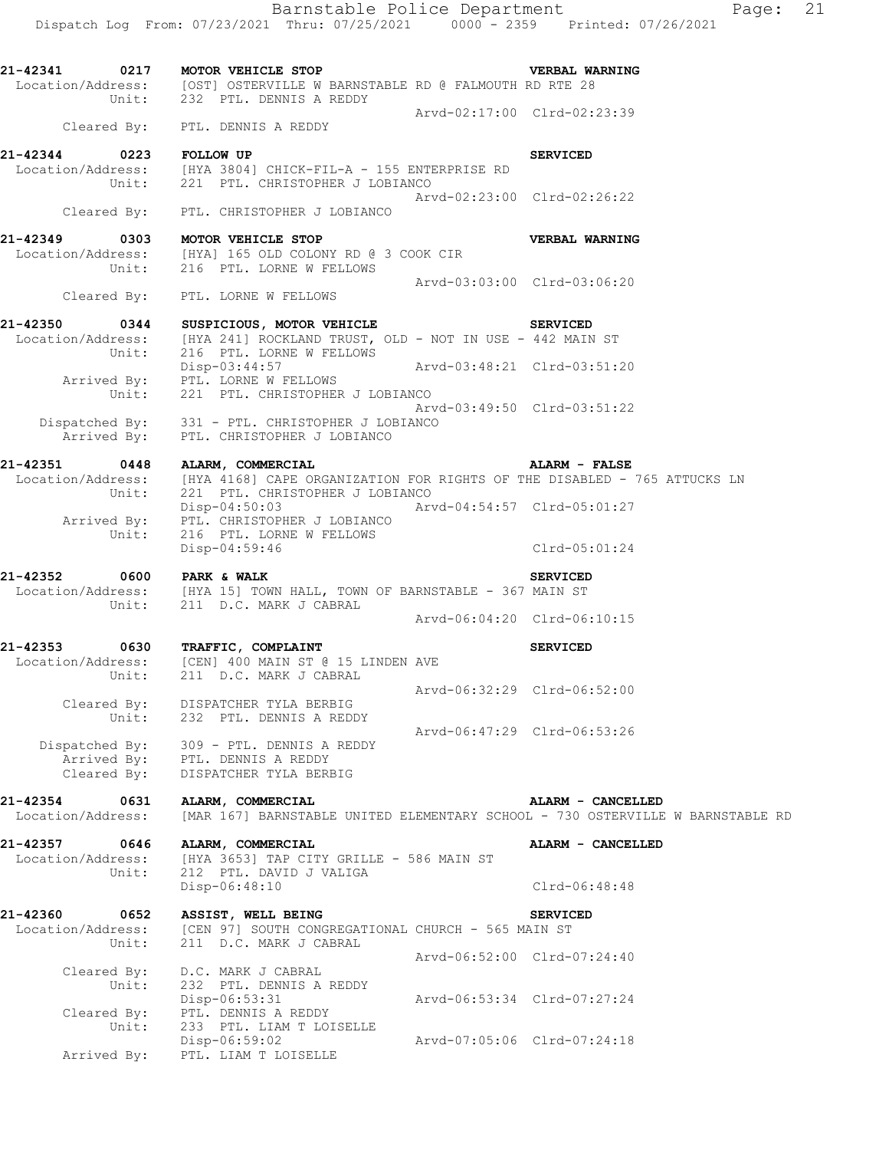Barnstable Police Department Fage: 21 Dispatch Log From: 07/23/2021 Thru: 07/25/2021 0000 - 2359 Printed: 07/26/2021 **21-42341 0217 MOTOR VEHICLE STOP VERBAL WARNING**  Location/Address: [OST] OSTERVILLE W BARNSTABLE RD @ FALMOUTH RD RTE 28 Unit: 232 PTL. DENNIS A REDDY Arvd-02:17:00 Clrd-02:23:39 Cleared By: PTL. DENNIS A REDDY **21-42344 0223 FOLLOW UP SERVICED**  Location/Address: [HYA 3804] CHICK-FIL-A - 155 ENTERPRISE RD Unit: 221 PTL. CHRISTOPHER J LOBIANCO Arvd-02:23:00 Clrd-02:26:22 Cleared By: PTL. CHRISTOPHER J LOBIANCO **21-42349 0303 MOTOR VEHICLE STOP VERBAL WARNING**  Location/Address: [HYA] 165 OLD COLONY RD @ 3 COOK CIR Unit: 216 PTL. LORNE W FELLOWS Arvd-03:03:00 Clrd-03:06:20 Cleared By: PTL. LORNE W FELLOWS **21-42350 0344 SUSPICIOUS, MOTOR VEHICLE SERVICED**  Location/Address: [HYA 241] ROCKLAND TRUST, OLD - NOT IN USE - 442 MAIN ST<br>Unit: 216 PTL. LORNE W FELLOWS Unit: 216 PTL. LORNE W FELLOWS Disp-03:44:57 Arvd-03:48:21 Clrd-03:51:20

 Arrived By: PTL. LORNE W FELLOWS Unit: 221 PTL. CHRISTOPHER J LOBIANCO

 Dispatched By: 331 - PTL. CHRISTOPHER J LOBIANCO Arrived By: PTL. CHRISTOPHER J LOBIANCO

**21-42351 0448 ALARM, COMMERCIAL ALARM - FALSE**  Location/Address: [HYA 4168] CAPE ORGANIZATION FOR RIGHTS OF THE DISABLED - 765 ATTUCKS LN Unit: 221 PTL. CHRISTOPHER J LOBIANCO Arrived By: PTL. CHRISTOPHER J LOBIANCO

**21-42352** 0600 PARK & WALK 0 0600 PARK & WALK Location/Address: [HYA 15] TOWN HALL, TOWN OF BARNSTABLE - 367 MAIN ST Unit: 211 D.C. MARK J CABRAL 211 D.C. MARK J CABRAL<br>Arvd-06:04:20 Clrd-06:10:15

**21-42353 0630 TRAFFIC, COMPLAINT SERVICED**  Location/Address: [CEN] 400 MAIN ST @ 15 LINDEN AVE Unit: 211 D.C. MARK J CABRAL Arvd-06:32:29 Clrd-06:52:00 Cleared By: DISPATCHER TYLA BERBIG Unit: 232 PTL. DENNIS A REDDY Arvd-06:47:29 Clrd-06:53:26

 Dispatched By: 309 - PTL. DENNIS A REDDY Arrived By: PTL. DENNIS A REDDY Cleared By: DISPATCHER TYLA BERBIG

**21-42354 0631 ALARM, COMMERCIAL ALARM - CANCELLED**  Location/Address: [MAR 167] BARNSTABLE UNITED ELEMENTARY SCHOOL - 730 OSTERVILLE W BARNSTABLE RD

**21-42357 0646 ALARM, COMMERCIAL ALARM - CANCELLED**  Location/Address: [HYA 3653] TAP CITY GRILLE - 586 MAIN ST Unit: 212 PTL. DAVID J VALIGA Disp-06:48:10 Clrd-06:48:48

**21-42360 0652 ASSIST, WELL BEING SERVICED**  Location/Address: [CEN 97] SOUTH CONGREGATIONAL CHURCH - 565 MAIN ST Unit: 211 D.C. MARK J CABRAL Arvd-06:52:00 Clrd-07:24:40 Cleared By: D.C. MARK J CABRAL Unit: 232 PTL. DENNIS A REDDY Disp-06:53:31 Arvd-06:53:34 Clrd-07:27:24 Cleared By: PTL. DENNIS A REDDY Unit: 233 PTL. LIAM T LOISELLE Disp-06:59:02 Arvd-07:05:06 Clrd-07:24:18 Arrived By: PTL. LIAM T LOISELLE

Disp-04:50:03 Arvd-04:54:57 Clrd-05:01:27

Arvd-03:49:50 Clrd-03:51:22

 Unit: 216 PTL. LORNE W FELLOWS Disp-04:59:46 Clrd-05:01:24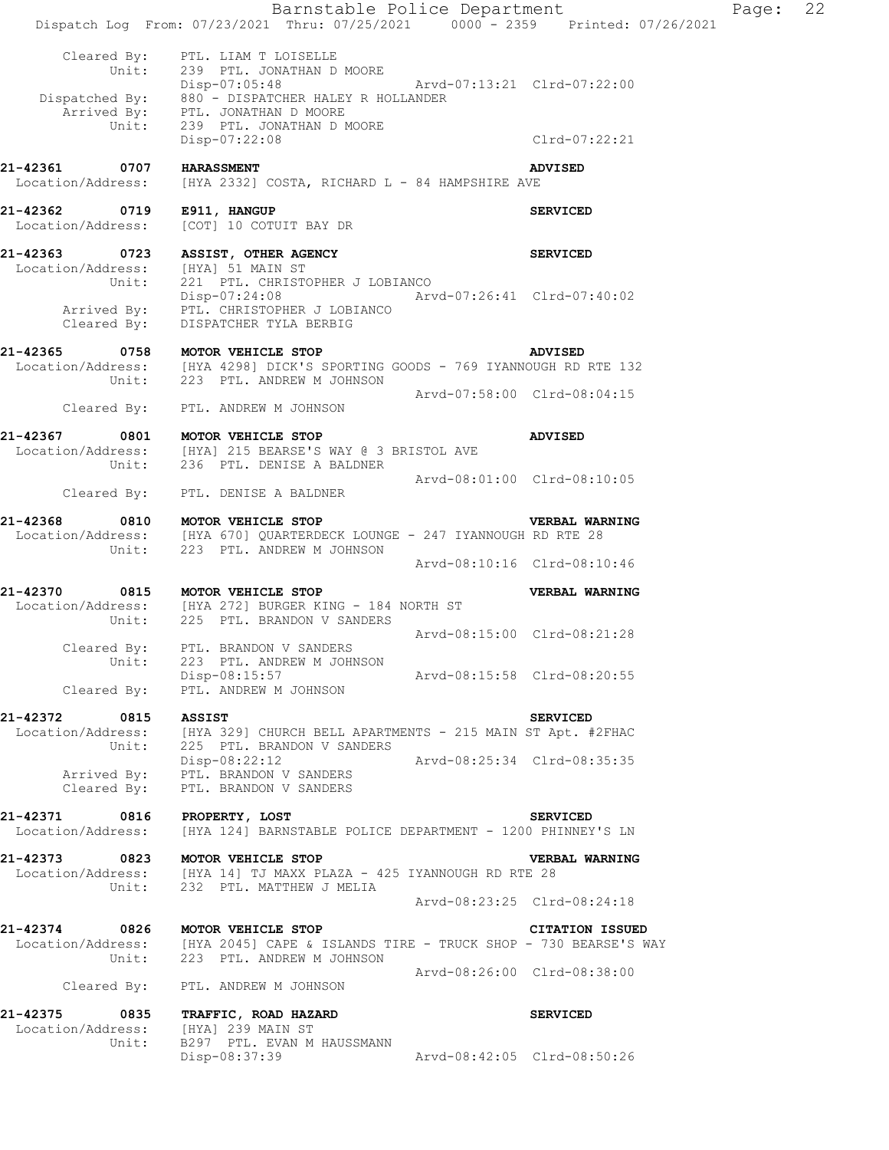Barnstable Police Department Fage: 22 Dispatch Log From: 07/23/2021 Thru: 07/25/2021 0000 - 2359 Printed: 07/26/2021 Cleared By: PTL. LIAM T LOISELLE Unit: 239 PTL. JONATHAN D MOORE Disp-07:05:48 Arvd-07:13:21 Clrd-07:22:00 Dispatched By: 880 - DISPATCHER HALEY R HOLLANDER Arrived By: PTL. JONATHAN D MOORE Unit: 239 PTL. JONATHAN D MOORE Disp-07:22:08 Clrd-07:22:21 **21-42361 0707 HARASSMENT**<br>Location/Address: [HYA 2332] COSTA, RICHARD L - 84 HAMPSHIRE AVE [HYA 2332] COSTA, RICHARD L - 84 HAMPSHIRE AVE **21-42362 0719 E911, HANGUP SERVICED**  Location/Address: [COT] 10 COTUIT BAY DR **21-42363 0723 ASSIST, OTHER AGENCY SERVICED**  Location/Address: [HYA] 51 MAIN ST Unit: 221 PTL. CHRISTOPHER J LOBIANCO Disp-07:24:08 Arvd-07:26:41 Clrd-07:40:02 Arrived By: PTL. CHRISTOPHER J LOBIANCO Cleared By: DISPATCHER TYLA BERBIG **21-42365 0758 MOTOR VEHICLE STOP ADVISED**  [HYA 4298] DICK'S SPORTING GOODS - 769 IYANNOUGH RD RTE 132 Unit: 223 PTL. ANDREW M JOHNSON Arvd-07:58:00 Clrd-08:04:15 Cleared By: PTL. ANDREW M JOHNSON **21-42367 0801 MOTOR VEHICLE STOP ADVISED**  Location/Address: [HYA] 215 BEARSE'S WAY @ 3 BRISTOL AVE Unit: 236 PTL. DENISE A BALDNER Arvd-08:01:00 Clrd-08:10:05 Cleared By: PTL. DENISE A BALDNER **21-42368 0810 MOTOR VEHICLE STOP VERBAL WARNING**  [HYA 670] QUARTERDECK LOUNGE - 247 IYANNOUGH RD RTE 28 Unit: 223 PTL. ANDREW M JOHNSON Arvd-08:10:16 Clrd-08:10:46 **21-42370 0815 MOTOR VEHICLE STOP VERBAL WARNING**  Location/Address: [HYA 272] BURGER KING - 184 NORTH ST Unit: 225 PTL. BRANDON V SANDERS Arvd-08:15:00 Clrd-08:21:28 Cleared By: PTL. BRANDON V SANDERS Unit: 223 PTL. ANDREW M JOHNSON<br>Disp-08:15:57 Arvd-08:15:58 Clrd-08:20:55 Cleared By: PTL. ANDREW M JOHNSON **21-42372 0815 ASSIST SERVICED**  Location/Address: [HYA 329] CHURCH BELL APARTMENTS - 215 MAIN ST Apt. #2FHAC Unit: 225 PTL. BRANDON V SANDERS Disp-08:22:12 Arvd-08:25:34 Clrd-08:35:35 Arrived By: PTL. BRANDON V SANDERS Cleared By: PTL. BRANDON V SANDERS **21-42371 0816 PROPERTY, LOST SERVICED**  Location/Address: [HYA 124] BARNSTABLE POLICE DEPARTMENT - 1200 PHINNEY'S LN **21-42373 0823 MOTOR VEHICLE STOP VERBAL WARNING**  Location/Address: [HYA 14] TJ MAXX PLAZA - 425 IYANNOUGH RD RTE 28 Unit: 232 PTL. MATTHEW J MELIA Arvd-08:23:25 Clrd-08:24:18 **21-42374 0826 MOTOR VEHICLE STOP CITATION ISSUED**  Location/Address: [HYA 2045] CAPE & ISLANDS TIRE - TRUCK SHOP - 730 BEARSE'S WAY Unit: 223 PTL. ANDREW M JOHNSON Arvd-08:26:00 Clrd-08:38:00 Cleared By: PTL. ANDREW M JOHNSON **21-42375 0835 TRAFFIC, ROAD HAZARD SERVICED**  Location/Address: [HYA] 239 MAIN ST Unit: B297 PTL. EVAN M HAUSSMANN Disp-08:37:39 Arvd-08:42:05 Clrd-08:50:26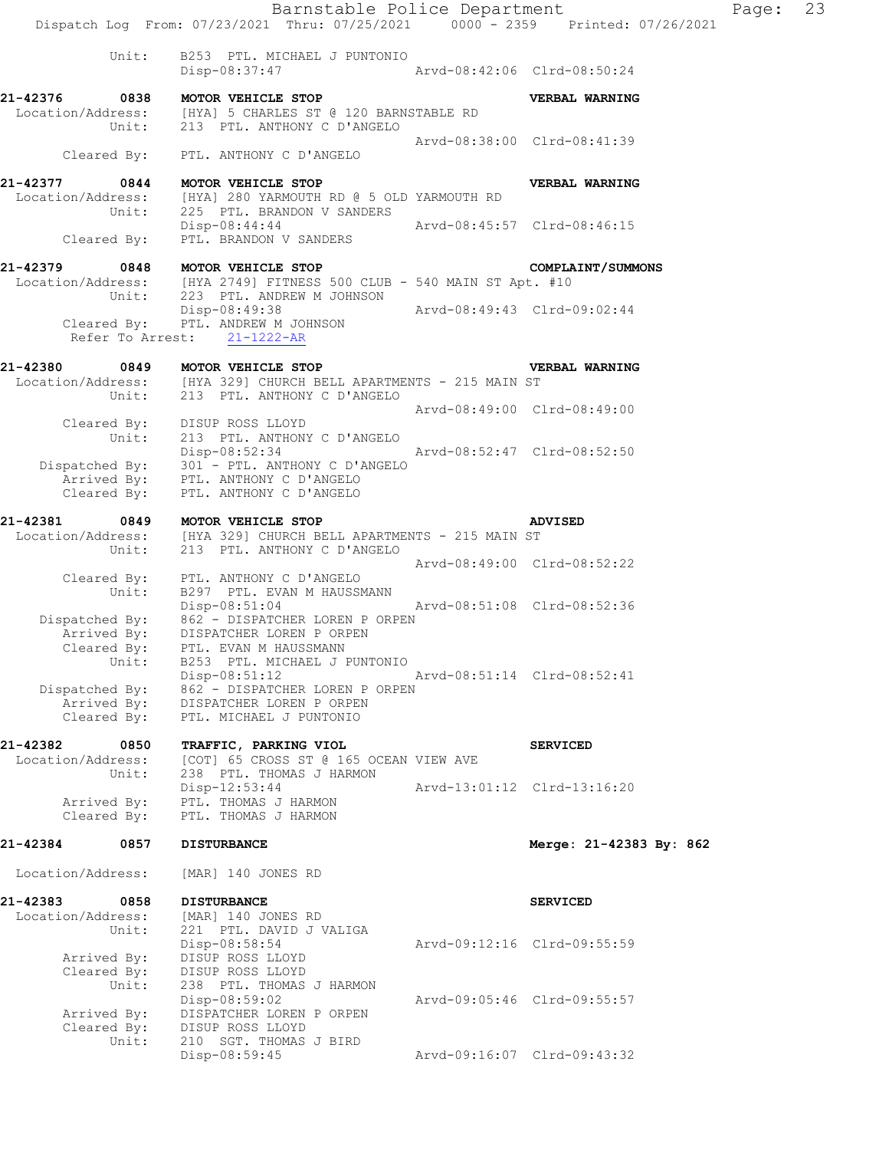Barnstable Police Department Page: 23 Dispatch Log From: 07/23/2021 Thru: 07/25/2021 0000 - 2359 Printed: 07/26/2021 Unit: B253 PTL. MICHAEL J PUNTONIO<br>Disp-08:37:47 Disp-08:37:47 Arvd-08:42:06 Clrd-08:50:24 **21-42376 0838 MOTOR VEHICLE STOP VERBAL WARNING**  Location/Address: [HYA] 5 CHARLES ST @ 120 BARNSTABLE RD Unit: 213 PTL. ANTHONY C D'ANGELO Arvd-08:38:00 Clrd-08:41:39 Cleared By: PTL. ANTHONY C D'ANGELO **21-42377 0844 MOTOR VEHICLE STOP VERBAL WARNING**  Location/Address: [HYA] 280 YARMOUTH RD @ 5 OLD YARMOUTH RD Unit: 225 PTL. BRANDON V SANDERS Disp-08:44:44 Arvd-08:45:57 Clrd-08:46:15 Cleared By: PTL. BRANDON V SANDERS **21-42379 0848 MOTOR VEHICLE STOP COMPLAINT/SUMMONS**<br>Location/Address: [HYA 2749] FITNESS 500 CLUB - 540 MAIN ST Apt. #10 Location/Address: [HYA 2749] FITNESS 500 CLUB - 540 MAIN ST Apt. #10 Unit: 223 PTL. ANDREW M JOHNSON Disp-08:49:38 Arvd-08:49:43 Clrd-09:02:44 Cleared By: PTL. ANDREW M JOHNSON Refer To Arrest: 21-1222-AR **21-42380 0849 MOTOR VEHICLE STOP VERBAL WARNING**  Location/Address: [HYA 329] CHURCH BELL APARTMENTS - 215 MAIN ST Unit: 213 PTL. ANTHONY C D'ANGELO Arvd-08:49:00 Clrd-08:49:00 Cleared By: DISUP ROSS LLOYD Unit: 213 PTL. ANTHONY C D'ANGELO Disp-08:52:34 Arvd-08:52:47 Clrd-08:52:50 Dispatched By: 301 - PTL. ANTHONY C D'ANGELO Arrived By: PTL. ANTHONY C D'ANGELO Cleared By: PTL. ANTHONY C D'ANGELO **21-42381 0849 MOTOR VEHICLE STOP ADVISED**  Location/Address: [HYA 329] CHURCH BELL APARTMENTS - 215 MAIN ST Unit: 213 PTL. ANTHONY C D'ANGELO Arvd-08:49:00 Clrd-08:52:22 Cleared By: PTL. ANTHONY C D'ANGELO Unit: B297 PTL. EVAN M HAUSSMANN Disp-08:51:04 Arvd-08:51:08 Clrd-08:52:36 Dispatched By: 862 - DISPATCHER LOREN P ORPEN Arrived By: DISPATCHER LOREN P ORPEN Cleared By: PTL. EVAN M HAUSSMANN Unit: B253 PTL. MICHAEL J PUNTONIO Disp-08:51:12 Arvd-08:51:14 Clrd-08:52:41 Dispatched By: 862 - DISPATCHER LOREN P ORPEN Arrived By: DISPATCHER LOREN P ORPEN Cleared By: PTL. MICHAEL J PUNTONIO **21-42382 0850 TRAFFIC, PARKING VIOL SERVICED**  Location/Address: [COT] 65 CROSS ST @ 165 OCEAN VIEW AVE Unit: 238 PTL. THOMAS J HARMON 238 PTL. THOMAS J HARMON<br>Disp-12:53:44 Arvd-13:01:12 Clrd-13:16:20 Arrived By: PTL. THOMAS J HARMON Cleared By: PTL. THOMAS J HARMON **21-42384 0857 DISTURBANCE Merge: 21-42383 By: 862**  Location/Address: [MAR] 140 JONES RD **21-42383 0858 DISTURBANCE SERVICED**  Location/Address: [MAR] 140 JONES RD Unit: 221 PTL. DAVID J VALIGA<br>Disp-08:58:54 Disp-08:58:54 Arvd-09:12:16 Clrd-09:55:59 Arrived By: DISUP ROSS LLOYD Cleared By: DISUP ROSS LLOYD Unit: 238 PTL. THOMAS J HARMON Disp-08:59:02 Arvd-09:05:46 Clrd-09:55:57 Arrived By: DISPATCHER LOREN P ORPEN Cleared By: DISUP ROSS LLOYD Unit: 210 SGT. THOMAS J BIRD

Disp-08:59:45 Arvd-09:16:07 Clrd-09:43:32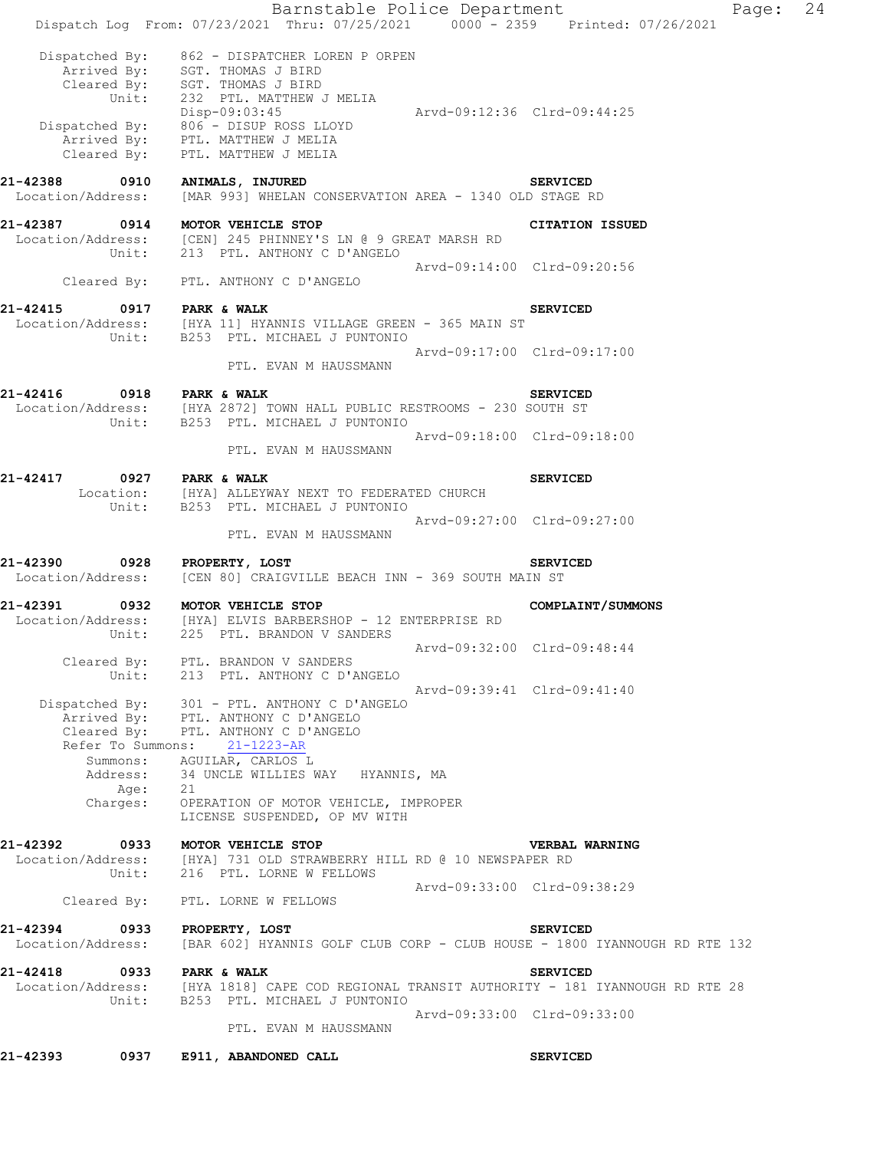|                                                | Barnstable Police Department<br>Dispatch Log From: 07/23/2021 Thru: 07/25/2021 0000 - 2359 Printed: 07/26/2021                                                                           |                             |                        | Page: | 24 |
|------------------------------------------------|------------------------------------------------------------------------------------------------------------------------------------------------------------------------------------------|-----------------------------|------------------------|-------|----|
|                                                |                                                                                                                                                                                          |                             |                        |       |    |
| Dispatched By:<br>Unit:                        | 862 - DISPATCHER LOREN P ORPEN<br>Arrived By: SGT. THOMAS J BIRD<br>Cleared By: SGT. THOMAS J BIRD<br>232 PTL. MATTHEW J MELIA<br>Disp-09:03:45<br>Dispatched By: 806 - DISUP ROSS LLOYD | Arvd-09:12:36 Clrd-09:44:25 |                        |       |    |
|                                                | Arrived By: PTL. MATTHEW J MELIA<br>Cleared By: PTL. MATTHEW J MELIA                                                                                                                     |                             |                        |       |    |
| 21-42388<br>0910<br>Location/Address:          | ANIMALS, INJURED<br>[MAR 993] WHELAN CONSERVATION AREA - 1340 OLD STAGE RD                                                                                                               |                             | <b>SERVICED</b>        |       |    |
| 21-42387<br>0914<br>Location/Address:<br>Unit: | MOTOR VEHICLE STOP<br>[CEN] 245 PHINNEY'S LN @ 9 GREAT MARSH RD<br>213 PTL. ANTHONY C D'ANGELO                                                                                           |                             | <b>CITATION ISSUED</b> |       |    |
| Cleared By:                                    | PTL. ANTHONY C D'ANGELO                                                                                                                                                                  | Arvd-09:14:00 Clrd-09:20:56 |                        |       |    |
| 21-42415                                       | 0917 PARK & WALK                                                                                                                                                                         |                             | <b>SERVICED</b>        |       |    |
|                                                | Location/Address: [HYA 11] HYANNIS VILLAGE GREEN - 365 MAIN ST Unit: B253 PTL. MICHAEL J PUNTONIO                                                                                        |                             |                        |       |    |
|                                                | PTL. EVAN M HAUSSMANN                                                                                                                                                                    | Arvd-09:17:00 Clrd-09:17:00 |                        |       |    |
| 21-42416                                       | 0918 PARK & WALK<br>Location/Address: [HYA 2872] TOWN HALL PUBLIC RESTROOMS - 230 SOUTH ST<br>Unit: B253 PTL. MICHAEL J PUNTONIO                                                         |                             | <b>SERVICED</b>        |       |    |
|                                                | PTL. EVAN M HAUSSMANN                                                                                                                                                                    | Arvd-09:18:00 Clrd-09:18:00 |                        |       |    |
| 21-42417                                       | 0927 PARK & WALK                                                                                                                                                                         |                             | <b>SERVICED</b>        |       |    |
|                                                | Location: [HYA] ALLEYWAY NEXT TO FEDERATED CHURCH<br>Unit: B253 PTL. MICHAEL J PUNTONIO                                                                                                  |                             |                        |       |    |
|                                                | PTL. EVAN M HAUSSMANN                                                                                                                                                                    | Arvd-09:27:00 Clrd-09:27:00 |                        |       |    |
| 0928<br>21-42390<br>Location/Address:          | PROPERTY, LOST<br>[CEN 80] CRAIGVILLE BEACH INN - 369 SOUTH MAIN ST                                                                                                                      |                             | <b>SERVICED</b>        |       |    |
| 21-42391<br>0932                               | MOTOR VEHICLE STOP<br>$Location/Address:$ [HYA] ELVIS BARBERSHOP - 12 ENTERPRISE RD<br>Unit: 225 PTL. BRANDON V SANDERS                                                                  |                             | COMPLAINT/SUMMONS      |       |    |
|                                                |                                                                                                                                                                                          | Arvd-09:32:00 Clrd-09:48:44 |                        |       |    |
|                                                | Cleared By: PTL. BRANDON V SANDERS<br>Unit: 213 PTL. ANTHONY C D'ANGELO                                                                                                                  | Arvd-09:39:41 Clrd-09:41:40 |                        |       |    |
|                                                | Dispatched By: 301 - PTL. ANTHONY C D'ANGELO<br>Arrived By: PTL. ANTHONY C D'ANGELO<br>Cleared By: PTL. ANTHONY C D'ANGELO                                                               |                             |                        |       |    |
|                                                | Refer To Summons: 21-1223-AR                                                                                                                                                             |                             |                        |       |    |
| Summons:<br>Address:<br>Aqe:                   | AGUILAR, CARLOS L<br>34 UNCLE WILLIES WAY HYANNIS, MA<br>21                                                                                                                              |                             |                        |       |    |
| Charges:                                       | OPERATION OF MOTOR VEHICLE, IMPROPER<br>LICENSE SUSPENDED, OP MV WITH                                                                                                                    |                             |                        |       |    |
|                                                | 21-42392 0933 MOTOR VEHICLE STOP                                                                                                                                                         |                             | <b>VERBAL WARNING</b>  |       |    |
|                                                | Location/Address: [HYA] 731 OLD STRAWBERRY HILL RD @ 10 NEWSPAPER RD<br>Unit: 216 PTL. LORNE W FELLOWS                                                                                   |                             |                        |       |    |
|                                                | Cleared By: PTL. LORNE W FELLOWS                                                                                                                                                         | Arvd-09:33:00 Clrd-09:38:29 |                        |       |    |
| 21-42394<br>Location/Address:                  | 0933 PROPERTY, LOST<br>[BAR 602] HYANNIS GOLF CLUB CORP - CLUB HOUSE - 1800 IYANNOUGH RD RTE 132                                                                                         |                             | <b>SERVICED</b>        |       |    |
| 21-42418 0933 PARK & WALK                      |                                                                                                                                                                                          |                             | <b>SERVICED</b>        |       |    |
|                                                | Location/Address: [HYA 1818] CAPE COD REGIONAL TRANSIT AUTHORITY - 181 IYANNOUGH RD RTE 28<br>Unit: B253 PTL. MICHAEL J PUNTONIO                                                         |                             |                        |       |    |
|                                                | PTL. EVAN M HAUSSMANN                                                                                                                                                                    | Arvd-09:33:00 Clrd-09:33:00 |                        |       |    |
| 21-42393<br>0937                               | E911, ABANDONED CALL                                                                                                                                                                     |                             | <b>SERVICED</b>        |       |    |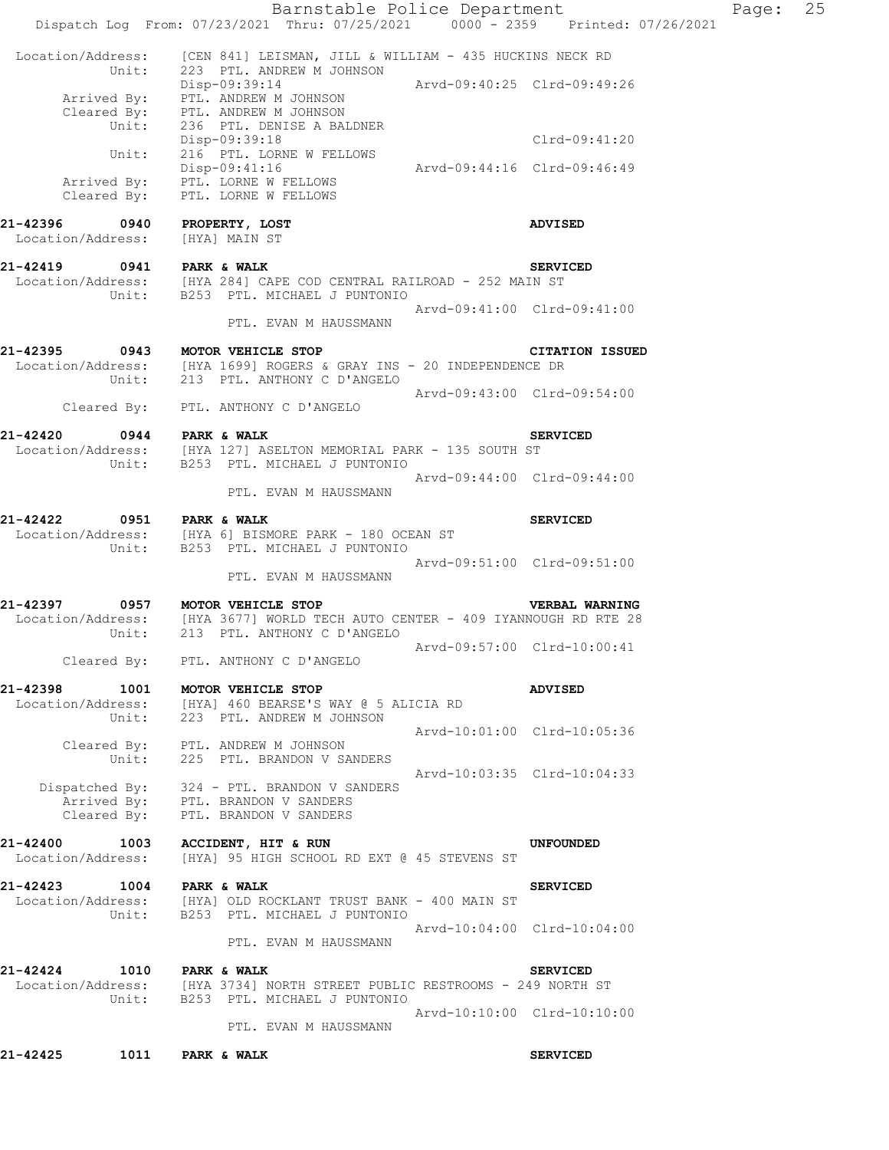|                                       | Barnstable Police Department                                                                                                                 |                             |                             | Page: | 25 |
|---------------------------------------|----------------------------------------------------------------------------------------------------------------------------------------------|-----------------------------|-----------------------------|-------|----|
|                                       | Dispatch Log From: 07/23/2021 Thru: 07/25/2021 0000 - 2359 Printed: 07/26/2021                                                               |                             |                             |       |    |
| Unit:                                 | Location/Address: [CEN 841] LEISMAN, JILL & WILLIAM - 435 HUCKINS NECK RD<br>223 PTL. ANDREW M JOHNSON                                       |                             |                             |       |    |
|                                       | Disp-09:39:14<br>Arrived By: PTL. ANDREW M JOHNSON<br>Cleared By: PTL. ANDREW M JOHNSON                                                      | Arvd-09:40:25 Clrd-09:49:26 |                             |       |    |
| Unit:                                 | 236 PTL. DENISE A BALDNER<br>Disp-09:39:18                                                                                                   |                             | Clrd-09:41:20               |       |    |
| Unit:                                 | 216 PTL. LORNE W FELLOWS<br>Disp-09:41:16                                                                                                    | Arvd-09:44:16 Clrd-09:46:49 |                             |       |    |
|                                       | Arrived By: PTL. LORNE W FELLOWS<br>Cleared By: PTL. LORNE W FELLOWS                                                                         |                             |                             |       |    |
| 21-42396 0940<br>Location/Address:    | PROPERTY, LOST<br>[HYA] MAIN ST                                                                                                              |                             | ADVISED                     |       |    |
| 21-42419 0941 PARK & WALK             | Location/Address: [HYA 284] CAPE COD CENTRAL RAILROAD - 252 MAIN ST                                                                          |                             | <b>SERVICED</b>             |       |    |
| Unit:                                 | B253 PTL. MICHAEL J PUNTONIO                                                                                                                 | Arvd-09:41:00 Clrd-09:41:00 |                             |       |    |
|                                       | PTL. EVAN M HAUSSMANN                                                                                                                        |                             |                             |       |    |
|                                       | 21-42395 0943 MOTOR VEHICLE STOP<br>Location/Address: [HYA 1699] ROGERS & GRAY INS - 20 INDEPENDENCE DR<br>Unit: 213 PTL. ANTHONY C D'ANGELO |                             | <b>CITATION ISSUED</b>      |       |    |
|                                       | Cleared By: PTL. ANTHONY C D'ANGELO                                                                                                          |                             | Arvd-09:43:00 Clrd-09:54:00 |       |    |
|                                       | 21-42420 0944 PARK & WALK<br>Location/Address: [HYA 127] ASELTON MEMORIAL PARK - 135 SOUTH ST                                                |                             | <b>SERVICED</b>             |       |    |
|                                       | Unit: B253 PTL. MICHAEL J PUNTONIO<br>PTL. EVAN M HAUSSMANN                                                                                  | Arvd-09:44:00 Clrd-09:44:00 |                             |       |    |
| 21-42422                              | 0951 PARK & WALK<br>Location/Address: [HYA 6] BISMORE PARK - 180 OCEAN ST                                                                    |                             | <b>SERVICED</b>             |       |    |
| Unit:                                 | B253 PTL. MICHAEL J PUNTONIO<br>PTL. EVAN M HAUSSMANN                                                                                        | Arvd-09:51:00 Clrd-09:51:00 |                             |       |    |
|                                       | 21-42397 0957 MOTOR VEHICLE STOP                                                                                                             |                             | VERBAL WARNING              |       |    |
|                                       | Location/Address: [HYA 3677] WORLD TECH AUTO CENTER - 409 IYANNOUGH RD RTE 28<br>Unit: 213 PTL. ANTHONY C D'ANGELO                           |                             |                             |       |    |
|                                       | Cleared By: PTL. ANTHONY C D'ANGELO                                                                                                          |                             | Arvd-09:57:00 Clrd-10:00:41 |       |    |
| 21-42398<br>Unit:                     | 1001 MOTOR VEHICLE STOP<br>Location/Address: [HYA] 460 BEARSE'S WAY @ 5 ALICIA RD                                                            |                             | <b>ADVISED</b>              |       |    |
|                                       | 223 PTL. ANDREW M JOHNSON                                                                                                                    |                             | Arvd-10:01:00 Clrd-10:05:36 |       |    |
| Unit:                                 | Cleared By: PTL. ANDREW M JOHNSON<br>225 PTL. BRANDON V SANDERS                                                                              |                             |                             |       |    |
|                                       | Dispatched By: 324 - PTL. BRANDON V SANDERS<br>Arrived By: PTL. BRANDON V SANDERS<br>Cleared By: PTL. BRANDON V SANDERS                      |                             | Arvd-10:03:35 Clrd-10:04:33 |       |    |
| 21-42400<br>1003<br>Location/Address: | <b>ACCIDENT, HIT &amp; RUN</b><br>[HYA] 95 HIGH SCHOOL RD EXT @ 45 STEVENS ST                                                                |                             | <b>UNFOUNDED</b>            |       |    |
| 21-42423 1004 PARK & WALK             | Location/Address: [HYA] OLD ROCKLANT TRUST BANK - 400 MAIN ST                                                                                |                             | <b>SERVICED</b>             |       |    |
| Unit:                                 | B253 PTL. MICHAEL J PUNTONIO                                                                                                                 |                             | Arvd-10:04:00 Clrd-10:04:00 |       |    |
|                                       | PTL. EVAN M HAUSSMANN                                                                                                                        |                             |                             |       |    |
| 21-42424 1010 PARK & WALK             | Location/Address: [HYA 3734] NORTH STREET PUBLIC RESTROOMS - 249 NORTH ST<br>Unit: B253 PTL. MICHAEL J PUNTONIO                              |                             | <b>SERVICED</b>             |       |    |
|                                       | PTL. EVAN M HAUSSMANN                                                                                                                        |                             | Arvd-10:10:00 Clrd-10:10:00 |       |    |
| 21-42425                              | 1011 PARK & WALK                                                                                                                             |                             | <b>SERVICED</b>             |       |    |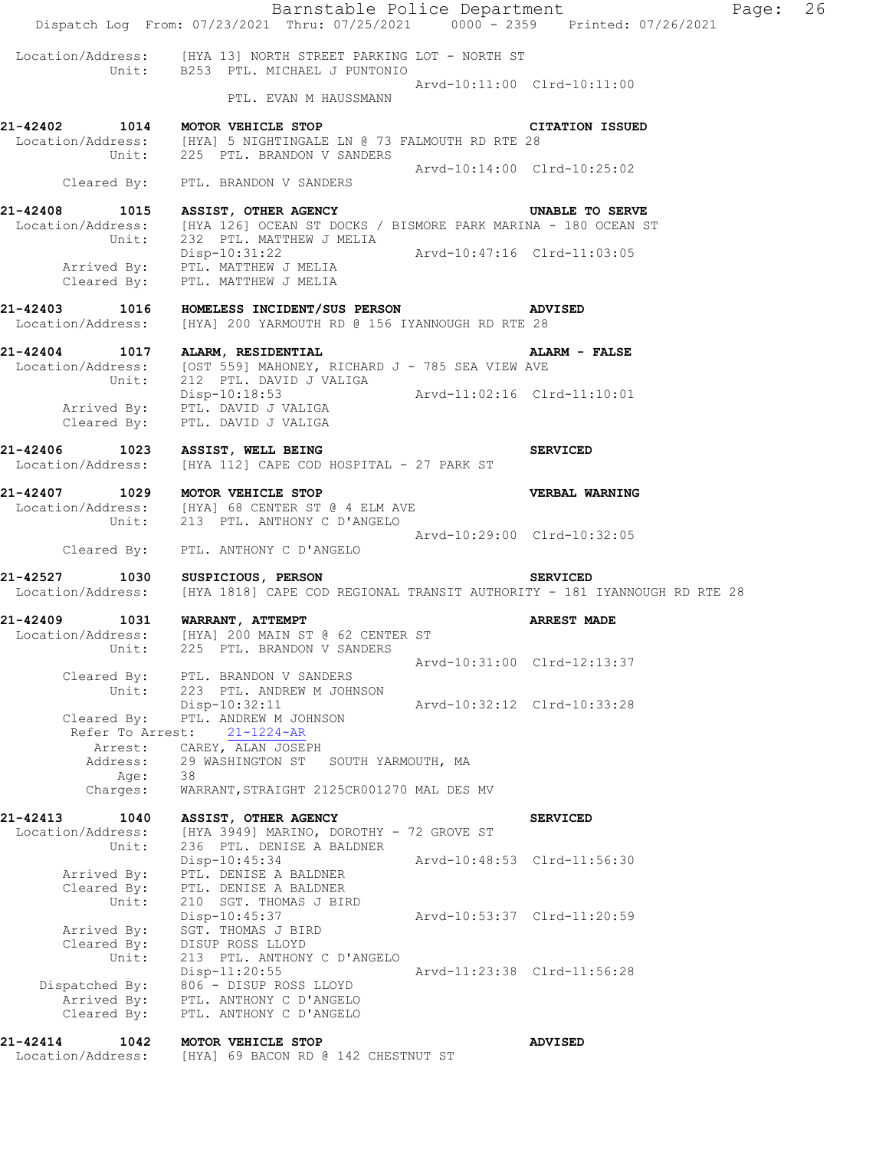Barnstable Police Department Fage: 26 Dispatch Log From: 07/23/2021 Thru: 07/25/2021 0000 - 2359 Printed: 07/26/2021 Location/Address: [HYA 13] NORTH STREET PARKING LOT - NORTH ST Unit: B253 PTL. MICHAEL J PUNTONIO Arvd-10:11:00 Clrd-10:11:00 PTL. EVAN M HAUSSMANN **21-42402 1014 MOTOR VEHICLE STOP CITATION ISSUED**  Location/Address: [HYA] 5 NIGHTINGALE LN @ 73 FALMOUTH RD RTE 28 Unit: 225 PTL. BRANDON V SANDERS Arvd-10:14:00 Clrd-10:25:02 Cleared By: PTL. BRANDON V SANDERS **21-42408 1015 ASSIST, OTHER AGENCY UNABLE TO SERVE**  Location/Address: [HYA 126] OCEAN ST DOCKS / BISMORE PARK MARINA - 180 OCEAN ST Unit: 232 PTL. MATTHEW J MELIA<br>Disp-10:31:22 Disp-10:31:22 Arvd-10:47:16 Clrd-11:03:05 Arrived By: PTL. MATTHEW J MELIA Cleared By: PTL. MATTHEW J MELIA **21-42403 1016 HOMELESS INCIDENT/SUS PERSON ADVISED**  Location/Address: [HYA] 200 YARMOUTH RD @ 156 IYANNOUGH RD RTE 28 **21-42404 1017 ALARM, RESIDENTIAL ALARM - FALSE**  Location/Address: [OST 559] MAHONEY, RICHARD J - 785 SEA VIEW AVE Unit: 212 PTL. DAVID J VALIGA Disp-10:18:53 Arvd-11:02:16 Clrd-11:10:01 Arrived By: PTL. DAVID J VALIGA Cleared By: PTL. DAVID J VALIGA **21-42406 1023 ASSIST, WELL BEING SERVICED**  Location/Address: [HYA 112] CAPE COD HOSPITAL - 27 PARK ST **21-42407 1029 MOTOR VEHICLE STOP VERBAL WARNING**  Location/Address: [HYA] 68 CENTER ST @ 4 ELM AVE Unit: 213 PTL. ANTHONY C D'ANGELO Arvd-10:29:00 Clrd-10:32:05 Cleared By: PTL. ANTHONY C D'ANGELO **21-42527 1030 SUSPICIOUS, PERSON SERVICED**  Location/Address: [HYA 1818] CAPE COD REGIONAL TRANSIT AUTHORITY - 181 IYANNOUGH RD RTE 28 **21-42409 1031 WARRANT, ATTEMPT ARREST MADE**  Location/Address: [HYA] 200 MAIN ST @ 62 CENTER ST Unit: 225 PTL. BRANDON V SANDERS Arvd-10:31:00 Clrd-12:13:37 Cleared By: PTL. BRANDON V SANDERS Unit: 223 PTL. ANDREW M JOHNSON Disp-10:32:11 Arvd-10:32:12 Clrd-10:33:28 Cleared By: PTL. ANDREW M JOHNSON Refer To Arrest: 21-1224-AR Arrest: CAREY, ALAN JOSEPH Address: 29 WASHINGTON ST SOUTH YARMOUTH, MA Age: 38 Charges: WARRANT,STRAIGHT 2125CR001270 MAL DES MV **21-42413 1040 ASSIST, OTHER AGENCY SERVICED**  Location/Address: [HYA 3949] MARINO, DOROTHY - 72 GROVE ST Unit: 236 PTL. DENISE A BALDNER Disp-10:45:34 Arvd-10:48:53 Clrd-11:56:30 Arrived By: PTL. DENISE A BALDNER Cleared By: PTL. DENISE A BALDNER Unit: 210 SGT. THOMAS J BIRD Disp-10:45:37 Arvd-10:53:37 Clrd-11:20:59 Arrived By: SGT. THOMAS J BIRD Cleared By: DISUP ROSS LLOYD Unit: 213 PTL. ANTHONY C D'ANGELO Disp-11:20:55 Arvd-11:23:38 Clrd-11:56:28 Dispatched By: 806 - DISUP ROSS LLOYD Arrived By: PTL. ANTHONY C D'ANGELO Cleared By: PTL. ANTHONY C D'ANGELO **21-42414 1042 MOTOR VEHICLE STOP ADVISED** 

Location/Address: [HYA] 69 BACON RD @ 142 CHESTNUT ST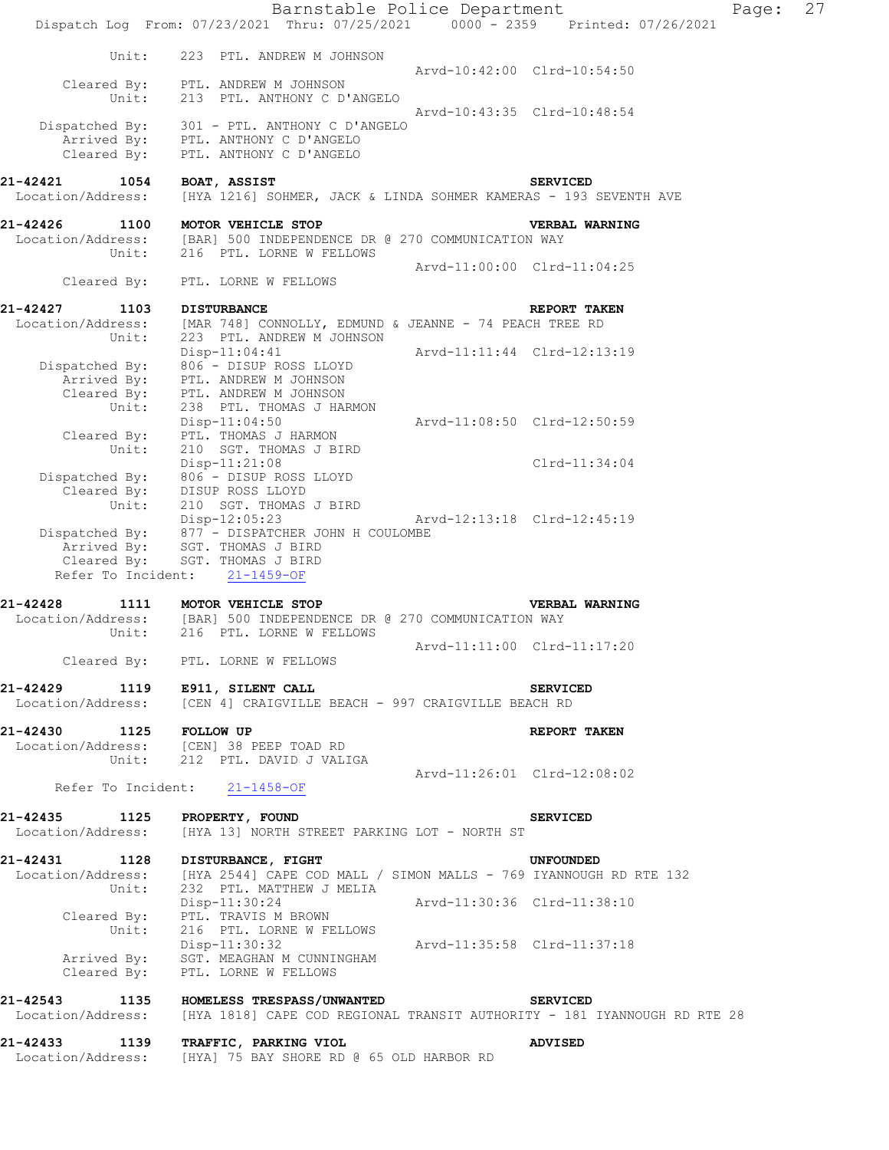|                                       | Barnstable Police Department<br>Dispatch Log From: 07/23/2021 Thru: 07/25/2021 0000 - 2359 Printed: 07/26/2021 | 27<br>Page:                 |
|---------------------------------------|----------------------------------------------------------------------------------------------------------------|-----------------------------|
| Unit:                                 | 223 PTL. ANDREW M JOHNSON                                                                                      |                             |
|                                       |                                                                                                                | Arvd-10:42:00 Clrd-10:54:50 |
| Cleared By:<br>Unit:                  | PTL. ANDREW M JOHNSON<br>213 PTL. ANTHONY C D'ANGELO                                                           |                             |
| Dispatched By:                        | 301 - PTL. ANTHONY C D'ANGELO                                                                                  | Arvd-10:43:35 Clrd-10:48:54 |
| Arrived By:                           | PTL. ANTHONY C D'ANGELO                                                                                        |                             |
| Cleared By:                           | PTL. ANTHONY C D'ANGELO                                                                                        |                             |
| 21-42421<br>1054                      | BOAT, ASSIST                                                                                                   | <b>SERVICED</b>             |
| Location/Address:                     | [HYA 1216] SOHMER, JACK & LINDA SOHMER KAMERAS - 193 SEVENTH AVE                                               |                             |
| 21-42426<br>1100                      | MOTOR VEHICLE STOP                                                                                             | <b>VERBAL WARNING</b>       |
| Location/Address:                     | [BAR] 500 INDEPENDENCE DR @ 270 COMMUNICATION WAY                                                              |                             |
| Unit:                                 | 216 PTL. LORNE W FELLOWS                                                                                       | Arvd-11:00:00 Clrd-11:04:25 |
| Cleared By:                           | PTL. LORNE W FELLOWS                                                                                           |                             |
| 21-42427<br>1103                      | <b>DISTURBANCE</b>                                                                                             | REPORT TAKEN                |
| Location/Address:                     | [MAR 748] CONNOLLY, EDMUND & JEANNE - 74 PEACH TREE RD                                                         |                             |
| Unit:                                 | 223 PTL. ANDREW M JOHNSON<br>$Disp-11:04:41$                                                                   | Arvd-11:11:44 Clrd-12:13:19 |
| Dispatched By:                        | 806 - DISUP ROSS LLOYD                                                                                         |                             |
| Arrived By:                           | PTL. ANDREW M JOHNSON                                                                                          |                             |
| Cleared By:<br>Unit:                  | PTL. ANDREW M JOHNSON<br>238 PTL. THOMAS J HARMON                                                              |                             |
|                                       | $Disp-11:04:50$                                                                                                | Arvd-11:08:50 Clrd-12:50:59 |
| Cleared By:                           | PTL. THOMAS J HARMON                                                                                           |                             |
| Unit:                                 | 210 SGT. THOMAS J BIRD<br>$Disp-11:21:08$                                                                      | $Clrd-11:34:04$             |
| Dispatched By:                        | 806 - DISUP ROSS LLOYD                                                                                         |                             |
| Cleared By:                           | DISUP ROSS LLOYD                                                                                               |                             |
| Unit:                                 | 210 SGT. THOMAS J BIRD<br>Disp-12:05:23                                                                        | Arvd-12:13:18 Clrd-12:45:19 |
| Dispatched By:                        | 877 - DISPATCHER JOHN H COULOMBE                                                                               |                             |
| Arrived By:                           | SGT. THOMAS J BIRD                                                                                             |                             |
| Cleared By:<br>Refer To Incident:     | SGT. THOMAS J BIRD<br>$21 - 1459 - OF$                                                                         |                             |
|                                       |                                                                                                                |                             |
| 21-42428<br>1111<br>Location/Address: | MOTOR VEHICLE STOP<br>[BAR] 500 INDEPENDENCE DR @ 270 COMMUNICATION WAY                                        | <b>VERBAL WARNING</b>       |
| Unit:                                 | 216 PTL. LORNE W FELLOWS                                                                                       |                             |
|                                       | Cleared By: PTL. LORNE W FELLOWS                                                                               | Arvd-11:11:00 Clrd-11:17:20 |
|                                       |                                                                                                                |                             |
| 21-42429 1119 E911, SILENT CALL       |                                                                                                                | <b>SERVICED</b>             |
|                                       | Location/Address: [CEN 4] CRAIGVILLE BEACH - 997 CRAIGVILLE BEACH RD                                           |                             |
| 21-42430 1125 FOLLOW UP               |                                                                                                                | REPORT TAKEN                |
|                                       | Location/Address: [CEN] 38 PEEP TOAD RD<br>Unit: 212 PTL. DAVID J VALIGA                                       |                             |
|                                       |                                                                                                                |                             |
|                                       | Refer To Incident: 21-1458-OF                                                                                  |                             |
| 21-42435 1125 PROPERTY, FOUND         |                                                                                                                | <b>SERVICED</b>             |
|                                       | Location/Address: [HYA 13] NORTH STREET PARKING LOT - NORTH ST                                                 |                             |
| 21-42431 1128 DISTURBANCE, FIGHT      |                                                                                                                | UNFOUNDED                   |
|                                       | Location/Address: [HYA 2544] CAPE COD MALL / SIMON MALLS - 769 IYANNOUGH RD RTE 132                            |                             |
| Unit:                                 | 232 PTL. MATTHEW J MELIA<br>Disp-11:30:24 Arvd-11:30:36 Clrd-11:38:10                                          |                             |
|                                       | Cleared By: PTL. TRAVIS M BROWN<br>Unit: 216 PTL. LORNE W FELLOWS                                              |                             |
|                                       |                                                                                                                |                             |
|                                       | Disp-11:30:32<br>Arvd-11:35:58 Clrd-11:37:18<br>Arrived By: SGT. MEAGHAN M CUNNINGHAM                          |                             |
|                                       | Cleared By: PTL. LORNE W FELLOWS                                                                               |                             |
|                                       | 21-42543 1135 HOMELESS TRESPASS/UNWANTED SERVICED                                                              |                             |
|                                       | Location/Address: [HYA 1818] CAPE COD REGIONAL TRANSIT AUTHORITY - 181 IYANNOUGH RD RTE 28                     |                             |
|                                       |                                                                                                                |                             |
|                                       | 21-42433 1139 TRAFFIC, PARKING VIOL<br>Location/Address: [HYA] 75 BAY SHORE RD @ 65 OLD HARBOR RD              | <b>ADVISED</b>              |
|                                       |                                                                                                                |                             |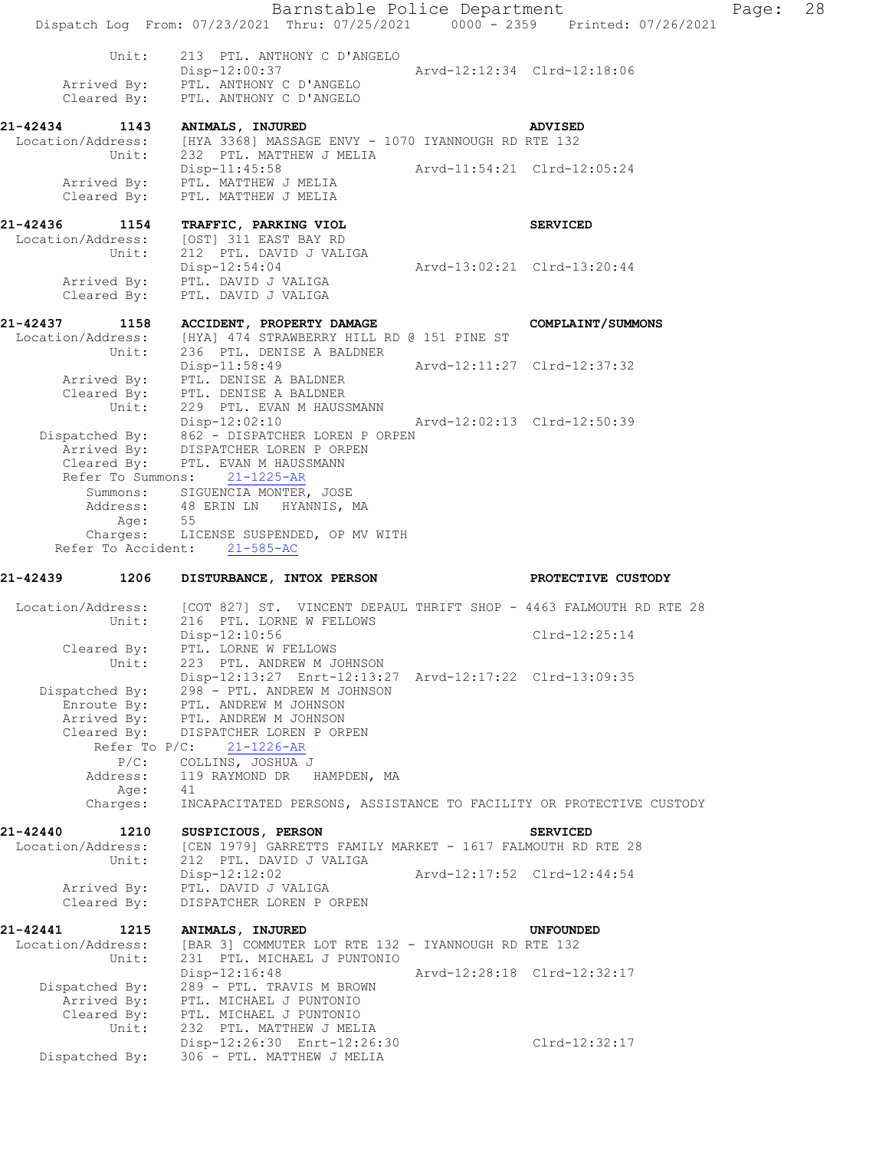Barnstable Police Department Page: 28 Dispatch Log From: 07/23/2021 Thru: 07/25/2021 0000 - 2359 Printed: 07/26/2021 Unit: 213 PTL. ANTHONY C D'ANGELO Disp-12:00:37 Arvd-12:12:34 Clrd-12:18:06 Arrived By: PTL. ANTHONY C D'ANGELO Cleared By: PTL. ANTHONY C D'ANGELO **21-42434 1143 ANIMALS, INJURED ADVISED**  Location/Address: [HYA 3368] MASSAGE ENVY - 1070 IYANNOUGH RD RTE 132 Unit: 232 PTL. MATTHEW J MELIA Disp-11:45:58 Arvd-11:54:21 Clrd-12:05:24 Arrived By: PTL. MATTHEW J MELIA Cleared By: PTL. MATTHEW J MELIA **21-42436 1154 TRAFFIC, PARKING VIOL SERVICED**  Location/Address: [OST] 311 EAST BAY RD Unit: 212 PTL. DAVID J VALIGA Disp-12:54:04 Arvd-13:02:21 Clrd-13:20:44 Arrived By: PTL. DAVID J VALIGA Cleared By: PTL. DAVID J VALIGA **21-42437 1158 ACCIDENT, PROPERTY DAMAGE COMPLAINT/SUMMONS**  Location/Address: [HYA] 474 STRAWBERRY HILL RD @ 151 PINE ST Unit: 236 PTL. DENISE A BALDNER Disp-11:58:49 Arvd-12:11:27 Clrd-12:37:32 Arrived By: PTL. DENISE A BALDNER Cleared By: PTL. DENISE A BALDNER Unit: 229 PTL. EVAN M HAUSSMANN<br>Disp-12:02:10 Disp-12:02:10 Arvd-12:02:13 Clrd-12:50:39 Dispatched By: 862 - DISPATCHER LOREN P ORPEN Arrived By: DISPATCHER LOREN P ORPEN Cleared By: PTL. EVAN M HAUSSMANN Refer To Summons: 21-1225-AR Summons: SIGUENCIA MONTER, JOSE Address: 48 ERIN LN HYANNIS, MA Age: 55 Charges: LICENSE SUSPENDED, OP MV WITH Refer To Accident: 21-585-AC **21-42439 1206 DISTURBANCE, INTOX PERSON PROTECTIVE CUSTODY**  Location/Address: [COT 827] ST. VINCENT DEPAUL THRIFT SHOP - 4463 FALMOUTH RD RTE 28 Unit: 216 PTL. LORNE W FELLOWS Disp-12:10:56 Clrd-12:25:14 Cleared By: PTL. LORNE W FELLOWS Unit: 223 PTL. ANDREW M JOHNSON Disp-12:13:27 Enrt-12:13:27 Arvd-12:17:22 Clrd-13:09:35 Dispatched By: 298 - PTL. ANDREW M JOHNSON Enroute By: PTL. ANDREW M JOHNSON Arrived By: PTL. ANDREW M JOHNSON Cleared By: DISPATCHER LOREN P ORPEN Refer To P/C: 21-1226-AR P/C: COLLINS, JOSHUA J Address: 119 RAYMOND DR HAMPDEN, MA Age: 41 Charges: INCAPACITATED PERSONS, ASSISTANCE TO FACILITY OR PROTECTIVE CUSTODY **21-42440 1210 SUSPICIOUS, PERSON SERVICED**  Location/Address: [CEN 1979] GARRETTS FAMILY MARKET - 1617 FALMOUTH RD RTE 28 Unit: 212 PTL. DAVID J VALIGA Disp-12:12:02 Arvd-12:17:52 Clrd-12:44:54 Arrived By: PTL. DAVID J VALIGA Cleared By: DISPATCHER LOREN P ORPEN **21-42441 1215 ANIMALS, INJURED UNFOUNDED**  Location/Address: [BAR 3] COMMUTER LOT RTE 132 - IYANNOUGH RD RTE 132<br>Unit: 231 PTL. MICHAEL J PUNTONIO 231 PTL. MICHAEL J PUNTONIO Disp-12:16:48 Arvd-12:28:18 Clrd-12:32:17 Dispatched By: 289 - PTL. TRAVIS M BROWN Arrived By: PTL. MICHAEL J PUNTONIO Cleared By: PTL. MICHAEL J PUNTONIO Unit: 232 PTL. MATTHEW J MELIA Disp-12:26:30 Enrt-12:26:30 Clrd-12:32:17 Dispatched By: 306 - PTL. MATTHEW J MELIA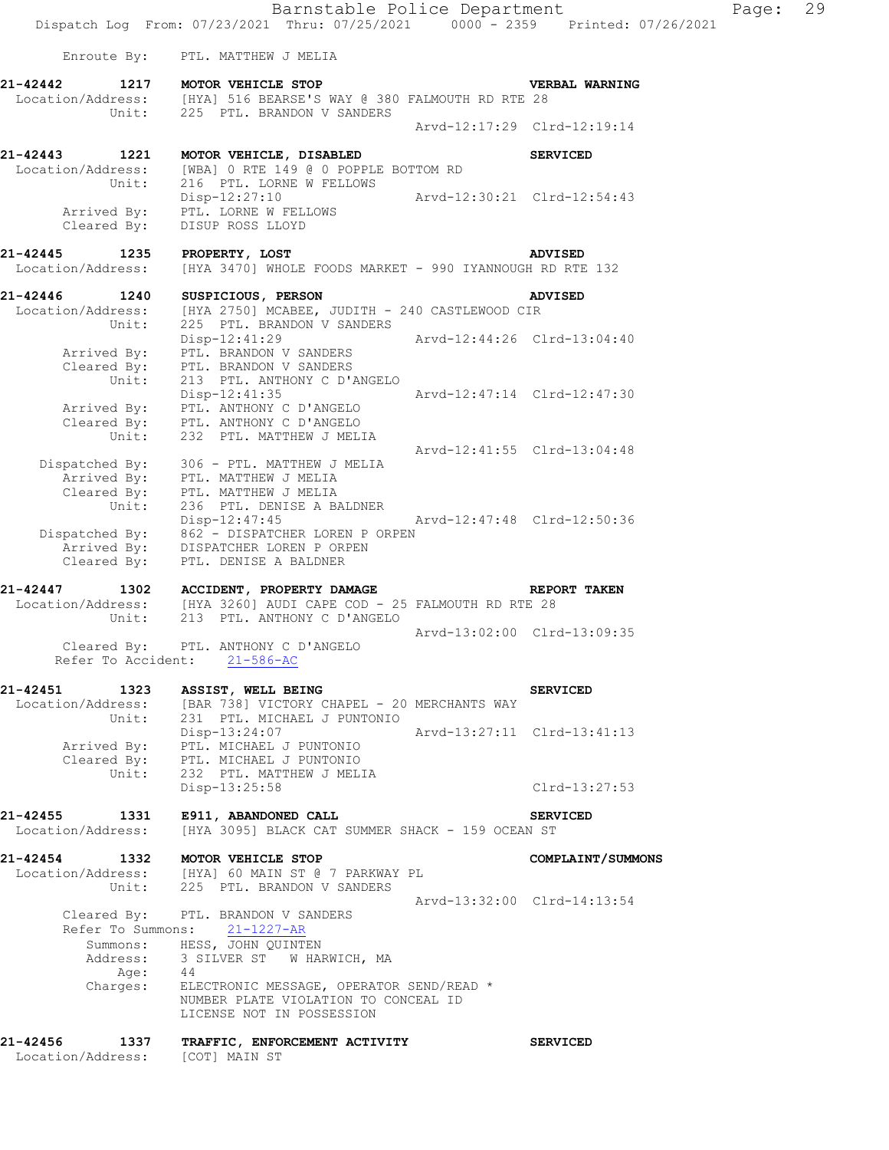Barnstable Police Department Fage: 29 Dispatch Log From: 07/23/2021 Thru: 07/25/2021 0000 - 2359 Printed: 07/26/2021 Enroute By: PTL. MATTHEW J MELIA **21-42442 1217 MOTOR VEHICLE STOP VERBAL WARNING**  Location/Address: [HYA] 516 BEARSE'S WAY @ 380 FALMOUTH RD RTE 28 Unit: 225 PTL. BRANDON V SANDERS Arvd-12:17:29 Clrd-12:19:14 **21-42443 1221 MOTOR VEHICLE, DISABLED SERVICED**  Location/Address: [WBA] 0 RTE 149 @ 0 POPPLE BOTTOM RD Unit: 216 PTL. LORNE W FELLOWS Disp-12:27:10 Arvd-12:30:21 Clrd-12:54:43 Arrived By: PTL. LORNE W FELLOWS Cleared By: DISUP ROSS LLOYD **21-42445 1235 PROPERTY, LOST ADVISED**  Location/Address: [HYA 3470] WHOLE FOODS MARKET - 990 IYANNOUGH RD RTE 132 **21-42446 1240 SUSPICIOUS, PERSON ADVISED**  Location/Address: [HYA 2750] MCABEE, JUDITH - 240 CASTLEWOOD CIR Unit: 225 PTL. BRANDON V SANDERS Disp-12:41:29 Arvd-12:44:26 Clrd-13:04:40 Arrived By: PTL. BRANDON V SANDERS Cleared By: PTL. BRANDON V SANDERS Unit: 213 PTL. ANTHONY C D'ANGELO Disp-12:41:35 Arvd-12:47:14 Clrd-12:47:30 Arrived By: PTL. ANTHONY C D'ANGELO Cleared By: PTL. ANTHONY C D'ANGELO Unit: 232 PTL. MATTHEW J MELIA Arvd-12:41:55 Clrd-13:04:48 Dispatched By: 306 - PTL. MATTHEW J MELIA Arrived By: PTL. MATTHEW J MELIA Cleared By: PTL. MATTHEW J MELIA Unit: 236 PTL. DENISE A BALDNER Disp-12:47:45 Arvd-12:47:48 Clrd-12:50:36 Dispatched By: 862 - DISPATCHER LOREN P ORPEN Arrived By: DISPATCHER LOREN P ORPEN Cleared By: PTL. DENISE A BALDNER **21-42447 1302 ACCIDENT, PROPERTY DAMAGE REPORT TAKEN**  Location/Address: [HYA 3260] AUDI CAPE COD - 25 FALMOUTH RD RTE 28 Unit: 213 PTL. ANTHONY C D'ANGELO Arvd-13:02:00 Clrd-13:09:35 Cleared By: PTL. ANTHONY C D'ANGELO Refer To Accident: 21-586-AC **21-42451 1323 ASSIST, WELL BEING SERVICED**  Location/Address: [BAR 738] VICTORY CHAPEL - 20 MERCHANTS WAY Unit: 231 PTL. MICHAEL J PUNTONIO Disp-13:24:07 Arvd-13:27:11 Clrd-13:41:13 Arrived By: PTL. MICHAEL J PUNTONIO Cleared By: PTL. MICHAEL J PUNTONIO Unit: 232 PTL. MATTHEW J MELIA Disp-13:25:58 Clrd-13:27:53 **21-42455 1331 E911, ABANDONED CALL SERVICED**  Location/Address: [HYA 3095] BLACK CAT SUMMER SHACK - 159 OCEAN ST **21-42454 1332 MOTOR VEHICLE STOP COMPLAINT/SUMMONS**  Location/Address: [HYA] 60 MAIN ST @ 7 PARKWAY PL Unit: 225 PTL. BRANDON V SANDERS Arvd-13:32:00 Clrd-14:13:54 Cleared By: PTL. BRANDON V SANDERS Refer To Summons:  $\frac{21-1227-AR}{2}$ Summons: HESS, JOHN QUINTEN Address: 3 SILVER ST W HARWICH, MA Age: 44 Charges: ELECTRONIC MESSAGE, OPERATOR SEND/READ \* NUMBER PLATE VIOLATION TO CONCEAL ID LICENSE NOT IN POSSESSION **21-42456 1337 TRAFFIC, ENFORCEMENT ACTIVITY SERVICED**  Location/Address: [COT] MAIN ST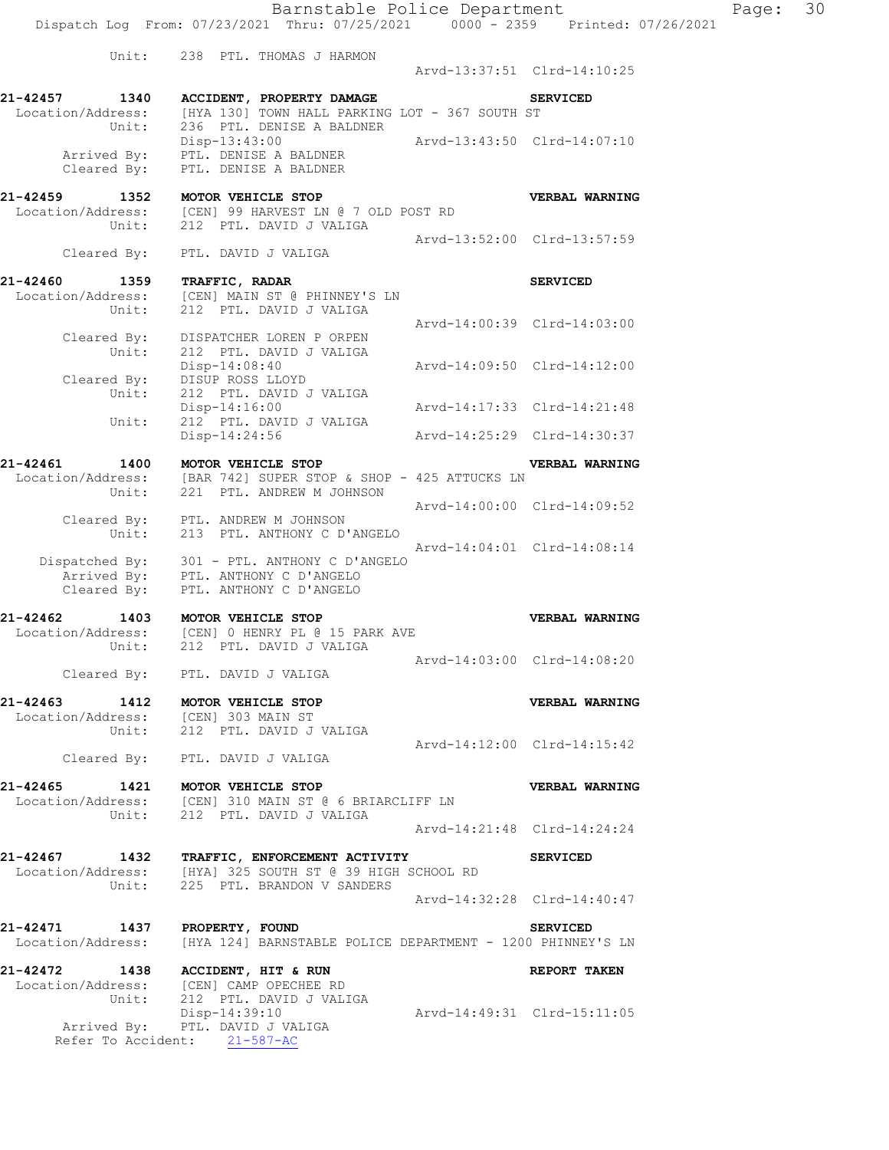Arvd-13:37:51 Clrd-14:10:25

**21-42457 1340 ACCIDENT, PROPERTY DAMAGE SERVICED**  Location/Address: [HYA 130] TOWN HALL PARKING LOT - 367 SOUTH ST Unit: 236 PTL. DENISE A BALDNER Disp-13:43:00 Arvd-13:43:50 Clrd-14:07:10 Arrived By: PTL. DENISE A BALDNER Cleared By: PTL. DENISE A BALDNER

**21-42459 1352 MOTOR VEHICLE STOP VERBAL WARNING**  Location/Address: [CEN] 99 HARVEST LN @ 7 OLD POST RD Unit: 212 PTL. DAVID J VALIGA Arvd-13:52:00 Clrd-13:57:59

 Cleared By: PTL. DAVID J VALIGA **21-42460 1359 TRAFFIC, RADAR SERVICED**  Location/Address: [CEN] MAIN ST @ PHINNEY'S LN Unit: 212 PTL. DAVID J VALIGA Arvd-14:00:39 Clrd-14:03:00 Cleared By: DISPATCHER LOREN P ORPEN Unit: 212 PTL. DAVID J VALIGA Disp-14:08:40 Arvd-14:09:50 Clrd-14:12:00 Cleared By: DISUP ROSS LLOYD Unit: 212 PTL. DAVID J VALIGA Disp-14:16:00 Arvd-14:17:33 Clrd-14:21:48 Unit: 212 PTL. DAVID J VALIGA Disp-14:24:56 Arvd-14:25:29 Clrd-14:30:37

**21-42461 1400 MOTOR VEHICLE STOP VERBAL WARNING**  Location/Address: [BAR 742] SUPER STOP & SHOP - 425 ATTUCKS LN Unit: 221 PTL. ANDREW M JOHNSON Arvd-14:00:00 Clrd-14:09:52 Cleared By: PTL. ANDREW M JOHNSON Unit: 213 PTL. ANTHONY C D'ANGELO Arvd-14:04:01 Clrd-14:08:14 Dispatched By: 301 - PTL. ANTHONY C D'ANGELO Arrived By: PTL. ANTHONY C D'ANGELO Cleared By: PTL. ANTHONY C D'ANGELO

**21-42462 1403 MOTOR VEHICLE STOP VERBAL WARNING**  Location/Address: [CEN] 0 HENRY PL @ 15 PARK AVE Unit: 212 PTL. DAVID J VALIGA Arvd-14:03:00 Clrd-14:08:20 Cleared By: PTL. DAVID J VALIGA

**21-42463 1412 MOTOR VEHICLE STOP VERBAL WARNING**  Location/Address: [CEN] 303 MAIN ST Unit: 212 PTL. DAVID J VALIGA Arvd-14:12:00 Clrd-14:15:42 Cleared By: PTL. DAVID J VALIGA

**21-42465 1421 MOTOR VEHICLE STOP VERBAL WARNING**  Location/Address: [CEN] 310 MAIN ST @ 6 BRIARCLIFF LN Unit: 212 PTL. DAVID J VALIGA Arvd-14:21:48 Clrd-14:24:24

**21-42467 1432 TRAFFIC, ENFORCEMENT ACTIVITY SERVICED**  Location/Address: [HYA] 325 SOUTH ST @ 39 HIGH SCHOOL RD Unit: 225 PTL. BRANDON V SANDERS Arvd-14:32:28 Clrd-14:40:47

**21-42471 1437 PROPERTY, FOUND SERVICED**  Location/Address: [HYA 124] BARNSTABLE POLICE DEPARTMENT - 1200 PHINNEY'S LN

**21-42472 1438 ACCIDENT, HIT & RUN REPORT TAKEN**  Location/Address: [CEN] CAMP OPECHEE RD Unit: 212 PTL. DAVID J VALIGA Disp-14:39:10 Arvd-14:49:31 Clrd-15:11:05 Arrived By: PTL. DAVID J VALIGA Refer To Accident: 21-587-AC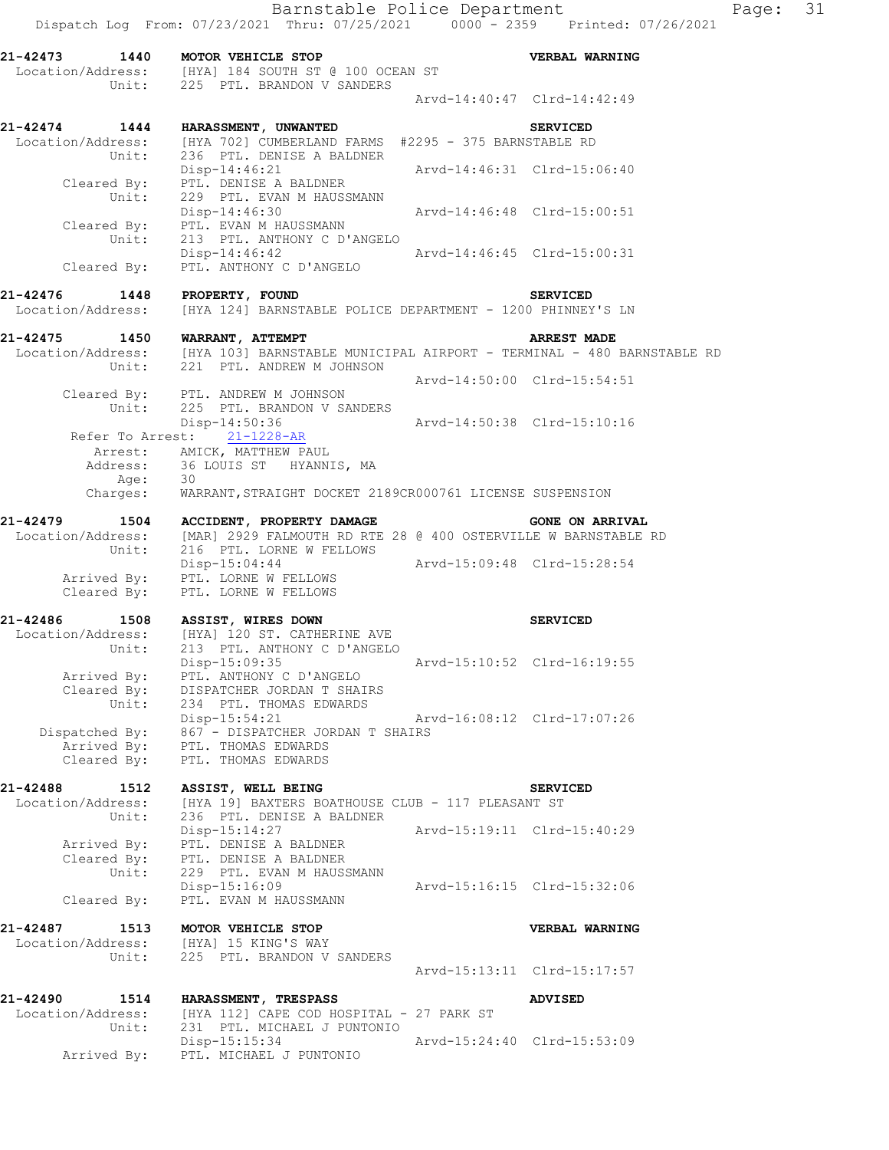**21-42473 1440 MOTOR VEHICLE STOP VERBAL WARNING**  Location/Address: [HYA] 184 SOUTH ST @ 100 OCEAN ST Unit: 225 PTL. BRANDON V SANDERS Arvd-14:40:47 Clrd-14:42:49 **21-42474 1444 HARASSMENT, UNWANTED SERVICED**  Location/Address: [HYA 702] CUMBERLAND FARMS #2295 - 375 BARNSTABLE RD Unit: 236 PTL. DENISE A BALDNER Disp-14:46:21 Arvd-14:46:31 Clrd-15:06:40 Cleared By: PTL. DENISE A BALDNER Unit: 229 PTL. EVAN M HAUSSMANN Disp-14:46:30 Arvd-14:46:48 Clrd-15:00:51 Cleared By: PTL. EVAN M HAUSSMANN Unit: 213 PTL. ANTHONY C D'ANGELO<br>Disp-14:46:42 Disp-14:46:42 Arvd-14:46:45 Clrd-15:00:31 Cleared By: PTL. ANTHONY C D'ANGELO **21-42476 1448 PROPERTY, FOUND SERVICED**  Location/Address: [HYA 124] BARNSTABLE POLICE DEPARTMENT - 1200 PHINNEY'S LN **21-42475 1450 WARRANT, ATTEMPT ARREST MADE**  Location/Address: [HYA 103] BARNSTABLE MUNICIPAL AIRPORT - TERMINAL - 480 BARNSTABLE RD Unit: 221 PTL. ANDREW M JOHNSON Arvd-14:50:00 Clrd-15:54:51 Cleared By: PTL. ANDREW M JOHNSON Unit: 225 PTL. BRANDON V SANDERS<br>Disp-14:50:36 Disp-14:50:36 Arvd-14:50:38 Clrd-15:10:16 Refer To Arrest: 21-1228-AR Arrest: AMICK, MATTHEW PAUL Address: 36 LOUIS ST HYANNIS, MA Age: 30 Charges: WARRANT,STRAIGHT DOCKET 2189CR000761 LICENSE SUSPENSION **21-42479 1504 ACCIDENT, PROPERTY DAMAGE GONE ON ARRIVAL**  Location/Address: [MAR] 2929 FALMOUTH RD RTE 28 @ 400 OSTERVILLE W BARNSTABLE RD Unit: 216 PTL. LORNE W FELLOWS Disp-15:04:44 Arvd-15:09:48 Clrd-15:28:54 Arrived By: PTL. LORNE W FELLOWS Cleared By: PTL. LORNE W FELLOWS **21-42486 1508 ASSIST, WIRES DOWN SERVICED**  Location/Address: [HYA] 120 ST. CATHERINE AVE Unit: 213 PTL. ANTHONY C D'ANGELO Disp-15:09:35 Arvd-15:10:52 Clrd-16:19:55 Arrived By: PTL. ANTHONY C D'ANGELO Cleared By: DISPATCHER JORDAN T SHAIRS Unit: 234 PTL. THOMAS EDWARDS Disp-15:54:21 Arvd-16:08:12 Clrd-17:07:26 Dispatched By: 867 - DISPATCHER JORDAN T SHAIRS Arrived By: PTL. THOMAS EDWARDS Cleared By: PTL. THOMAS EDWARDS **21-42488 1512 ASSIST, WELL BEING SERVICED**  Location/Address: [HYA 19] BAXTERS BOATHOUSE CLUB - 117 PLEASANT ST Unit: 236 PTL. DENISE A BALDNER Disp-15:14:27 Arvd-15:19:11 Clrd-15:40:29 Arrived By: PTL. DENISE A BALDNER Cleared By: PTL. DENISE A BALDNER Unit: 229 PTL. EVAN M HAUSSMANN Disp-15:16:09 Arvd-15:16:15 Clrd-15:32:06 Cleared By: PTL. EVAN M HAUSSMANN **21-42487 1513 MOTOR VEHICLE STOP VERBAL WARNING**  Location/Address: [HYA] 15 KING'S WAY Unit: 225 PTL. BRANDON V SANDERS Arvd-15:13:11 Clrd-15:17:57 **21-42490 1514 HARASSMENT, TRESPASS ADVISED**  Location/Address: [HYA 112] CAPE COD HOSPITAL - 27 PARK ST Unit: 231 PTL. MICHAEL J PUNTONIO Disp-15:15:34 Arvd-15:24:40 Clrd-15:53:09 Arrived By: PTL. MICHAEL J PUNTONIO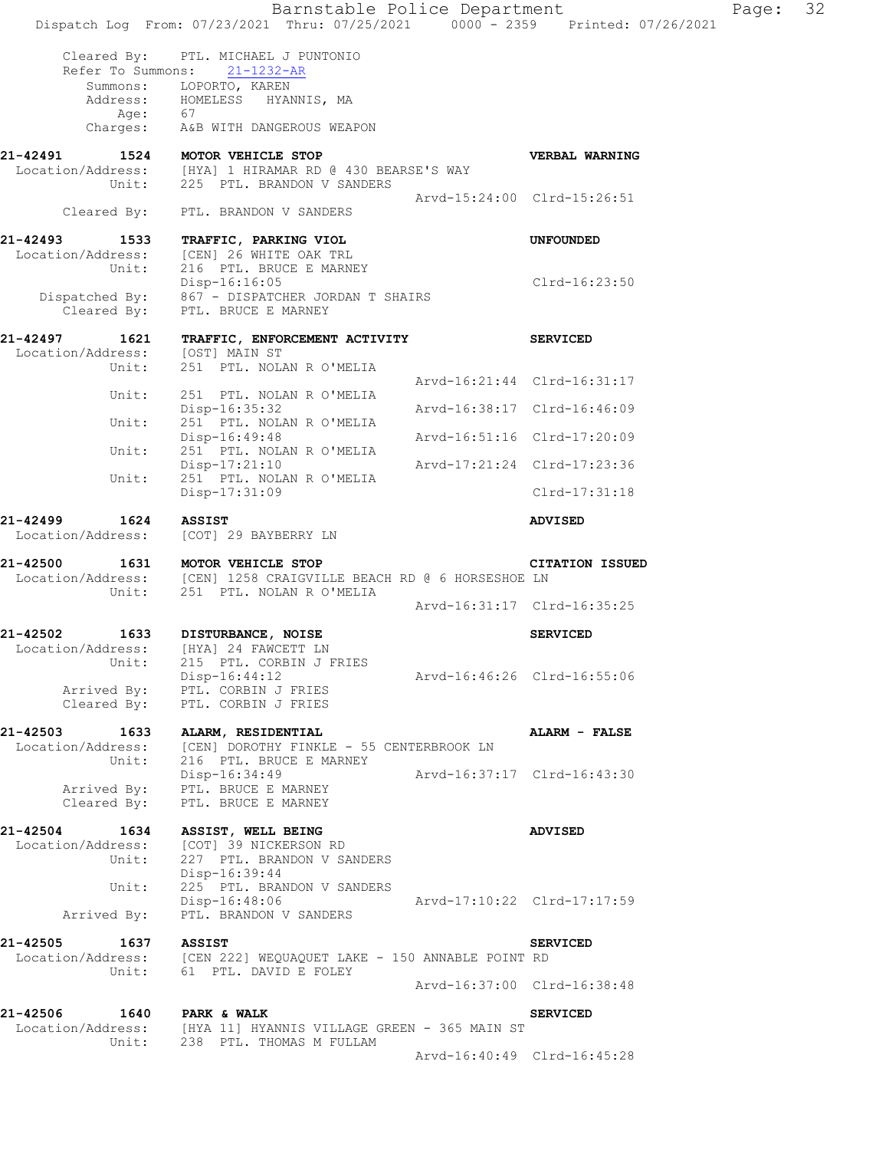|                                                     | Barnstable Police Department<br>Dispatch Log From: 07/23/2021 Thru: 07/25/2021 0000 - 2359 Printed: 07/26/2021           |                             |                             | Page: | 32 |
|-----------------------------------------------------|--------------------------------------------------------------------------------------------------------------------------|-----------------------------|-----------------------------|-------|----|
| Cleared By:<br>Refer To Summons:                    | PTL. MICHAEL J PUNTONIO<br>$21 - 1232 - AR$                                                                              |                             |                             |       |    |
|                                                     | Summons: LOPORTO, KAREN<br>Address: HOMELESS HYANNIS, MA                                                                 |                             |                             |       |    |
| Age:                                                | 67<br>Charges: A&B WITH DANGEROUS WEAPON                                                                                 |                             |                             |       |    |
| 21-42491<br>1524<br>Unit:                           | MOTOR VEHICLE STOP<br>Location/Address: [HYA] 1 HIRAMAR RD @ 430 BEARSE'S WAY<br>225 PTL. BRANDON V SANDERS              |                             | VERBAL WARNING              |       |    |
| Cleared By:                                         | PTL. BRANDON V SANDERS                                                                                                   |                             | Arvd-15:24:00 Clrd-15:26:51 |       |    |
| 21-42493<br>1533<br>Unit:                           | TRAFFIC, PARKING VIOL<br>Location/Address: [CEN] 26 WHITE OAK TRL<br>216 PTL. BRUCE E MARNEY                             |                             | <b>UNFOUNDED</b>            |       |    |
| Cleared By:                                         | Disp-16:16:05<br>Dispatched By: 867 - DISPATCHER JORDAN T SHAIRS<br>PTL. BRUCE E MARNEY                                  |                             | Clrd-16:23:50               |       |    |
| 21-42497<br>1621<br>Location/Address: [OST] MAIN ST | TRAFFIC, ENFORCEMENT ACTIVITY                                                                                            |                             | <b>SERVICED</b>             |       |    |
| Unit:                                               | 251 PTL. NOLAN R O'MELIA                                                                                                 |                             | Arvd-16:21:44 Clrd-16:31:17 |       |    |
| Unit:                                               | 251 PTL. NOLAN R O'MELIA<br>Disp-16:35:32                                                                                |                             | Arvd-16:38:17 Clrd-16:46:09 |       |    |
| Unit:                                               | 251 PTL. NOLAN R O'MELIA<br>Disp-16:49:48                                                                                |                             | Arvd-16:51:16 Clrd-17:20:09 |       |    |
| Unit:                                               | 251 PTL. NOLAN R O'MELIA<br>Disp-17:21:10                                                                                |                             | Arvd-17:21:24 Clrd-17:23:36 |       |    |
| Unit:                                               | 251 PTL. NOLAN R O'MELIA<br>Disp-17:31:09                                                                                |                             | $Clrd-17:31:18$             |       |    |
| 21-42499<br>1624<br>Location/Address:               | <b>ASSIST</b><br>[COT] 29 BAYBERRY LN                                                                                    |                             | <b>ADVISED</b>              |       |    |
| 21-42500<br>Unit:                                   | 1631 MOTOR VEHICLE STOP<br>Location/Address: [CEN] 1258 CRAIGVILLE BEACH RD @ 6 HORSESHOE LN<br>251 PTL. NOLAN R O'MELIA |                             | <b>CITATION ISSUED</b>      |       |    |
|                                                     |                                                                                                                          |                             | Arvd-16:31:17 Clrd-16:35:25 |       |    |
| 1633<br>21-42502<br>Location/Address:<br>Unit:      | DISTURBANCE, NOISE<br>[HYA] 24 FAWCETT LN<br>215 PTL. CORBIN J FRIES                                                     |                             | <b>SERVICED</b>             |       |    |
|                                                     | Disp-16:44:12<br>Arrived By: PTL. CORBIN J FRIES<br>Cleared By: PTL. CORBIN J FRIES                                      | Arvd-16:46:26 Clrd-16:55:06 |                             |       |    |
| 21-42503 1633                                       | ALARM, RESIDENTIAL<br>Location/Address: [CEN] DOROTHY FINKLE - 55 CENTERBROOK LN<br>Unit: 216 PTL. BRUCE E MARNEY        |                             | <b>ALARM - FALSE</b>        |       |    |
| Cleared By:                                         | Disp-16:34:49<br>Arrived By: PTL. BRUCE E MARNEY<br>PTL. BRUCE E MARNEY                                                  | Arvd-16:37:17 Clrd-16:43:30 |                             |       |    |
| 21-42504 1634<br>Location/Address:                  | ASSIST, WELL BEING<br>[COT] 39 NICKERSON RD<br>Unit: 227 PTL. BRANDON V SANDERS<br>Disp-16:39:44                         |                             | <b>ADVISED</b>              |       |    |
| Unit:<br>Arrived By:                                | 225 PTL. BRANDON V SANDERS<br>Disp-16:48:06<br>PTL. BRANDON V SANDERS                                                    |                             | Arvd-17:10:22 Clrd-17:17:59 |       |    |
| 21-42505<br>1637                                    | <b>ASSIST</b><br>Location/Address: [CEN 222] WEQUAQUET LAKE - 150 ANNABLE POINT RD<br>Unit: 61 PTL. DAVID E FOLEY        |                             | <b>SERVICED</b>             |       |    |
|                                                     |                                                                                                                          |                             | Arvd-16:37:00 Clrd-16:38:48 |       |    |
| 21-42506 1640 PARK & WALK                           | Location/Address: [HYA 11] HYANNIS VILLAGE GREEN - 365 MAIN ST                                                           |                             | <b>SERVICED</b>             |       |    |
|                                                     | Unit: 238 PTL. THOMAS M FULLAM                                                                                           |                             | Arvd-16:40:49 Clrd-16:45:28 |       |    |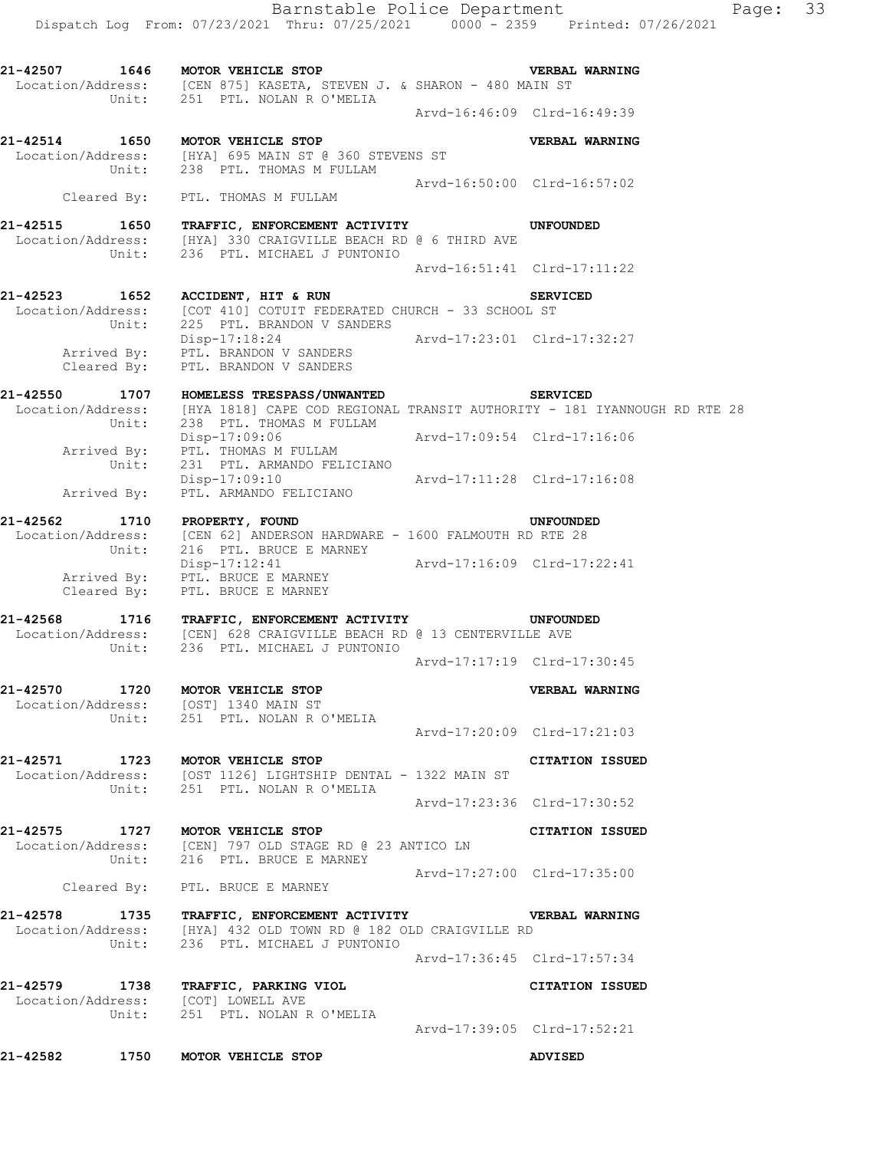**21-42507 1646 MOTOR VEHICLE STOP VERBAL WARNING**  Location/Address: [CEN 875] KASETA, STEVEN J. & SHARON - 480 MAIN ST Unit: 251 PTL. NOLAN R O'MELIA Arvd-16:46:09 Clrd-16:49:39 **21-42514 1650 MOTOR VEHICLE STOP VERBAL WARNING**  Location/Address: [HYA] 695 MAIN ST @ 360 STEVENS ST Unit: 238 PTL. THOMAS M FULLAM Arvd-16:50:00 Clrd-16:57:02 Cleared By: PTL. THOMAS M FULLAM **21-42515 1650 TRAFFIC, ENFORCEMENT ACTIVITY UNFOUNDED**  Location/Address: [HYA] 330 CRAIGVILLE BEACH RD @ 6 THIRD AVE Unit: 236 PTL. MICHAEL J PUNTONIO Arvd-16:51:41 Clrd-17:11:22 **21-42523 1652 ACCIDENT, HIT & RUN SERVICED**  Location/Address: [COT 410] COTUIT FEDERATED CHURCH - 33 SCHOOL ST Unit: 225 PTL. BRANDON V SANDERS Disp-17:18:24 Arvd-17:23:01 Clrd-17:32:27 Arrived By: PTL. BRANDON V SANDERS Cleared By: PTL. BRANDON V SANDERS **21-42550 1707 HOMELESS TRESPASS/UNWANTED SERVICED**  Location/Address: [HYA 1818] CAPE COD REGIONAL TRANSIT AUTHORITY - 181 IYANNOUGH RD RTE 28 Unit: 238 PTL. THOMAS M FULLAM Disp-17:09:06 Arvd-17:09:54 Clrd-17:16:06 Arrived By: PTL. THOMAS M FULLAM Unit: 231 PTL. ARMANDO FELICIANO Disp-17:09:10 Arvd-17:11:28 Clrd-17:16:08 Arrived By: PTL. ARMANDO FELICIANO **21-42562 1710 PROPERTY, FOUND UNFOUNDED**  Location/Address: [CEN 62] ANDERSON HARDWARE - 1600 FALMOUTH RD RTE 28 Unit: 216 PTL. BRUCE E MARNEY Disp-17:12:41 Arvd-17:16:09 Clrd-17:22:41 Arrived By: PTL. BRUCE E MARNEY Cleared By: PTL. BRUCE E MARNEY **21-42568 1716 TRAFFIC, ENFORCEMENT ACTIVITY UNFOUNDED**  Location/Address: [CEN] 628 CRAIGVILLE BEACH RD @ 13 CENTERVILLE AVE Unit: 236 PTL. MICHAEL J PUNTONIO Arvd-17:17:19 Clrd-17:30:45 **21-42570 1720 MOTOR VEHICLE STOP VERBAL WARNING**  Location/Address: [OST] 1340 MAIN ST Unit: 251 PTL. NOLAN R O'MELIA Arvd-17:20:09 Clrd-17:21:03

**21-42571 1723 MOTOR VEHICLE STOP CITATION ISSUED**  Location/Address: [OST 1126] LIGHTSHIP DENTAL - 1322 MAIN ST Unit: 251 PTL. NOLAN R O'MELIA Arvd-17:23:36 Clrd-17:30:52

**21-42575 1727 MOTOR VEHICLE STOP CITATION ISSUED**  Location/Address: [CEN] 797 OLD STAGE RD @ 23 ANTICO LN Unit: 216 PTL. BRUCE E MARNEY Arvd-17:27:00 Clrd-17:35:00 Cleared By: PTL. BRUCE E MARNEY

**21-42578 1735 TRAFFIC, ENFORCEMENT ACTIVITY VERBAL WARNING**  Location/Address: [HYA] 432 OLD TOWN RD @ 182 OLD CRAIGVILLE RD Unit: 236 PTL. MICHAEL J PUNTONIO Arvd-17:36:45 Clrd-17:57:34

**21-42579 1738 TRAFFIC, PARKING VIOL CITATION ISSUED**  Location/Address: [COT] LOWELL AVE Unit: 251 PTL. NOLAN R O'MELIA Arvd-17:39:05 Clrd-17:52:21

**21-42582 1750 MOTOR VEHICLE STOP ADVISED**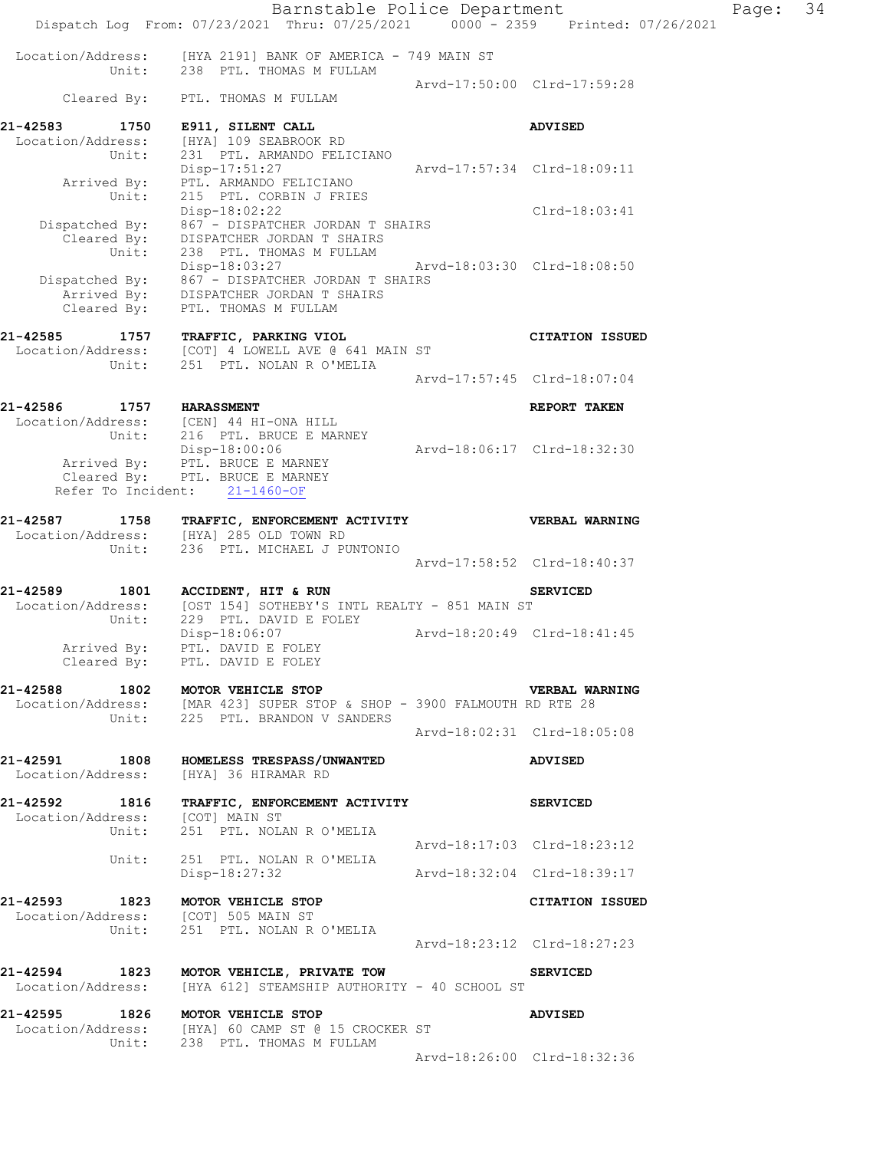|                                  | Barnstable Police Department<br>Dispatch Log From: 07/23/2021 Thru: 07/25/2021 0000 - 2359 Printed: 07/26/2021 |                             | Page: 34 |  |
|----------------------------------|----------------------------------------------------------------------------------------------------------------|-----------------------------|----------|--|
|                                  | Location/Address: [HYA 2191] BANK OF AMERICA - 749 MAIN ST<br>Unit: 238 PTL. THOMAS M FULLAM                   |                             |          |  |
|                                  | Cleared By: PTL. THOMAS M FULLAM                                                                               | Arvd-17:50:00 Clrd-17:59:28 |          |  |
| 21-42583 1750                    | E911, SILENT CALL                                                                                              | <b>ADVISED</b>              |          |  |
| Location/Address:<br>Unit:       | [HYA] 109 SEABROOK RD<br>231 PTL. ARMANDO FELICIANO                                                            |                             |          |  |
| Arrived By:<br>Unit:             | Disp-17:51:27<br>PTL. ARMANDO FELICIANO<br>215 PTL. CORBIN J FRIES                                             | Arvd-17:57:34 Clrd-18:09:11 |          |  |
|                                  | Disp-18:02:22                                                                                                  | Clrd-18:03:41               |          |  |
|                                  | Dispatched By: 867 - DISPATCHER JORDAN T SHAIRS<br>Cleared By: DISPATCHER JORDAN T SHAIRS                      |                             |          |  |
| Unit:                            | 238 PTL. THOMAS M FULLAM<br>Disp-18:03:27 Arvd-18:03:30 Clrd-18:08:50                                          |                             |          |  |
|                                  | Dispatched By: $867 -$ DISPATCHER JORDAN T SHAIRS<br>Arrived By: DISPATCHER JORDAN T SHAIRS                    |                             |          |  |
| Cleared By:                      | PTL. THOMAS M FULLAM                                                                                           |                             |          |  |
| 21-42585                         | 1757 TRAFFIC, PARKING VIOL                                                                                     | <b>CITATION ISSUED</b>      |          |  |
| Unit:                            | Location/Address: [COT] 4 LOWELL AVE @ 641 MAIN ST<br>251 PTL. NOLAN R O'MELIA                                 |                             |          |  |
|                                  |                                                                                                                | Arvd-17:57:45 Clrd-18:07:04 |          |  |
| 21-42586 1757 HARASSMENT         |                                                                                                                | REPORT TAKEN                |          |  |
|                                  | Location/Address: [CEN] 44 HI-ONA HILL<br>Unit: 216 PTL. BRUCE E MARNEY                                        |                             |          |  |
|                                  | Disp-18:00:06                                                                                                  | Arvd-18:06:17 Clrd-18:32:30 |          |  |
|                                  | Arrived By: PTL. BRUCE E MARNEY<br>Cleared By: PTL. BRUCE E MARNEY                                             |                             |          |  |
|                                  | Refer To Incident: 21-1460-OF                                                                                  |                             |          |  |
| 21-42587                         | 1758 TRAFFIC, ENFORCEMENT ACTIVITY WERBAL WARNING<br>Location/Address: [HYA] 285 OLD TOWN RD                   |                             |          |  |
| Unit:                            | 236 PTL. MICHAEL J PUNTONIO                                                                                    | Arvd-17:58:52 Clrd-18:40:37 |          |  |
|                                  |                                                                                                                |                             |          |  |
|                                  | 21-42589 1801 ACCIDENT, HIT & RUN<br>Location/Address: [OST 154] SOTHEBY'S INTL REALTY - 851 MAIN ST           | <b>SERVICED</b>             |          |  |
| Unit:                            | $229$ PTL. DAVID E FOLEY<br>$229$ PTL. DAVID E FOLEY<br>$20:49$ Clrd-18:41:45                                  |                             |          |  |
| Arrived By:                      | PTL. DAVID E FOLEY                                                                                             |                             |          |  |
|                                  | Cleared By: PTL. DAVID E FOLEY                                                                                 |                             |          |  |
|                                  | 21-42588 1802 MOTOR VEHICLE STOP<br>Location/Address: [MAR 423] SUPER STOP & SHOP - 3900 FALMOUTH RD RTE 28    | <b>VERBAL WARNING</b>       |          |  |
|                                  | Unit: 225 PTL. BRANDON V SANDERS                                                                               | Arvd-18:02:31 Clrd-18:05:08 |          |  |
|                                  |                                                                                                                |                             |          |  |
|                                  | 21-42591 1808 HOMELESS TRESPASS/UNWANTED<br>Location/Address: [HYA] 36 HIRAMAR RD                              | ADVISED                     |          |  |
|                                  | 21-42592 1816 TRAFFIC, ENFORCEMENT ACTIVITY<br>Location/Address: [COT] MAIN ST                                 | <b>SERVICED</b>             |          |  |
|                                  | Unit: 251 PTL. NOLAN R O'MELIA                                                                                 |                             |          |  |
| Unit:                            | 251 PTL. NOLAN R O'MELIA                                                                                       | Arvd-18:17:03 Clrd-18:23:12 |          |  |
|                                  | Disp-18:27:32                                                                                                  | Arvd-18:32:04 Clrd-18:39:17 |          |  |
|                                  | 21-42593 1823 MOTOR VEHICLE STOP                                                                               | CITATION ISSUED             |          |  |
|                                  | Location/Address: [COT] 505 MAIN ST<br>Unit: 251 PTL. NOLAN R O'MELIA                                          |                             |          |  |
|                                  |                                                                                                                | Arvd-18:23:12 Clrd-18:27:23 |          |  |
|                                  | 21-42594 1823 MOTOR VEHICLE, PRIVATE TOW<br>Location/Address: [HYA 612] STEAMSHIP AUTHORITY - 40 SCHOOL ST     | <b>SERVICED</b>             |          |  |
|                                  |                                                                                                                |                             |          |  |
| 21-42595 1826 MOTOR VEHICLE STOP | Location/Address: [HYA] 60 CAMP ST @ 15 CROCKER ST<br>Unit: 238 PTL. THOMAS M FULLAM                           | <b>ADVISED</b>              |          |  |
|                                  |                                                                                                                | Arvd-18:26:00 Clrd-18:32:36 |          |  |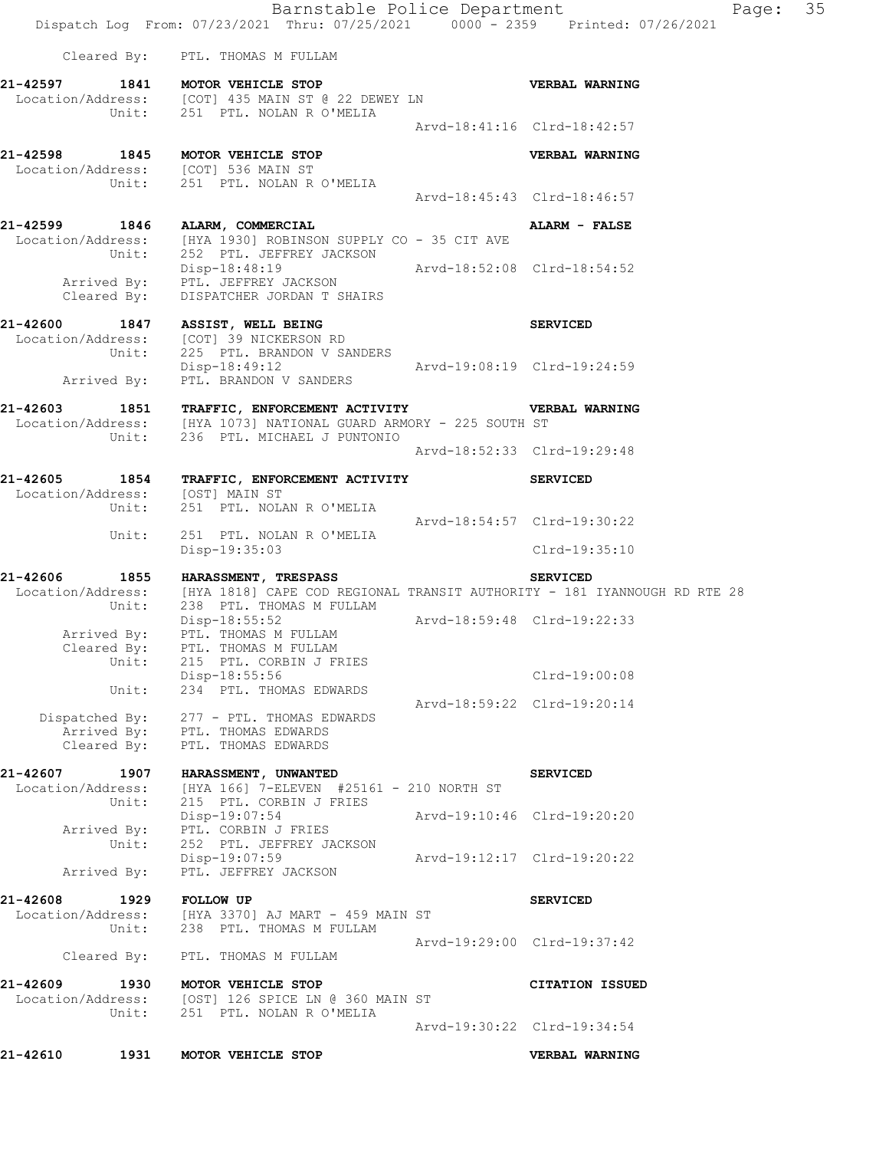Barnstable Police Department Fage: 35 Dispatch Log From: 07/23/2021 Thru: 07/25/2021 0000 - 2359 Printed: 07/26/2021 Cleared By: PTL. THOMAS M FULLAM **21-42597 1841 MOTOR VEHICLE STOP VERBAL WARNING**  Location/Address: [COT] 435 MAIN ST @ 22 DEWEY LN Unit: 251 PTL. NOLAN R O'MELIA Arvd-18:41:16 Clrd-18:42:57 **21-42598 1845 MOTOR VEHICLE STOP VERBAL WARNING**  Location/Address: [COT] 536 MAIN ST Unit: 251 PTL. NOLAN R O'MELIA Arvd-18:45:43 Clrd-18:46:57 **21-42599 1846 ALARM, COMMERCIAL ALARM - FALSE**  Location/Address: [HYA 1930] ROBINSON SUPPLY CO - 35 CIT AVE Unit: 252 PTL. JEFFREY JACKSON Disp-18:48:19 Arvd-18:52:08 Clrd-18:54:52 Arrived By: PTL. JEFFREY JACKSON Cleared By: DISPATCHER JORDAN T SHAIRS **21-42600 1847 ASSIST, WELL BEING SERVICED**  Location/Address: [COT] 39 NICKERSON RD Unit: 225 PTL. BRANDON V SANDERS Disp-18:49:12 Arvd-19:08:19 Clrd-19:24:59 Arrived By: PTL. BRANDON V SANDERS **21-42603 1851 TRAFFIC, ENFORCEMENT ACTIVITY VERBAL WARNING**  Location/Address: [HYA 1073] NATIONAL GUARD ARMORY - 225 SOUTH ST Unit: 236 PTL. MICHAEL J PUNTONIO Arvd-18:52:33 Clrd-19:29:48 **21-42605 1854 TRAFFIC, ENFORCEMENT ACTIVITY SERVICED**  Location/Address: [OST] MAIN ST Unit: 251 PTL. NOLAN R O'MELIA Arvd-18:54:57 Clrd-19:30:22 251 PTL. NOLAN R O'MELIA Unit: 251 PTL. NOLAN R O'MELIA<br>Disp-19:35:03 Clrd-19:35:10 **21-42606 1855 HARASSMENT, TRESPASS SERVICED**  Location/Address: [HYA 1818] CAPE COD REGIONAL TRANSIT AUTHORITY - 181 IYANNOUGH RD RTE 28 Unit: 238 PTL. THOMAS M FULLAM Disp-18:55:52 Arvd-18:59:48 Clrd-19:22:33 Arrived By: PTL. THOMAS M FULLAM Cleared By: PTL. THOMAS M FULLAM Unit: 215 PTL. CORBIN J FRIES Disp-18:55:56 Clrd-19:00:08<br>Unit: 234 PTL. THOMAS EDWARDS 234 PTL. THOMAS EDWARDS Arvd-18:59:22 Clrd-19:20:14 Dispatched By: 277 - PTL. THOMAS EDWARDS Arrived By: PTL. THOMAS EDWARDS Cleared By: PTL. THOMAS EDWARDS **21-42607 1907 HARASSMENT, UNWANTED SERVICED**  Location/Address: [HYA 166] 7-ELEVEN #25161 - 210 NORTH ST Unit: 215 PTL. CORBIN J FRIES Disp-19:07:54 Arvd-19:10:46 Clrd-19:20:20 Arrived By: PTL. CORBIN J FRIES Unit: 252 PTL. JEFFREY JACKSON Disp-19:07:59 Arvd-19:12:17 Clrd-19:20:22 Arrived By: PTL. JEFFREY JACKSON **21-42608 1929 FOLLOW UP SERVICED**  Location/Address: [HYA 3370] AJ MART - 459 MAIN ST Unit: 238 PTL. THOMAS M FULLAM Arvd-19:29:00 Clrd-19:37:42 Cleared By: PTL. THOMAS M FULLAM **21-42609 1930 MOTOR VEHICLE STOP CITATION ISSUED**  Location/Address: [OST] 126 SPICE LN @ 360 MAIN ST Unit: 251 PTL. NOLAN R O'MELIA Arvd-19:30:22 Clrd-19:34:54 **21-42610 1931 MOTOR VEHICLE STOP VERBAL WARNING**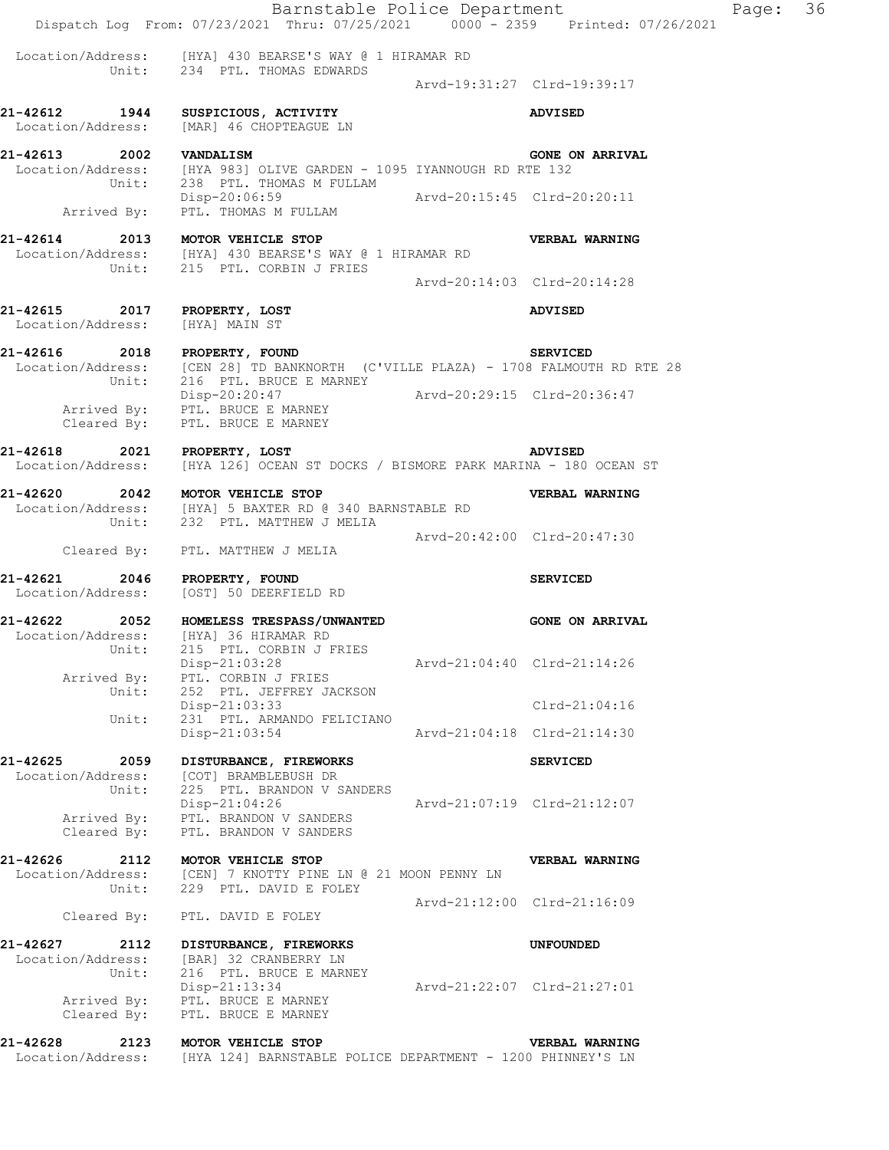Barnstable Police Department Fage: 36 Dispatch Log From: 07/23/2021 Thru: 07/25/2021 0000 - 2359 Printed: 07/26/2021 Location/Address: [HYA] 430 BEARSE'S WAY @ 1 HIRAMAR RD Unit: 234 PTL. THOMAS EDWARDS Arvd-19:31:27 Clrd-19:39:17 **21-42612 1944 SUSPICIOUS, ACTIVITY ADVISED**  Location/Address: [MAR] 46 CHOPTEAGUE LN **21-42613 2002 VANDALISM GONE ON ARRIVAL**  Location/Address: [HYA 983] OLIVE GARDEN - 1095 IYANNOUGH RD RTE 132 Unit: 238 PTL. THOMAS M FULLAM Disp-20:06:59 Arvd-20:15:45 Clrd-20:20:11 Arrived By: PTL. THOMAS M FULLAM **21-42614 2013 MOTOR VEHICLE STOP VERBAL WARNING**  Location/Address: [HYA] 430 BEARSE'S WAY @ 1 HIRAMAR RD Unit: 215 PTL. CORBIN J FRIES Arvd-20:14:03 Clrd-20:14:28 **21-42615 2017 PROPERTY, LOST ADVISED**  Location/Address: [HYA] MAIN ST **21-42616 2018 PROPERTY, FOUND SERVICED**  Location/Address: [CEN 28] TD BANKNORTH (C'VILLE PLAZA) - 1708 FALMOUTH RD RTE 28 Unit: 216 PTL. BRUCE E MARNEY Disp-20:20:47 Arvd-20:29:15 Clrd-20:36:47 Arrived By: PTL. BRUCE E MARNEY Cleared By: PTL. BRUCE E MARNEY **21-42618 2021 PROPERTY, LOST ADVISED**  Location/Address: [HYA 126] OCEAN ST DOCKS / BISMORE PARK MARINA - 180 OCEAN ST **21-42620 2042 MOTOR VEHICLE STOP VERBAL WARNING**  Location/Address: [HYA] 5 BAXTER RD @ 340 BARNSTABLE RD Unit: 232 PTL. MATTHEW J MELIA Arvd-20:42:00 Clrd-20:47:30 Cleared By: PTL. MATTHEW J MELIA **21-42621 2046 PROPERTY, FOUND SERVICED**  Location/Address: [OST] 50 DEERFIELD RD **21-42622 2052 HOMELESS TRESPASS/UNWANTED GONE ON ARRIVAL**  Location/Address: [HYA] 36 HIRAMAR RD Unit: 215 PTL. CORBIN J FRIES Disp-21:03:28 Arvd-21:04:40 Clrd-21:14:26 Arrived By: PTL. CORBIN J FRIES Unit: 252 PTL. JEFFREY JACKSON Disp-21:03:33 Clrd-21:04:16<br>Unit: 231 PTL. ARMANDO FELICIANO 231 PTL. ARMANDO FELICIANO<br>Disp-21:03:54 Disp-21:03:54 Arvd-21:04:18 Clrd-21:14:30 **21-42625 2059 DISTURBANCE, FIREWORKS SERVICED**  Location/Address: [COT] BRAMBLEBUSH DR<br>Unit: 225 PTL. BRANDON V SA 225 PTL. BRANDON V SANDERS Disp-21:04:26 Arvd-21:07:19 Clrd-21:12:07 Arrived By: PTL. BRANDON V SANDERS Cleared By: PTL. BRANDON V SANDERS **21-42626 2112 MOTOR VEHICLE STOP VERBAL WARNING**  Location/Address: [CEN] 7 KNOTTY PINE LN @ 21 MOON PENNY LN Unit: 229 PTL. DAVID E FOLEY Arvd-21:12:00 Clrd-21:16:09 Cleared By: PTL. DAVID E FOLEY **21-42627 2112 DISTURBANCE, FIREWORKS UNFOUNDED**  Location/Address: [BAR] 32 CRANBERRY LN Unit: 216 PTL. BRUCE E MARNEY Disp-21:13:34 Arvd-21:22:07 Clrd-21:27:01 Arrived By: PTL. BRUCE E MARNEY Cleared By: PTL. BRUCE E MARNEY **21-42628 2123 MOTOR VEHICLE STOP VERBAL WARNING**  Location/Address: [HYA 124] BARNSTABLE POLICE DEPARTMENT - 1200 PHINNEY'S LN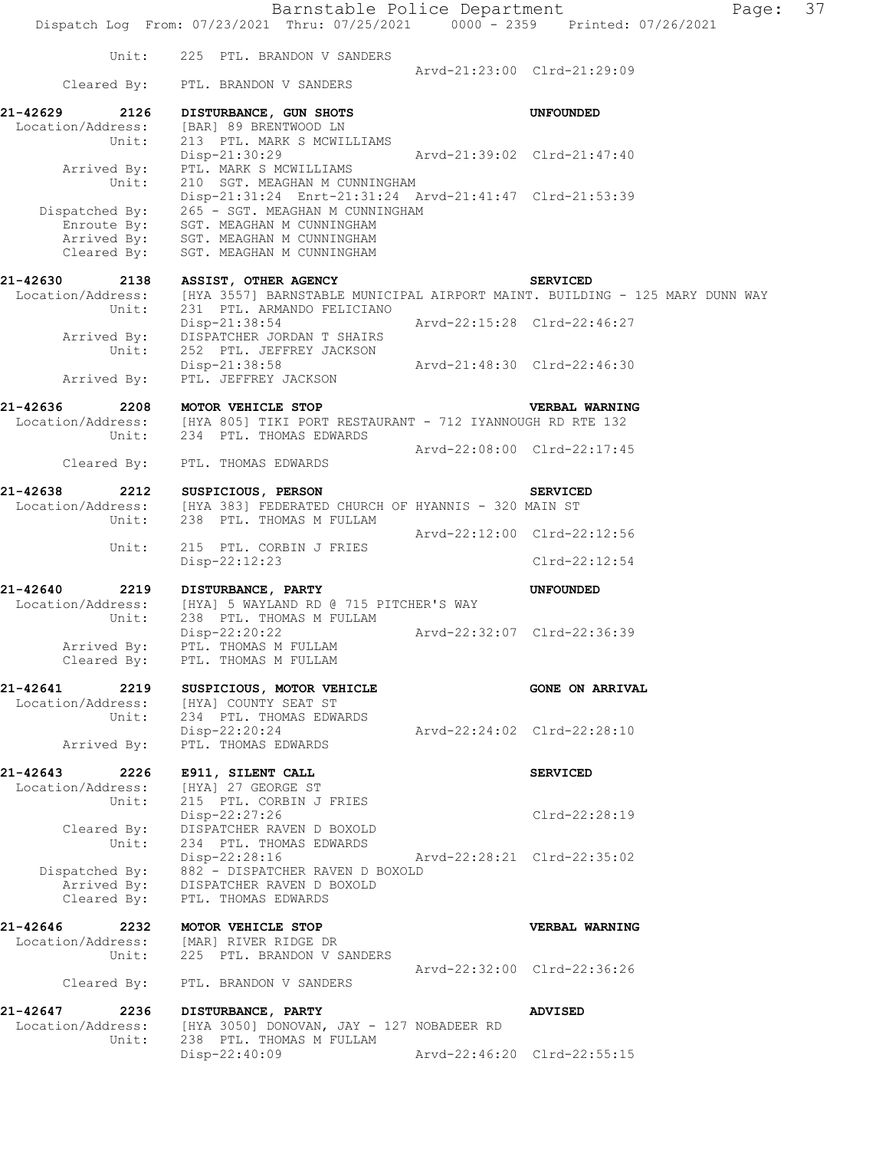|                                                | Dispatch Log From: 07/23/2021 Thru: 07/25/2021 0000 - 2359 Printed: 07/26/2021                                                                                |                             | Barnstable Police Department<br>Page:                                                         | 37 |
|------------------------------------------------|---------------------------------------------------------------------------------------------------------------------------------------------------------------|-----------------------------|-----------------------------------------------------------------------------------------------|----|
|                                                | Unit: 225 PTL. BRANDON V SANDERS                                                                                                                              |                             |                                                                                               |    |
|                                                | Cleared By: PTL. BRANDON V SANDERS                                                                                                                            |                             | Arvd-21:23:00 Clrd-21:29:09                                                                   |    |
| 21-42629<br>2126                               | DISTURBANCE, GUN SHOTS<br>Location/Address: [BAR] 89 BRENTWOOD LN                                                                                             |                             | <b>UNFOUNDED</b>                                                                              |    |
|                                                | Unit: 213 PTL. MARK S MCWILLIAMS<br>Disp-21:30:29<br>Arrived By: PTL. MARK S MCWILLIAMS                                                                       | Arvd-21:39:02 Clrd-21:47:40 |                                                                                               |    |
| Unit:                                          | 210 SGT. MEAGHAN M CUNNINGHAM<br>Disp-21:31:24 Enrt-21:31:24 Arvd-21:41:47 Clrd-21:53:39                                                                      |                             |                                                                                               |    |
| Cleared By:                                    | Dispatched By: 265 - SGT. MEAGHAN M CUNNINGHAM<br>Enroute By: SGT. MEAGHAN M CUNNINGHAM<br>Arrived By: SGT. MEAGHAN M CUNNINGHAM<br>SGT. MEAGHAN M CUNNINGHAM |                             |                                                                                               |    |
|                                                | 21-42630 2138 ASSIST, OTHER AGENCY                                                                                                                            |                             | <b>SERVICED</b>                                                                               |    |
|                                                | Unit: 231 PTL. ARMANDO FELICIANO                                                                                                                              |                             | Location/Address: [HYA 3557] BARNSTABLE MUNICIPAL AIRPORT MAINT. BUILDING - 125 MARY DUNN WAY |    |
|                                                | Disp-21:38:54<br>Arrived By: DISPATCHER JORDAN T SHAIRS<br>Unit: 252 PTL. JEFFREY JACKSON                                                                     | Arvd-22:15:28 Clrd-22:46:27 |                                                                                               |    |
|                                                | Disp-21:38:58 Arvd-21:48:30 Clrd-22:46:30<br>Arrived By: PTL. JEFFREY JACKSON                                                                                 |                             |                                                                                               |    |
|                                                | 21-42636 2208 MOTOR VEHICLE STOP                                                                                                                              |                             | <b>VERBAL WARNING</b>                                                                         |    |
|                                                | Location/Address: [HYA 805] TIKI PORT RESTAURANT - 712 IYANNOUGH RD RTE 132<br>Unit: 234 PTL. THOMAS EDWARDS                                                  |                             |                                                                                               |    |
|                                                | Cleared By: PTL. THOMAS EDWARDS                                                                                                                               | Arvd-22:08:00 Clrd-22:17:45 |                                                                                               |    |
| 21-42638                                       | 2212 SUSPICIOUS, PERSON                                                                                                                                       |                             | <b>SERVICED</b>                                                                               |    |
|                                                | Location/Address: [HYA 383] FEDERATED CHURCH OF HYANNIS - 320 MAIN ST<br>Unit: 238 PTL. THOMAS M FULLAM                                                       |                             |                                                                                               |    |
| Unit:                                          | 215 PTL. CORBIN J FRIES                                                                                                                                       | Arvd-22:12:00 Clrd-22:12:56 | $Clrd-22:12:54$                                                                               |    |
|                                                | Disp-22:12:23                                                                                                                                                 |                             |                                                                                               |    |
| Unit:                                          | 21-42640 2219 DISTURBANCE, PARTY<br>Location/Address: [HYA] 5 WAYLAND RD @ 715 PITCHER'S WAY<br>238 PTL. THOMAS M FULLAM                                      |                             | UNFOUNDED                                                                                     |    |
| Arrived By:<br>Cleared By:                     | Disp-22:20:22<br>PTL. THOMAS M FULLAM<br>PTL. THOMAS M FULLAM                                                                                                 | Arvd-22:32:07 Clrd-22:36:39 |                                                                                               |    |
| 21-42641<br>2219                               | SUSPICIOUS, MOTOR VEHICLE<br>Location/Address: [HYA] COUNTY SEAT ST                                                                                           |                             | <b>GONE ON ARRIVAL</b>                                                                        |    |
| Unit:<br>Arrived By:                           | 234 PTL. THOMAS EDWARDS<br>Disp-22:20:24<br>PTL. THOMAS EDWARDS                                                                                               | Arvd-22:24:02 Clrd-22:28:10 |                                                                                               |    |
|                                                |                                                                                                                                                               |                             |                                                                                               |    |
| 21-42643<br>2226<br>Location/Address:<br>Unit: | E911, SILENT CALL<br>[HYA] 27 GEORGE ST<br>215 PTL. CORBIN J FRIES                                                                                            |                             | <b>SERVICED</b>                                                                               |    |
|                                                | Disp-22:27:26<br>Cleared By: DISPATCHER RAVEN D BOXOLD                                                                                                        |                             | $Clrd-22:28:19$                                                                               |    |
| Unit:<br>Dispatched By:                        | 234 PTL. THOMAS EDWARDS<br>Disp-22:28:16<br>882 - DISPATCHER RAVEN D BOXOLD                                                                                   |                             | Arvd-22:28:21 Clrd-22:35:02                                                                   |    |
| Cleared By:                                    | Arrived By: DISPATCHER RAVEN D BOXOLD<br>PTL. THOMAS EDWARDS                                                                                                  |                             |                                                                                               |    |
| 21-42646<br>2232<br>Location/Address:<br>Unit: | MOTOR VEHICLE STOP<br>[MAR] RIVER RIDGE DR<br>225 PTL. BRANDON V SANDERS                                                                                      |                             | VERBAL WARNING                                                                                |    |
| Cleared By:                                    | PTL. BRANDON V SANDERS                                                                                                                                        |                             | Arvd-22:32:00 Clrd-22:36:26                                                                   |    |
| 21-42647<br>2236                               | DISTURBANCE, PARTY                                                                                                                                            |                             | <b>ADVISED</b>                                                                                |    |
| Location/Address:<br>Unit:                     | [HYA 3050] DONOVAN, JAY - 127 NOBADEER RD<br>238 PTL. THOMAS M FULLAM                                                                                         |                             |                                                                                               |    |
|                                                | Disp-22:40:09                                                                                                                                                 |                             | Arvd-22:46:20 Clrd-22:55:15                                                                   |    |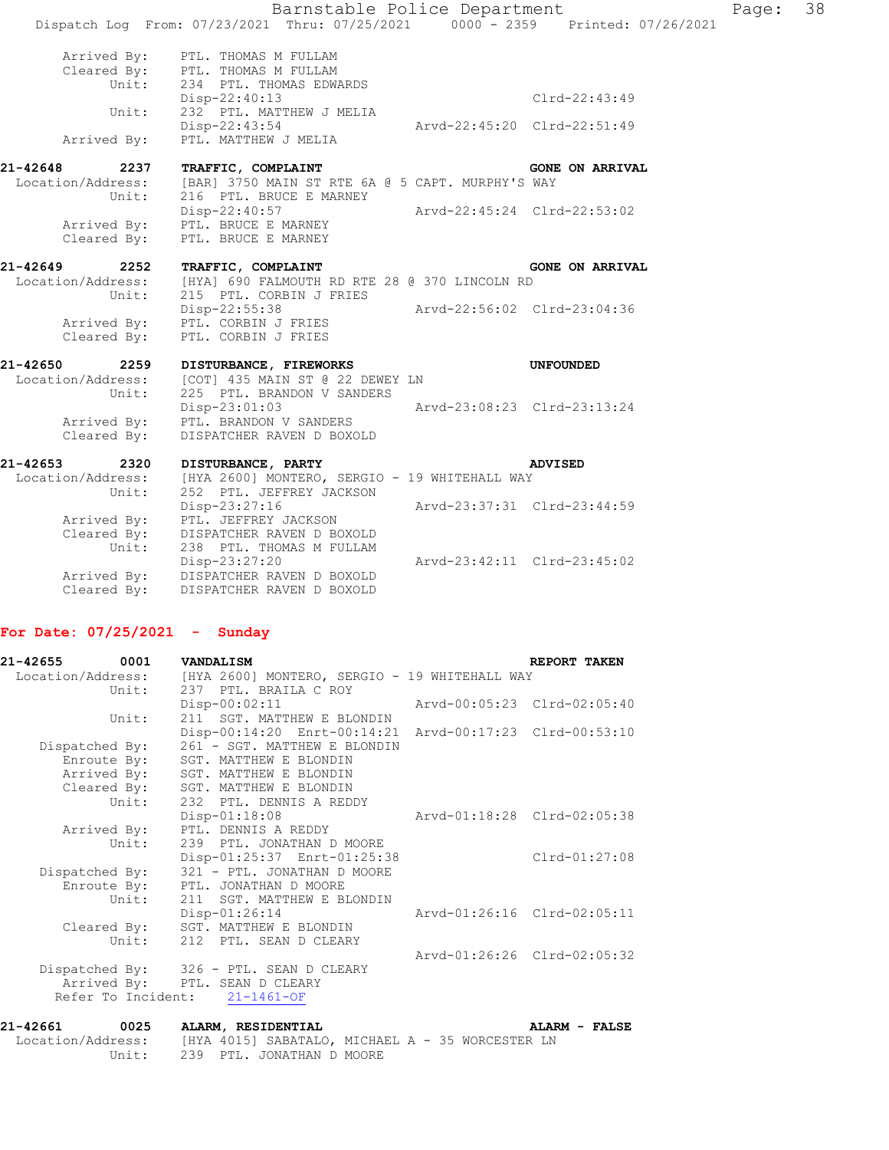|                  | Barnstable Police Department<br>Dispatch Log From: 07/23/2021 Thru: 07/25/2021 0000 - 2359 Printed: 07/26/2021 |                             |                        |
|------------------|----------------------------------------------------------------------------------------------------------------|-----------------------------|------------------------|
|                  | Arrived By: PTL. THOMAS M FULLAM<br>Cleared By: PTL. THOMAS M FULLAM                                           |                             |                        |
|                  | Unit: 234 PTL. THOMAS EDWARDS                                                                                  |                             |                        |
| Unit:            | Disp-22:40:13<br>232 PTL. MATTHEW J MELIA                                                                      |                             | $Clrd-22:43:49$        |
|                  | Disp-22:43:54                                                                                                  | Arvd-22:45:20 Clrd-22:51:49 |                        |
| Arrived By:      | PTL. MATTHEW J MELIA                                                                                           |                             |                        |
| 21-42648 2237    | TRAFFIC, COMPLAINT                                                                                             |                             | <b>GONE ON ARRIVAL</b> |
| Unit:            | Location/Address: [BAR] 3750 MAIN ST RTE 6A @ 5 CAPT. MURPHY'S WAY<br>216 PTL. BRUCE E MARNEY                  |                             |                        |
|                  | Disp-22:40:57 Arvd-22:45:24 Clrd-22:53:02                                                                      |                             |                        |
|                  | Arrived By: PTL. BRUCE E MARNEY<br>Cleared By: PTL. BRUCE E MARNEY                                             |                             |                        |
|                  |                                                                                                                |                             |                        |
| 21-42649<br>2252 | TRAFFIC, COMPLAINT                                                                                             |                             | <b>GONE ON ARRIVAL</b> |
| Unit:            | Location/Address: [HYA] 690 FALMOUTH RD RTE 28 @ 370 LINCOLN RD<br>215 PTL. CORBIN J FRIES                     |                             |                        |
|                  | Disp-22:55:38                                                                                                  | Arvd-22:56:02 Clrd-23:04:36 |                        |
|                  | Arrived By: PTL. CORBIN J FRIES                                                                                |                             |                        |
|                  | Cleared By: PTL. CORBIN J FRIES                                                                                |                             |                        |
| 21-42650         | 2259 DISTURBANCE, FIREWORKS                                                                                    |                             | UNFOUNDED              |
| Unit:            | Location/Address: [COT] 435 MAIN ST @ 22 DEWEY LN<br>225 PTL. BRANDON V SANDERS                                |                             |                        |
|                  | $Disp-23:01:03$                                                                                                | Arvd-23:08:23 Clrd-23:13:24 |                        |
|                  | Arrived By: PTL. BRANDON V SANDERS                                                                             |                             |                        |
| Cleared By:      | DISPATCHER RAVEN D BOXOLD                                                                                      |                             |                        |
| 21-42653<br>2320 | DISTURBANCE, PARTY                                                                                             |                             | <b>ADVISED</b>         |
| Unit:            | Location/Address: [HYA 2600] MONTERO, SERGIO - 19 WHITEHALL WAY<br>252 PTL. JEFFREY JACKSON                    |                             |                        |
|                  | Disp-23:27:16                                                                                                  | Arvd-23:37:31 Clrd-23:44:59 |                        |
|                  | Arrived By: PTL. JEFFREY JACKSON                                                                               |                             |                        |
| Unit:            | Cleared By: DISPATCHER RAVEN D BOXOLD                                                                          |                             |                        |
|                  | 238 PTL. THOMAS M FULLAM<br>Disp-23:27:20                                                                      | Arvd-23:42:11 Clrd-23:45:02 |                        |
|                  | Arrived By: DISPATCHER RAVEN D BOXOLD                                                                          |                             |                        |
| Cleared By:      | DISPATCHER RAVEN D BOXOLD                                                                                      |                             |                        |

### **For Date: 07/25/2021 - Sunday**

| 21-42655 0001     |                | VANDALISM                                               |                             | REPORT TAKEN                |
|-------------------|----------------|---------------------------------------------------------|-----------------------------|-----------------------------|
| Location/Address: |                | [HYA 2600] MONTERO, SERGIO - 19 WHITEHALL WAY           |                             |                             |
|                   | Unit:          | 237 PTL. BRAILA C ROY                                   |                             |                             |
|                   |                | $Disp-00:02:11$                                         |                             |                             |
|                   | Unit:          | 211 SGT. MATTHEW E BLONDIN                              |                             |                             |
|                   |                | Disp-00:14:20 Enrt-00:14:21 Arvd-00:17:23 Clrd-00:53:10 |                             |                             |
|                   | Dispatched By: | 261 - SGT. MATTHEW E BLONDIN                            |                             |                             |
|                   | Enroute By:    | SGT. MATTHEW E BLONDIN                                  |                             |                             |
|                   |                | Arrived By: SGT. MATTHEW E BLONDIN                      |                             |                             |
|                   |                | Cleared By: SGT. MATTHEW E BLONDIN                      |                             |                             |
|                   |                | Unit: 232 PTL. DENNIS A REDDY                           |                             |                             |
|                   |                | $Disp-01:18:08$                                         | Arvd-01:18:28 Clrd-02:05:38 |                             |
|                   | Arrived By:    | PTL. DENNIS A REDDY                                     |                             |                             |
|                   | Unit:          | 239 PTL. JONATHAN D MOORE                               |                             |                             |
|                   |                | Disp-01:25:37 Enrt-01:25:38                             |                             | Clrd-01:27:08               |
|                   | Dispatched By: | 321 - PTL. JONATHAN D MOORE                             |                             |                             |
|                   |                | Enroute By: PTL. JONATHAN D MOORE                       |                             |                             |
|                   |                | Unit: 211 SGT. MATTHEW E BLONDIN                        |                             |                             |
|                   |                | $Disp-01:26:14$                                         |                             | Arvd-01:26:16 Clrd-02:05:11 |
|                   |                | Cleared By: SGT. MATTHEW E BLONDIN                      |                             |                             |
|                   |                | Unit: 212 PTL. SEAN D CLEARY                            |                             |                             |
|                   |                |                                                         |                             | Arvd-01:26:26 Clrd-02:05:32 |
|                   |                | Dispatched By: 326 - PTL. SEAN D CLEARY                 |                             |                             |
|                   |                | Arrived By: PTL. SEAN D CLEARY                          |                             |                             |
|                   |                | Refer To Incident: 21-1461-OF                           |                             |                             |
|                   |                |                                                         |                             |                             |

### **21-42661 0025 ALARM, RESIDENTIAL ALARM - FALSE**  Location/Address: [HYA 4015] SABATALO, MICHAEL A - 35 WORCESTER LN Unit: 239 PTL. JONATHAN D MOORE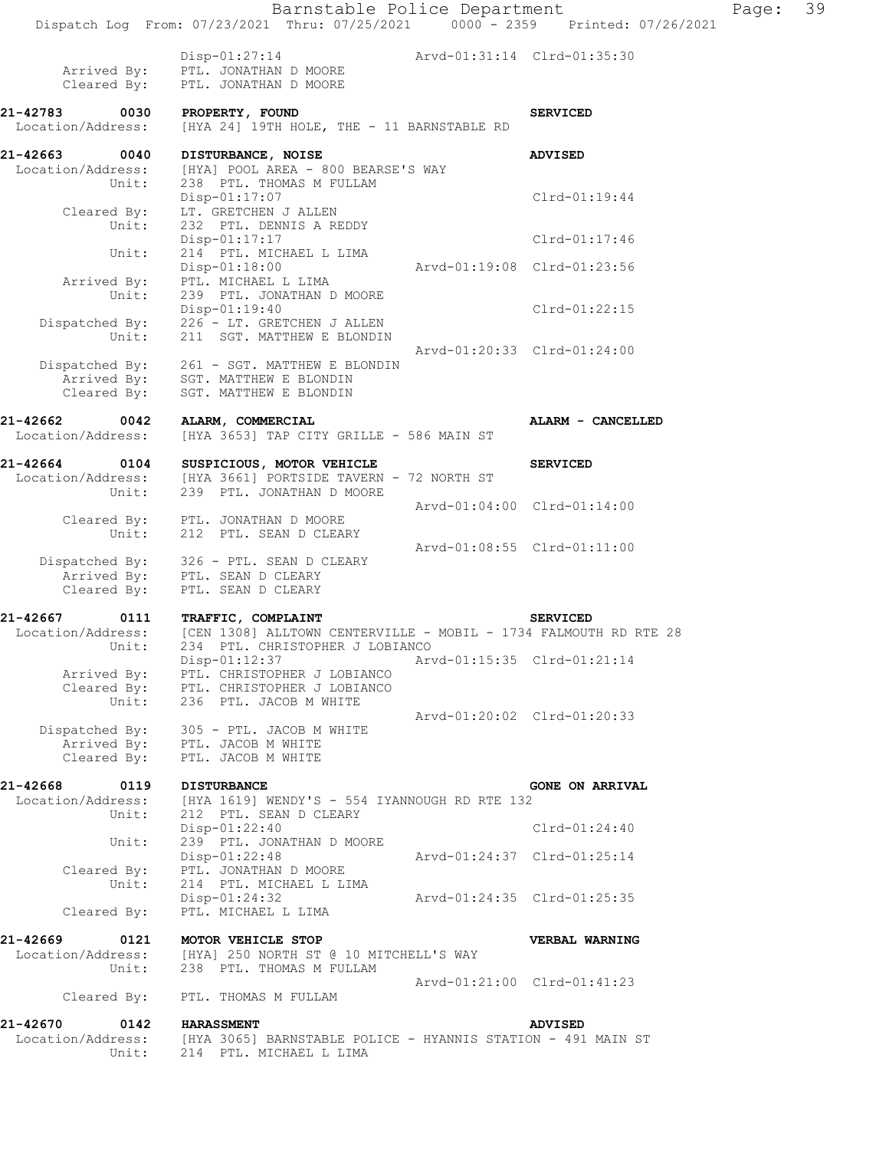|                                       | Barnstable Police Department<br>Dispatch Log From: 07/23/2021 Thru: 07/25/2021 0000 - 2359 Printed: 07/26/2021 |                             |                             | Page: | 39 |
|---------------------------------------|----------------------------------------------------------------------------------------------------------------|-----------------------------|-----------------------------|-------|----|
|                                       |                                                                                                                |                             |                             |       |    |
| Arrived By:<br>Cleared By:            | Disp-01:27:14 Arvd-01:31:14 Clrd-01:35:30<br>PTL. JONATHAN D MOORE<br>PTL. JONATHAN D MOORE                    |                             |                             |       |    |
| 21-42783 0030<br>Location/Address:    | PROPERTY, FOUND<br>[HYA 24] 19TH HOLE, THE - 11 BARNSTABLE RD                                                  |                             | <b>SERVICED</b>             |       |    |
| 21-42663<br>0040                      | DISTURBANCE, NOISE                                                                                             |                             | <b>ADVISED</b>              |       |    |
| Location/Address:<br>Unit:            | [HYA] POOL AREA - 800 BEARSE'S WAY<br>238 PTL. THOMAS M FULLAM                                                 |                             |                             |       |    |
|                                       | $Disp-01:17:07$                                                                                                |                             | $Clrd-01:19:44$             |       |    |
| Cleared By:<br>Unit:                  | LT. GRETCHEN J ALLEN<br>232 PTL. DENNIS A REDDY                                                                |                             |                             |       |    |
| Unit:                                 | Disp-01:17:17<br>214 PTL. MICHAEL L LIMA                                                                       |                             | Clrd-01:17:46               |       |    |
|                                       | $Disp-01:18:00$                                                                                                | Arvd-01:19:08 Clrd-01:23:56 |                             |       |    |
| Arrived By:<br>Unit:                  | PTL. MICHAEL L LIMA<br>239 PTL. JONATHAN D MOORE                                                               |                             |                             |       |    |
| Dispatched By:                        | Disp-01:19:40<br>226 - LT. GRETCHEN J ALLEN                                                                    |                             | Clrd-01:22:15               |       |    |
| Unit:                                 | 211 SGT. MATTHEW E BLONDIN                                                                                     |                             |                             |       |    |
| Dispatched By:                        | 261 - SGT. MATTHEW E BLONDIN                                                                                   |                             | Arvd-01:20:33 Clrd-01:24:00 |       |    |
| Arrived By:<br>Cleared By:            | SGT. MATTHEW E BLONDIN<br>SGT. MATTHEW E BLONDIN                                                               |                             |                             |       |    |
|                                       |                                                                                                                |                             |                             |       |    |
| 21-42662<br>0042<br>Location/Address: | ALARM, COMMERCIAL<br>[HYA 3653] TAP CITY GRILLE - 586 MAIN ST                                                  |                             | ALARM - CANCELLED           |       |    |
| 21-42664                              | 1-42664 0104 SUSPICIOUS, MOTOR VEHICLE<br>Location/Address: [HYA 3661] PORTSIDE TAVERN - 72 NORTH ST           |                             | <b>SERVICED</b>             |       |    |
| Unit:                                 | 239 PTL. JONATHAN D MOORE                                                                                      |                             |                             |       |    |
|                                       | Cleared By: PTL. JONATHAN D MOORE                                                                              |                             | Arvd-01:04:00 Clrd-01:14:00 |       |    |
| Unit:                                 | 212 PTL. SEAN D CLEARY                                                                                         |                             |                             |       |    |
|                                       | Dispatched By: 326 - PTL. SEAN D CLEARY                                                                        | Arvd-01:08:55 Clrd-01:11:00 |                             |       |    |
|                                       | Arrived By: PTL. SEAN D CLEARY<br>Cleared By: PTL. SEAN D CLEARY                                               |                             |                             |       |    |
| 21-42667                              | TRAFFIC, COMPLAINT                                                                                             |                             | <b>SERVICED</b>             |       |    |
| 0111<br>Location/Address:             | [CEN 1308] ALLTOWN CENTERVILLE - MOBIL - 1734 FALMOUTH RD RTE 28                                               |                             |                             |       |    |
| Unit:                                 | 234 PTL. CHRISTOPHER J LOBIANCO<br>$Disp-01:12:37$                                                             |                             | Arvd-01:15:35 Clrd-01:21:14 |       |    |
| Arrived By:                           | PTL. CHRISTOPHER J LOBIANCO                                                                                    |                             |                             |       |    |
| Cleared By:<br>Unit:                  | PTL. CHRISTOPHER J LOBIANCO<br>236 PTL. JACOB M WHITE                                                          |                             |                             |       |    |
| Dispatched By:                        | 305 - PTL. JACOB M WHITE                                                                                       |                             | Aryd-01:20:02 Clrd-01:20:33 |       |    |
| Cleared By:                           | Arrived By: PTL. JACOB M WHITE                                                                                 |                             |                             |       |    |
|                                       | PTL. JACOB M WHITE                                                                                             |                             |                             |       |    |
| 21-42668<br>0119<br>Location/Address: | <b>DISTURBANCE</b><br>[HYA 1619] WENDY'S - 554 IYANNOUGH RD RTE 132                                            |                             | <b>GONE ON ARRIVAL</b>      |       |    |
| Unit:                                 | 212 PTL. SEAN D CLEARY<br>Disp-01:22:40                                                                        |                             | $Clrd-01:24:40$             |       |    |
| Unit:                                 | 239 PTL. JONATHAN D MOORE                                                                                      |                             |                             |       |    |
| Cleared By:                           | Disp-01:22:48<br>PTL. JONATHAN D MOORE                                                                         | Arvd-01:24:37 Clrd-01:25:14 |                             |       |    |
| Unit:                                 | 214 PTL. MICHAEL L LIMA                                                                                        |                             |                             |       |    |
| Cleared By:                           | Disp-01:24:32<br>PTL. MICHAEL L LIMA                                                                           |                             | Arvd-01:24:35 Clrd-01:25:35 |       |    |
| 21-42669<br>0121                      | MOTOR VEHICLE STOP                                                                                             |                             | VERBAL WARNING              |       |    |
| Location/Address:<br>Unit:            | [HYA] 250 NORTH ST @ 10 MITCHELL'S WAY<br>238 PTL. THOMAS M FULLAM                                             |                             |                             |       |    |
|                                       |                                                                                                                |                             | Arvd-01:21:00 Clrd-01:41:23 |       |    |
| Cleared By:                           | PTL. THOMAS M FULLAM                                                                                           |                             |                             |       |    |
| 21-42670<br>0142<br>Location/Address: | <b>HARASSMENT</b><br>[HYA 3065] BARNSTABLE POLICE - HYANNIS STATION - 491 MAIN ST                              |                             | <b>ADVISED</b>              |       |    |
| Unit:                                 | 214 PTL. MICHAEL L LIMA                                                                                        |                             |                             |       |    |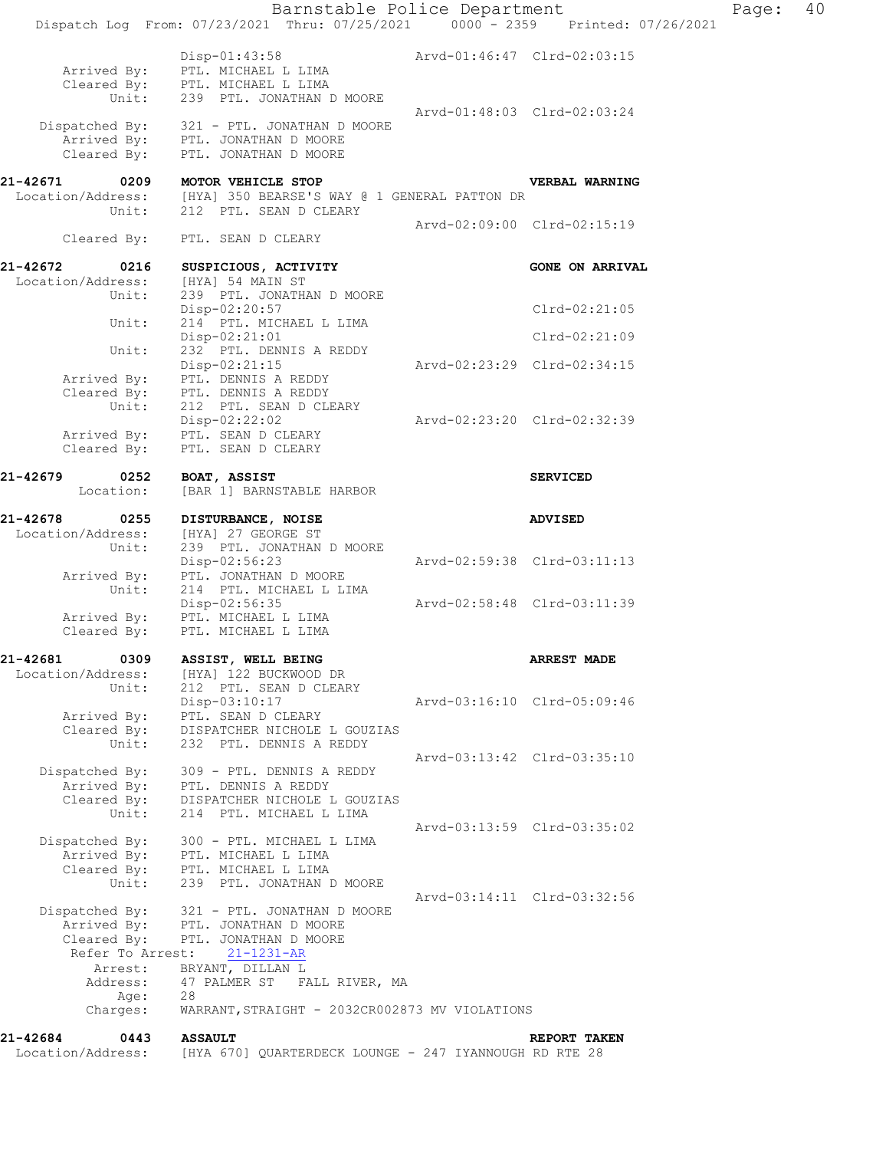|                                                                  | Barnstable Police Department<br>Dispatch Log From: 07/23/2021 Thru: 07/25/2021 0000 - 2359 Printed: 07/26/2021                         |                             |                             | Page: | 40 |
|------------------------------------------------------------------|----------------------------------------------------------------------------------------------------------------------------------------|-----------------------------|-----------------------------|-------|----|
|                                                                  | Disp-01:43:58 Arvd-01:46:47 Clrd-02:03:15<br>PTL. MICHAEL L LIMA<br>Arrived By: PTL. MICHAEL L LIMA<br>Cleared By: PTL. MICHAEL L LIMA |                             |                             |       |    |
| Unit:                                                            | 239 PTL. JONATHAN D MOORE                                                                                                              | Arvd-01:48:03 Clrd-02:03:24 |                             |       |    |
|                                                                  | Dispatched By: 321 - PTL. JONATHAN D MOORE<br>Arrived By: PTL. JONATHAN D MOORE<br>Cleared By: PTL. JONATHAN D MOORE                   |                             |                             |       |    |
| 21-42671 0209<br>Location/Address:<br>Unit:                      | MOTOR VEHICLE STOP<br>[HYA] 350 BEARSE'S WAY @ 1 GENERAL PATTON DR<br>212 PTL. SEAN D CLEARY                                           |                             | VERBAL WARNING              |       |    |
| Cleared By:                                                      | PTL. SEAN D CLEARY                                                                                                                     |                             | Arvd-02:09:00 Clrd-02:15:19 |       |    |
| 21-42672<br>0216                                                 | SUSPICIOUS, ACTIVITY                                                                                                                   |                             | <b>GONE ON ARRIVAL</b>      |       |    |
| Location/Address:<br>Unit:                                       | [HYA] 54 MAIN ST<br>239 PTL. JONATHAN D MOORE<br>Disp-02:20:57                                                                         |                             | $Clrd-02:21:05$             |       |    |
| Unit:                                                            | 214 PTL. MICHAEL L LIMA<br>Disp-02:21:01                                                                                               |                             | $Clrd-02:21:09$             |       |    |
| Unit:                                                            | 232 PTL. DENNIS A REDDY<br>$Disp-02:21:15$                                                                                             | Arvd-02:23:29 Clrd-02:34:15 |                             |       |    |
| Arrived By:<br>Cleared By:<br>Unit:                              | PTL. DENNIS A REDDY<br>PTL. DENNIS A REDDY<br>212 PTL. SEAN D CLEARY                                                                   |                             |                             |       |    |
| Arrived By:<br>Cleared By:                                       | Disp-02:22:02<br>PTL. SEAN D CLEARY<br>PTL. SEAN D CLEARY                                                                              | Arvd-02:23:20 Clrd-02:32:39 |                             |       |    |
| 21-42679<br>0252<br>Location:                                    | BOAT, ASSIST<br>[BAR 1] BARNSTABLE HARBOR                                                                                              |                             | <b>SERVICED</b>             |       |    |
| 21-42678<br>0255<br>Location/Address:                            | DISTURBANCE, NOISE<br>[HYA] 27 GEORGE ST                                                                                               |                             | <b>ADVISED</b>              |       |    |
| Unit:                                                            | 239 PTL. JONATHAN D MOORE<br>$Disp-02:56:23$                                                                                           | Arvd-02:59:38 Clrd-03:11:13 |                             |       |    |
| Arrived By:<br>Unit:                                             | PTL. JONATHAN D MOORE<br>214 PTL. MICHAEL L LIMA                                                                                       |                             |                             |       |    |
| Arrived By:<br>Cleared By:                                       | Disp-02:56:35<br>PTL. MICHAEL L LIMA<br>PTL. MICHAEL L LIMA                                                                            | Arvd-02:58:48 Clrd-03:11:39 |                             |       |    |
| 21-42681<br>0309<br>Location/Address:                            | ASSIST, WELL BEING<br>[HYA] 122 BUCKWOOD DR                                                                                            |                             | <b>ARREST MADE</b>          |       |    |
| Unit:<br>Arrived By:<br>Cleared By:                              | 212 PTL. SEAN D CLEARY<br>Disp-03:10:17<br>PTL. SEAN D CLEARY<br>DISPATCHER NICHOLE L GOUZIAS                                          |                             | Arvd-03:16:10 Clrd-05:09:46 |       |    |
| Unit:<br>Dispatched By:                                          | 232 PTL. DENNIS A REDDY<br>309 - PTL. DENNIS A REDDY                                                                                   |                             | Arvd-03:13:42 Clrd-03:35:10 |       |    |
| Arrived By:<br>Cleared By:<br>Unit:                              | PTL. DENNIS A REDDY<br>DISPATCHER NICHOLE L GOUZIAS<br>214 PTL. MICHAEL L LIMA                                                         |                             |                             |       |    |
| Dispatched By:<br>Arrived By:                                    | 300 - PTL. MICHAEL L LIMA<br>PTL. MICHAEL L LIMA                                                                                       |                             | Arvd-03:13:59 Clrd-03:35:02 |       |    |
| Cleared By:<br>Unit:                                             | PTL. MICHAEL L LIMA<br>239 PTL. JONATHAN D MOORE                                                                                       |                             |                             |       |    |
| Dispatched By:<br>Arrived By:<br>Cleared By:<br>Refer To Arrest: | 321 - PTL. JONATHAN D MOORE<br>PTL. JONATHAN D MOORE<br>PTL. JONATHAN D MOORE<br>$21 - 1231 - AR$                                      |                             | Arvd-03:14:11 Clrd-03:32:56 |       |    |
| Arrest:<br>Address:                                              | BRYANT, DILLAN L<br>47 PALMER ST FALL RIVER, MA                                                                                        |                             |                             |       |    |
| Age:<br>Charges:                                                 | 28<br>WARRANT, STRAIGHT - 2032CR002873 MV VIOLATIONS                                                                                   |                             |                             |       |    |
| 21-42684<br>0443<br>Location/Address:                            | <b>ASSAULT</b><br>[HYA 670] QUARTERDECK LOUNGE - 247 IYANNOUGH RD RTE 28                                                               |                             | REPORT TAKEN                |       |    |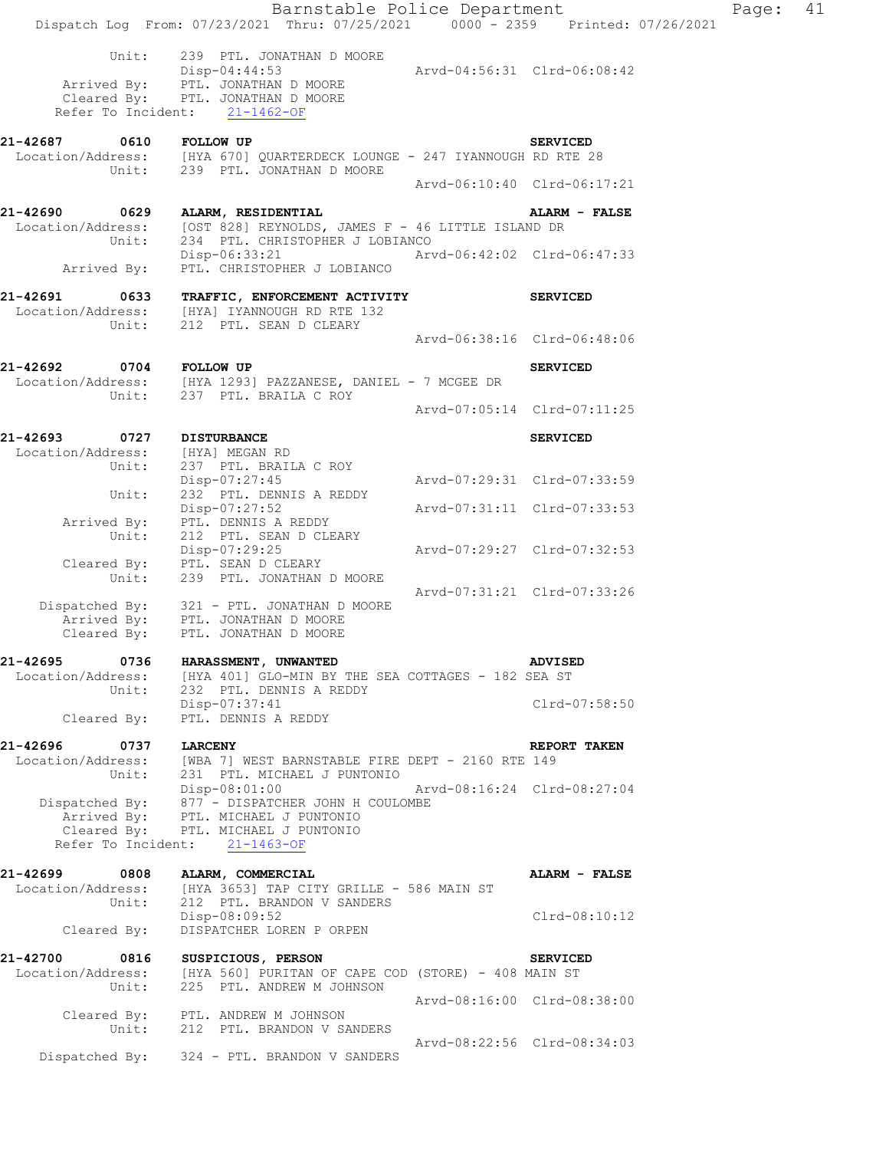|                                                               | Barnstable Police Department                                                                                                                                     |                             |                 | Page: | 41 |
|---------------------------------------------------------------|------------------------------------------------------------------------------------------------------------------------------------------------------------------|-----------------------------|-----------------|-------|----|
|                                                               | Dispatch Log From: 07/23/2021 Thru: 07/25/2021 0000 - 2359 Printed: 07/26/2021                                                                                   |                             |                 |       |    |
| Unit:                                                         | 239 PTL. JONATHAN D MOORE<br>Disp-04:44:53<br>Arrived By: PTL. JONATHAN D MOORE                                                                                  | Arvd-04:56:31 Clrd-06:08:42 |                 |       |    |
|                                                               | Cleared By: PTL. JONATHAN D MOORE<br>Refer To Incident: 21-1462-OF                                                                                               |                             |                 |       |    |
|                                                               | 21-42687 0610 FOLLOW UP SERVICED<br>Location/Address: [HYA 670] QUARTERDECK LOUNGE - 247 IYANNOUGH RD RTE 28                                                     |                             |                 |       |    |
|                                                               | Unit: 239 PTL. JONATHAN D MOORE                                                                                                                                  | Arvd-06:10:40 Clrd-06:17:21 |                 |       |    |
| 21-42690 0629                                                 | ALARM, RESIDENTIAL                                                                                                                                               |                             | ALARM - FALSE   |       |    |
| Unit:                                                         | Location/Address: [OST 828] REYNOLDS, JAMES F - 46 LITTLE ISLAND DR<br>234 PTL. CHRISTOPHER J LOBIANCO                                                           |                             |                 |       |    |
| Arrived By:                                                   | Disp-06:33:21 Arvd-06:42:02 Clrd-06:47:33<br>PTL. CHRISTOPHER J LOBIANCO                                                                                         |                             |                 |       |    |
| 21-42691 0633<br>Unit:                                        | TRAFFIC, ENFORCEMENT ACTIVITY<br>Location/Address: [HYA] IYANNOUGH RD RTE 132<br>212 PTL. SEAN D CLEARY                                                          |                             | <b>SERVICED</b> |       |    |
|                                                               |                                                                                                                                                                  | Arvd-06:38:16 Clrd-06:48:06 |                 |       |    |
|                                                               | 21-42692 0704 FOLLOW UP<br>Location/Address: [HYA 1293] PAZZANESE, DANIEL - 7 MCGEE DR                                                                           |                             | <b>SERVICED</b> |       |    |
|                                                               | Unit: 237 PTL. BRAILA C ROY                                                                                                                                      | Arvd-07:05:14 Clrd-07:11:25 |                 |       |    |
|                                                               |                                                                                                                                                                  |                             |                 |       |    |
| 21-42693 0727 DISTURBANCE<br>Location/Address: [HYA] MEGAN RD |                                                                                                                                                                  |                             | <b>SERVICED</b> |       |    |
| Unit:<br>Unit:                                                | 237 PTL. BRAILA C ROY<br>Disp-07:27:45<br>232 PTL. DENNIS A REDDY                                                                                                | Arvd-07:29:31 Clrd-07:33:59 |                 |       |    |
| Arrived By:                                                   | Disp-07:27:52<br>PTL. DENNIS A REDDY                                                                                                                             |                             |                 |       |    |
| Unit:                                                         | 212 PTL. SEAN D CLEARY<br>Disp-07:29:25<br>Cleared By: PTL. SEAN D CLEARY                                                                                        | Arvd-07:29:27 Clrd-07:32:53 |                 |       |    |
| Unit:                                                         | 239 PTL. JONATHAN D MOORE                                                                                                                                        |                             |                 |       |    |
|                                                               | Dispatched By: 321 - PTL. JONATHAN D MOORE<br>Arrived By: PTL. JONATHAN D MOORE<br>Cleared By: PTL. JONATHAN D MOORE                                             | Arvd-07:31:21 Clrd-07:33:26 |                 |       |    |
| 21-42695<br>0736                                              | HARASSMENT, UNWANTED                                                                                                                                             |                             | <b>ADVISED</b>  |       |    |
| Location/Address:<br>Unit:                                    | [HYA 401] GLO-MIN BY THE SEA COTTAGES - 182 SEA ST<br>232 PTL. DENNIS A REDDY                                                                                    |                             |                 |       |    |
| Cleared By:                                                   | Disp-07:37:41<br>PTL. DENNIS A REDDY                                                                                                                             |                             | Clrd-07:58:50   |       |    |
| 21-42696<br>0737                                              | <b>LARCENY</b>                                                                                                                                                   |                             | REPORT TAKEN    |       |    |
| Location/Address:<br>Unit:                                    | [WBA 7] WEST BARNSTABLE FIRE DEPT - 2160 RTE 149<br>231 PTL. MICHAEL J PUNTONIO                                                                                  |                             |                 |       |    |
| Dispatched By:                                                | Disp-08:01:00<br>877 - DISPATCHER JOHN H COULOMBE<br>Arrived By: PTL. MICHAEL J PUNTONIO<br>Cleared By: PTL. MICHAEL J PUNTONIO<br>Refer To Incident: 21-1463-OF | Arvd-08:16:24 Clrd-08:27:04 |                 |       |    |
| 21-42699<br>0808<br>Location/Address:<br>Unit:                | ALARM, COMMERCIAL<br>[HYA 3653] TAP CITY GRILLE - 586 MAIN ST<br>212 PTL. BRANDON V SANDERS<br>Disp-08:09:52                                                     |                             | ALARM - FALSE   |       |    |
| Cleared By:                                                   | DISPATCHER LOREN P ORPEN                                                                                                                                         |                             | Clrd-08:10:12   |       |    |
| 21-42700<br>0816<br>Location/Address:                         | SUSPICIOUS, PERSON<br>[HYA 560] PURITAN OF CAPE COD (STORE) - 408 MAIN ST                                                                                        |                             | <b>SERVICED</b> |       |    |
| Unit:                                                         | 225 PTL. ANDREW M JOHNSON<br>Cleared By: PTL. ANDREW M JOHNSON                                                                                                   | Arvd-08:16:00 Clrd-08:38:00 |                 |       |    |
|                                                               | Unit: 212 PTL. BRANDON V SANDERS<br>Dispatched By: 324 - PTL. BRANDON V SANDERS                                                                                  | Arvd-08:22:56 Clrd-08:34:03 |                 |       |    |
|                                                               |                                                                                                                                                                  |                             |                 |       |    |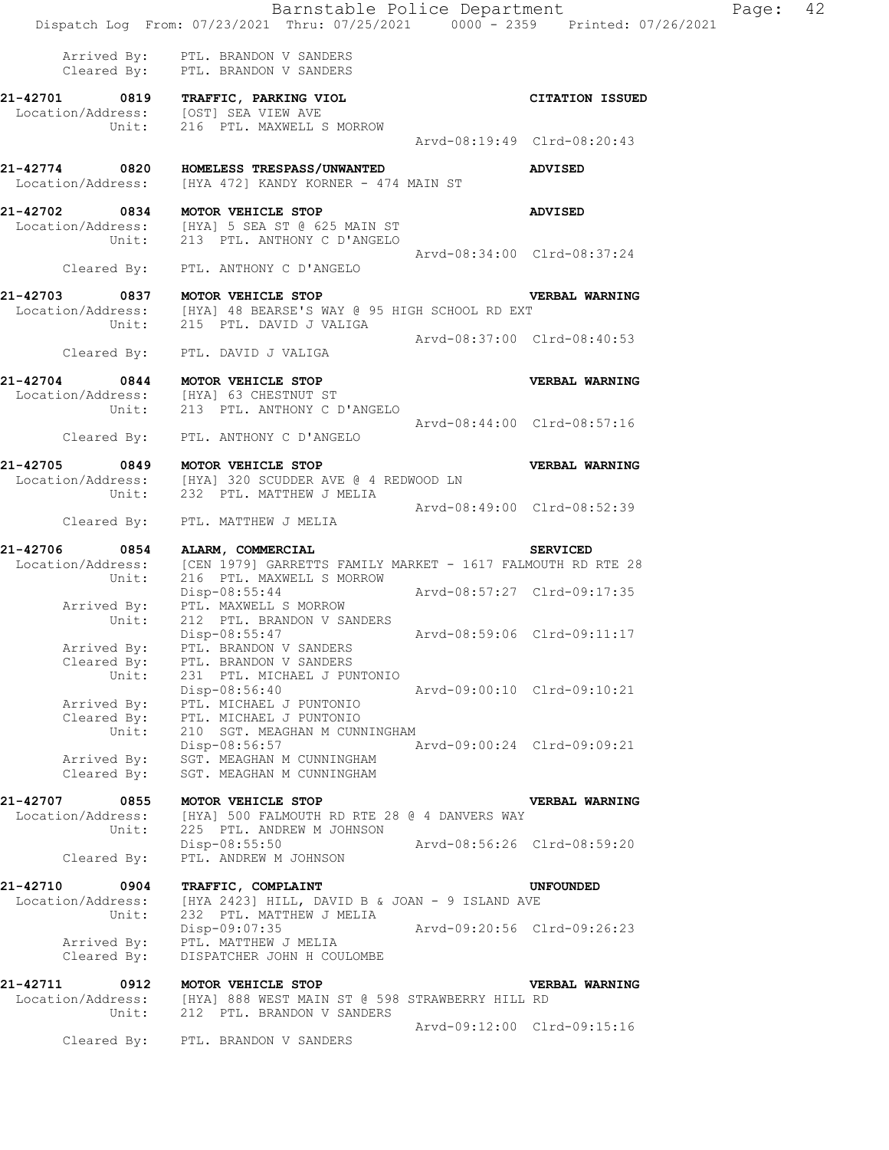|                            | Barnstable Police Department<br>Dispatch Log From: 07/23/2021 Thru: 07/25/2021 0000 - 2359 Printed: 07/26/2021  |                             |                             |
|----------------------------|-----------------------------------------------------------------------------------------------------------------|-----------------------------|-----------------------------|
|                            |                                                                                                                 |                             |                             |
|                            | Arrived By: PTL. BRANDON V SANDERS<br>Cleared By: PTL. BRANDON V SANDERS                                        |                             |                             |
|                            | 21-42701 0819 TRAFFIC, PARKING VIOL                                                                             |                             | <b>CITATION ISSUED</b>      |
|                            | Location/Address: [OST] SEA VIEW AVE                                                                            |                             |                             |
|                            | Unit: 216 PTL. MAXWELL S MORROW                                                                                 | Arvd-08:19:49 Clrd-08:20:43 |                             |
|                            |                                                                                                                 |                             |                             |
|                            | 21-42774 0820 HOMELESS TRESPASS/UNWANTED                                                                        |                             | <b>ADVISED</b>              |
|                            | Location/Address: [HYA 472] KANDY KORNER - 474 MAIN ST                                                          |                             |                             |
|                            | 21-42702 0834 MOTOR VEHICLE STOP                                                                                |                             | <b>ADVISED</b>              |
|                            | Location/Address: [HYA] 5 SEA ST @ 625 MAIN ST                                                                  |                             |                             |
|                            | Unit: 213 PTL. ANTHONY C D'ANGELO                                                                               |                             |                             |
|                            |                                                                                                                 | Arvd-08:34:00 Clrd-08:37:24 |                             |
|                            | Cleared By: PTL. ANTHONY C D'ANGELO                                                                             |                             |                             |
|                            | 21-42703 0837 MOTOR VEHICLE STOP                                                                                |                             | <b>VERBAL WARNING</b>       |
|                            | Location/Address: [HYA] 48 BEARSE'S WAY @ 95 HIGH SCHOOL RD EXT<br>Unit: 215 PTL. DAVID J VALIGA                |                             |                             |
|                            |                                                                                                                 |                             |                             |
|                            |                                                                                                                 | Arvd-08:37:00 Clrd-08:40:53 |                             |
|                            | Cleared By: PTL. DAVID J VALIGA                                                                                 |                             |                             |
|                            | 21-42704 0844 MOTOR VEHICLE STOP<br>Location/Address: [HYA] 63 CHESTNUT ST<br>Unit: 213 PTL. ANTHONY C D'ANGELO |                             | <b>VERBAL WARNING</b>       |
|                            |                                                                                                                 |                             |                             |
|                            |                                                                                                                 |                             |                             |
|                            | Cleared By: PTL. ANTHONY C D'ANGELO                                                                             | Arvd-08:44:00 Clrd-08:57:16 |                             |
|                            |                                                                                                                 |                             |                             |
|                            | 21-42705 0849 MOTOR VEHICLE STOP                                                                                |                             | VERBAL WARNING              |
|                            | Location/Address: [HYA] 320 SCUDDER AVE @ 4 REDWOOD LN                                                          |                             |                             |
|                            | Unit: 232 PTL. MATTHEW J MELIA                                                                                  |                             |                             |
|                            | Cleared By: PTL. MATTHEW J MELIA                                                                                | Arvd-08:49:00 Clrd-08:52:39 |                             |
|                            |                                                                                                                 |                             |                             |
| 21-42706                   | 0854 ALARM, COMMERCIAL                                                                                          |                             | <b>SERVICED</b>             |
|                            | Location/Address: [CEN 1979] GARRETTS FAMILY MARKET - 1617 FALMOUTH RD RTE 28                                   |                             |                             |
| Unit:                      | 216 PTL. MAXWELL S MORROW                                                                                       | Arvd-08:57:27 Clrd-09:17:35 |                             |
|                            | Disp-08:55:44                                                                                                   |                             |                             |
|                            | Arrived By: PTL. MAXWELL S MORROW<br>Unit: 212 PTL. BRANDON V SANDER<br>212 PTL. BRANDON V SANDERS              |                             |                             |
|                            | Disp-08:55:47                                                                                                   | Arvd-08:59:06 Clrd-09:11:17 |                             |
| Arrived By:                | PTL. BRANDON V SANDERS                                                                                          |                             |                             |
| Cleared By:                | PTL. BRANDON V SANDERS                                                                                          |                             |                             |
| Unit:                      | 231 PTL. MICHAEL J PUNTONIO                                                                                     |                             |                             |
|                            | Disp-08:56:40                                                                                                   |                             | Arvd-09:00:10 Clrd-09:10:21 |
| Arrived By:                | PTL. MICHAEL J PUNTONIO                                                                                         |                             |                             |
| Cleared By:                | PTL. MICHAEL J PUNTONIO                                                                                         |                             |                             |
| Unit:                      | 210 SGT. MEAGHAN M CUNNINGHAM                                                                                   |                             |                             |
| Arrived By:                | Disp-08:56:57<br>SGT. MEAGHAN M CUNNINGHAM                                                                      | Arvd-09:00:24 Clrd-09:09:21 |                             |
| Cleared By:                | SGT. MEAGHAN M CUNNINGHAM                                                                                       |                             |                             |
|                            |                                                                                                                 |                             |                             |
| 21-42707<br>0855           | MOTOR VEHICLE STOP                                                                                              |                             | VERBAL WARNING              |
| Location/Address:<br>Unit: | [HYA] 500 FALMOUTH RD RTE 28 @ 4 DANVERS WAY<br>225 PTL. ANDREW M JOHNSON                                       |                             |                             |
|                            | Disp-08:55:50                                                                                                   | Arvd-08:56:26 Clrd-08:59:20 |                             |
| Cleared By:                | PTL. ANDREW M JOHNSON                                                                                           |                             |                             |
|                            |                                                                                                                 |                             |                             |
| 21-42710<br>0904           | TRAFFIC, COMPLAINT                                                                                              |                             | UNFOUNDED                   |
| Location/Address:<br>Unit: | [HYA 2423] HILL, DAVID B & JOAN - 9 ISLAND AVE<br>232 PTL. MATTHEW J MELIA                                      |                             |                             |
|                            | Disp-09:07:35                                                                                                   | Arvd-09:20:56 Clrd-09:26:23 |                             |
| Arrived By:                | PTL. MATTHEW J MELIA                                                                                            |                             |                             |
| Cleared By:                | DISPATCHER JOHN H COULOMBE                                                                                      |                             |                             |
|                            |                                                                                                                 |                             |                             |
| 21-42711<br>0912           | MOTOR VEHICLE STOP                                                                                              |                             | VERBAL WARNING              |
| Location/Address:          | [HYA] 888 WEST MAIN ST @ 598 STRAWBERRY HILL RD                                                                 |                             |                             |

 Unit: 212 PTL. BRANDON V SANDERS Arvd-09:12:00 Clrd-09:15:16

Cleared By: PTL. BRANDON V SANDERS

Page: 42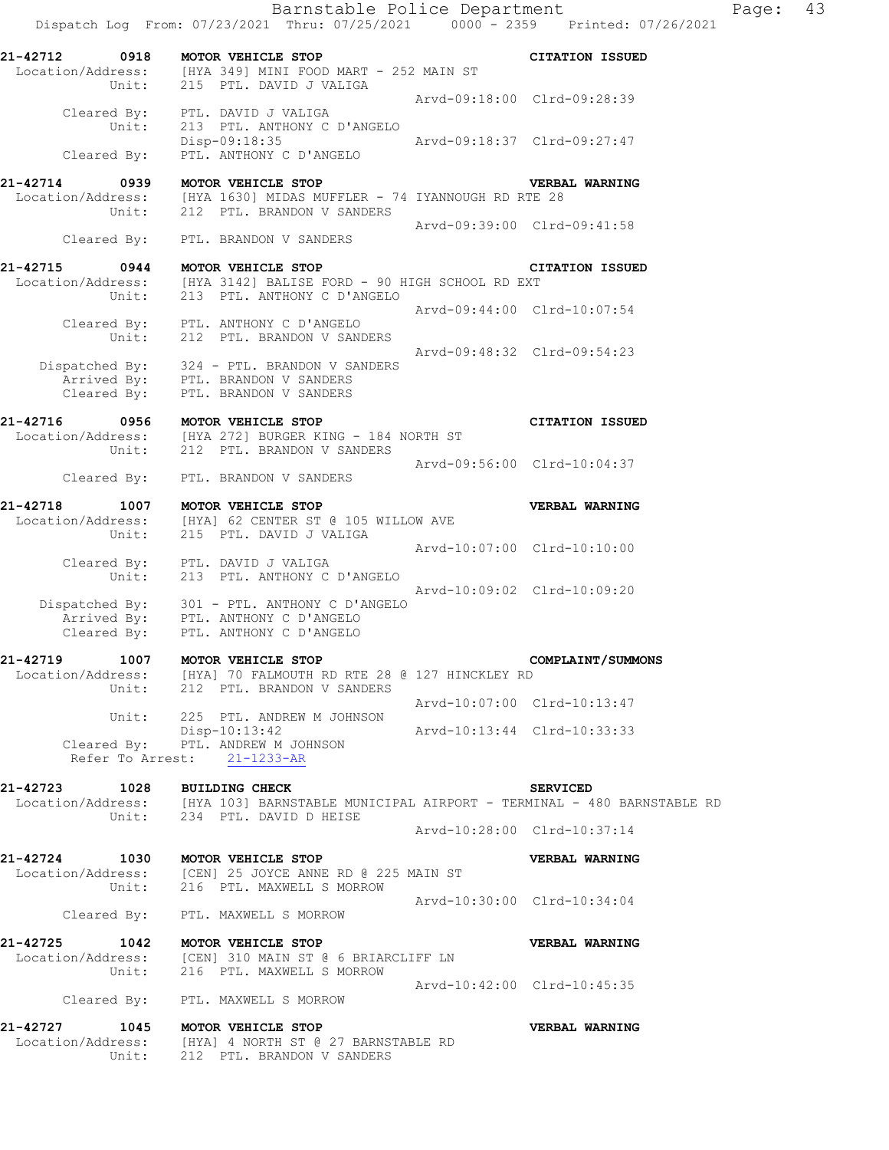Barnstable Police Department Fage: 43 Dispatch Log From: 07/23/2021 Thru: 07/25/2021 0000 - 2359 Printed: 07/26/2021 **21-42712 0918 MOTOR VEHICLE STOP CITATION ISSUED**  Location/Address: [HYA 349] MINI FOOD MART - 252 MAIN ST Unit: 215 PTL. DAVID J VALIGA Arvd-09:18:00 Clrd-09:28:39 Cleared By: PTL. DAVID J VALIGA Unit: 213 PTL. ANTHONY C D'ANGELO Disp-09:18:35 Arvd-09:18:37 Clrd-09:27:47 Cleared By: PTL. ANTHONY C D'ANGELO **21-42714 0939 MOTOR VEHICLE STOP VERBAL WARNING**  Location/Address: [HYA 1630] MIDAS MUFFLER - 74 IYANNOUGH RD RTE 28 Unit: 212 PTL. BRANDON V SANDERS Arvd-09:39:00 Clrd-09:41:58 Cleared By: PTL. BRANDON V SANDERS **21-42715 0944 MOTOR VEHICLE STOP CITATION ISSUED**<br>Location/Address: [HYA 3142] BALISE FORD - 90 HIGH SCHOOL RD EXT Location/Address: [HYA 3142] BALISE FORD - 90 HIGH SCHOOL RD EXT Unit: 213 PTL. ANTHONY C D'ANGELO Arvd-09:44:00 Clrd-10:07:54 Cleared By: PTL. ANTHONY C D'ANGELO Unit: 212 PTL. BRANDON V SANDERS Arvd-09:48:32 Clrd-09:54:23 Dispatched By: 324 - PTL. BRANDON V SANDERS Arrived By: PTL. BRANDON V SANDERS Cleared By: PTL. BRANDON V SANDERS **21-42716 0956 MOTOR VEHICLE STOP CITATION ISSUED**  Location/Address: [HYA 272] BURGER KING - 184 NORTH ST Unit: 212 PTL. BRANDON V SANDERS Arvd-09:56:00 Clrd-10:04:37 Cleared By: PTL. BRANDON V SANDERS **21-42718 1007 MOTOR VEHICLE STOP VERBAL WARNING**  [HYA] 62 CENTER ST @ 105 WILLOW AVE 215 PTL. DAVID J VALIGA Arvd-10:07:00 Clrd-10:10:00 Cleared By: PTL. DAVID J VALIGA Unit: 213 PTL. ANTHONY C D'ANGELO Arvd-10:09:02 Clrd-10:09:20 Dispatched By: 301 - PTL. ANTHONY C D'ANGELO Arrived By: PTL. ANTHONY C D'ANGELO Cleared By: PTL. ANTHONY C D'ANGELO **21-42719 1007 MOTOR VEHICLE STOP COMPLAINT/SUMMONS**<br>Location/Address: [HYA] 70 FALMOUTH RD RTE 28 @ 127 HINCKLEY RD<br>Unit: 212 PTL. BRANDON V SANDERS [HYA] 70 FALMOUTH RD RTE 28 @ 127 HINCKLEY RD 212 PTL. BRANDON V SANDERS Arvd-10:07:00 Clrd-10:13:47 Unit: 225 PTL. ANDREW M JOHNSON Disp-10:13:42 Arvd-10:13:44 Clrd-10:33:33 Cleared By: PTL. ANDREW M JOHNSON Refer To Arrest: 21-1233-AR **21-42723 1028 BUILDING CHECK SERVICED**  Location/Address: [HYA 103] BARNSTABLE MUNICIPAL AIRPORT - TERMINAL - 480 BARNSTABLE RD Unit: 234 PTL. DAVID D HEISE Arvd-10:28:00 Clrd-10:37:14 **21-42724 1030 MOTOR VEHICLE STOP VERBAL WARNING**  Location/Address: [CEN] 25 JOYCE ANNE RD @ 225 MAIN ST Unit: 216 PTL. MAXWELL S MORROW Arvd-10:30:00 Clrd-10:34:04 Cleared By: PTL. MAXWELL S MORROW **21-42725 1042 MOTOR VEHICLE STOP VERBAL WARNING**  Location/Address: [CEN] 310 MAIN ST @ 6 BRIARCLIFF LN Unit: 216 PTL. MAXWELL S MORROW Arvd-10:42:00 Clrd-10:45:35 Cleared By: PTL. MAXWELL S MORROW **21-42727 1045 MOTOR VEHICLE STOP VERBAL WARNING**  Location/Address: [HYA] 4 NORTH ST @ 27 BARNSTABLE RD

Unit: 212 PTL. BRANDON V SANDERS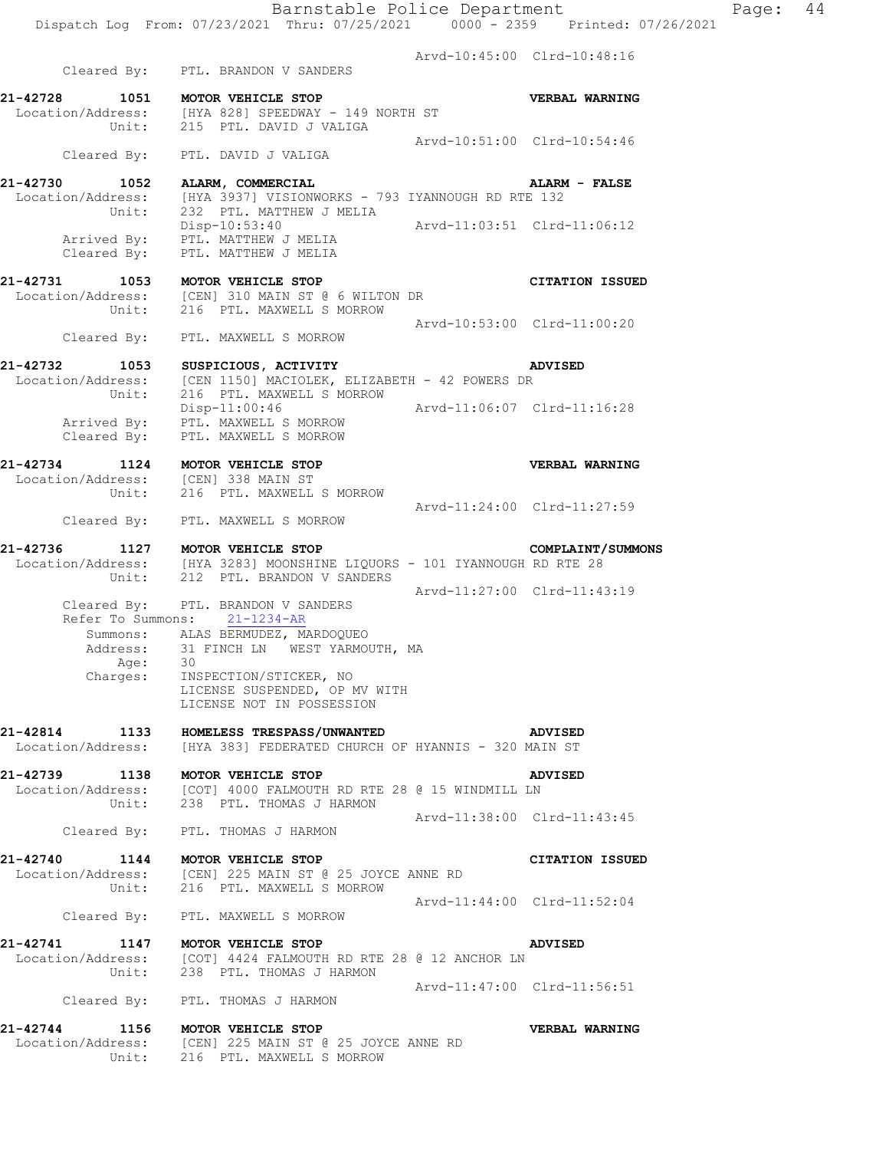Arvd-10:45:00 Clrd-10:48:16 Cleared By: PTL. BRANDON V SANDERS **21-42728 1051 MOTOR VEHICLE STOP VERBAL WARNING**  Location/Address: [HYA 828] SPEEDWAY - 149 NORTH ST Unit: 215 PTL. DAVID J VALIGA Arvd-10:51:00 Clrd-10:54:46 Cleared By: PTL. DAVID J VALIGA **21-42730 1052 ALARM, COMMERCIAL ALARM - FALSE**  Location/Address: [HYA 3937] VISIONWORKS - 793 IYANNOUGH RD RTE 132 Unit: 232 PTL. MATTHEW J MELIA Disp-10:53:40 Arvd-11:03:51 Clrd-11:06:12 Arrived By: PTL. MATTHEW J MELIA Cleared By: PTL. MATTHEW J MELIA **21-42731 1053 MOTOR VEHICLE STOP CITATION ISSUED**  Location/Address: [CEN] 310 MAIN ST @ 6 WILTON DR Unit: 216 PTL. MAXWELL S MORROW Arvd-10:53:00 Clrd-11:00:20 Cleared By: PTL. MAXWELL S MORROW **21-42732 1053 SUSPICIOUS, ACTIVITY ADVISED**<br>Location/Address: [CEN 1150] MACIOLEK, ELIZABETH - 42 POWERS DR [CEN 1150] MACIOLEK, ELIZABETH - 42 POWERS DR Unit: 216 PTL. MAXWELL S MORROW<br>Disp-11:00:46 Disp-11:00:46 Arvd-11:06:07 Clrd-11:16:28 Arrived By: PTL. MAXWELL S MORROW Cleared By: PTL. MAXWELL S MORROW **21-42734 1124 MOTOR VEHICLE STOP VERBAL WARNING**  Location/Address: [CEN] 338 MAIN ST Unit: 216 PTL. MAXWELL S MORROW Arvd-11:24:00 Clrd-11:27:59 Cleared By: PTL. MAXWELL S MORROW **21-42736 1127 MOTOR VEHICLE STOP COMPLAINT/SUMMONS**  Location/Address: [HYA 3283] MOONSHINE LIQUORS - 101 IYANNOUGH RD RTE 28 Unit: 212 PTL. BRANDON V SANDERS Arvd-11:27:00 Clrd-11:43:19 Cleared By: PTL. BRANDON V SANDERS Refer To Summons: 21-1234-AR Summons: ALAS BERMUDEZ, MARDOQUEO Address: 31 FINCH LN WEST YARMOUTH, MA Age: 30 Charges: INSPECTION/STICKER, NO LICENSE SUSPENDED, OP MV WITH LICENSE NOT IN POSSESSION **21-42814 1133 HOMELESS TRESPASS/UNWANTED ADVISED**  Location/Address: [HYA 383] FEDERATED CHURCH OF HYANNIS - 320 MAIN ST **21-42739 1138 MOTOR VEHICLE STOP ADVISED**  Location/Address: [COT] 4000 FALMOUTH RD RTE 28 @ 15 WINDMILL LN Unit: 238 PTL. THOMAS J HARMON Arvd-11:38:00 Clrd-11:43:45 Cleared By: PTL. THOMAS J HARMON **21-42740 1144 MOTOR VEHICLE STOP CITATION ISSUED**  Location/Address: [CEN] 225 MAIN ST @ 25 JOYCE ANNE RD Unit: 216 PTL. MAXWELL S MORROW Arvd-11:44:00 Clrd-11:52:04 Cleared By: PTL. MAXWELL S MORROW **21-42741 1147 MOTOR VEHICLE STOP ADVISED**  Location/Address: [COT] 4424 FALMOUTH RD RTE 28 @ 12 ANCHOR LN Unit: 238 PTL. THOMAS J HARMON Arvd-11:47:00 Clrd-11:56:51 Cleared By: PTL. THOMAS J HARMON **21-42744 1156 MOTOR VEHICLE STOP VERBAL WARNING**  Location/Address: [CEN] 225 MAIN ST @ 25 JOYCE ANNE RD Unit: 216 PTL. MAXWELL S MORROW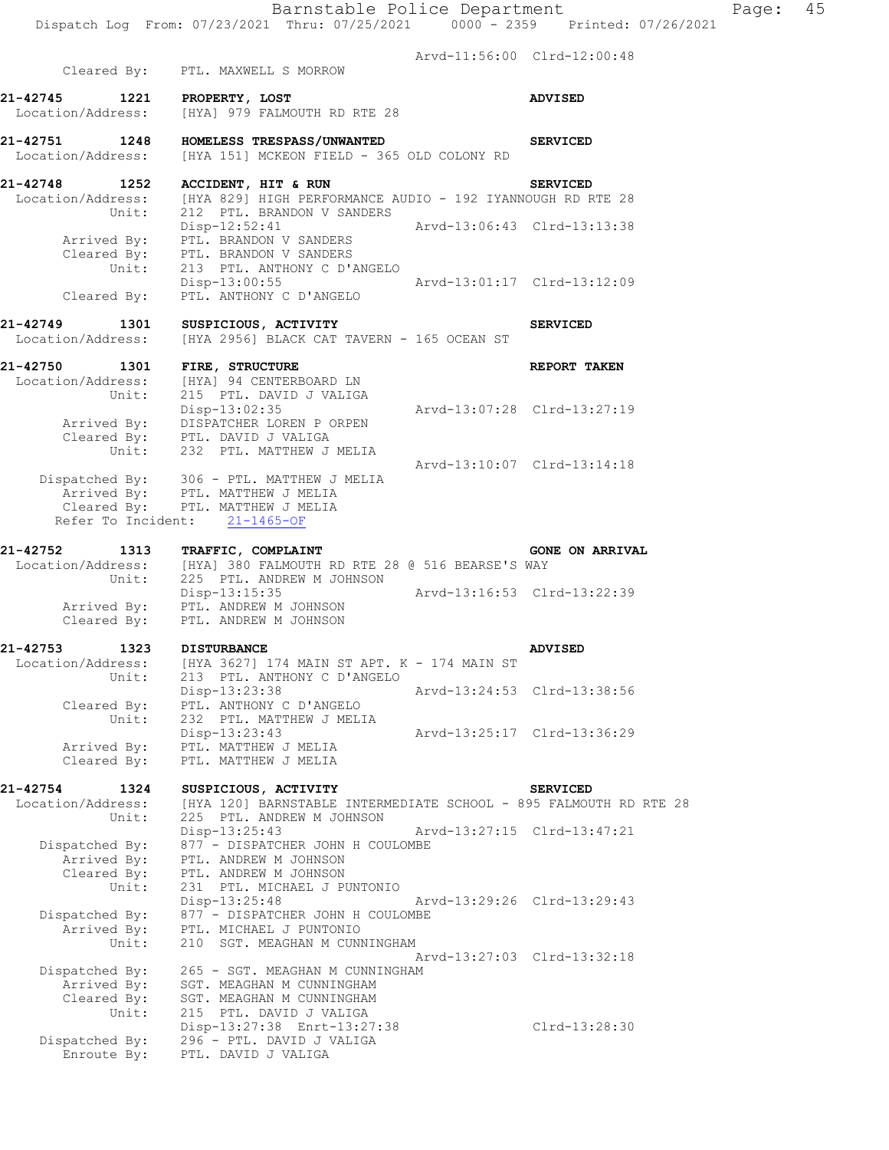Arvd-11:56:00 Clrd-12:00:48

|                                    | Cleared By: PTL. MAXWELL S MORROW                                                                                           |                             | Arva-11:56:00 Clra-12:00:48 |  |
|------------------------------------|-----------------------------------------------------------------------------------------------------------------------------|-----------------------------|-----------------------------|--|
|                                    |                                                                                                                             |                             |                             |  |
| 21-42745 1221<br>Location/Address: | PROPERTY, LOST<br>[HYA] 979 FALMOUTH RD RTE 28                                                                              |                             | <b>ADVISED</b>              |  |
| 21-42751 1248<br>Location/Address: | HOMELESS TRESPASS/UNWANTED<br>[HYA 151] MCKEON FIELD - 365 OLD COLONY RD                                                    |                             | <b>SERVICED</b>             |  |
| 21-42748 1252                      | ACCIDENT, HIT & RUN                                                                                                         |                             | <b>SERVICED</b>             |  |
| Unit:                              | Location/Address: [HYA 829] HIGH PERFORMANCE AUDIO - 192 IYANNOUGH RD RTE 28<br>212 PTL. BRANDON V SANDERS<br>Disp-12:52:41 | Arvd-13:06:43 Clrd-13:13:38 |                             |  |
| Unit:                              | Arrived By: PTL. BRANDON V SANDERS<br>Cleared By: PTL. BRANDON V SANDERS<br>213 PTL. ANTHONY C D'ANGELO                     |                             |                             |  |
| Cleared By:                        | Disp-13:00:55<br>PTL. ANTHONY C D'ANGELO                                                                                    | Arvd-13:01:17 Clrd-13:12:09 |                             |  |
| 21-42749 1301<br>Location/Address: | SUSPICIOUS, ACTIVITY<br>[HYA 2956] BLACK CAT TAVERN - 165 OCEAN ST                                                          |                             | <b>SERVICED</b>             |  |
| 21-42750<br>1301<br>Unit:          | FIRE, STRUCTURE<br>Location/Address: [HYA] 94 CENTERBOARD LN<br>215 PTL. DAVID J VALIGA                                     |                             | REPORT TAKEN                |  |
|                                    | Disp-13:02:35<br>Arrived By: DISPATCHER LOREN PORPEN<br>Cleared By: PTL. DAVID J VALIGA<br>Unit: 232 PTL. MATTHEW J MELIA   | Arvd-13:07:28 Clrd-13:27:19 |                             |  |
|                                    | Dispatched By: 306 - PTL. MATTHEW J MELIA                                                                                   | Arvd-13:10:07 Clrd-13:14:18 |                             |  |
|                                    | Arrived By: PTL. MATTHEW J MELIA<br>Cleared By: PTL. MATTHEW J MELIA<br>Refer To Incident: 21-1465-OF                       |                             |                             |  |
| 21-42752 1313                      | TRAFFIC, COMPLAINT                                                                                                          |                             | <b>GONE ON ARRIVAL</b>      |  |
| Unit:                              | Location/Address: [HYA] 380 FALMOUTH RD RTE 28 @ 516 BEARSE'S WAY<br>225 PTL. ANDREW M JOHNSON                              |                             |                             |  |
|                                    | Disp-13:15:35<br>Arrived By: PTL. ANDREW M JOHNSON<br>Cleared By: PTL. ANDREW M JOHNSON                                     | Arvd-13:16:53 Clrd-13:22:39 |                             |  |
|                                    |                                                                                                                             |                             | <b>ADVISED</b>              |  |
|                                    | 21-42753 1323 DISTURBANCE<br>Location/Address: [HYA 3627] 174 MAIN ST APT. K - 174 MAIN ST                                  |                             |                             |  |
| Unit:                              | 213 PTL. ANTHONY C D'ANGELO<br>Disp-13:23:38                                                                                |                             | Arvd-13:24:53 Clrd-13:38:56 |  |
| Cleared By:<br>Unit:               | PTL. ANTHONY C D'ANGELO<br>232 PTL. MATTHEW J MELIA                                                                         |                             |                             |  |
| Arrived By:                        | Disp-13:23:43<br>PTL. MATTHEW J MELIA                                                                                       |                             | Arvd-13:25:17 Clrd-13:36:29 |  |
| Cleared By:                        | PTL. MATTHEW J MELIA                                                                                                        |                             |                             |  |
| 21-42754<br>1324                   | SUSPICIOUS, ACTIVITY                                                                                                        |                             | <b>SERVICED</b>             |  |
| Location/Address:<br>Unit:         | [HYA 120] BARNSTABLE INTERMEDIATE SCHOOL - 895 FALMOUTH RD RTE 28<br>225 PTL. ANDREW M JOHNSON                              |                             |                             |  |
| Dispatched By:                     | $Disp-13:25:43$<br>877 - DISPATCHER JOHN H COULOMBE                                                                         |                             | Arvd-13:27:15 Clrd-13:47:21 |  |
| Arrived By:                        | PTL. ANDREW M JOHNSON<br>PTL. ANDREW M JOHNSON                                                                              |                             |                             |  |
| Cleared By:<br>Unit:               | 231 PTL. MICHAEL J PUNTONIO                                                                                                 |                             |                             |  |
|                                    | $Disp-13:25:48$                                                                                                             |                             | Arvd-13:29:26 Clrd-13:29:43 |  |
| Dispatched By:                     | 877 - DISPATCHER JOHN H COULOMBE                                                                                            |                             |                             |  |
| Arrived By:<br>Unit:               | PTL. MICHAEL J PUNTONIO<br>210<br>SGT. MEAGHAN M CUNNINGHAM                                                                 |                             |                             |  |
|                                    |                                                                                                                             |                             | Arvd-13:27:03 Clrd-13:32:18 |  |
| Dispatched By:<br>Arrived By:      | 265 - SGT. MEAGHAN M CUNNINGHAM<br>SGT. MEAGHAN M CUNNINGHAM                                                                |                             |                             |  |
| Cleared By:                        | SGT. MEAGHAN M CUNNINGHAM                                                                                                   |                             |                             |  |
| Unit:                              | 215 PTL. DAVID J VALIGA                                                                                                     |                             |                             |  |
|                                    | Disp-13:27:38 Enrt-13:27:38                                                                                                 |                             | Clrd-13:28:30               |  |
| Dispatched By:<br>Enroute By:      | 296 - PTL. DAVID J VALIGA<br>PTL. DAVID J VALIGA                                                                            |                             |                             |  |
|                                    |                                                                                                                             |                             |                             |  |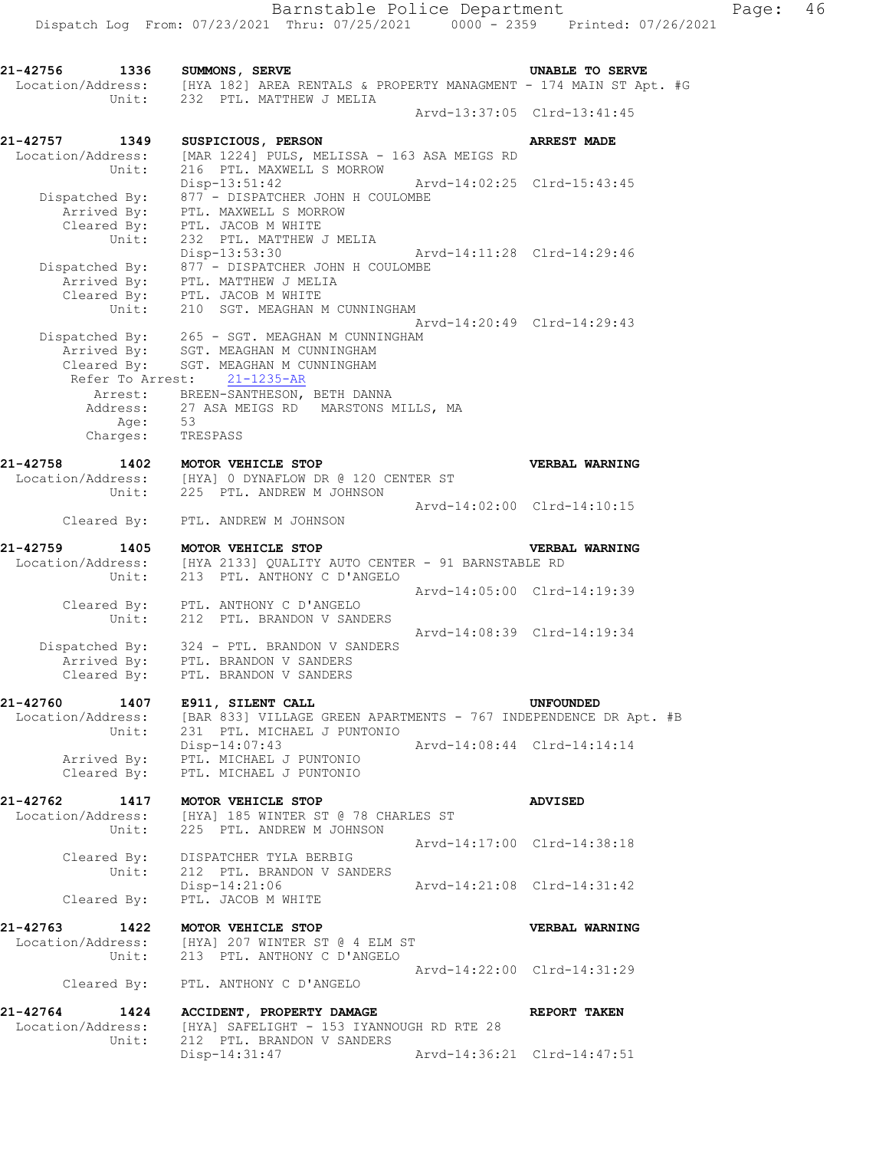**21-42756 1336 SUMMONS, SERVE UNABLE TO SERVE**  Location/Address: [HYA 182] AREA RENTALS & PROPERTY MANAGMENT - 174 MAIN ST Apt. #G Unit: 232 PTL. MATTHEW J MELIA Arvd-13:37:05 Clrd-13:41:45 **21-42757 1349 SUSPICIOUS, PERSON ARREST MADE**  Location/Address: [MAR 1224] PULS, MELISSA - 163 ASA MEIGS RD Unit: 216 PTL. MAXWELL S MORROW Disp-13:51:42 Arvd-14:02:25 Clrd-15:43:45 Dispatched By: 877 - DISPATCHER JOHN H COULOMBE Arrived By: PTL. MAXWELL S MORROW Cleared By: PTL. JACOB M WHITE Unit: 232 PTL. MATTHEW J MELIA<br>Disp-13:53:30 Disp-13:53:30 Arvd-14:11:28 Clrd-14:29:46 Dispatched By: 877 - DISPATCHER JOHN H COULOMBE Arrived By: PTL. MATTHEW J MELIA Cleared By: PTL. JACOB M WHITE Unit: 210 SGT. MEAGHAN M CUNNINGHAM Arvd-14:20:49 Clrd-14:29:43 Dispatched By: 265 - SGT. MEAGHAN M CUNNINGHAM Arrived By: SGT. MEAGHAN M CUNNINGHAM Cleared By: SGT. MEAGHAN M CUNNINGHAM Refer To Arrest: 21-1235-AR Arrest: BREEN-SANTHESON, BETH DANNA Address: 27 ASA MEIGS RD MARSTONS MILLS, MA Age: 53 Charges: TRESPASS **21-42758 1402 MOTOR VEHICLE STOP VERBAL WARNING**  Location/Address: [HYA] 0 DYNAFLOW DR @ 120 CENTER ST Unit: 225 PTL. ANDREW M JOHNSON Arvd-14:02:00 Clrd-14:10:15 Cleared By: PTL. ANDREW M JOHNSON **21-42759 1405 MOTOR VEHICLE STOP VERBAL WARNING**  Location/Address: [HYA 2133] QUALITY AUTO CENTER - 91 BARNSTABLE RD Unit: 213 PTL. ANTHONY C D'ANGELO Arvd-14:05:00 Clrd-14:19:39 Cleared By: PTL. ANTHONY C D'ANGELO Unit: 212 PTL. BRANDON V SANDERS Arvd-14:08:39 Clrd-14:19:34 Dispatched By: 324 - PTL. BRANDON V SANDERS Arrived By: PTL. BRANDON V SANDERS Cleared By: PTL. BRANDON V SANDERS **21-42760 1407 E911, SILENT CALL UNFOUNDED**  Location/Address: [BAR 833] VILLAGE GREEN APARTMENTS - 767 INDEPENDENCE DR Apt. #B<br>Unit: 231 PTL. MICHAEL J PUNTONIO Unit: 231 PTL. MICHAEL J PUNTONIO Disp-14:07:43 Arvd-14:08:44 Clrd-14:14:14 Arrived By: PTL. MICHAEL J PUNTONIO Cleared By: PTL. MICHAEL J PUNTONIO **21-42762 1417 MOTOR VEHICLE STOP ADVISED**  Location/Address: [HYA] 185 WINTER ST @ 78 CHARLES ST Unit: 225 PTL. ANDREW M JOHNSON Arvd-14:17:00 Clrd-14:38:18 Cleared By: DISPATCHER TYLA BERBIG Unit: 212 PTL. BRANDON V SANDERS Disp-14:21:06 Arvd-14:21:08 Clrd-14:31:42 Cleared By: PTL. JACOB M WHITE **21-42763 1422 MOTOR VEHICLE STOP VERBAL WARNING**  Location/Address: [HYA] 207 WINTER ST @ 4 ELM ST Unit: 213 PTL. ANTHONY C D'ANGELO Arvd-14:22:00 Clrd-14:31:29 Cleared By: PTL. ANTHONY C D'ANGELO **21-42764 1424 ACCIDENT, PROPERTY DAMAGE REPORT TAKEN** Location/Address: [HYA] SAFELIGHT - 153 IYANNOUGH RD RTE 28<br>Unit: 212 PTL. BRANDON V SANDERS [HYA] SAFELIGHT - 153 IYANNOUGH RD RTE 28 212 PTL. BRANDON V SANDERS Disp-14:31:47 Arvd-14:36:21 Clrd-14:47:51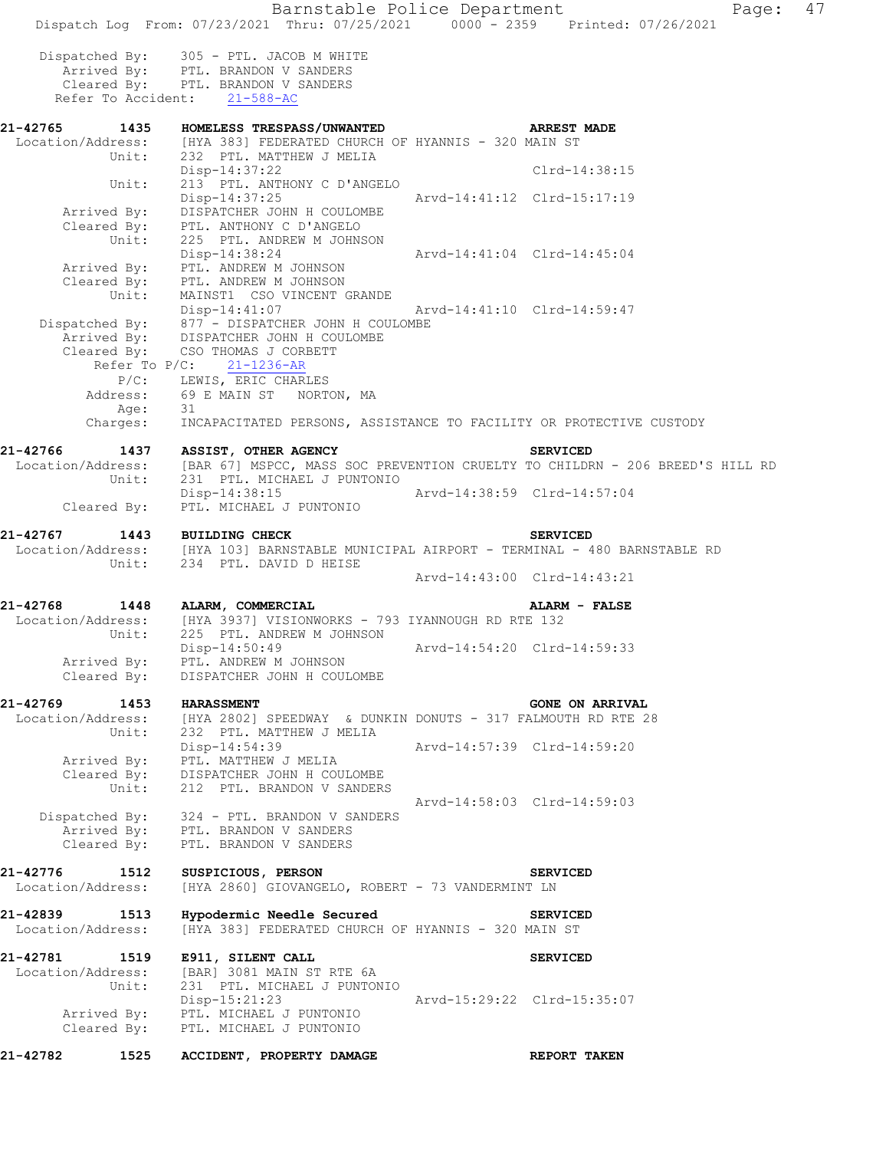Barnstable Police Department Page: 47 Dispatch Log From: 07/23/2021 Thru: 07/25/2021 0000 - 2359 Printed: 07/26/2021 Dispatched By: 305 - PTL. JACOB M WHITE Arrived By: PTL. BRANDON V SANDERS Cleared By: PTL. BRANDON V SANDERS Refer To Accident: 21-588-AC **21-42765 1435 HOMELESS TRESPASS/UNWANTED ARREST MADE**  Location/Address: [HYA 383] FEDERATED CHURCH OF HYANNIS - 320 MAIN ST Unit: 232 PTL. MATTHEW J MELIA Disp-14:37:22 Clrd-14:38:15<br>Unit: 213 PTL. ANTHONY C D'ANGELO 213 PTL. ANTHONY C D'ANGELO Disp-14:37:25 Arvd-14:41:12 Clrd-15:17:19 Arrived By: DISPATCHER JOHN H COULOMBE Cleared By: PTL. ANTHONY C D'ANGELO Unit: 225 PTL. ANDREW M JOHNSON<br>Disp-14:38:24 Disp-14:38:24 Arvd-14:41:04 Clrd-14:45:04 Arrived By: PTL. ANDREW M JOHNSON Cleared By: PTL. ANDREW M JOHNSON Unit: MAINST1 CSO VINCENT GRANDE Disp-14:41:07 Arvd-14:41:10 Clrd-14:59:47 Dispatched By: 877 - DISPATCHER JOHN H COULOMBE Arrived By: DISPATCHER JOHN H COULOMBE Cleared By: CSO THOMAS J CORBETT Refer To  $P/C$ :  $21-1236-AR$  P/C: LEWIS, ERIC CHARLES Address: 69 E MAIN ST NORTON, MA Age: 31 Charges: INCAPACITATED PERSONS, ASSISTANCE TO FACILITY OR PROTECTIVE CUSTODY **21-42766 1437 ASSIST, OTHER AGENCY SERVICED**  Location/Address: [BAR 67] MSPCC, MASS SOC PREVENTION CRUELTY TO CHILDRN - 206 BREED'S HILL RD Unit: 231 PTL. MICHAEL J PUNTONIO Disp-14:38:15 Arvd-14:38:59 Clrd-14:57:04 Cleared By: PTL. MICHAEL J PUNTONIO **21-42767 1443 BUILDING CHECK SERVICED**<br>Location/Address: [HYA 103] BARNSTABLE MUNICIPAL AIRPORT - TERMINAL - 4 [HYA 103] BARNSTABLE MUNICIPAL AIRPORT - TERMINAL - 480 BARNSTABLE RD Unit: 234 PTL. DAVID D HEISE Arvd-14:43:00 Clrd-14:43:21 **21-42768 1448 ALARM, COMMERCIAL ALARM - FALSE**  Location/Address: [HYA 3937] VISIONWORKS - 793 IYANNOUGH RD RTE 132 Unit: 225 PTL. ANDREW M JOHNSON Disp-14:50:49 Arvd-14:54:20 Clrd-14:59:33 Arrived By: PTL. ANDREW M JOHNSON Cleared By: DISPATCHER JOHN H COULOMBE **21-42769 1453 HARASSMENT GONE ON ARRIVAL**  [HYA 2802] SPEEDWAY & DUNKIN DONUTS - 317 FALMOUTH RD RTE 28 Unit: 232 PTL. MATTHEW J MELIA Disp-14:54:39 Arvd-14:57:39 Clrd-14:59:20 Arrived By: PTL. MATTHEW J MELIA Cleared By: DISPATCHER JOHN H COULOMBE Unit: 212 PTL. BRANDON V SANDERS Arvd-14:58:03 Clrd-14:59:03 Dispatched By: 324 - PTL. BRANDON V SANDERS Arrived By: PTL. BRANDON V SANDERS Cleared By: PTL. BRANDON V SANDERS **21-42776 1512 SUSPICIOUS, PERSON SERVICED**  Location/Address: [HYA 2860] GIOVANGELO, ROBERT - 73 VANDERMINT LN **21-42839 1513 Hypodermic Needle Secured SERVICED**  Location/Address: [HYA 383] FEDERATED CHURCH OF HYANNIS - 320 MAIN ST **21-42781 1519 E911, SILENT CALL SERVICED**  Location/Address: [BAR] 3081 MAIN ST RTE 6A Unit: 231 PTL. MICHAEL J PUNTONIO Disp-15:21:23 Arvd-15:29:22 Clrd-15:35:07 Arrived By: PTL. MICHAEL J PUNTONIO Cleared By: PTL. MICHAEL J PUNTONIO **21-42782 1525 ACCIDENT, PROPERTY DAMAGE REPORT TAKEN**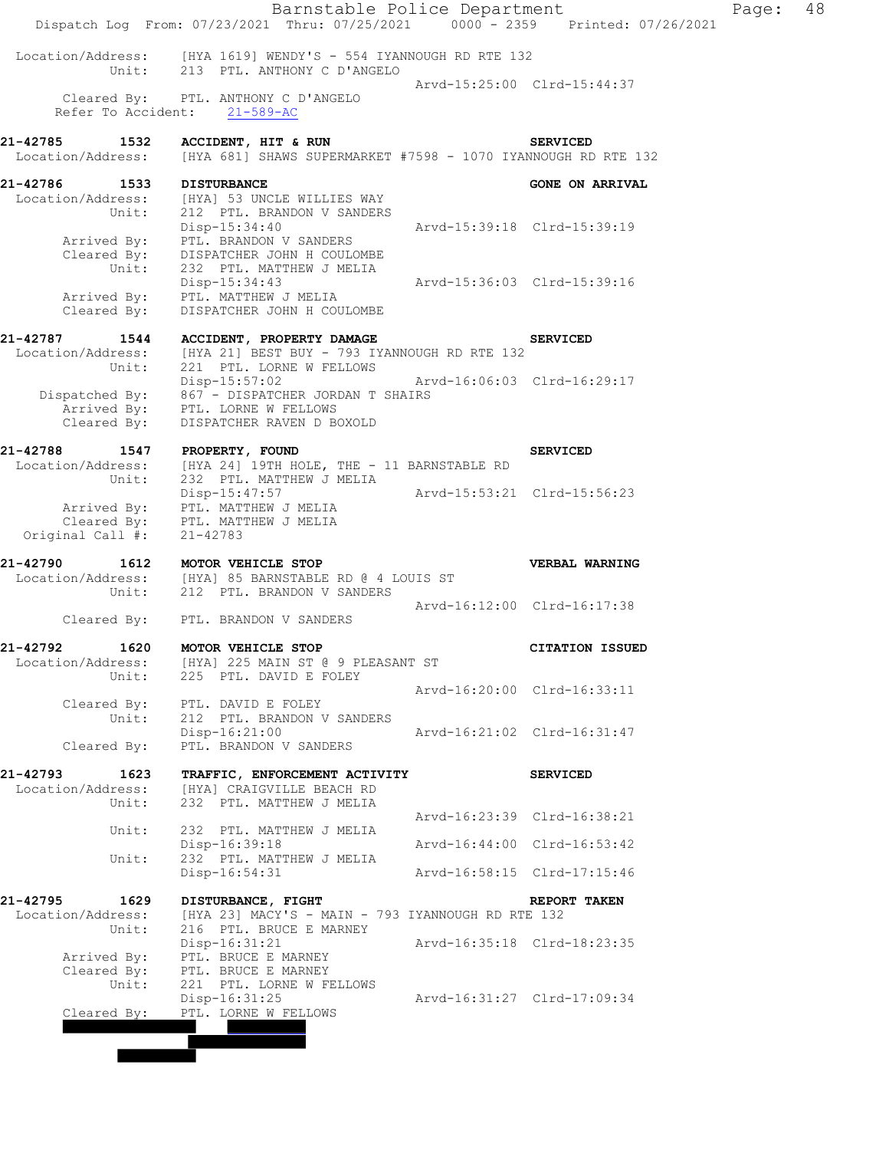|                                       | Barnstable Police Department<br>Dispatch Log From: 07/23/2021 Thru: 07/25/2021 0000 - 2359 Printed: 07/26/2021 |                             |                             | Page: | 48 |
|---------------------------------------|----------------------------------------------------------------------------------------------------------------|-----------------------------|-----------------------------|-------|----|
|                                       | Location/Address: [HYA 1619] WENDY'S - 554 IYANNOUGH RD RTE 132<br>Unit: 213 PTL. ANTHONY C D'ANGELO           |                             |                             |       |    |
|                                       |                                                                                                                |                             | Arvd-15:25:00 Clrd-15:44:37 |       |    |
|                                       | Cleared By: PTL. ANTHONY C D'ANGELO<br>Refer To Accident: 21-589-AC                                            |                             |                             |       |    |
| 21-42785                              | 1532 ACCIDENT, HIT & RUN<br>Location/Address: [HYA 681] SHAWS SUPERMARKET #7598 - 1070 IYANNOUGH RD RTE 132    |                             | <b>SERVICED</b>             |       |    |
|                                       |                                                                                                                |                             |                             |       |    |
| <b>21-42786 1533 DISTURBANCE</b>      | Location/Address: [HYA] 53 UNCLE WILLIES WAY                                                                   |                             | <b>GONE ON ARRIVAL</b>      |       |    |
| Unit:                                 | 212 PTL. BRANDON V SANDERS                                                                                     |                             |                             |       |    |
|                                       | Disp-15:34:40                                                                                                  |                             | Arvd-15:39:18 Clrd-15:39:19 |       |    |
|                                       | Arrived By: PTL. BRANDON V SANDERS                                                                             |                             |                             |       |    |
|                                       | Cleared By: DISPATCHER JOHN H COULOMBE                                                                         |                             |                             |       |    |
| Unit:                                 | 232 PTL. MATTHEW J MELIA<br>Disp-15:34:43 Arvd-15:36:03 Clrd-15:39:16                                          |                             |                             |       |    |
| Arrived By:                           | PTL. MATTHEW J MELIA                                                                                           |                             |                             |       |    |
| Cleared $\vec{By}$ :                  | DISPATCHER JOHN H COULOMBE                                                                                     |                             |                             |       |    |
|                                       |                                                                                                                |                             |                             |       |    |
| 21-42787 1544<br>Location/Address:    | ACCIDENT, PROPERTY DAMAGE<br>[HYA 21] BEST BUY - 793 IYANNOUGH RD RTE 132                                      |                             | <b>SERVICED</b>             |       |    |
| Unit:                                 | 221 PTL. LORNE W FELLOWS                                                                                       |                             |                             |       |    |
|                                       | Disp-15:57:02 Arvd-16:06:03 Clrd-16:29:17                                                                      |                             |                             |       |    |
|                                       | Dispatched By: $867 -$ DISPATCHER JORDAN T SHAIRS<br>Arrived By: PTL. LORNE W FELLOWS                          |                             |                             |       |    |
|                                       |                                                                                                                |                             |                             |       |    |
| Cleared By:                           | DISPATCHER RAVEN D BOXOLD                                                                                      |                             |                             |       |    |
| 21-42788                              | 1547 PROPERTY, FOUND                                                                                           |                             | <b>SERVICED</b>             |       |    |
|                                       | Location/Address: [HYA 24] 19TH HOLE, THE - 11 BARNSTABLE RD                                                   |                             |                             |       |    |
| Unit:                                 | 232 PTL. MATTHEW J MELIA                                                                                       |                             |                             |       |    |
|                                       | Disp-15:47:57                                                                                                  | Arvd-15:53:21 Clrd-15:56:23 |                             |       |    |
|                                       | Arrived By: PTL. MATTHEW J MELIA<br>Cleared By: PTL. MATTHEW J MELIA                                           |                             |                             |       |    |
| Original Call #:                      | 21-42783                                                                                                       |                             |                             |       |    |
|                                       | 1612 MOTOR VEHICLE STOP                                                                                        |                             |                             |       |    |
| 21-42790                              | Location/Address: [HYA] 85 BARNSTABLE RD @ 4 LOUIS ST                                                          |                             | VERBAL WARNING              |       |    |
| Unit:                                 | 212 PTL. BRANDON V SANDERS                                                                                     |                             |                             |       |    |
|                                       |                                                                                                                |                             | Arvd-16:12:00 Clrd-16:17:38 |       |    |
|                                       | Cleared By: PTL. BRANDON V SANDERS                                                                             |                             |                             |       |    |
| 21-42792<br>1620                      | MOTOR VEHICLE STOP                                                                                             |                             | <b>CITATION ISSUED</b>      |       |    |
| Location/Address:                     | [HYA] 225 MAIN ST @ 9 PLEASANT ST                                                                              |                             |                             |       |    |
| Unit:                                 | 225 PTL. DAVID E FOLEY                                                                                         |                             |                             |       |    |
| Cleared By:                           | PTL. DAVID E FOLEY                                                                                             |                             | Arvd-16:20:00 Clrd-16:33:11 |       |    |
| Unit:                                 | 212 PTL. BRANDON V SANDERS                                                                                     |                             |                             |       |    |
|                                       | $Disp-16:21:00$                                                                                                |                             | Arvd-16:21:02 Clrd-16:31:47 |       |    |
| Cleared By:                           | PTL. BRANDON V SANDERS                                                                                         |                             |                             |       |    |
| 21-42793<br>1623                      | TRAFFIC, ENFORCEMENT ACTIVITY                                                                                  |                             | <b>SERVICED</b>             |       |    |
| Location/Address:                     | [HYA] CRAIGVILLE BEACH RD                                                                                      |                             |                             |       |    |
| Unit:                                 | 232 PTL. MATTHEW J MELIA                                                                                       |                             |                             |       |    |
|                                       |                                                                                                                |                             | Arvd-16:23:39 Clrd-16:38:21 |       |    |
| Unit:                                 | 232 PTL. MATTHEW J MELIA<br>Disp-16:39:18                                                                      |                             | Arvd-16:44:00 Clrd-16:53:42 |       |    |
| Unit:                                 | 232 PTL. MATTHEW J MELIA                                                                                       |                             |                             |       |    |
|                                       | Disp-16:54:31                                                                                                  |                             | Arvd-16:58:15 Clrd-17:15:46 |       |    |
|                                       |                                                                                                                |                             |                             |       |    |
| 21-42795<br>1629<br>Location/Address: | DISTURBANCE, FIGHT<br>[HYA 23] MACY'S - MAIN - 793 IYANNOUGH RD RTE 132                                        |                             | REPORT TAKEN                |       |    |
| Unit:                                 | 216 PTL. BRUCE E MARNEY                                                                                        |                             |                             |       |    |
|                                       | $Disp-16:31:21$                                                                                                |                             | Arvd-16:35:18 Clrd-18:23:35 |       |    |
| Arrived By:                           | PTL. BRUCE E MARNEY                                                                                            |                             |                             |       |    |
| Cleared By:<br>Unit:                  | PTL. BRUCE E MARNEY<br>221 PTL. LORNE W FELLOWS                                                                |                             |                             |       |    |
|                                       | Disp-16:31:25                                                                                                  |                             | Arvd-16:31:27 Clrd-17:09:34 |       |    |
| Cleared By:                           | PTL. LORNE W FELLOWS                                                                                           |                             |                             |       |    |
|                                       |                                                                                                                |                             |                             |       |    |
|                                       |                                                                                                                |                             |                             |       |    |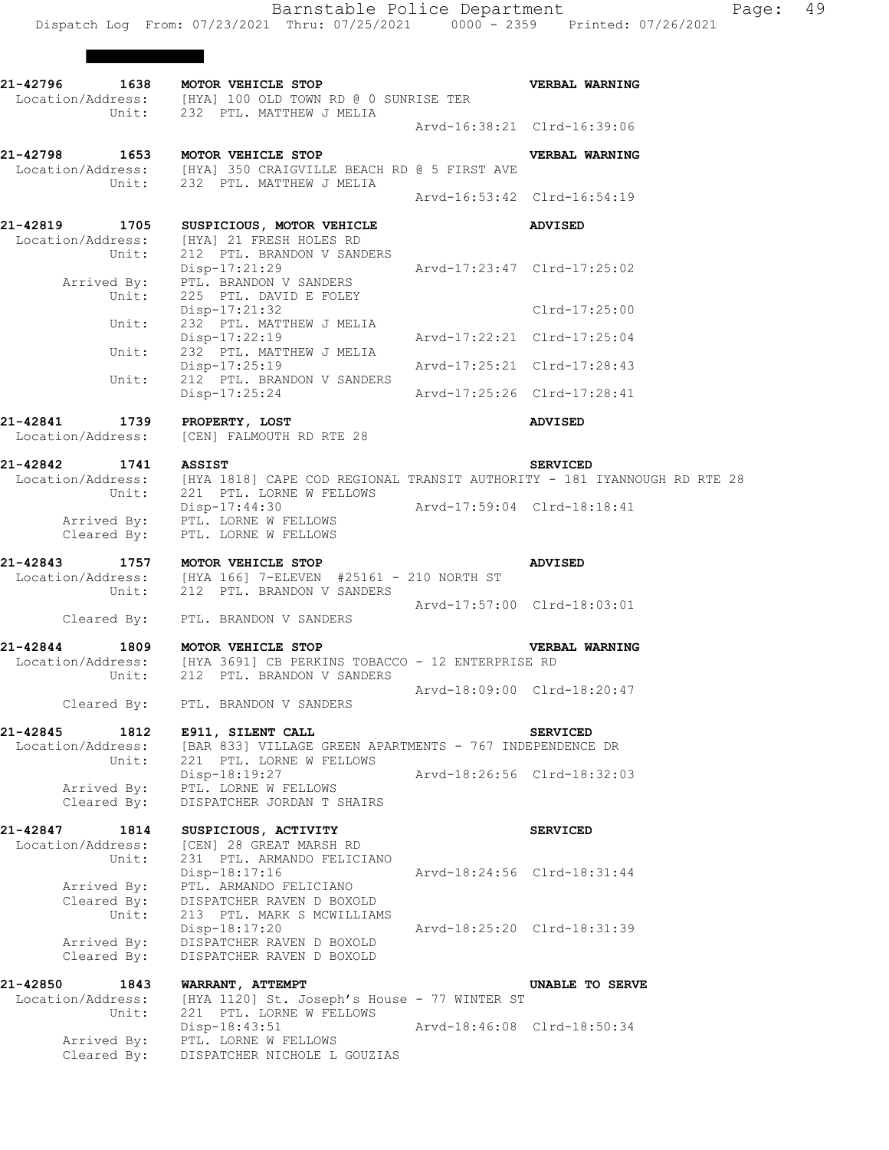H.

|                                                | 21-42796 1638 MOTOR VEHICLE STOP<br>Location/Address: [HYA] 100 OLD TOWN RD @ 0 SUNRISE TER<br>Unit: 232 PTL. MATTHEW J MELIA       |                             | <b>VERBAL WARNING</b>       |
|------------------------------------------------|-------------------------------------------------------------------------------------------------------------------------------------|-----------------------------|-----------------------------|
|                                                |                                                                                                                                     |                             | Arvd-16:38:21 Clrd-16:39:06 |
|                                                | 21-42798 1653 MOTOR VEHICLE STOP<br>Location/Address: [HYA] 350 CRAIGVILLE BEACH RD @ 5 FIRST AVE<br>Unit: 232 PTL. MATTHEW J MELIA |                             | VERBAL WARNING              |
|                                                |                                                                                                                                     |                             | Arvd-16:53:42 Clrd-16:54:19 |
| 21-42819 1705<br>Unit:                         | SUSPICIOUS, MOTOR VEHICLE<br>Location/Address: [HYA] 21 FRESH HOLES RD<br>212 PTL. BRANDON V SANDERS                                |                             | <b>ADVISED</b>              |
|                                                | $Disp-17:21:29$<br>Arrived By: PTL. BRANDON V SANDERS<br>Unit: 225 PTL. DAVID E FOLEY                                               | Arvd-17:23:47 Clrd-17:25:02 |                             |
| Unit:                                          | Disp-17:21:32<br>232 PTL. MATTHEW J MELIA                                                                                           |                             | $Clrd-17:25:00$             |
| Unit:                                          | Disp-17:22:19<br>232 PTL. MATTHEW J MELIA                                                                                           | Arvd-17:22:21 Clrd-17:25:04 |                             |
| Unit:                                          | $Disp-17:25:19$<br>212 PTL. BRANDON V SANDERS                                                                                       | Arvd-17:25:21 Clrd-17:28:43 |                             |
|                                                | Disp-17:25:24                                                                                                                       |                             | Arvd-17:25:26 Clrd-17:28:41 |
| 21-42841 1739                                  | PROPERTY, LOST<br>Location/Address: [CEN] FALMOUTH RD RTE 28                                                                        |                             | <b>ADVISED</b>              |
| 21-42842 1741 ASSIST                           |                                                                                                                                     |                             | <b>SERVICED</b>             |
|                                                | Location/Address: [HYA 1818] CAPE COD REGIONAL TRANSIT AUTHORITY - 181 IYANNOUGH RD RTE 28<br>Unit: 221 PTL. LORNE W FELLOWS        |                             |                             |
|                                                | Disp-17:44:30<br>Arrived By: PTL. LORNE W FELLOWS<br>Cleared By: PTL. LORNE W FELLOWS                                               | Arvd-17:59:04 Clrd-18:18:41 |                             |
| 21-42843                                       | 1757 MOTOR VEHICLE STOP<br>Location/Address: [HYA 166] 7-ELEVEN #25161 - 210 NORTH ST<br>Unit: 212 PTL. BRANDON V SANDERS           |                             | <b>ADVISED</b>              |
|                                                |                                                                                                                                     |                             | Arvd-17:57:00 Clrd-18:03:01 |
|                                                | Cleared By: PTL. BRANDON V SANDERS                                                                                                  |                             |                             |
| 21-42844                                       | 1809 MOTOR VEHICLE STOP<br>Location/Address: [HYA 3691] CB PERKINS TOBACCO - 12 ENTERPRISE RD<br>Unit: 212 PTL. BRANDON V SANDERS   |                             | <b>VERBAL WARNING</b>       |
|                                                | Cleared By: PTL. BRANDON V SANDERS                                                                                                  |                             | Arvd-18:09:00 Clrd-18:20:47 |
| 21-42845<br>1812                               | E911, SILENT CALL                                                                                                                   |                             | <b>SERVICED</b>             |
| Location/Address:<br>Unit:                     | [BAR 833] VILLAGE GREEN APARTMENTS - 767 INDEPENDENCE DR<br>221 PTL. LORNE W FELLOWS                                                |                             |                             |
| Arrived By:                                    | Disp-18:19:27<br>PTL. LORNE W FELLOWS<br>DISPATCHER JORDAN T SHAIRS                                                                 |                             | Arvd-18:26:56 Clrd-18:32:03 |
| Cleared By:                                    |                                                                                                                                     |                             |                             |
| 21-42847<br>1814<br>Location/Address:<br>Unit: | SUSPICIOUS, ACTIVITY<br>[CEN] 28 GREAT MARSH RD<br>231 PTL. ARMANDO FELICIANO                                                       |                             | <b>SERVICED</b>             |
| Arrived By:<br>Cleared By:                     | Disp-18:17:16<br>PTL. ARMANDO FELICIANO<br>DISPATCHER RAVEN D BOXOLD                                                                |                             | Aryd-18:24:56 Clrd-18:31:44 |
| Unit:<br>Arrived By:<br>Cleared By:            | 213 PTL. MARK S MCWILLIAMS<br>Disp-18:17:20<br>DISPATCHER RAVEN D BOXOLD<br>DISPATCHER RAVEN D BOXOLD                               |                             | Arvd-18:25:20 Clrd-18:31:39 |
| 21-42850<br>1843                               | WARRANT, ATTEMPT                                                                                                                    |                             | UNABLE TO SERVE             |
| Location/Address:<br>Unit:                     | [HYA 1120] St. Joseph's House - 77 WINTER ST<br>221 PTL. LORNE W FELLOWS                                                            |                             |                             |
| Arrived By:<br>Cleared By:                     | Disp-18:43:51<br>PTL. LORNE W FELLOWS<br>DISPATCHER NICHOLE L GOUZIAS                                                               |                             | Arvd-18:46:08 Clrd-18:50:34 |
|                                                |                                                                                                                                     |                             |                             |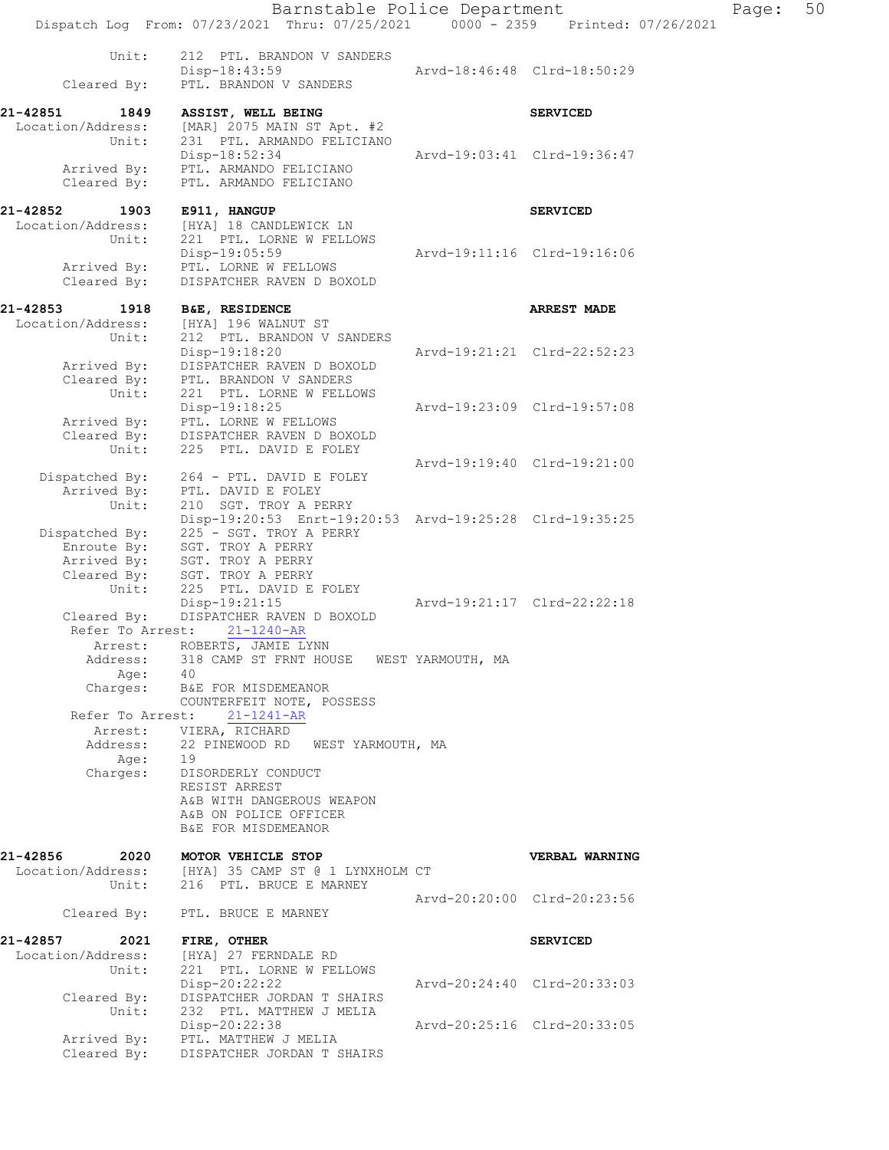Barnstable Police Department Page: 50 Dispatch Log From: 07/23/2021 Thru: 07/25/2021 0000 - 2359 Printed: 07/26/2021 Unit: 212 PTL. BRANDON V SANDERS<br>Disp-18:43:59 Disp-18:43:59 Arvd-18:46:48 Clrd-18:50:29 Cleared By: PTL. BRANDON V SANDERS **21-42851 1849 ASSIST, WELL BEING SERVICED**  Location/Address: [MAR] 2075 MAIN ST Apt. #2 Unit: 231 PTL. ARMANDO FELICIANO Disp-18:52:34 Arvd-19:03:41 Clrd-19:36:47 Arrived By: PTL. ARMANDO FELICIANO Cleared By: PTL. ARMANDO FELICIANO **21-42852 1903 E911, HANGUP SERVICED**  Location/Address: [HYA] 18 CANDLEWICK LN Unit: 221 PTL. LORNE W FELLOWS Disp-19:05:59 Arvd-19:11:16 Clrd-19:16:06 Arrived By: PTL. LORNE W FELLOWS Cleared By: DISPATCHER RAVEN D BOXOLD **21-42853 1918 B&E, RESIDENCE ARREST MADE**  Location/Address: [HYA] 196 WALNUT ST Unit: 212 PTL. BRANDON V SANDERS Disp-19:18:20 Arvd-19:21:21 Clrd-22:52:23 Arrived By: DISPATCHER RAVEN D BOXOLD Cleared By: PTL. BRANDON V SANDERS Unit: 221 PTL. LORNE W FELLOWS<br>Disp-19:18:25 Disp-19:18:25 Arvd-19:23:09 Clrd-19:57:08 Arrived By: PTL. LORNE W FELLOWS Cleared By: DISPATCHER RAVEN D BOXOLD Unit: 225 PTL. DAVID E FOLEY Arvd-19:19:40 Clrd-19:21:00 Dispatched By: 264 - PTL. DAVID E FOLEY Arrived By: PTL. DAVID E FOLEY Unit: 210 SGT. TROY A PERRY Unit: 210 SGT. TROY A PERRY<br>Disp-19:20:53 Enrt-19:20:53 Arvd-19:25:28 Clrd-19:35:25 Dispatched By: 225 - SGT. TROY A PERRY Enroute By: SGT. TROY A PERRY Arrived By: SGT. TROY A PERRY Cleared By: SGT. TROY A PERRY Unit: 225 PTL. DAVID E FOLEY Disp-19:21:15 Arvd-19:21:17 Clrd-22:22:18 Cleared By: DISPATCHER RAVEN D BOXOLD Refer To Arrest: 21-1240-AR Arrest: ROBERTS, JAMIE LYNN Address: 318 CAMP ST FRNT HOUSE WEST YARMOUTH, MA Age: 40 Charges: B&E FOR MISDEMEANOR COUNTERFEIT NOTE, POSSESS Refer To Arrest: 21-1241-AR Arrest: VIERA, RICHARD<br>Address: 22 PINEWOOD RD 22 PINEWOOD RD WEST YARMOUTH, MA Age: 19 Charges: DISORDERLY CONDUCT RESIST ARREST A&B WITH DANGEROUS WEAPON A&B ON POLICE OFFICER B&E FOR MISDEMEANOR **21-42856 2020 MOTOR VEHICLE STOP CONTRACT SERBAL WARNING**<br>
Location/Address: [HYA] 35 CAMP ST @ 1 LYNXHOLM CT Location/Address: [HYA] 35 CAMP ST @ 1 LYNXHOLM CT Unit: 216 PTL. BRUCE E MARNEY Arvd-20:20:00 Clrd-20:23:56 Cleared By: PTL. BRUCE E MARNEY **21-42857 2021 FIRE, OTHER SERVICED**  Location/Address: [HYA] 27 FERNDALE RD Unit: 221 PTL. LORNE W FELLOWS Disp-20:22:22 Arvd-20:24:40 Clrd-20:33:03 Cleared By: DISPATCHER JORDAN T SHAIRS Unit: 232 PTL. MATTHEW J MELIA Disp-20:22:38 Arvd-20:25:16 Clrd-20:33:05 Arrived By: PTL. MATTHEW J MELIA Cleared By: DISPATCHER JORDAN T SHAIRS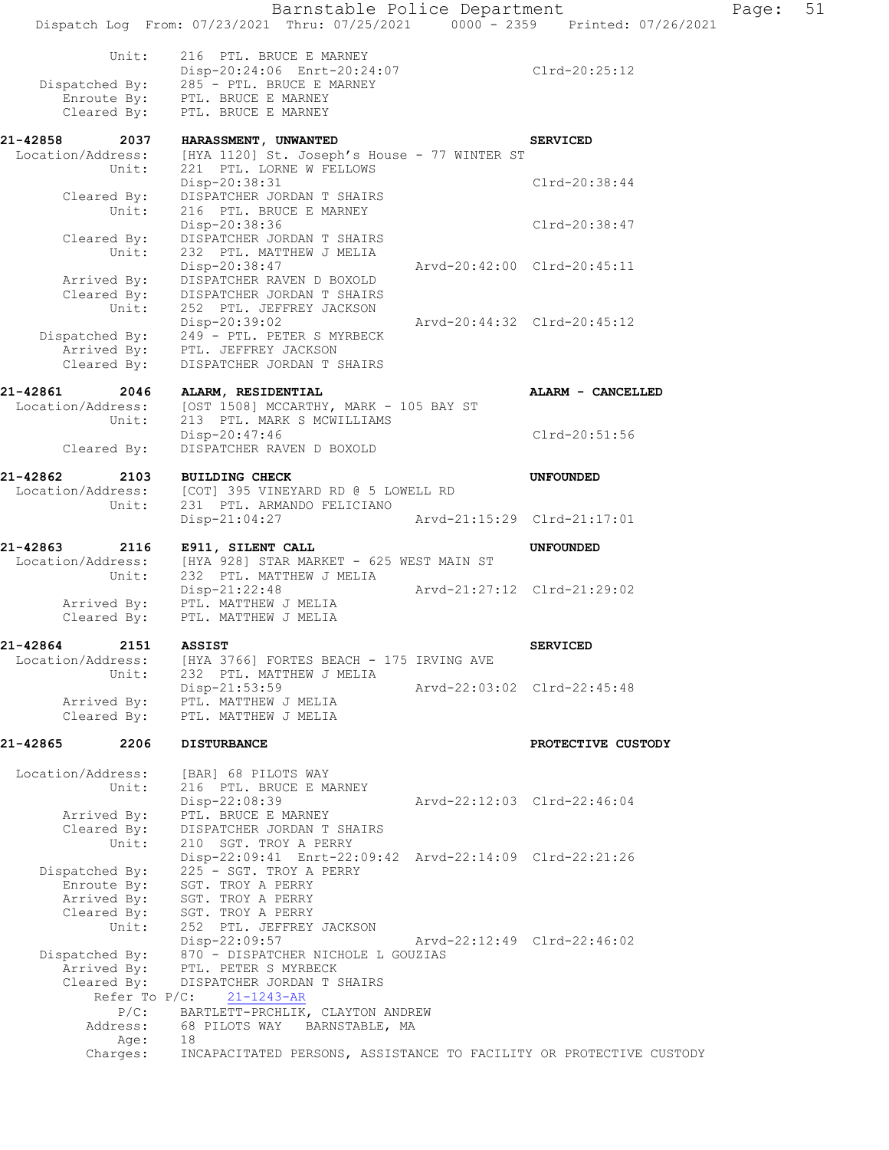|                      | Barnstable Police Department                                                                                  |                             |                             |
|----------------------|---------------------------------------------------------------------------------------------------------------|-----------------------------|-----------------------------|
|                      | Dispatch Log From: 07/23/2021 Thru: 07/25/2021 0000 - 2359 Printed: 07/26/2021                                |                             |                             |
| Unit:                | 216 PTL. BRUCE E MARNEY                                                                                       |                             |                             |
|                      | Disp-20:24:06 Enrt-20:24:07                                                                                   |                             | Clrd-20:25:12               |
| Dispatched By:       | 285 - PTL. BRUCE E MARNEY                                                                                     |                             |                             |
|                      | Enroute By: PTL. BRUCE E MARNEY                                                                               |                             |                             |
| Cleared By:          | PTL. BRUCE E MARNEY                                                                                           |                             |                             |
| 21-42858<br>2037     | HARASSMENT, UNWANTED                                                                                          |                             | <b>SERVICED</b>             |
| Location/Address:    | [HYA 1120] St. Joseph's House - 77 WINTER ST                                                                  |                             |                             |
| Unit:                | 221 PTL. LORNE W FELLOWS                                                                                      |                             |                             |
|                      | Disp-20:38:31                                                                                                 |                             | Clrd-20:38:44               |
| Cleared By:<br>Unit: | DISPATCHER JORDAN T SHAIRS<br>216 PTL. BRUCE E MARNEY                                                         |                             |                             |
|                      | Disp-20:38:36                                                                                                 |                             | Clrd-20:38:47               |
| Cleared By:          | DISPATCHER JORDAN T SHAIRS                                                                                    |                             |                             |
| Unit:                | 232 PTL. MATTHEW J MELIA                                                                                      |                             |                             |
|                      | Disp-20:38:47                                                                                                 |                             | Arvd-20:42:00 Clrd-20:45:11 |
|                      | Arrived By: DISPATCHER RAVEN D BOXOLD<br>Cleared By: DISPATCHER JORDAN T SHAIRS<br>DISPATCHER JORDAN T SHAIRS |                             |                             |
| Unit:                | 252 PTL. JEFFREY JACKSON                                                                                      |                             |                             |
|                      | Disp-20:39:02                                                                                                 | Arvd-20:44:32 Clrd-20:45:12 |                             |
|                      | Dispatched By: $249 - PTL$ . PETER S MYRBECK                                                                  |                             |                             |
|                      | Arrived By: PTL. JEFFREY JACKSON                                                                              |                             |                             |
| Cleared By:          | DISPATCHER JORDAN T SHAIRS                                                                                    |                             |                             |
| 21-42861<br>2046     | ALARM, RESIDENTIAL                                                                                            |                             | ALARM - CANCELLED           |
|                      | Location/Address: [OST 1508] MCCARTHY, MARK - 105 BAY ST                                                      |                             |                             |
| Unit:                | 213 PTL. MARK S MCWILLIAMS                                                                                    |                             |                             |
|                      | Disp-20:47:46                                                                                                 |                             | Clrd-20:51:56               |
| Cleared By:          | DISPATCHER RAVEN D BOXOLD                                                                                     |                             |                             |
| 21-42862<br>2103     | <b>BUILDING CHECK</b>                                                                                         |                             | UNFOUNDED                   |
|                      | Location/Address: [COT] 395 VINEYARD RD @ 5 LOWELL RD                                                         |                             |                             |
| Unit:                | 231 PTL. ARMANDO FELICIANO                                                                                    |                             |                             |
|                      | Disp-21:04:27                                                                                                 | Arvd-21:15:29 Clrd-21:17:01 |                             |
| 21-42863<br>2116     | E911, SILENT CALL                                                                                             |                             | <b>UNFOUNDED</b>            |
|                      | Location/Address: [HYA 928] STAR MARKET - 625 WEST MAIN ST                                                    |                             |                             |
| Unit:                | 232 PTL. MATTHEW J MELIA                                                                                      |                             |                             |
|                      | Disp-21:22:48                                                                                                 | Arvd-21:27:12 Clrd-21:29:02 |                             |
| Cleared By:          | Arrived By: PTL. MATTHEW J MELIA<br>PTL. MATTHEW J MELIA                                                      |                             |                             |
|                      |                                                                                                               |                             |                             |
| 21-42864<br>2151     | ASSIST                                                                                                        |                             | <b>SERVICED</b>             |
| Location/Address:    | [HYA 3766] FORTES BEACH - 175 IRVING AVE                                                                      |                             |                             |
| Unit:                | 232 PTL. MATTHEW J MELIA<br>$Disp-21:53:59$                                                                   |                             | Arvd-22:03:02 Clrd-22:45:48 |
| Arrived By:          | PTL. MATTHEW J MELIA                                                                                          |                             |                             |
| Cleared By:          | PTL. MATTHEW J MELIA                                                                                          |                             |                             |
|                      |                                                                                                               |                             |                             |
| 21-42865<br>2206     | <b>DISTURBANCE</b>                                                                                            |                             | PROTECTIVE CUSTODY          |
| Location/Address:    | [BAR] 68 PILOTS WAY                                                                                           |                             |                             |
| Unit:                | 216 PTL. BRUCE E MARNEY                                                                                       |                             |                             |
|                      | Disp-22:08:39                                                                                                 |                             | Arvd-22:12:03 Clrd-22:46:04 |
| Arrived By:          | PTL. BRUCE E MARNEY                                                                                           |                             |                             |
| Cleared By:          | DISPATCHER JORDAN T SHAIRS                                                                                    |                             |                             |
| Unit:                | 210 SGT. TROY A PERRY<br>Disp-22:09:41 Enrt-22:09:42 Arvd-22:14:09 Clrd-22:21:26                              |                             |                             |
| Dispatched By:       | 225 - SGT. TROY A PERRY                                                                                       |                             |                             |
| Enroute By:          | SGT. TROY A PERRY                                                                                             |                             |                             |
| Arrived By:          | SGT. TROY A PERRY                                                                                             |                             |                             |
| Cleared By:          | SGT. TROY A PERRY                                                                                             |                             |                             |
| Unit:                | 252 PTL. JEFFREY JACKSON<br>Disp-22:09:57                                                                     |                             | Arvd-22:12:49 Clrd-22:46:02 |
| Dispatched By:       | 870 - DISPATCHER NICHOLE L GOUZIAS                                                                            |                             |                             |
| Arrived By:          | PTL. PETER S MYRBECK                                                                                          |                             |                             |
| Cleared By:          | DISPATCHER JORDAN T SHAIRS                                                                                    |                             |                             |
| Refer To $P/C$ :     | $21 - 1243 - AR$                                                                                              |                             |                             |
| $P/C$ :              | BARTLETT-PRCHLIK, CLAYTON ANDREW                                                                              |                             |                             |
| Address:<br>Age:     | 68 PILOTS WAY BARNSTABLE, MA<br>18                                                                            |                             |                             |
| Charges:             | INCAPACITATED PERSONS, ASSISTANCE TO FACILITY OR PROTECTIVE CUSTODY                                           |                             |                             |

Page: 51